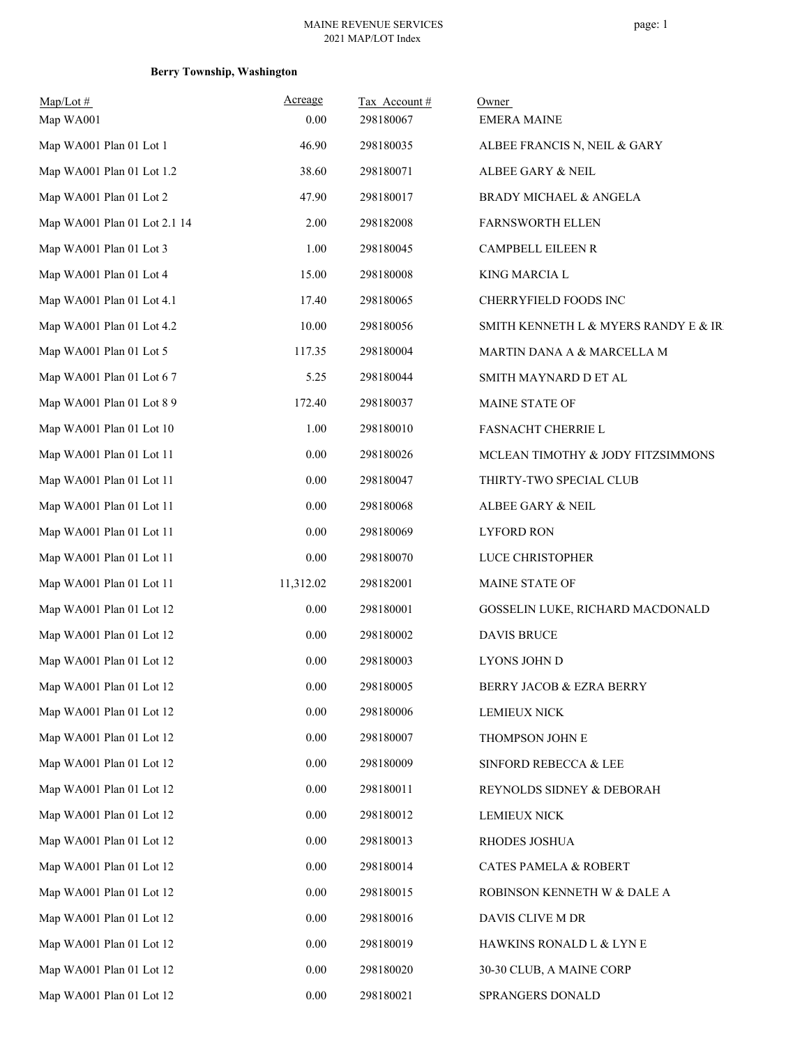## **Berry Township, Washington**

| $Map/Lot \#$<br>Map WA001    | Acreage<br>0.00 | Tax Account#<br>298180067 | Owner<br><b>EMERA MAINE</b>           |
|------------------------------|-----------------|---------------------------|---------------------------------------|
| Map WA001 Plan 01 Lot 1      | 46.90           | 298180035                 | ALBEE FRANCIS N, NEIL & GARY          |
| Map WA001 Plan 01 Lot 1.2    | 38.60           | 298180071                 | ALBEE GARY & NEIL                     |
| Map WA001 Plan 01 Lot 2      | 47.90           | 298180017                 | <b>BRADY MICHAEL &amp; ANGELA</b>     |
| Map WA001 Plan 01 Lot 2.1 14 | 2.00            | 298182008                 | <b>FARNSWORTH ELLEN</b>               |
| Map WA001 Plan 01 Lot 3      | 1.00            | 298180045                 | CAMPBELL EILEEN R                     |
| Map WA001 Plan 01 Lot 4      | 15.00           | 298180008                 | <b>KING MARCIA L</b>                  |
| Map WA001 Plan 01 Lot 4.1    | 17.40           | 298180065                 | CHERRYFIELD FOODS INC                 |
| Map WA001 Plan 01 Lot 4.2    | 10.00           | 298180056                 | SMITH KENNETH L & MYERS RANDY E & IRI |
| Map WA001 Plan 01 Lot 5      | 117.35          | 298180004                 | MARTIN DANA A & MARCELLA M            |
| Map WA001 Plan 01 Lot 6 7    | 5.25            | 298180044                 | SMITH MAYNARD D ET AL                 |
| Map WA001 Plan 01 Lot 8 9    | 172.40          | 298180037                 | MAINE STATE OF                        |
| Map WA001 Plan 01 Lot 10     | 1.00            | 298180010                 | <b>FASNACHT CHERRIE L</b>             |
| Map WA001 Plan 01 Lot 11     | $0.00\,$        | 298180026                 | MCLEAN TIMOTHY & JODY FITZSIMMONS     |
| Map WA001 Plan 01 Lot 11     | 0.00            | 298180047                 | THIRTY-TWO SPECIAL CLUB               |
| Map WA001 Plan 01 Lot 11     | $0.00\,$        | 298180068                 | ALBEE GARY & NEIL                     |
| Map WA001 Plan 01 Lot 11     | 0.00            | 298180069                 | <b>LYFORD RON</b>                     |
| Map WA001 Plan 01 Lot 11     | 0.00            | 298180070                 | LUCE CHRISTOPHER                      |
| Map WA001 Plan 01 Lot 11     | 11,312.02       | 298182001                 | MAINE STATE OF                        |
| Map WA001 Plan 01 Lot 12     | 0.00            | 298180001                 | GOSSELIN LUKE, RICHARD MACDONALD      |
| Map WA001 Plan 01 Lot 12     | 0.00            | 298180002                 | <b>DAVIS BRUCE</b>                    |
| Map WA001 Plan 01 Lot 12     | 0.00            | 298180003                 | LYONS JOHN D                          |
| Map WA001 Plan 01 Lot 12     | $0.00\,$        | 298180005                 | BERRY JACOB & EZRA BERRY              |
| Map WA001 Plan 01 Lot 12     | 0.00            | 298180006                 | <b>LEMIEUX NICK</b>                   |
| Map WA001 Plan 01 Lot 12     | $0.00\,$        | 298180007                 | THOMPSON JOHN E                       |
| Map WA001 Plan 01 Lot 12     | $0.00\,$        | 298180009                 | SINFORD REBECCA & LEE                 |
| Map WA001 Plan 01 Lot 12     | 0.00            | 298180011                 | REYNOLDS SIDNEY & DEBORAH             |
| Map WA001 Plan 01 Lot 12     | 0.00            | 298180012                 | <b>LEMIEUX NICK</b>                   |
| Map WA001 Plan 01 Lot 12     | 0.00            | 298180013                 | RHODES JOSHUA                         |
| Map WA001 Plan 01 Lot 12     | 0.00            | 298180014                 | <b>CATES PAMELA &amp; ROBERT</b>      |
| Map WA001 Plan 01 Lot 12     | 0.00            | 298180015                 | ROBINSON KENNETH W & DALE A           |
| Map WA001 Plan 01 Lot 12     | 0.00            | 298180016                 | DAVIS CLIVE M DR                      |
| Map WA001 Plan 01 Lot 12     | 0.00            | 298180019                 | HAWKINS RONALD L & LYN E              |
| Map WA001 Plan 01 Lot 12     | $0.00\,$        | 298180020                 | 30-30 CLUB, A MAINE CORP              |
| Map WA001 Plan 01 Lot 12     | $0.00\,$        | 298180021                 | SPRANGERS DONALD                      |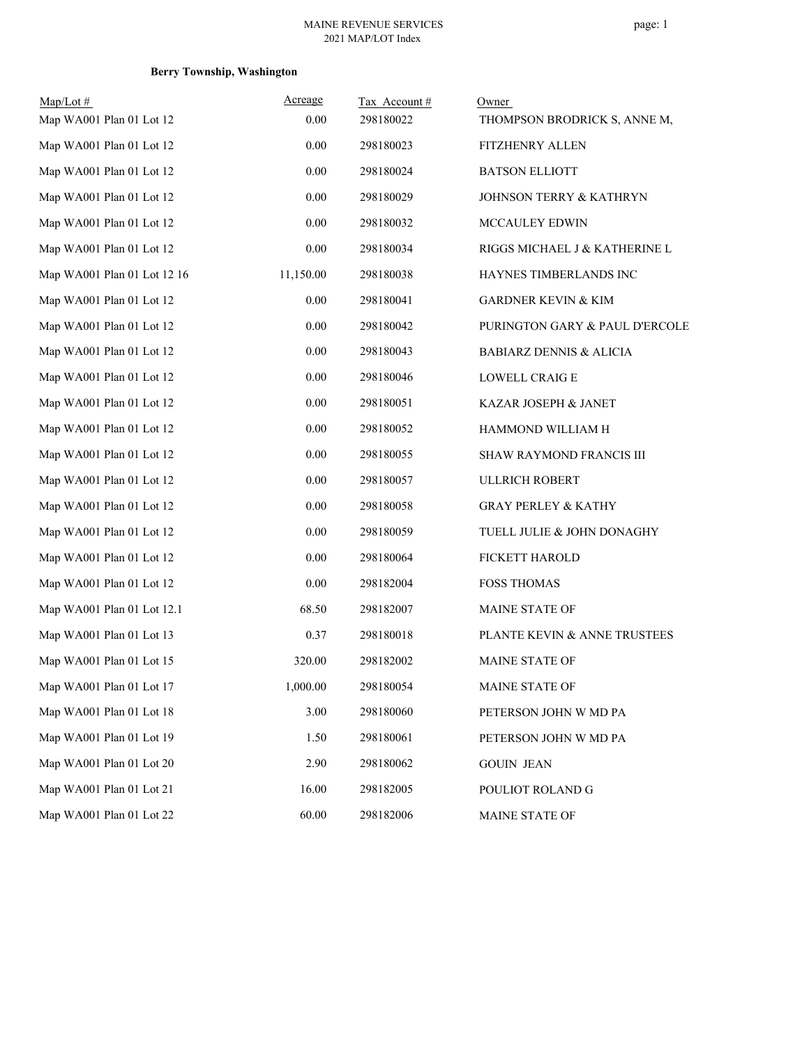## **Berry Township, Washington**

| $Map/Lot \#$                | Acreage   | Tax Account# | Owner                              |
|-----------------------------|-----------|--------------|------------------------------------|
| Map WA001 Plan 01 Lot 12    | 0.00      | 298180022    | THOMPSON BRODRICK S, ANNE M,       |
| Map WA001 Plan 01 Lot 12    | 0.00      | 298180023    | <b>FITZHENRY ALLEN</b>             |
| Map WA001 Plan 01 Lot 12    | 0.00      | 298180024    | <b>BATSON ELLIOTT</b>              |
| Map WA001 Plan 01 Lot 12    | 0.00      | 298180029    | <b>JOHNSON TERRY &amp; KATHRYN</b> |
| Map WA001 Plan 01 Lot 12    | 0.00      | 298180032    | MCCAULEY EDWIN                     |
| Map WA001 Plan 01 Lot 12    | 0.00      | 298180034    | RIGGS MICHAEL J & KATHERINE L      |
| Map WA001 Plan 01 Lot 12 16 | 11,150.00 | 298180038    | HAYNES TIMBERLANDS INC             |
| Map WA001 Plan 01 Lot 12    | 0.00      | 298180041    | <b>GARDNER KEVIN &amp; KIM</b>     |
| Map WA001 Plan 01 Lot 12    | 0.00      | 298180042    | PURINGTON GARY & PAUL D'ERCOLE     |
| Map WA001 Plan 01 Lot 12    | 0.00      | 298180043    | <b>BABIARZ DENNIS &amp; ALICIA</b> |
| Map WA001 Plan 01 Lot 12    | 0.00      | 298180046    | <b>LOWELL CRAIGE</b>               |
| Map WA001 Plan 01 Lot 12    | 0.00      | 298180051    | KAZAR JOSEPH & JANET               |
| Map WA001 Plan 01 Lot 12    | 0.00      | 298180052    | HAMMOND WILLIAM H                  |
| Map WA001 Plan 01 Lot 12    | 0.00      | 298180055    | SHAW RAYMOND FRANCIS III           |
| Map WA001 Plan 01 Lot 12    | 0.00      | 298180057    | ULLRICH ROBERT                     |
| Map WA001 Plan 01 Lot 12    | 0.00      | 298180058    | <b>GRAY PERLEY &amp; KATHY</b>     |
| Map WA001 Plan 01 Lot 12    | 0.00      | 298180059    | TUELL JULIE & JOHN DONAGHY         |
| Map WA001 Plan 01 Lot 12    | 0.00      | 298180064    | FICKETT HAROLD                     |
| Map WA001 Plan 01 Lot 12    | 0.00      | 298182004    | <b>FOSS THOMAS</b>                 |
| Map WA001 Plan 01 Lot 12.1  | 68.50     | 298182007    | MAINE STATE OF                     |
| Map WA001 Plan 01 Lot 13    | 0.37      | 298180018    | PLANTE KEVIN & ANNE TRUSTEES       |
| Map WA001 Plan 01 Lot 15    | 320.00    | 298182002    | MAINE STATE OF                     |
| Map WA001 Plan 01 Lot 17    | 1,000.00  | 298180054    | MAINE STATE OF                     |
| Map WA001 Plan 01 Lot 18    | 3.00      | 298180060    | PETERSON JOHN W MD PA              |
| Map WA001 Plan 01 Lot 19    | 1.50      | 298180061    | PETERSON JOHN W MD PA              |
| Map WA001 Plan 01 Lot 20    | 2.90      | 298180062    | <b>GOUIN JEAN</b>                  |
| Map WA001 Plan 01 Lot 21    | 16.00     | 298182005    | POULIOT ROLAND G                   |
| Map WA001 Plan 01 Lot 22    | 60.00     | 298182006    | MAINE STATE OF                     |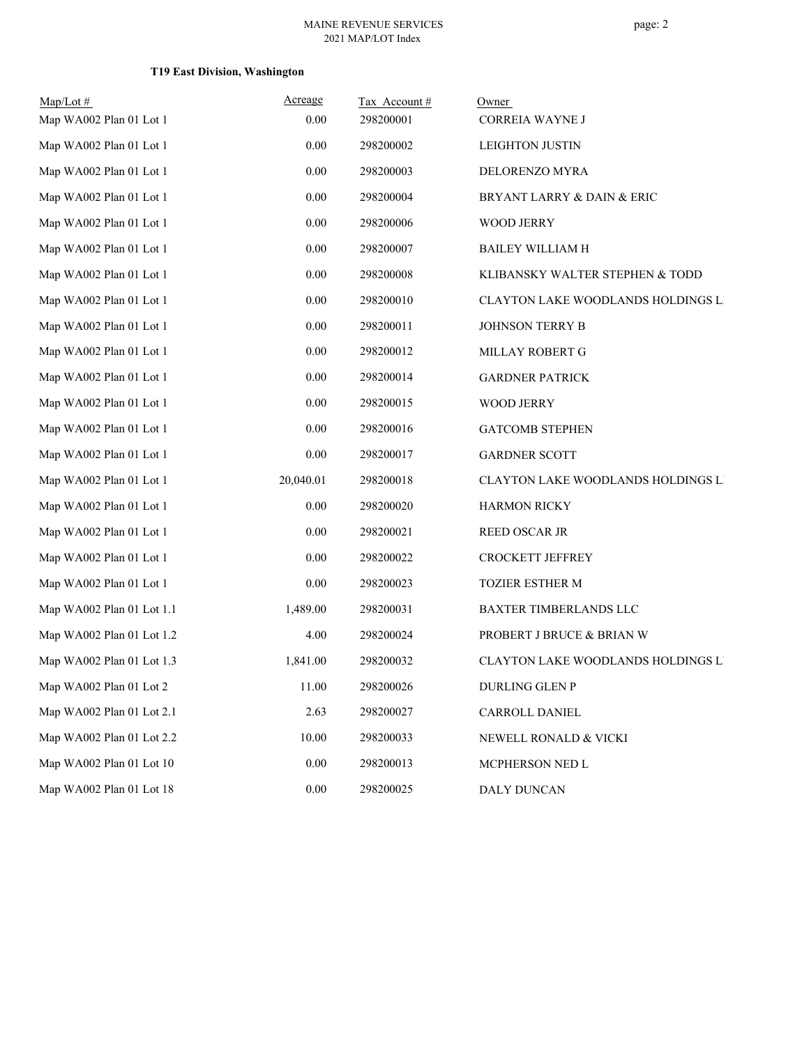## **T19 East Division, Washington**

| $Map/Lot \#$              | Acreage   | Tax Account# | Owner                              |
|---------------------------|-----------|--------------|------------------------------------|
| Map WA002 Plan 01 Lot 1   | 0.00      | 298200001    | CORREIA WAYNE J                    |
| Map WA002 Plan 01 Lot 1   | 0.00      | 298200002    | <b>LEIGHTON JUSTIN</b>             |
| Map WA002 Plan 01 Lot 1   | $0.00\,$  | 298200003    | DELORENZO MYRA                     |
| Map WA002 Plan 01 Lot 1   | 0.00      | 298200004    | BRYANT LARRY & DAIN & ERIC         |
| Map WA002 Plan 01 Lot 1   | 0.00      | 298200006    | <b>WOOD JERRY</b>                  |
| Map WA002 Plan 01 Lot 1   | 0.00      | 298200007    | <b>BAILEY WILLIAM H</b>            |
| Map WA002 Plan 01 Lot 1   | 0.00      | 298200008    | KLIBANSKY WALTER STEPHEN & TODD    |
| Map WA002 Plan 01 Lot 1   | 0.00      | 298200010    | CLAYTON LAKE WOODLANDS HOLDINGS LI |
| Map WA002 Plan 01 Lot 1   | $0.00\,$  | 298200011    | JOHNSON TERRY B                    |
| Map WA002 Plan 01 Lot 1   | 0.00      | 298200012    | MILLAY ROBERT G                    |
| Map WA002 Plan 01 Lot 1   | 0.00      | 298200014    | <b>GARDNER PATRICK</b>             |
| Map WA002 Plan 01 Lot 1   | 0.00      | 298200015    | <b>WOOD JERRY</b>                  |
| Map WA002 Plan 01 Lot 1   | 0.00      | 298200016    | <b>GATCOMB STEPHEN</b>             |
| Map WA002 Plan 01 Lot 1   | 0.00      | 298200017    | <b>GARDNER SCOTT</b>               |
| Map WA002 Plan 01 Lot 1   | 20,040.01 | 298200018    | CLAYTON LAKE WOODLANDS HOLDINGS LI |
| Map WA002 Plan 01 Lot 1   | 0.00      | 298200020    | <b>HARMON RICKY</b>                |
| Map WA002 Plan 01 Lot 1   | 0.00      | 298200021    | <b>REED OSCAR JR</b>               |
| Map WA002 Plan 01 Lot 1   | 0.00      | 298200022    | CROCKETT JEFFREY                   |
| Map WA002 Plan 01 Lot 1   | $0.00\,$  | 298200023    | TOZIER ESTHER M                    |
| Map WA002 Plan 01 Lot 1.1 | 1,489.00  | 298200031    | BAXTER TIMBERLANDS LLC             |
| Map WA002 Plan 01 Lot 1.2 | 4.00      | 298200024    | PROBERT J BRUCE & BRIAN W          |
| Map WA002 Plan 01 Lot 1.3 | 1,841.00  | 298200032    | CLAYTON LAKE WOODLANDS HOLDINGS LI |
| Map WA002 Plan 01 Lot 2   | 11.00     | 298200026    | DURLING GLEN P                     |
| Map WA002 Plan 01 Lot 2.1 | 2.63      | 298200027    | CARROLL DANIEL                     |
| Map WA002 Plan 01 Lot 2.2 | 10.00     | 298200033    | NEWELL RONALD & VICKI              |
| Map WA002 Plan 01 Lot 10  | 0.00      | 298200013    | MCPHERSON NED L                    |
| Map WA002 Plan 01 Lot 18  | $0.00\,$  | 298200025    | <b>DALY DUNCAN</b>                 |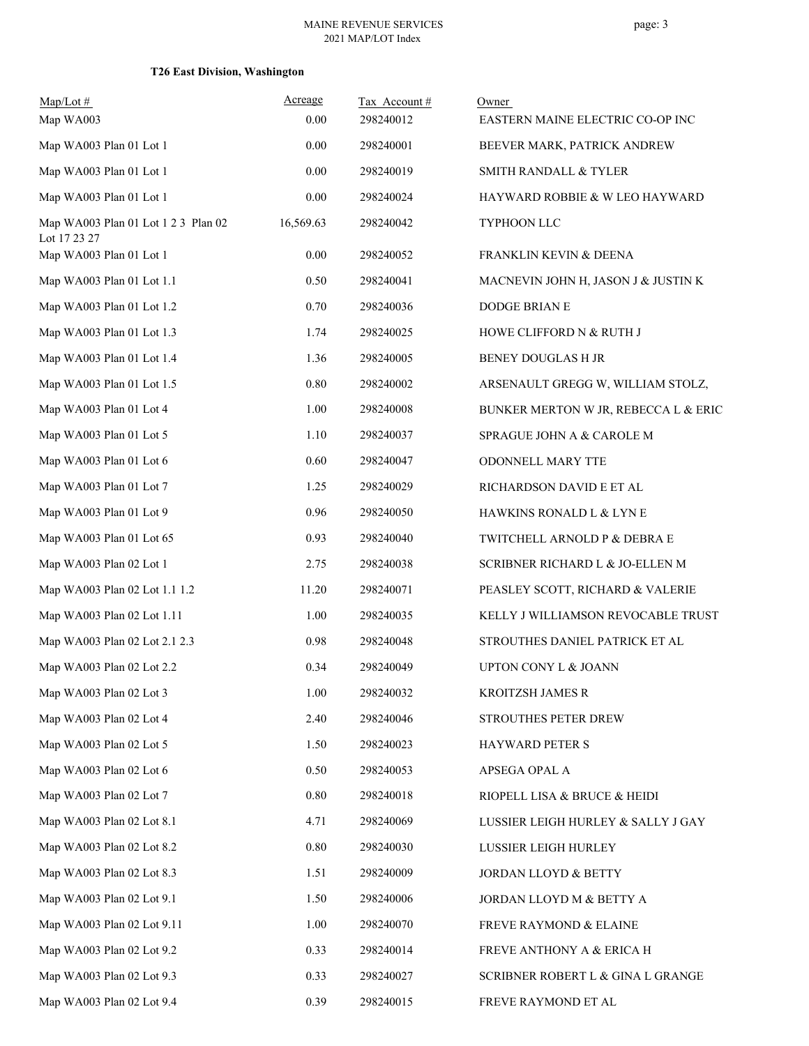## **T26 East Division, Washington**

| $Map/Lot \#$                                        | Acreage   | Tax Account# | Owner                                |
|-----------------------------------------------------|-----------|--------------|--------------------------------------|
| Map WA003                                           | 0.00      | 298240012    | EASTERN MAINE ELECTRIC CO-OP INC     |
| Map WA003 Plan 01 Lot 1                             | 0.00      | 298240001    | BEEVER MARK, PATRICK ANDREW          |
| Map WA003 Plan 01 Lot 1                             | 0.00      | 298240019    | SMITH RANDALL & TYLER                |
| Map WA003 Plan 01 Lot 1                             | 0.00      | 298240024    | HAYWARD ROBBIE & W LEO HAYWARD       |
| Map WA003 Plan 01 Lot 1 2 3 Plan 02<br>Lot 17 23 27 | 16,569.63 | 298240042    | TYPHOON LLC                          |
| Map WA003 Plan 01 Lot 1                             | 0.00      | 298240052    | FRANKLIN KEVIN & DEENA               |
| Map WA003 Plan 01 Lot 1.1                           | 0.50      | 298240041    | MACNEVIN JOHN H, JASON J & JUSTIN K  |
| Map WA003 Plan 01 Lot 1.2                           | 0.70      | 298240036    | <b>DODGE BRIAN E</b>                 |
| Map WA003 Plan 01 Lot 1.3                           | 1.74      | 298240025    | HOWE CLIFFORD N & RUTH J             |
| Map WA003 Plan 01 Lot 1.4                           | 1.36      | 298240005    | BENEY DOUGLAS H JR                   |
| Map WA003 Plan 01 Lot 1.5                           | 0.80      | 298240002    | ARSENAULT GREGG W, WILLIAM STOLZ,    |
| Map WA003 Plan 01 Lot 4                             | 1.00      | 298240008    | BUNKER MERTON W JR, REBECCA L & ERIC |
| Map WA003 Plan 01 Lot 5                             | 1.10      | 298240037    | SPRAGUE JOHN A & CAROLE M            |
| Map WA003 Plan 01 Lot 6                             | 0.60      | 298240047    | ODONNELL MARY TTE                    |
| Map WA003 Plan 01 Lot 7                             | 1.25      | 298240029    | RICHARDSON DAVID E ET AL             |
| Map WA003 Plan 01 Lot 9                             | 0.96      | 298240050    | HAWKINS RONALD L & LYN E             |
| Map WA003 Plan 01 Lot 65                            | 0.93      | 298240040    | TWITCHELL ARNOLD P & DEBRA E         |
| Map WA003 Plan 02 Lot 1                             | 2.75      | 298240038    | SCRIBNER RICHARD L & JO-ELLEN M      |
| Map WA003 Plan 02 Lot 1.1 1.2                       | 11.20     | 298240071    | PEASLEY SCOTT, RICHARD & VALERIE     |
| Map WA003 Plan 02 Lot 1.11                          | 1.00      | 298240035    | KELLY J WILLIAMSON REVOCABLE TRUST   |
| Map WA003 Plan 02 Lot 2.1 2.3                       | 0.98      | 298240048    | STROUTHES DANIEL PATRICK ET AL       |
| Map WA003 Plan 02 Lot 2.2                           | 0.34      | 298240049    | <b>UPTON CONY L &amp; JOANN</b>      |
| Map WA003 Plan 02 Lot 3                             | 1.00      | 298240032    | KROITZSH JAMES R                     |
| Map WA003 Plan 02 Lot 4                             | 2.40      | 298240046    | STROUTHES PETER DREW                 |
| Map WA003 Plan 02 Lot 5                             | 1.50      | 298240023    | <b>HAYWARD PETER S</b>               |
| Map WA003 Plan 02 Lot 6                             | 0.50      | 298240053    | APSEGA OPAL A                        |
| Map WA003 Plan 02 Lot 7                             | 0.80      | 298240018    | RIOPELL LISA & BRUCE & HEIDI         |
| Map WA003 Plan 02 Lot 8.1                           | 4.71      | 298240069    | LUSSIER LEIGH HURLEY & SALLY J GAY   |
| Map WA003 Plan 02 Lot 8.2                           | 0.80      | 298240030    | LUSSIER LEIGH HURLEY                 |
| Map WA003 Plan 02 Lot 8.3                           | 1.51      | 298240009    | JORDAN LLOYD & BETTY                 |
| Map WA003 Plan 02 Lot 9.1                           | 1.50      | 298240006    | JORDAN LLOYD M & BETTY A             |
| Map WA003 Plan 02 Lot 9.11                          | 1.00      | 298240070    | FREVE RAYMOND & ELAINE               |
| Map WA003 Plan 02 Lot 9.2                           | 0.33      | 298240014    | <b>FREVE ANTHONY A &amp; ERICA H</b> |
| Map WA003 Plan 02 Lot 9.3                           | 0.33      | 298240027    | SCRIBNER ROBERT L & GINA L GRANGE    |
| Map WA003 Plan 02 Lot 9.4                           | 0.39      | 298240015    | FREVE RAYMOND ET AL                  |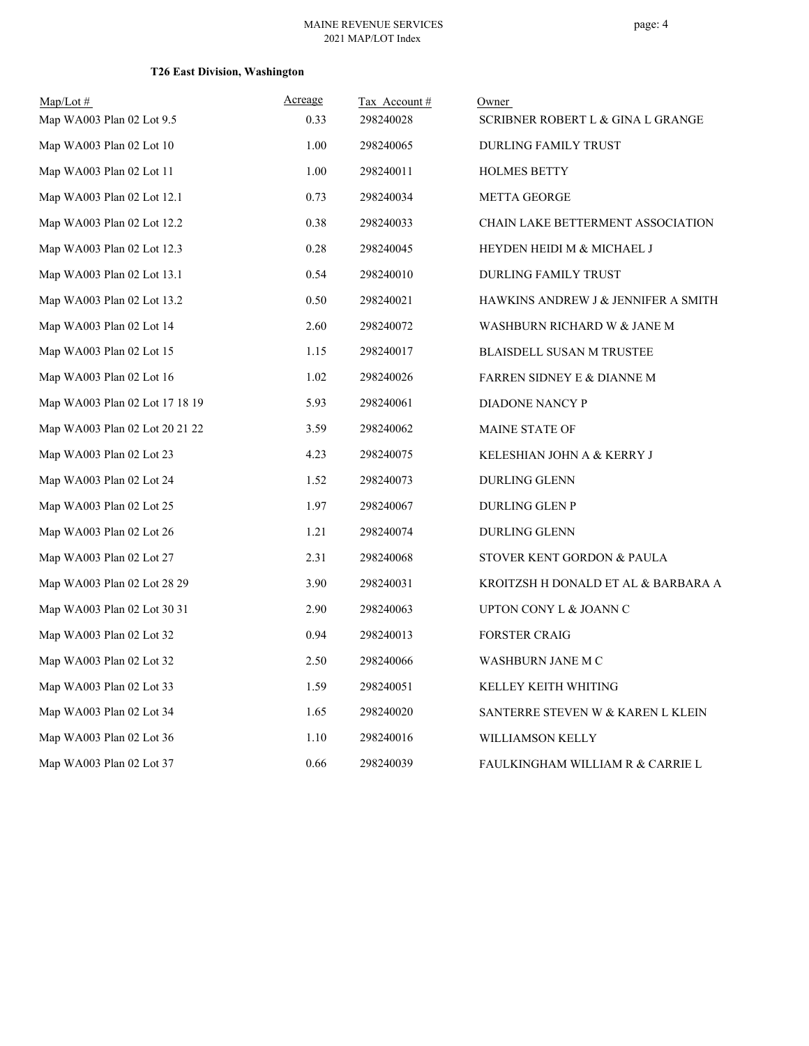#### page: 4

## **T26 East Division, Washington**

| $Map/Lot$ #<br>Map WA003 Plan 02 Lot 9.5 | Acreage<br>0.33 | Tax Account #<br>298240028 | Owner<br>SCRIBNER ROBERT L & GINA L GRANGE |
|------------------------------------------|-----------------|----------------------------|--------------------------------------------|
| Map WA003 Plan 02 Lot 10                 | 1.00            | 298240065                  | DURLING FAMILY TRUST                       |
| Map WA003 Plan 02 Lot 11                 | 1.00            | 298240011                  | <b>HOLMES BETTY</b>                        |
| Map WA003 Plan 02 Lot 12.1               | 0.73            | 298240034                  | <b>METTA GEORGE</b>                        |
| Map WA003 Plan 02 Lot 12.2               | 0.38            | 298240033                  | CHAIN LAKE BETTERMENT ASSOCIATION          |
| Map WA003 Plan 02 Lot 12.3               | 0.28            | 298240045                  | HEYDEN HEIDI M & MICHAEL J                 |
| Map WA003 Plan 02 Lot 13.1               | 0.54            | 298240010                  | DURLING FAMILY TRUST                       |
| Map WA003 Plan 02 Lot 13.2               | 0.50            | 298240021                  | HAWKINS ANDREW J & JENNIFER A SMITH        |
| Map WA003 Plan 02 Lot 14                 | 2.60            | 298240072                  | WASHBURN RICHARD W & JANE M                |
| Map WA003 Plan 02 Lot 15                 | 1.15            | 298240017                  | <b>BLAISDELL SUSAN M TRUSTEE</b>           |
| Map WA003 Plan 02 Lot 16                 | 1.02            | 298240026                  | FARREN SIDNEY E & DIANNE M                 |
| Map WA003 Plan 02 Lot 17 18 19           | 5.93            | 298240061                  | DIADONE NANCY P                            |
| Map WA003 Plan 02 Lot 20 21 22           | 3.59            | 298240062                  | MAINE STATE OF                             |
| Map WA003 Plan 02 Lot 23                 | 4.23            | 298240075                  | KELESHIAN JOHN A & KERRY J                 |
| Map WA003 Plan 02 Lot 24                 | 1.52            | 298240073                  | DURLING GLENN                              |
| Map WA003 Plan 02 Lot 25                 | 1.97            | 298240067                  | <b>DURLING GLEN P</b>                      |
| Map WA003 Plan 02 Lot 26                 | 1.21            | 298240074                  | <b>DURLING GLENN</b>                       |
| Map WA003 Plan 02 Lot 27                 | 2.31            | 298240068                  | STOVER KENT GORDON & PAULA                 |
| Map WA003 Plan 02 Lot 28 29              | 3.90            | 298240031                  | KROITZSH H DONALD ET AL & BARBARA A        |
| Map WA003 Plan 02 Lot 30 31              | 2.90            | 298240063                  | UPTON CONY L & JOANN C                     |
| Map WA003 Plan 02 Lot 32                 | 0.94            | 298240013                  | <b>FORSTER CRAIG</b>                       |
| Map WA003 Plan 02 Lot 32                 | 2.50            | 298240066                  | WASHBURN JANE M C                          |
| Map WA003 Plan 02 Lot 33                 | 1.59            | 298240051                  | KELLEY KEITH WHITING                       |
| Map WA003 Plan 02 Lot 34                 | 1.65            | 298240020                  | SANTERRE STEVEN W & KAREN L KLEIN          |
| Map WA003 Plan 02 Lot 36                 | 1.10            | 298240016                  | WILLIAMSON KELLY                           |
| Map WA003 Plan 02 Lot 37                 | 0.66            | 298240039                  | FAULKINGHAM WILLIAM R & CARRIE L           |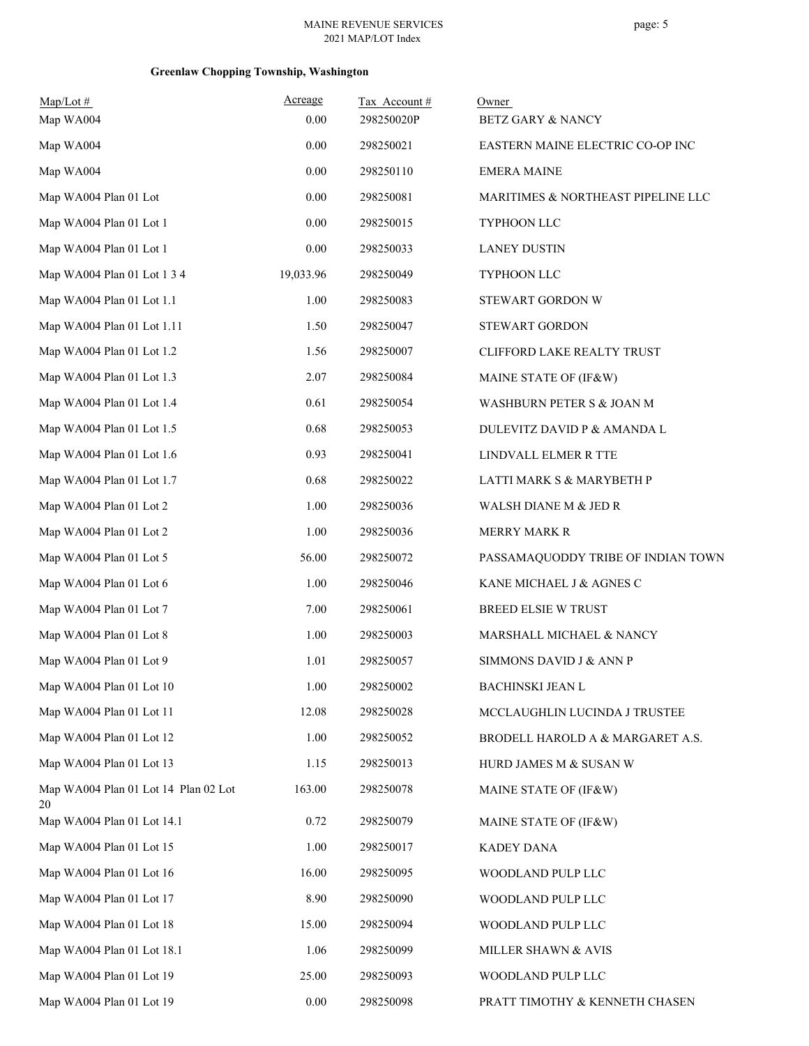## **Greenlaw Chopping Township, Washington**

| $Map/Lot \#$<br>Map WA004            | Acreage<br>0.00 | Tax Account#<br>298250020P | Owner<br><b>BETZ GARY &amp; NANCY</b> |
|--------------------------------------|-----------------|----------------------------|---------------------------------------|
| Map WA004                            | 0.00            | 298250021                  | EASTERN MAINE ELECTRIC CO-OP INC      |
| Map WA004                            | 0.00            | 298250110                  | <b>EMERA MAINE</b>                    |
| Map WA004 Plan 01 Lot                | 0.00            | 298250081                  | MARITIMES & NORTHEAST PIPELINE LLC    |
| Map WA004 Plan 01 Lot 1              | 0.00            | 298250015                  | TYPHOON LLC                           |
| Map WA004 Plan 01 Lot 1              | 0.00            | 298250033                  | <b>LANEY DUSTIN</b>                   |
| Map WA004 Plan 01 Lot 1 3 4          | 19,033.96       | 298250049                  | TYPHOON LLC                           |
| Map WA004 Plan 01 Lot 1.1            | 1.00            | 298250083                  | STEWART GORDON W                      |
| Map WA004 Plan 01 Lot 1.11           | 1.50            | 298250047                  | STEWART GORDON                        |
| Map WA004 Plan 01 Lot 1.2            | 1.56            | 298250007                  | CLIFFORD LAKE REALTY TRUST            |
| Map WA004 Plan 01 Lot 1.3            | 2.07            | 298250084                  | MAINE STATE OF (IF&W)                 |
| Map WA004 Plan 01 Lot 1.4            | 0.61            | 298250054                  | WASHBURN PETER S & JOAN M             |
| Map WA004 Plan 01 Lot 1.5            | 0.68            | 298250053                  | DULEVITZ DAVID P & AMANDA L           |
| Map WA004 Plan 01 Lot 1.6            | 0.93            | 298250041                  | LINDVALL ELMER R TTE                  |
| Map WA004 Plan 01 Lot 1.7            | 0.68            | 298250022                  | LATTI MARK S & MARYBETH P             |
| Map WA004 Plan 01 Lot 2              | 1.00            | 298250036                  | WALSH DIANE M & JED R                 |
| Map WA004 Plan 01 Lot 2              | 1.00            | 298250036                  | <b>MERRY MARK R</b>                   |
| Map WA004 Plan 01 Lot 5              | 56.00           | 298250072                  | PASSAMAQUODDY TRIBE OF INDIAN TOWN    |
| Map WA004 Plan 01 Lot 6              | 1.00            | 298250046                  | KANE MICHAEL J & AGNES C              |
| Map WA004 Plan 01 Lot 7              | 7.00            | 298250061                  | <b>BREED ELSIE W TRUST</b>            |
| Map WA004 Plan 01 Lot 8              | 1.00            | 298250003                  | MARSHALL MICHAEL & NANCY              |
| Map WA004 Plan 01 Lot 9              | 1.01            | 298250057                  | SIMMONS DAVID J & ANN P               |
| Map WA004 Plan 01 Lot 10             | 1.00            | 298250002                  | BACHINSKI JEAN L                      |
| Map WA004 Plan 01 Lot 11             | 12.08           | 298250028                  | MCCLAUGHLIN LUCINDA J TRUSTEE         |
| Map WA004 Plan 01 Lot 12             | 1.00            | 298250052                  | BRODELL HAROLD A & MARGARET A.S.      |
| Map WA004 Plan 01 Lot 13             | 1.15            | 298250013                  | HURD JAMES M & SUSAN W                |
| Map WA004 Plan 01 Lot 14 Plan 02 Lot | 163.00          | 298250078                  | MAINE STATE OF (IF&W)                 |
| 20<br>Map WA004 Plan 01 Lot 14.1     | 0.72            | 298250079                  | MAINE STATE OF (IF&W)                 |
| Map WA004 Plan 01 Lot 15             | 1.00            | 298250017                  | KADEY DANA                            |
| Map WA004 Plan 01 Lot 16             | 16.00           | 298250095                  | WOODLAND PULP LLC                     |
| Map WA004 Plan 01 Lot 17             | 8.90            | 298250090                  | WOODLAND PULP LLC                     |
| Map WA004 Plan 01 Lot 18             | 15.00           | 298250094                  | WOODLAND PULP LLC                     |
| Map WA004 Plan 01 Lot 18.1           | 1.06            | 298250099                  | MILLER SHAWN & AVIS                   |
| Map WA004 Plan 01 Lot 19             | 25.00           | 298250093                  | WOODLAND PULP LLC                     |
| Map WA004 Plan 01 Lot 19             | $0.00\,$        | 298250098                  | PRATT TIMOTHY & KENNETH CHASEN        |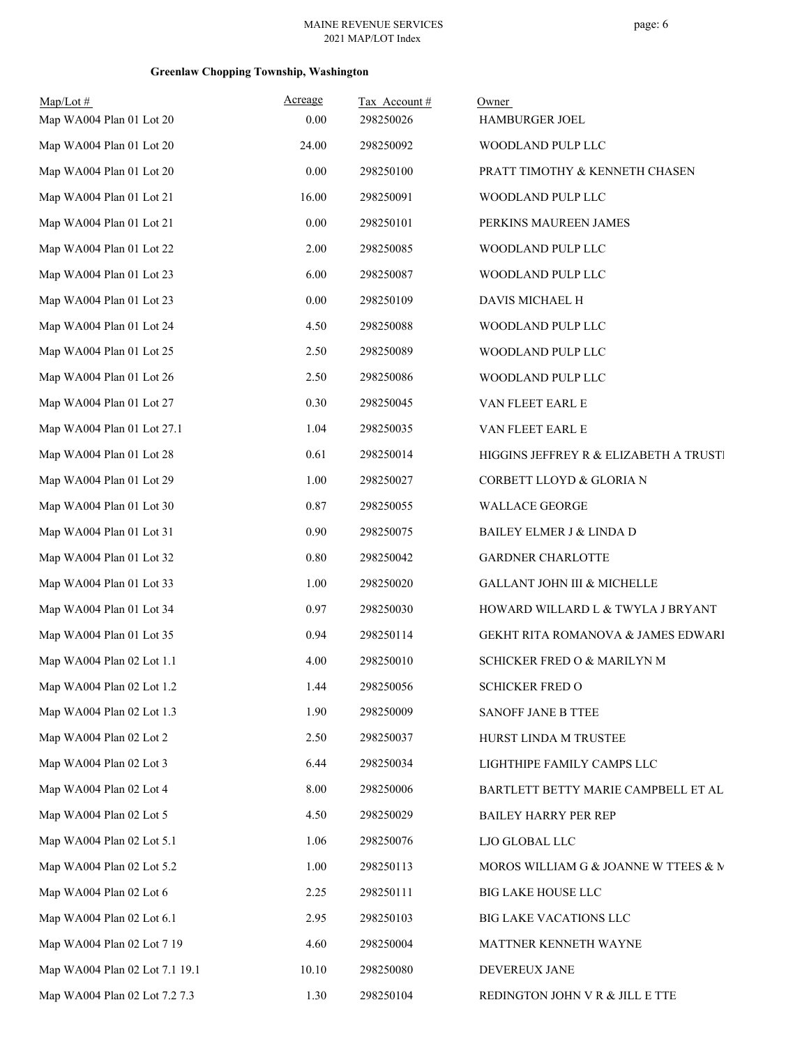## **Greenlaw Chopping Township, Washington**

| $Map/Lot$ #                    | Acreage | Tax Account# | Owner                                  |
|--------------------------------|---------|--------------|----------------------------------------|
| Map WA004 Plan 01 Lot 20       | 0.00    | 298250026    | HAMBURGER JOEL                         |
| Map WA004 Plan 01 Lot 20       | 24.00   | 298250092    | WOODLAND PULP LLC                      |
| Map WA004 Plan 01 Lot 20       | 0.00    | 298250100    | PRATT TIMOTHY & KENNETH CHASEN         |
| Map WA004 Plan 01 Lot 21       | 16.00   | 298250091    | WOODLAND PULP LLC                      |
| Map WA004 Plan 01 Lot 21       | 0.00    | 298250101    | PERKINS MAUREEN JAMES                  |
| Map WA004 Plan 01 Lot 22       | 2.00    | 298250085    | WOODLAND PULP LLC                      |
| Map WA004 Plan 01 Lot 23       | 6.00    | 298250087    | WOODLAND PULP LLC                      |
| Map WA004 Plan 01 Lot 23       | 0.00    | 298250109    | DAVIS MICHAEL H                        |
| Map WA004 Plan 01 Lot 24       | 4.50    | 298250088    | WOODLAND PULP LLC                      |
| Map WA004 Plan 01 Lot 25       | 2.50    | 298250089    | WOODLAND PULP LLC                      |
| Map WA004 Plan 01 Lot 26       | 2.50    | 298250086    | WOODLAND PULP LLC                      |
| Map WA004 Plan 01 Lot 27       | 0.30    | 298250045    | VAN FLEET EARL E                       |
| Map WA004 Plan 01 Lot 27.1     | 1.04    | 298250035    | VAN FLEET EARL E                       |
| Map WA004 Plan 01 Lot 28       | 0.61    | 298250014    | HIGGINS JEFFREY R & ELIZABETH A TRUSTI |
| Map WA004 Plan 01 Lot 29       | 1.00    | 298250027    | CORBETT LLOYD & GLORIA N               |
| Map WA004 Plan 01 Lot 30       | 0.87    | 298250055    | WALLACE GEORGE                         |
| Map WA004 Plan 01 Lot 31       | 0.90    | 298250075    | BAILEY ELMER J & LINDA D               |
| Map WA004 Plan 01 Lot 32       | 0.80    | 298250042    | <b>GARDNER CHARLOTTE</b>               |
| Map WA004 Plan 01 Lot 33       | 1.00    | 298250020    | GALLANT JOHN III & MICHELLE            |
| Map WA004 Plan 01 Lot 34       | 0.97    | 298250030    | HOWARD WILLARD L & TWYLA J BRYANT      |
| Map WA004 Plan 01 Lot 35       | 0.94    | 298250114    | GEKHT RITA ROMANOVA & JAMES EDWARI     |
| Map WA004 Plan 02 Lot 1.1      | 4.00    | 298250010    | SCHICKER FRED O & MARILYN M            |
| Map WA004 Plan 02 Lot 1.2      | 1.44    | 298250056    | <b>SCHICKER FRED O</b>                 |
| Map WA004 Plan 02 Lot 1.3      | 1.90    | 298250009    | SANOFF JANE B TTEE                     |
| Map WA004 Plan 02 Lot 2        | 2.50    | 298250037    | HURST LINDA M TRUSTEE                  |
| Map WA004 Plan 02 Lot 3        | 6.44    | 298250034    | LIGHTHIPE FAMILY CAMPS LLC             |
| Map WA004 Plan 02 Lot 4        | 8.00    | 298250006    | BARTLETT BETTY MARIE CAMPBELL ET AL    |
| Map WA004 Plan 02 Lot 5        | 4.50    | 298250029    | <b>BAILEY HARRY PER REP</b>            |
| Map WA004 Plan 02 Lot 5.1      | 1.06    | 298250076    | LJO GLOBAL LLC                         |
| Map WA004 Plan 02 Lot 5.2      | 1.00    | 298250113    | MOROS WILLIAM G & JOANNE W TTEES & M   |
| Map WA004 Plan 02 Lot 6        | 2.25    | 298250111    | BIG LAKE HOUSE LLC                     |
| Map WA004 Plan 02 Lot 6.1      | 2.95    | 298250103    | BIG LAKE VACATIONS LLC                 |
| Map WA004 Plan 02 Lot 7 19     | 4.60    | 298250004    | MATTNER KENNETH WAYNE                  |
| Map WA004 Plan 02 Lot 7.1 19.1 | 10.10   | 298250080    | DEVEREUX JANE                          |
| Map WA004 Plan 02 Lot 7.2 7.3  | 1.30    | 298250104    | REDINGTON JOHN V R & JILL E TTE        |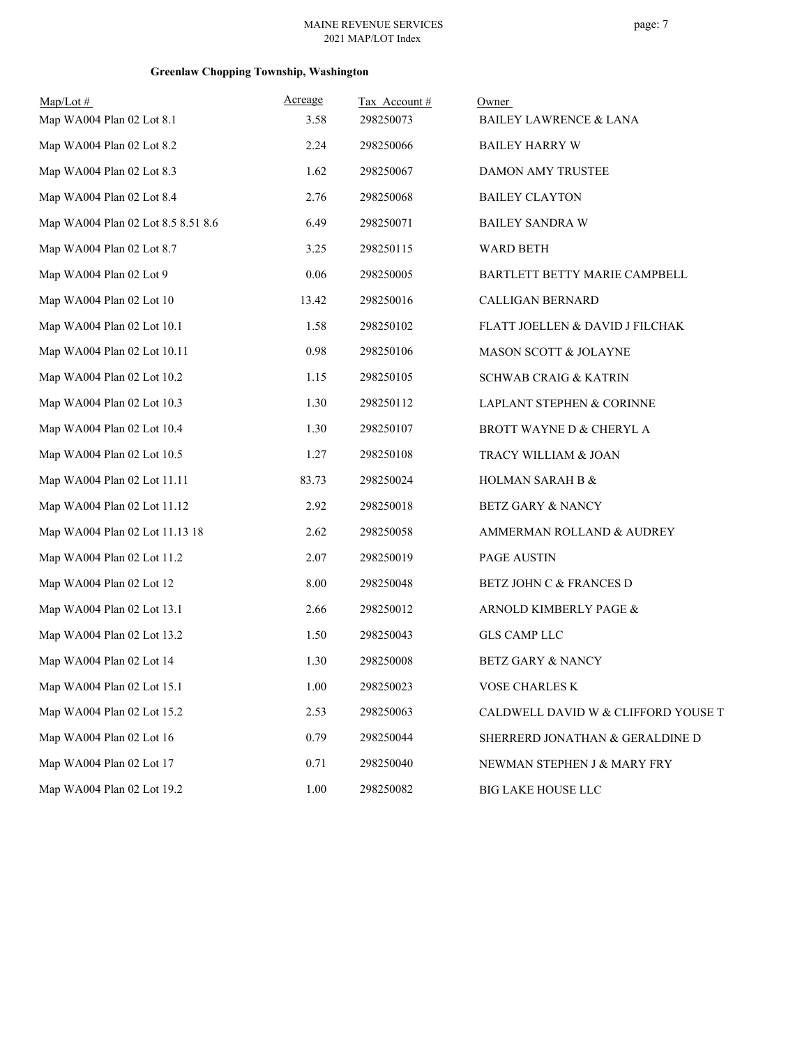## **Greenlaw Chopping Township, Washington**

| $Map/Lot \#$                       | Acreage | Tax Account# | Owner                               |
|------------------------------------|---------|--------------|-------------------------------------|
| Map WA004 Plan 02 Lot 8.1          | 3.58    | 298250073    | <b>BAILEY LAWRENCE &amp; LANA</b>   |
| Map WA004 Plan 02 Lot 8.2          | 2.24    | 298250066    | <b>BAILEY HARRY W</b>               |
| Map WA004 Plan 02 Lot 8.3          | 1.62    | 298250067    | DAMON AMY TRUSTEE                   |
| Map WA004 Plan 02 Lot 8.4          | 2.76    | 298250068    | <b>BAILEY CLAYTON</b>               |
| Map WA004 Plan 02 Lot 8.5 8.51 8.6 | 6.49    | 298250071    | <b>BAILEY SANDRA W</b>              |
| Map WA004 Plan 02 Lot 8.7          | 3.25    | 298250115    | WARD BETH                           |
| Map WA004 Plan 02 Lot 9            | 0.06    | 298250005    | BARTLETT BETTY MARIE CAMPBELL       |
| Map WA004 Plan 02 Lot 10           | 13.42   | 298250016    | CALLIGAN BERNARD                    |
| Map WA004 Plan 02 Lot 10.1         | 1.58    | 298250102    | FLATT JOELLEN & DAVID J FILCHAK     |
| Map WA004 Plan 02 Lot 10.11        | 0.98    | 298250106    | MASON SCOTT & JOLAYNE               |
| Map WA004 Plan 02 Lot 10.2         | 1.15    | 298250105    | <b>SCHWAB CRAIG &amp; KATRIN</b>    |
| Map WA004 Plan 02 Lot 10.3         | 1.30    | 298250112    | LAPLANT STEPHEN & CORINNE           |
| Map WA004 Plan 02 Lot 10.4         | 1.30    | 298250107    | BROTT WAYNE D & CHERYL A            |
| Map WA004 Plan 02 Lot 10.5         | 1.27    | 298250108    | TRACY WILLIAM & JOAN                |
| Map WA004 Plan 02 Lot 11.11        | 83.73   | 298250024    | HOLMAN SARAH B &                    |
| Map WA004 Plan 02 Lot 11.12        | 2.92    | 298250018    | BETZ GARY & NANCY                   |
| Map WA004 Plan 02 Lot 11.13 18     | 2.62    | 298250058    | AMMERMAN ROLLAND & AUDREY           |
| Map WA004 Plan 02 Lot 11.2         | 2.07    | 298250019    | PAGE AUSTIN                         |
| Map WA004 Plan 02 Lot 12           | 8.00    | 298250048    | BETZ JOHN C & FRANCES D             |
| Map WA004 Plan 02 Lot 13.1         | 2.66    | 298250012    | ARNOLD KIMBERLY PAGE &              |
| Map WA004 Plan 02 Lot 13.2         | 1.50    | 298250043    | <b>GLS CAMP LLC</b>                 |
| Map WA004 Plan 02 Lot 14           | 1.30    | 298250008    | <b>BETZ GARY &amp; NANCY</b>        |
| Map WA004 Plan 02 Lot 15.1         | 1.00    | 298250023    | VOSE CHARLES K                      |
| Map WA004 Plan 02 Lot 15.2         | 2.53    | 298250063    | CALDWELL DAVID W & CLIFFORD YOUSE T |
| Map WA004 Plan 02 Lot 16           | 0.79    | 298250044    | SHERRERD JONATHAN & GERALDINE D     |
| Map WA004 Plan 02 Lot 17           | 0.71    | 298250040    | NEWMAN STEPHEN J & MARY FRY         |
| Map WA004 Plan 02 Lot 19.2         | 1.00    | 298250082    | BIG LAKE HOUSE LLC                  |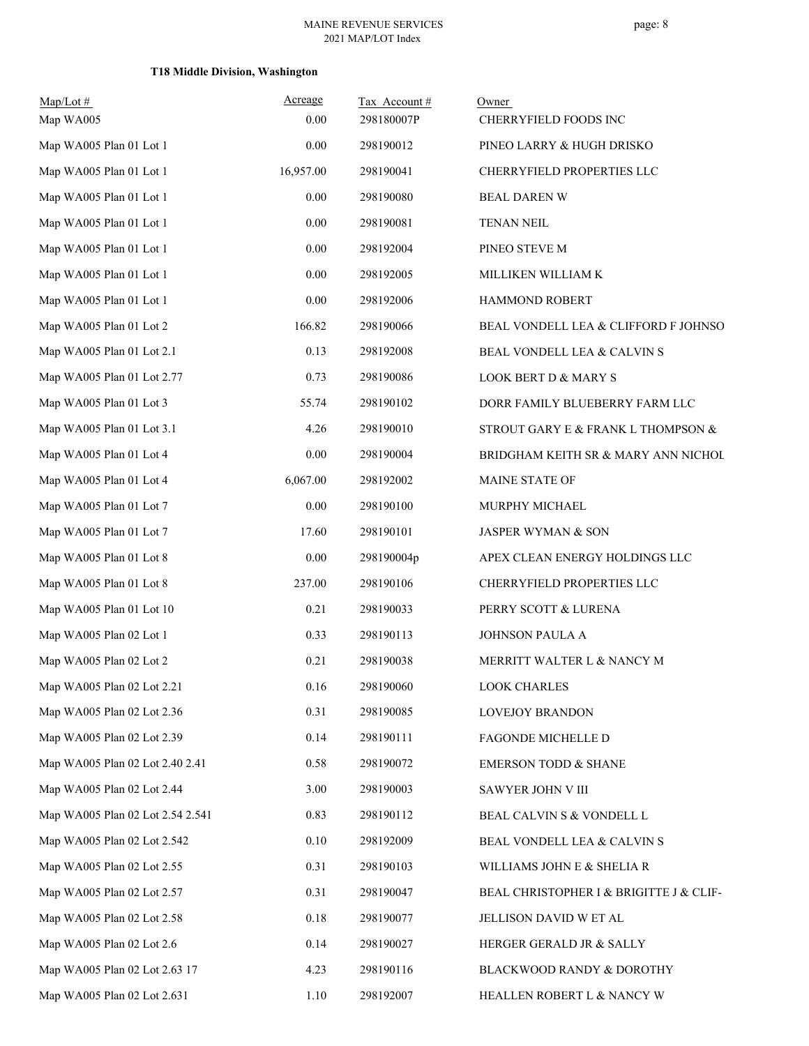## **T18 Middle Division, Washington**

| $Map/Lot$ #<br>Map WA005         | Acreage<br>0.00 | Tax Account#<br>298180007P | Owner<br>CHERRYFIELD FOODS INC          |
|----------------------------------|-----------------|----------------------------|-----------------------------------------|
| Map WA005 Plan 01 Lot 1          | 0.00            | 298190012                  | PINEO LARRY & HUGH DRISKO               |
| Map WA005 Plan 01 Lot 1          | 16,957.00       | 298190041                  | CHERRYFIELD PROPERTIES LLC              |
| Map WA005 Plan 01 Lot 1          | 0.00            | 298190080                  | <b>BEAL DAREN W</b>                     |
| Map WA005 Plan 01 Lot 1          | 0.00            | 298190081                  | <b>TENAN NEIL</b>                       |
| Map WA005 Plan 01 Lot 1          | 0.00            | 298192004                  | PINEO STEVE M                           |
| Map WA005 Plan 01 Lot 1          | 0.00            | 298192005                  | MILLIKEN WILLIAM K                      |
| Map WA005 Plan 01 Lot 1          | 0.00            | 298192006                  | HAMMOND ROBERT                          |
| Map WA005 Plan 01 Lot 2          | 166.82          | 298190066                  | BEAL VONDELL LEA & CLIFFORD F JOHNSO    |
| Map WA005 Plan 01 Lot 2.1        | 0.13            | 298192008                  | BEAL VONDELL LEA & CALVIN S             |
| Map WA005 Plan 01 Lot 2.77       | 0.73            | 298190086                  | <b>LOOK BERT D &amp; MARY S</b>         |
| Map WA005 Plan 01 Lot 3          | 55.74           | 298190102                  | DORR FAMILY BLUEBERRY FARM LLC          |
| Map WA005 Plan 01 Lot 3.1        | 4.26            | 298190010                  | STROUT GARY E & FRANK L THOMPSON &      |
| Map WA005 Plan 01 Lot 4          | 0.00            | 298190004                  | BRIDGHAM KEITH SR & MARY ANN NICHOL     |
| Map WA005 Plan 01 Lot 4          | 6,067.00        | 298192002                  | MAINE STATE OF                          |
| Map WA005 Plan 01 Lot 7          | 0.00            | 298190100                  | MURPHY MICHAEL                          |
| Map WA005 Plan 01 Lot 7          | 17.60           | 298190101                  | JASPER WYMAN & SON                      |
| Map WA005 Plan 01 Lot 8          | 0.00            | 298190004p                 | APEX CLEAN ENERGY HOLDINGS LLC          |
| Map WA005 Plan 01 Lot 8          | 237.00          | 298190106                  | CHERRYFIELD PROPERTIES LLC              |
| Map WA005 Plan 01 Lot 10         | 0.21            | 298190033                  | PERRY SCOTT & LURENA                    |
| Map WA005 Plan 02 Lot 1          | 0.33            | 298190113                  | JOHNSON PAULA A                         |
| Map WA005 Plan 02 Lot 2          | 0.21            | 298190038                  | MERRITT WALTER L & NANCY M              |
| Map WA005 Plan 02 Lot 2.21       | 0.16            | 298190060                  | <b>LOOK CHARLES</b>                     |
| Map WA005 Plan 02 Lot 2.36       | 0.31            | 298190085                  | LOVEJOY BRANDON                         |
| Map WA005 Plan 02 Lot 2.39       | 0.14            | 298190111                  | FAGONDE MICHELLE D                      |
| Map WA005 Plan 02 Lot 2.40 2.41  | 0.58            | 298190072                  | <b>EMERSON TODD &amp; SHANE</b>         |
| Map WA005 Plan 02 Lot 2.44       | 3.00            | 298190003                  | SAWYER JOHN V III                       |
| Map WA005 Plan 02 Lot 2.54 2.541 | 0.83            | 298190112                  | BEAL CALVIN S & VONDELL L               |
| Map WA005 Plan 02 Lot 2.542      | 0.10            | 298192009                  | BEAL VONDELL LEA & CALVIN S             |
| Map WA005 Plan 02 Lot 2.55       | 0.31            | 298190103                  | WILLIAMS JOHN E & SHELIA R              |
| Map WA005 Plan 02 Lot 2.57       | 0.31            | 298190047                  | BEAL CHRISTOPHER I & BRIGITTE J & CLIF- |
| Map WA005 Plan 02 Lot 2.58       | 0.18            | 298190077                  | JELLISON DAVID W ET AL                  |
| Map WA005 Plan 02 Lot 2.6        | 0.14            | 298190027                  | HERGER GERALD JR & SALLY                |
| Map WA005 Plan 02 Lot 2.63 17    | 4.23            | 298190116                  | BLACKWOOD RANDY & DOROTHY               |
| Map WA005 Plan 02 Lot 2.631      | 1.10            | 298192007                  | HEALLEN ROBERT L & NANCY W              |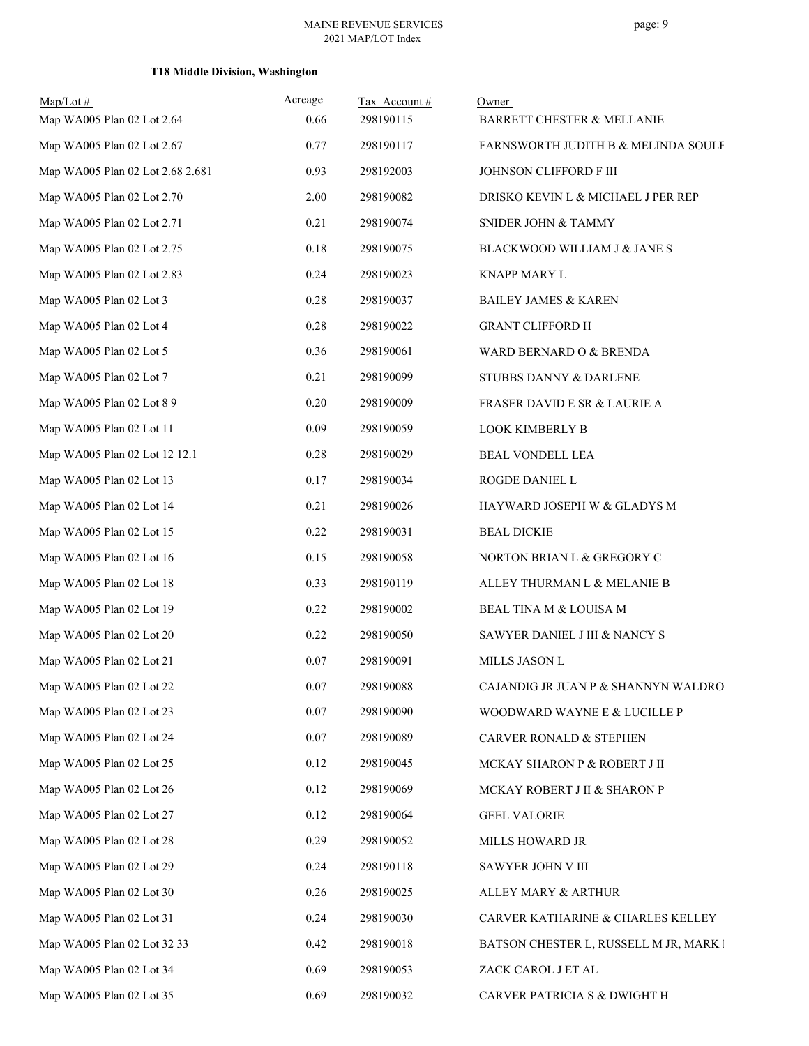## **T18 Middle Division, Washington**

| $Map/Lot$ #                      | Acreage | Tax Account# | Owner                                  |
|----------------------------------|---------|--------------|----------------------------------------|
| Map WA005 Plan 02 Lot 2.64       | 0.66    | 298190115    | BARRETT CHESTER & MELLANIE             |
| Map WA005 Plan 02 Lot 2.67       | 0.77    | 298190117    | FARNSWORTH JUDITH B & MELINDA SOULE    |
| Map WA005 Plan 02 Lot 2.68 2.681 | 0.93    | 298192003    | JOHNSON CLIFFORD F III                 |
| Map WA005 Plan 02 Lot 2.70       | 2.00    | 298190082    | DRISKO KEVIN L & MICHAEL J PER REP     |
| Map WA005 Plan 02 Lot 2.71       | 0.21    | 298190074    | SNIDER JOHN & TAMMY                    |
| Map WA005 Plan 02 Lot 2.75       | 0.18    | 298190075    | BLACKWOOD WILLIAM J & JANE S           |
| Map WA005 Plan 02 Lot 2.83       | 0.24    | 298190023    | <b>KNAPP MARY L</b>                    |
| Map WA005 Plan 02 Lot 3          | 0.28    | 298190037    | <b>BAILEY JAMES &amp; KAREN</b>        |
| Map WA005 Plan 02 Lot 4          | 0.28    | 298190022    | <b>GRANT CLIFFORD H</b>                |
| Map WA005 Plan 02 Lot 5          | 0.36    | 298190061    | WARD BERNARD O & BRENDA                |
| Map WA005 Plan 02 Lot 7          | 0.21    | 298190099    | STUBBS DANNY & DARLENE                 |
| Map WA005 Plan 02 Lot 8 9        | 0.20    | 298190009    | FRASER DAVID E SR & LAURIE A           |
| Map WA005 Plan 02 Lot 11         | 0.09    | 298190059    | <b>LOOK KIMBERLY B</b>                 |
| Map WA005 Plan 02 Lot 12 12.1    | 0.28    | 298190029    | BEAL VONDELL LEA                       |
| Map WA005 Plan 02 Lot 13         | 0.17    | 298190034    | ROGDE DANIEL L                         |
| Map WA005 Plan 02 Lot 14         | 0.21    | 298190026    | HAYWARD JOSEPH W & GLADYS M            |
| Map WA005 Plan 02 Lot 15         | 0.22    | 298190031    | <b>BEAL DICKIE</b>                     |
| Map WA005 Plan 02 Lot 16         | 0.15    | 298190058    | NORTON BRIAN L & GREGORY C             |
| Map WA005 Plan 02 Lot 18         | 0.33    | 298190119    | ALLEY THURMAN L & MELANIE B            |
| Map WA005 Plan 02 Lot 19         | 0.22    | 298190002    | BEAL TINA M & LOUISA M                 |
| Map WA005 Plan 02 Lot 20         | 0.22    | 298190050    | SAWYER DANIEL J III & NANCY S          |
| Map WA005 Plan 02 Lot 21         | 0.07    | 298190091    | MILLS JASON L                          |
| Map WA005 Plan 02 Lot 22         | 0.07    | 298190088    | CAJANDIG JR JUAN P & SHANNYN WALDRO    |
| Map WA005 Plan 02 Lot 23         | 0.07    | 298190090    | WOODWARD WAYNE E & LUCILLE P           |
| Map WA005 Plan 02 Lot 24         | 0.07    | 298190089    | CARVER RONALD & STEPHEN                |
| Map WA005 Plan 02 Lot 25         | 0.12    | 298190045    | MCKAY SHARON P & ROBERT J II           |
| Map WA005 Plan 02 Lot 26         | 0.12    | 298190069    | MCKAY ROBERT J II & SHARON P           |
| Map WA005 Plan 02 Lot 27         | 0.12    | 298190064    | <b>GEEL VALORIE</b>                    |
| Map WA005 Plan 02 Lot 28         | 0.29    | 298190052    | MILLS HOWARD JR                        |
| Map WA005 Plan 02 Lot 29         | 0.24    | 298190118    | SAWYER JOHN V III                      |
| Map WA005 Plan 02 Lot 30         | 0.26    | 298190025    | ALLEY MARY & ARTHUR                    |
| Map WA005 Plan 02 Lot 31         | 0.24    | 298190030    | CARVER KATHARINE & CHARLES KELLEY      |
| Map WA005 Plan 02 Lot 32 33      | 0.42    | 298190018    | BATSON CHESTER L, RUSSELL M JR, MARK I |
| Map WA005 Plan 02 Lot 34         | 0.69    | 298190053    | ZACK CAROL J ET AL                     |
| Map WA005 Plan 02 Lot 35         | 0.69    | 298190032    | CARVER PATRICIA S & DWIGHT H           |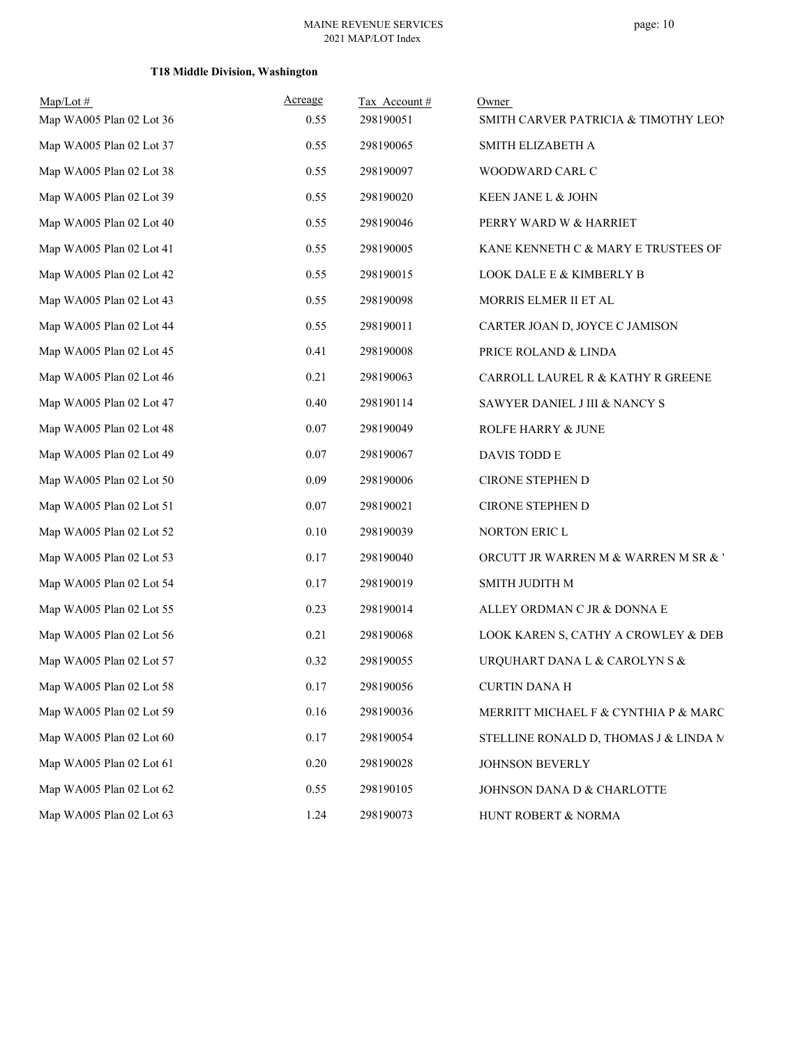## **T18 Middle Division, Washington**

| $Map/Lot \#$<br>Map WA005 Plan 02 Lot 36 | Acreage<br>0.55 | Tax Account#<br>298190051 | Owner                                 |
|------------------------------------------|-----------------|---------------------------|---------------------------------------|
|                                          |                 |                           | SMITH CARVER PATRICIA & TIMOTHY LEON  |
| Map WA005 Plan 02 Lot 37                 | 0.55            | 298190065                 | SMITH ELIZABETH A                     |
| Map WA005 Plan 02 Lot 38                 | 0.55            | 298190097                 | WOODWARD CARL C                       |
| Map WA005 Plan 02 Lot 39                 | 0.55            | 298190020                 | KEEN JANE L & JOHN                    |
| Map WA005 Plan 02 Lot 40                 | 0.55            | 298190046                 | PERRY WARD W & HARRIET                |
| Map WA005 Plan 02 Lot 41                 | 0.55            | 298190005                 | KANE KENNETH C & MARY E TRUSTEES OF   |
| Map WA005 Plan 02 Lot 42                 | 0.55            | 298190015                 | LOOK DALE E & KIMBERLY B              |
| Map WA005 Plan 02 Lot 43                 | 0.55            | 298190098                 | MORRIS ELMER II ET AL                 |
| Map WA005 Plan 02 Lot 44                 | 0.55            | 298190011                 | CARTER JOAN D, JOYCE C JAMISON        |
| Map WA005 Plan 02 Lot 45                 | 0.41            | 298190008                 | PRICE ROLAND & LINDA                  |
| Map WA005 Plan 02 Lot 46                 | 0.21            | 298190063                 | CARROLL LAUREL R & KATHY R GREENE     |
| Map WA005 Plan 02 Lot 47                 | 0.40            | 298190114                 | SAWYER DANIEL J III & NANCY S         |
| Map WA005 Plan 02 Lot 48                 | 0.07            | 298190049                 | ROLFE HARRY & JUNE                    |
| Map WA005 Plan 02 Lot 49                 | 0.07            | 298190067                 | DAVIS TODD E                          |
| Map WA005 Plan 02 Lot 50                 | 0.09            | 298190006                 | CIRONE STEPHEN D                      |
| Map WA005 Plan 02 Lot 51                 | 0.07            | 298190021                 | CIRONE STEPHEN D                      |
| Map WA005 Plan 02 Lot 52                 | 0.10            | 298190039                 | NORTON ERIC L                         |
| Map WA005 Plan 02 Lot 53                 | 0.17            | 298190040                 | ORCUTT JR WARREN M & WARREN M SR & '  |
| Map WA005 Plan 02 Lot 54                 | 0.17            | 298190019                 | SMITH JUDITH M                        |
| Map WA005 Plan 02 Lot 55                 | 0.23            | 298190014                 | ALLEY ORDMAN C JR & DONNA E           |
| Map WA005 Plan 02 Lot 56                 | 0.21            | 298190068                 | LOOK KAREN S, CATHY A CROWLEY & DEB   |
| Map WA005 Plan 02 Lot 57                 | 0.32            | 298190055                 | URQUHART DANA L & CAROLYN S &         |
| Map WA005 Plan 02 Lot 58                 | 0.17            | 298190056                 | <b>CURTIN DANA H</b>                  |
| Map WA005 Plan 02 Lot 59                 | 0.16            | 298190036                 | MERRITT MICHAEL F & CYNTHIA P & MARC  |
| Map WA005 Plan 02 Lot 60                 | 0.17            | 298190054                 | STELLINE RONALD D, THOMAS J & LINDA M |
| Map WA005 Plan 02 Lot 61                 | 0.20            | 298190028                 | JOHNSON BEVERLY                       |
| Map WA005 Plan 02 Lot 62                 | 0.55            | 298190105                 | JOHNSON DANA D & CHARLOTTE            |
| Map WA005 Plan 02 Lot 63                 | 1.24            | 298190073                 | HUNT ROBERT & NORMA                   |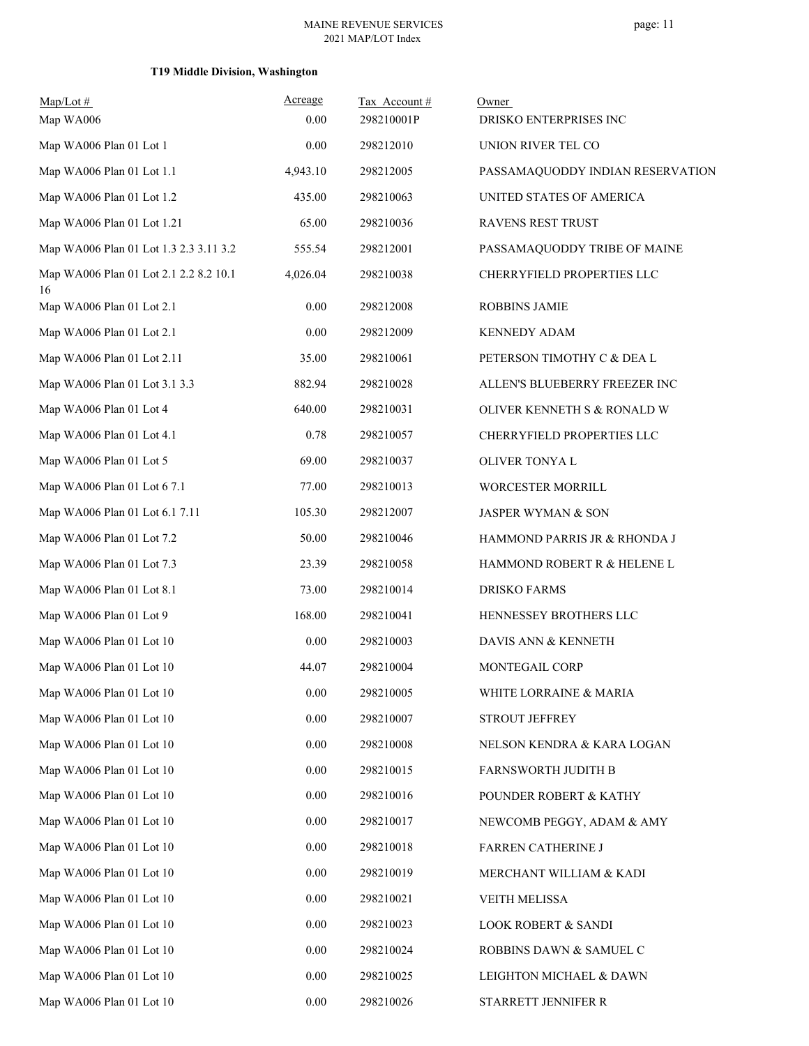## **T19 Middle Division, Washington**

| $Map/Lot \#$                                 | Acreage  | Tax Account# | Owner                            |
|----------------------------------------------|----------|--------------|----------------------------------|
| Map WA006                                    | 0.00     | 298210001P   | DRISKO ENTERPRISES INC           |
| Map WA006 Plan 01 Lot 1                      | 0.00     | 298212010    | UNION RIVER TEL CO               |
| Map WA006 Plan 01 Lot 1.1                    | 4,943.10 | 298212005    | PASSAMAQUODDY INDIAN RESERVATION |
| Map WA006 Plan 01 Lot 1.2                    | 435.00   | 298210063    | UNITED STATES OF AMERICA         |
| Map WA006 Plan 01 Lot 1.21                   | 65.00    | 298210036    | RAVENS REST TRUST                |
| Map WA006 Plan 01 Lot 1.3 2.3 3.11 3.2       | 555.54   | 298212001    | PASSAMAQUODDY TRIBE OF MAINE     |
| Map WA006 Plan 01 Lot 2.1 2.2 8.2 10.1<br>16 | 4,026.04 | 298210038    | CHERRYFIELD PROPERTIES LLC       |
| Map WA006 Plan 01 Lot 2.1                    | 0.00     | 298212008    | <b>ROBBINS JAMIE</b>             |
| Map WA006 Plan 01 Lot 2.1                    | 0.00     | 298212009    | <b>KENNEDY ADAM</b>              |
| Map WA006 Plan 01 Lot 2.11                   | 35.00    | 298210061    | PETERSON TIMOTHY C & DEA L       |
| Map WA006 Plan 01 Lot 3.1 3.3                | 882.94   | 298210028    | ALLEN'S BLUEBERRY FREEZER INC    |
| Map WA006 Plan 01 Lot 4                      | 640.00   | 298210031    | OLIVER KENNETH S & RONALD W      |
| Map WA006 Plan 01 Lot 4.1                    | 0.78     | 298210057    | CHERRYFIELD PROPERTIES LLC       |
| Map WA006 Plan 01 Lot 5                      | 69.00    | 298210037    | OLIVER TONYA L                   |
| Map WA006 Plan 01 Lot 6 7.1                  | 77.00    | 298210013    | WORCESTER MORRILL                |
| Map WA006 Plan 01 Lot 6.1 7.11               | 105.30   | 298212007    | JASPER WYMAN & SON               |
| Map WA006 Plan 01 Lot 7.2                    | 50.00    | 298210046    | HAMMOND PARRIS JR & RHONDA J     |
| Map WA006 Plan 01 Lot 7.3                    | 23.39    | 298210058    | HAMMOND ROBERT R & HELENE L      |
| Map WA006 Plan 01 Lot 8.1                    | 73.00    | 298210014    | <b>DRISKO FARMS</b>              |
| Map WA006 Plan 01 Lot 9                      | 168.00   | 298210041    | HENNESSEY BROTHERS LLC           |
| Map WA006 Plan 01 Lot 10                     | 0.00     | 298210003    | DAVIS ANN & KENNETH              |
| Map WA006 Plan 01 Lot 10                     | 44.07    | 298210004    | MONTEGAIL CORP                   |
| Map WA006 Plan 01 Lot 10                     | $0.00\,$ | 298210005    | WHITE LORRAINE & MARIA           |
| Map WA006 Plan 01 Lot 10                     | $0.00\,$ | 298210007    | STROUT JEFFREY                   |
| Map WA006 Plan 01 Lot 10                     | 0.00     | 298210008    | NELSON KENDRA & KARA LOGAN       |
| Map WA006 Plan 01 Lot 10                     | 0.00     | 298210015    | FARNSWORTH JUDITH B              |
| Map WA006 Plan 01 Lot 10                     | 0.00     | 298210016    | POUNDER ROBERT & KATHY           |
| Map WA006 Plan 01 Lot 10                     | 0.00     | 298210017    | NEWCOMB PEGGY, ADAM & AMY        |
| Map WA006 Plan 01 Lot 10                     | 0.00     | 298210018    | FARREN CATHERINE J               |
| Map WA006 Plan 01 Lot 10                     | 0.00     | 298210019    | MERCHANT WILLIAM & KADI          |
| Map WA006 Plan 01 Lot 10                     | 0.00     | 298210021    | <b>VEITH MELISSA</b>             |
| Map WA006 Plan 01 Lot 10                     | 0.00     | 298210023    | <b>LOOK ROBERT &amp; SANDI</b>   |
| Map WA006 Plan 01 Lot 10                     | 0.00     | 298210024    | ROBBINS DAWN & SAMUEL C          |
| Map WA006 Plan 01 Lot 10                     | 0.00     | 298210025    | LEIGHTON MICHAEL & DAWN          |
| Map WA006 Plan 01 Lot 10                     | $0.00\,$ | 298210026    | STARRETT JENNIFER R              |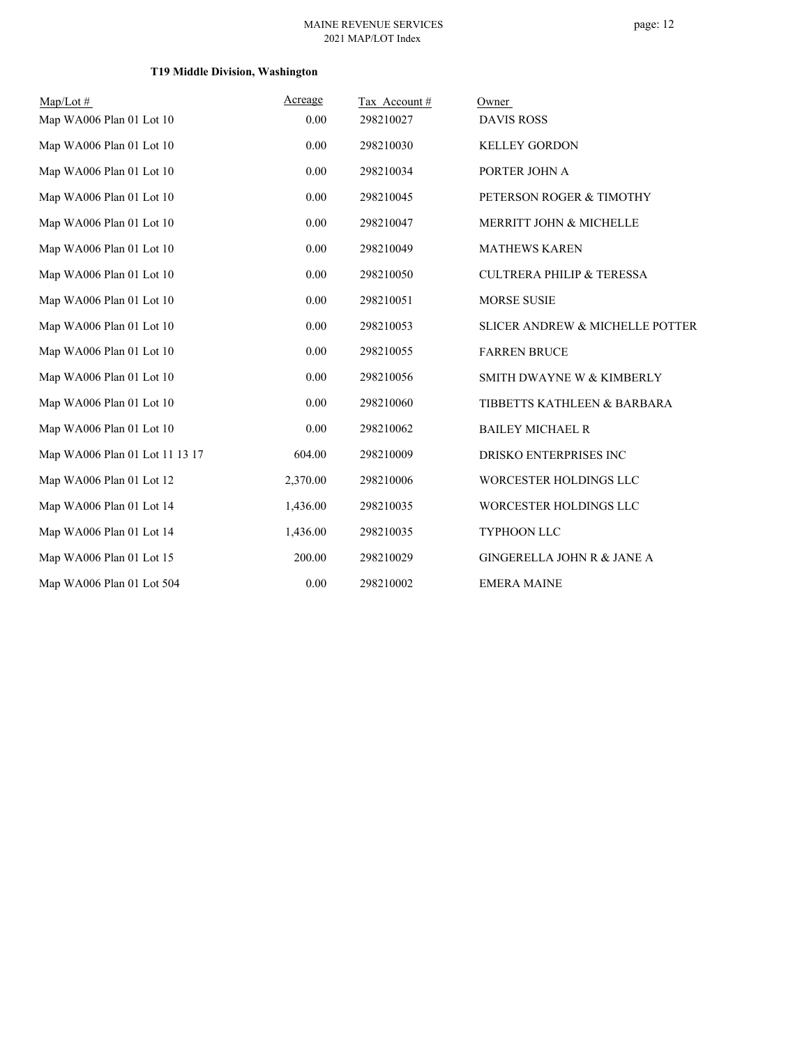## page: 12

## **T19 Middle Division, Washington**

| $Map/Lot \#$                   | <u>Acreage</u> | Tax Account# | Owner                                |
|--------------------------------|----------------|--------------|--------------------------------------|
| Map WA006 Plan 01 Lot 10       | 0.00           | 298210027    | <b>DAVIS ROSS</b>                    |
| Map WA006 Plan 01 Lot 10       | 0.00           | 298210030    | <b>KELLEY GORDON</b>                 |
| Map WA006 Plan 01 Lot 10       | 0.00           | 298210034    | PORTER JOHN A                        |
| Map WA006 Plan 01 Lot 10       | 0.00           | 298210045    | PETERSON ROGER & TIMOTHY             |
| Map WA006 Plan 01 Lot 10       | 0.00           | 298210047    | MERRITT JOHN & MICHELLE              |
| Map WA006 Plan 01 Lot 10       | 0.00           | 298210049    | <b>MATHEWS KAREN</b>                 |
| Map WA006 Plan 01 Lot 10       | 0.00           | 298210050    | <b>CULTRERA PHILIP &amp; TERESSA</b> |
| Map WA006 Plan 01 Lot 10       | 0.00           | 298210051    | <b>MORSE SUSIE</b>                   |
| Map WA006 Plan 01 Lot 10       | 0.00           | 298210053    | SLICER ANDREW & MICHELLE POTTER      |
| Map WA006 Plan 01 Lot 10       | 0.00           | 298210055    | <b>FARREN BRUCE</b>                  |
| Map WA006 Plan 01 Lot 10       | 0.00           | 298210056    | SMITH DWAYNE W & KIMBERLY            |
| Map WA006 Plan 01 Lot 10       | 0.00           | 298210060    | TIBBETTS KATHLEEN & BARBARA          |
| Map WA006 Plan 01 Lot 10       | 0.00           | 298210062    | <b>BAILEY MICHAEL R</b>              |
| Map WA006 Plan 01 Lot 11 13 17 | 604.00         | 298210009    | DRISKO ENTERPRISES INC               |
| Map WA006 Plan 01 Lot 12       | 2,370.00       | 298210006    | WORCESTER HOLDINGS LLC               |
| Map WA006 Plan 01 Lot 14       | 1,436.00       | 298210035    | WORCESTER HOLDINGS LLC               |
| Map WA006 Plan 01 Lot 14       | 1,436.00       | 298210035    | TYPHOON LLC                          |
| Map WA006 Plan 01 Lot 15       | 200.00         | 298210029    | GINGERELLA JOHN R & JANE A           |
| Map WA006 Plan 01 Lot 504      | 0.00           | 298210002    | <b>EMERA MAINE</b>                   |
|                                |                |              |                                      |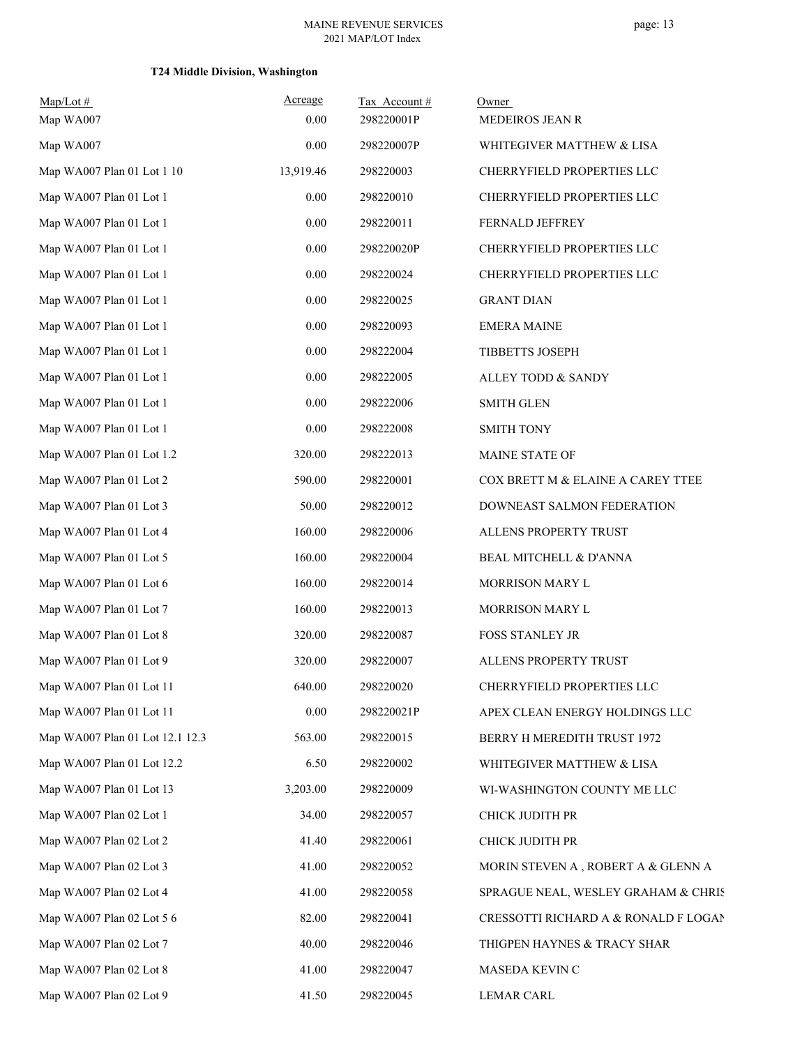## **T24 Middle Division, Washington**

| $Map/Lot \#$                    | Acreage   | Tax Account# | Owner                                |
|---------------------------------|-----------|--------------|--------------------------------------|
| Map WA007                       | 0.00      | 298220001P   | MEDEIROS JEAN R                      |
| Map WA007                       | 0.00      | 298220007P   | WHITEGIVER MATTHEW & LISA            |
| Map WA007 Plan 01 Lot 1 10      | 13,919.46 | 298220003    | CHERRYFIELD PROPERTIES LLC           |
| Map WA007 Plan 01 Lot 1         | 0.00      | 298220010    | CHERRYFIELD PROPERTIES LLC           |
| Map WA007 Plan 01 Lot 1         | 0.00      | 298220011    | FERNALD JEFFREY                      |
| Map WA007 Plan 01 Lot 1         | 0.00      | 298220020P   | CHERRYFIELD PROPERTIES LLC           |
| Map WA007 Plan 01 Lot 1         | 0.00      | 298220024    | CHERRYFIELD PROPERTIES LLC           |
| Map WA007 Plan 01 Lot 1         | 0.00      | 298220025    | <b>GRANT DIAN</b>                    |
| Map WA007 Plan 01 Lot 1         | 0.00      | 298220093    | <b>EMERA MAINE</b>                   |
| Map WA007 Plan 01 Lot 1         | 0.00      | 298222004    | TIBBETTS JOSEPH                      |
| Map WA007 Plan 01 Lot 1         | 0.00      | 298222005    | ALLEY TODD & SANDY                   |
| Map WA007 Plan 01 Lot 1         | 0.00      | 298222006    | <b>SMITH GLEN</b>                    |
| Map WA007 Plan 01 Lot 1         | 0.00      | 298222008    | <b>SMITH TONY</b>                    |
| Map WA007 Plan 01 Lot 1.2       | 320.00    | 298222013    | MAINE STATE OF                       |
| Map WA007 Plan 01 Lot 2         | 590.00    | 298220001    | COX BRETT M & ELAINE A CAREY TTEE    |
| Map WA007 Plan 01 Lot 3         | 50.00     | 298220012    | DOWNEAST SALMON FEDERATION           |
| Map WA007 Plan 01 Lot 4         | 160.00    | 298220006    | ALLENS PROPERTY TRUST                |
| Map WA007 Plan 01 Lot 5         | 160.00    | 298220004    | BEAL MITCHELL & D'ANNA               |
| Map WA007 Plan 01 Lot 6         | 160.00    | 298220014    | MORRISON MARY L                      |
| Map WA007 Plan 01 Lot 7         | 160.00    | 298220013    | MORRISON MARY L                      |
| Map WA007 Plan 01 Lot 8         | 320.00    | 298220087    | FOSS STANLEY JR                      |
| Map WA007 Plan 01 Lot 9         | 320.00    | 298220007    | ALLENS PROPERTY TRUST                |
| Map WA007 Plan 01 Lot 11        | 640.00    | 298220020    | CHERRYFIELD PROPERTIES LLC           |
| Map WA007 Plan 01 Lot 11        | 0.00      | 298220021P   | APEX CLEAN ENERGY HOLDINGS LLC       |
| Map WA007 Plan 01 Lot 12.1 12.3 | 563.00    | 298220015    | BERRY H MEREDITH TRUST 1972          |
| Map WA007 Plan 01 Lot 12.2      | 6.50      | 298220002    | WHITEGIVER MATTHEW & LISA            |
| Map WA007 Plan 01 Lot 13        | 3,203.00  | 298220009    | WI-WASHINGTON COUNTY ME LLC          |
| Map WA007 Plan 02 Lot 1         | 34.00     | 298220057    | CHICK JUDITH PR                      |
| Map WA007 Plan 02 Lot 2         | 41.40     | 298220061    | CHICK JUDITH PR                      |
| Map WA007 Plan 02 Lot 3         | 41.00     | 298220052    | MORIN STEVEN A, ROBERT A & GLENN A   |
| Map WA007 Plan 02 Lot 4         | 41.00     | 298220058    | SPRAGUE NEAL, WESLEY GRAHAM & CHRIS  |
| Map WA007 Plan 02 Lot 5 6       | 82.00     | 298220041    | CRESSOTTI RICHARD A & RONALD F LOGAN |
| Map WA007 Plan 02 Lot 7         | 40.00     | 298220046    | THIGPEN HAYNES & TRACY SHAR          |
| Map WA007 Plan 02 Lot 8         | 41.00     | 298220047    | MASEDA KEVIN C                       |
| Map WA007 Plan 02 Lot 9         | 41.50     | 298220045    | <b>LEMAR CARL</b>                    |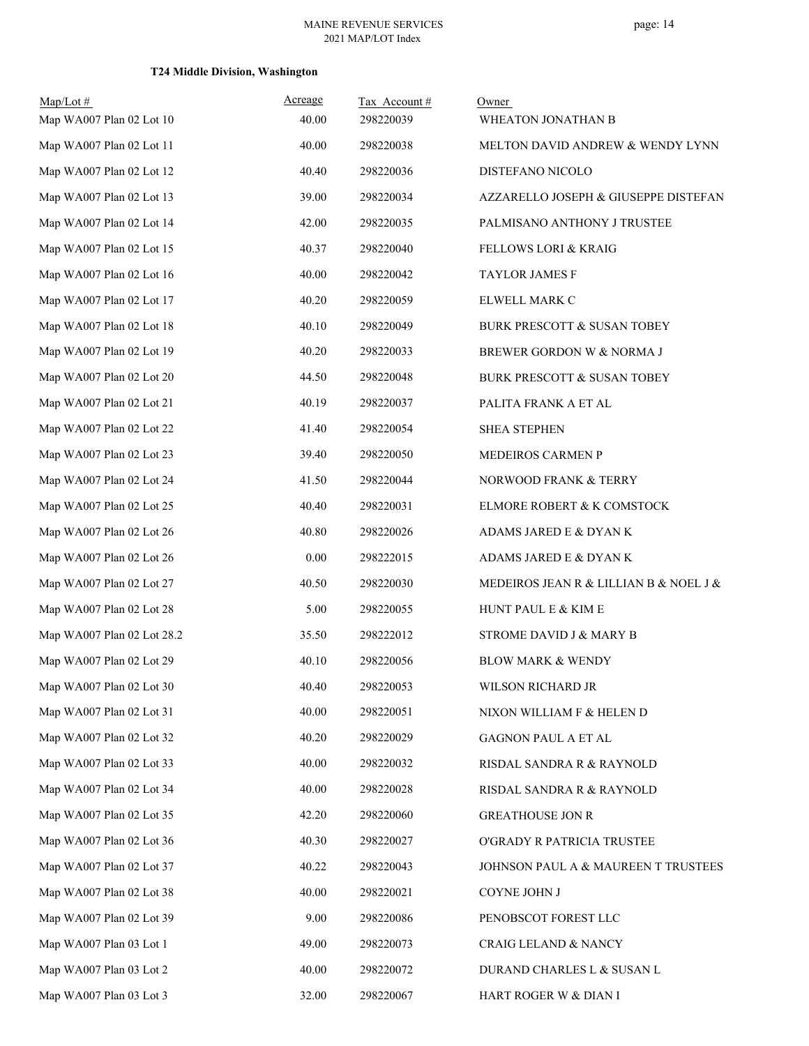## **T24 Middle Division, Washington**

| $Map/Lot \#$<br>Map WA007 Plan 02 Lot 10 | Acreage<br>40.00 | Tax Account#<br>298220039 | Owner<br>WHEATON JONATHAN B            |
|------------------------------------------|------------------|---------------------------|----------------------------------------|
| Map WA007 Plan 02 Lot 11                 | 40.00            | 298220038                 | MELTON DAVID ANDREW & WENDY LYNN       |
| Map WA007 Plan 02 Lot 12                 | 40.40            | 298220036                 | DISTEFANO NICOLO                       |
| Map WA007 Plan 02 Lot 13                 | 39.00            | 298220034                 | AZZARELLO JOSEPH & GIUSEPPE DISTEFAN   |
| Map WA007 Plan 02 Lot 14                 | 42.00            | 298220035                 | PALMISANO ANTHONY J TRUSTEE            |
| Map WA007 Plan 02 Lot 15                 | 40.37            | 298220040                 | FELLOWS LORI & KRAIG                   |
| Map WA007 Plan 02 Lot 16                 | 40.00            | 298220042                 | <b>TAYLOR JAMES F</b>                  |
| Map WA007 Plan 02 Lot 17                 | 40.20            | 298220059                 | ELWELL MARK C                          |
| Map WA007 Plan 02 Lot 18                 | 40.10            | 298220049                 | BURK PRESCOTT & SUSAN TOBEY            |
| Map WA007 Plan 02 Lot 19                 | 40.20            | 298220033                 | BREWER GORDON W & NORMA J              |
| Map WA007 Plan 02 Lot 20                 | 44.50            | 298220048                 | BURK PRESCOTT & SUSAN TOBEY            |
| Map WA007 Plan 02 Lot 21                 | 40.19            | 298220037                 | PALITA FRANK A ET AL                   |
| Map WA007 Plan 02 Lot 22                 | 41.40            | 298220054                 | <b>SHEA STEPHEN</b>                    |
| Map WA007 Plan 02 Lot 23                 | 39.40            | 298220050                 | MEDEIROS CARMEN P                      |
| Map WA007 Plan 02 Lot 24                 | 41.50            | 298220044                 | NORWOOD FRANK & TERRY                  |
| Map WA007 Plan 02 Lot 25                 | 40.40            | 298220031                 | ELMORE ROBERT & K COMSTOCK             |
| Map WA007 Plan 02 Lot 26                 | 40.80            | 298220026                 | ADAMS JARED E & DYAN K                 |
| Map WA007 Plan 02 Lot 26                 | 0.00             | 298222015                 | ADAMS JARED E & DYAN K                 |
| Map WA007 Plan 02 Lot 27                 | 40.50            | 298220030                 | MEDEIROS JEAN R & LILLIAN B & NOEL J & |
| Map WA007 Plan 02 Lot 28                 | 5.00             | 298220055                 | HUNT PAUL E & KIM E                    |
| Map WA007 Plan 02 Lot 28.2               | 35.50            | 298222012                 | STROME DAVID J & MARY B                |
| Map WA007 Plan 02 Lot 29                 | 40.10            | 298220056                 | <b>BLOW MARK &amp; WENDY</b>           |
| Map WA007 Plan 02 Lot 30                 | 40.40            | 298220053                 | WILSON RICHARD JR                      |
| Map WA007 Plan 02 Lot 31                 | 40.00            | 298220051                 | NIXON WILLIAM F & HELEN D              |
| Map WA007 Plan 02 Lot 32                 | 40.20            | 298220029                 | GAGNON PAUL A ET AL                    |
| Map WA007 Plan 02 Lot 33                 | 40.00            | 298220032                 | RISDAL SANDRA R & RAYNOLD              |
| Map WA007 Plan 02 Lot 34                 | 40.00            | 298220028                 | RISDAL SANDRA R & RAYNOLD              |
| Map WA007 Plan 02 Lot 35                 | 42.20            | 298220060                 | <b>GREATHOUSE JON R</b>                |
| Map WA007 Plan 02 Lot 36                 | 40.30            | 298220027                 | O'GRADY R PATRICIA TRUSTEE             |
| Map WA007 Plan 02 Lot 37                 | 40.22            | 298220043                 | JOHNSON PAUL A & MAUREEN T TRUSTEES    |
| Map WA007 Plan 02 Lot 38                 | 40.00            | 298220021                 | COYNE JOHN J                           |
| Map WA007 Plan 02 Lot 39                 | 9.00             | 298220086                 | PENOBSCOT FOREST LLC                   |
| Map WA007 Plan 03 Lot 1                  | 49.00            | 298220073                 | CRAIG LELAND & NANCY                   |
| Map WA007 Plan 03 Lot 2                  | 40.00            | 298220072                 | DURAND CHARLES L & SUSAN L             |
| Map WA007 Plan 03 Lot 3                  | 32.00            | 298220067                 | HART ROGER W & DIAN I                  |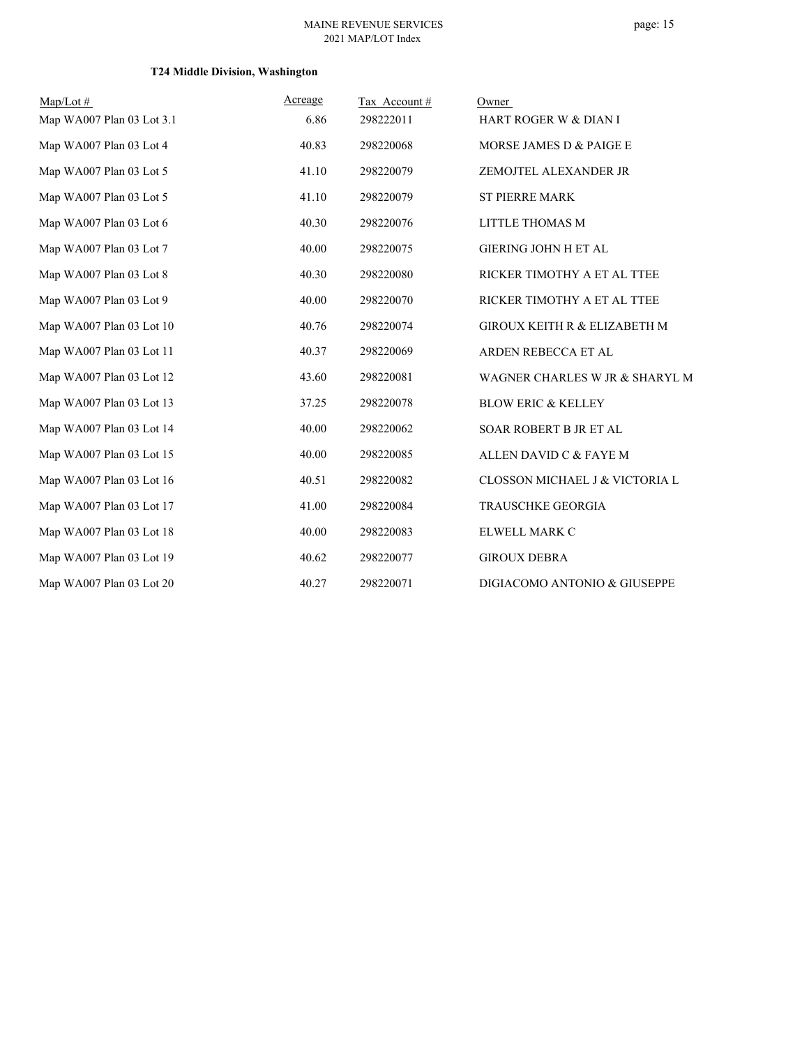## **T24 Middle Division, Washington**

| $Map/Lot \#$              | Acreage | Tax Account# | Owner                          |
|---------------------------|---------|--------------|--------------------------------|
| Map WA007 Plan 03 Lot 3.1 | 6.86    | 298222011    | HART ROGER W & DIAN I          |
| Map WA007 Plan 03 Lot 4   | 40.83   | 298220068    | MORSE JAMES D & PAIGE E        |
| Map WA007 Plan 03 Lot 5   | 41.10   | 298220079    | ZEMOJTEL ALEXANDER JR          |
| Map WA007 Plan 03 Lot 5   | 41.10   | 298220079    | <b>ST PIERRE MARK</b>          |
| Map WA007 Plan 03 Lot 6   | 40.30   | 298220076    | LITTLE THOMAS M                |
| Map WA007 Plan 03 Lot 7   | 40.00   | 298220075    | <b>GIERING JOHN H ET AL</b>    |
| Map WA007 Plan 03 Lot 8   | 40.30   | 298220080    | RICKER TIMOTHY A ET AL TTEE    |
| Map WA007 Plan 03 Lot 9   | 40.00   | 298220070    | RICKER TIMOTHY A ET AL TTEE    |
| Map WA007 Plan 03 Lot 10  | 40.76   | 298220074    | GIROUX KEITH R & ELIZABETH M   |
| Map WA007 Plan 03 Lot 11  | 40.37   | 298220069    | ARDEN REBECCA ET AL            |
| Map WA007 Plan 03 Lot 12  | 43.60   | 298220081    | WAGNER CHARLES W JR & SHARYL M |
| Map WA007 Plan 03 Lot 13  | 37.25   | 298220078    | <b>BLOW ERIC &amp; KELLEY</b>  |
| Map WA007 Plan 03 Lot 14  | 40.00   | 298220062    | SOAR ROBERT B JR ET AL         |
| Map WA007 Plan 03 Lot 15  | 40.00   | 298220085    | ALLEN DAVID C & FAYE M         |
| Map WA007 Plan 03 Lot 16  | 40.51   | 298220082    | CLOSSON MICHAEL J & VICTORIA L |
| Map WA007 Plan 03 Lot 17  | 41.00   | 298220084    | TRAUSCHKE GEORGIA              |
| Map WA007 Plan 03 Lot 18  | 40.00   | 298220083    | ELWELL MARK C                  |
| Map WA007 Plan 03 Lot 19  | 40.62   | 298220077    | <b>GIROUX DEBRA</b>            |
| Map WA007 Plan 03 Lot 20  | 40.27   | 298220071    | DIGIACOMO ANTONIO & GIUSEPPE   |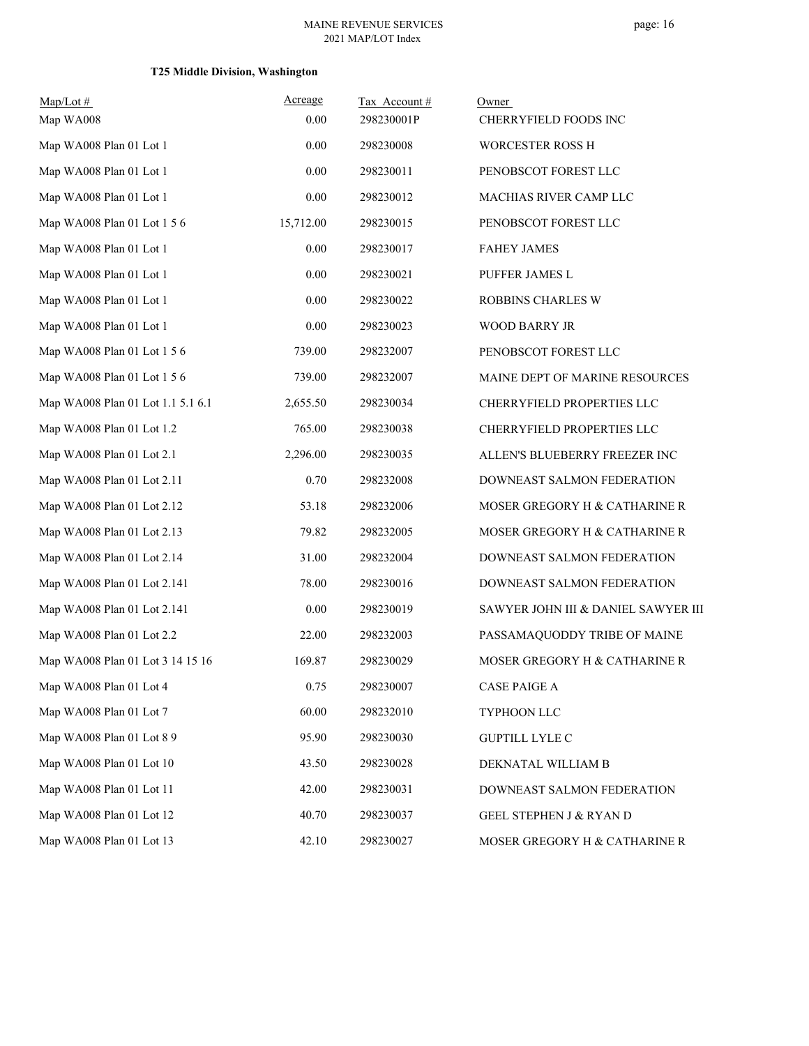## **T25 Middle Division, Washington**

| $Map/Lot \#$                      | Acreage   | Tax Account# | Owner                               |
|-----------------------------------|-----------|--------------|-------------------------------------|
| Map WA008                         | 0.00      | 298230001P   | CHERRYFIELD FOODS INC               |
| Map WA008 Plan 01 Lot 1           | 0.00      | 298230008    | WORCESTER ROSS H                    |
| Map WA008 Plan 01 Lot 1           | 0.00      | 298230011    | PENOBSCOT FOREST LLC                |
| Map WA008 Plan 01 Lot 1           | 0.00      | 298230012    | MACHIAS RIVER CAMP LLC              |
| Map WA008 Plan 01 Lot 1 5 6       | 15,712.00 | 298230015    | PENOBSCOT FOREST LLC                |
| Map WA008 Plan 01 Lot 1           | 0.00      | 298230017    | <b>FAHEY JAMES</b>                  |
| Map WA008 Plan 01 Lot 1           | 0.00      | 298230021    | PUFFER JAMES L                      |
| Map WA008 Plan 01 Lot 1           | 0.00      | 298230022    | ROBBINS CHARLES W                   |
| Map WA008 Plan 01 Lot 1           | 0.00      | 298230023    | WOOD BARRY JR                       |
| Map WA008 Plan 01 Lot 1 5 6       | 739.00    | 298232007    | PENOBSCOT FOREST LLC                |
| Map WA008 Plan 01 Lot 1 5 6       | 739.00    | 298232007    | MAINE DEPT OF MARINE RESOURCES      |
| Map WA008 Plan 01 Lot 1.1 5.1 6.1 | 2,655.50  | 298230034    | CHERRYFIELD PROPERTIES LLC          |
| Map WA008 Plan 01 Lot 1.2         | 765.00    | 298230038    | CHERRYFIELD PROPERTIES LLC          |
| Map WA008 Plan 01 Lot 2.1         | 2,296.00  | 298230035    | ALLEN'S BLUEBERRY FREEZER INC       |
| Map WA008 Plan 01 Lot 2.11        | 0.70      | 298232008    | DOWNEAST SALMON FEDERATION          |
| Map WA008 Plan 01 Lot 2.12        | 53.18     | 298232006    | MOSER GREGORY H & CATHARINE R       |
| Map WA008 Plan 01 Lot 2.13        | 79.82     | 298232005    | MOSER GREGORY H & CATHARINE R       |
| Map WA008 Plan 01 Lot 2.14        | 31.00     | 298232004    | DOWNEAST SALMON FEDERATION          |
| Map WA008 Plan 01 Lot 2.141       | 78.00     | 298230016    | DOWNEAST SALMON FEDERATION          |
| Map WA008 Plan 01 Lot 2.141       | 0.00      | 298230019    | SAWYER JOHN III & DANIEL SAWYER III |
| Map WA008 Plan 01 Lot 2.2         | 22.00     | 298232003    | PASSAMAQUODDY TRIBE OF MAINE        |
| Map WA008 Plan 01 Lot 3 14 15 16  | 169.87    | 298230029    | MOSER GREGORY H & CATHARINE R       |
| Map WA008 Plan 01 Lot 4           | 0.75      | 298230007    | <b>CASE PAIGE A</b>                 |
| Map WA008 Plan 01 Lot 7           | 60.00     | 298232010    | TYPHOON LLC                         |
| Map WA008 Plan 01 Lot 8 9         | 95.90     | 298230030    | <b>GUPTILL LYLE C</b>               |
| Map WA008 Plan 01 Lot 10          | 43.50     | 298230028    | DEKNATAL WILLIAM B                  |
| Map WA008 Plan 01 Lot 11          | 42.00     | 298230031    | DOWNEAST SALMON FEDERATION          |
| Map WA008 Plan 01 Lot 12          | 40.70     | 298230037    | <b>GEEL STEPHEN J &amp; RYAN D</b>  |
| Map WA008 Plan 01 Lot 13          | 42.10     | 298230027    | MOSER GREGORY H & CATHARINE R       |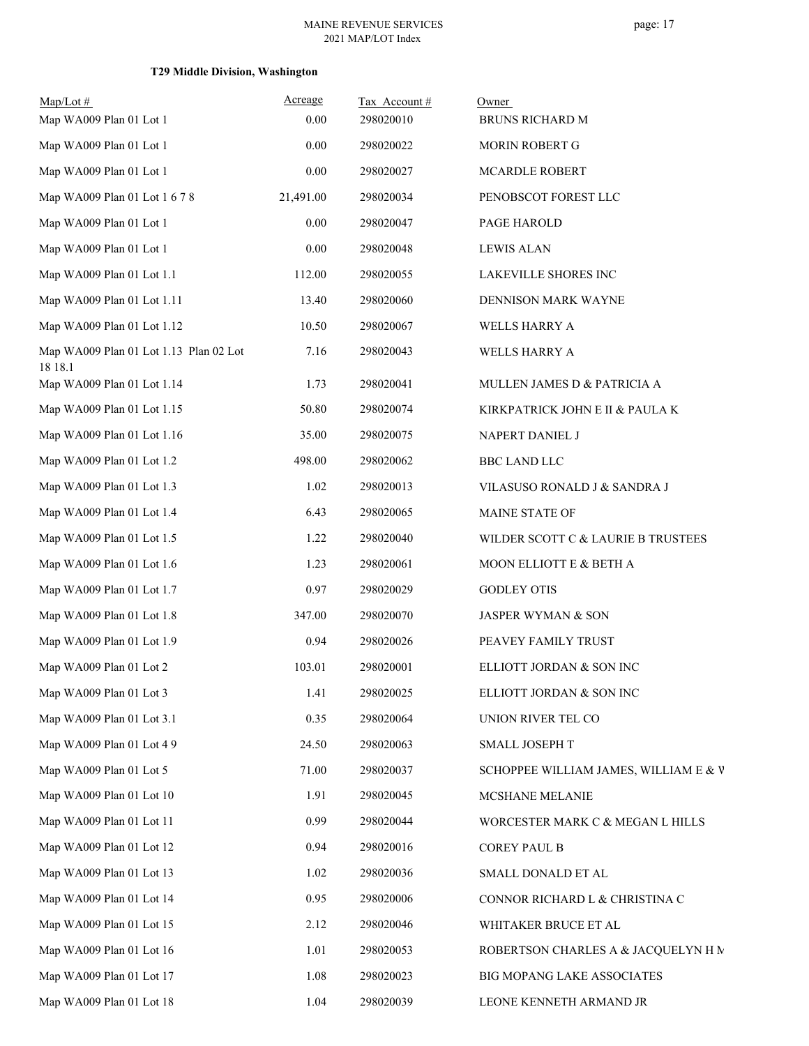## **T29 Middle Division, Washington**

| $Map/Lot \#$                                      | Acreage   | Tax Account# | Owner                                 |
|---------------------------------------------------|-----------|--------------|---------------------------------------|
| Map WA009 Plan 01 Lot 1                           | 0.00      | 298020010    | BRUNS RICHARD M                       |
| Map WA009 Plan 01 Lot 1                           | 0.00      | 298020022    | MORIN ROBERT G                        |
| Map WA009 Plan 01 Lot 1                           | 0.00      | 298020027    | MCARDLE ROBERT                        |
| Map WA009 Plan 01 Lot 1 6 7 8                     | 21,491.00 | 298020034    | PENOBSCOT FOREST LLC                  |
| Map WA009 Plan 01 Lot 1                           | 0.00      | 298020047    | PAGE HAROLD                           |
| Map WA009 Plan 01 Lot 1                           | 0.00      | 298020048    | <b>LEWIS ALAN</b>                     |
| Map WA009 Plan 01 Lot 1.1                         | 112.00    | 298020055    | LAKEVILLE SHORES INC                  |
| Map WA009 Plan 01 Lot 1.11                        | 13.40     | 298020060    | DENNISON MARK WAYNE                   |
| Map WA009 Plan 01 Lot 1.12                        | 10.50     | 298020067    | WELLS HARRY A                         |
| Map WA009 Plan 01 Lot 1.13 Plan 02 Lot<br>18 18.1 | 7.16      | 298020043    | WELLS HARRY A                         |
| Map WA009 Plan 01 Lot 1.14                        | 1.73      | 298020041    | MULLEN JAMES D & PATRICIA A           |
| Map WA009 Plan 01 Lot 1.15                        | 50.80     | 298020074    | KIRKPATRICK JOHN E II & PAULA K       |
| Map WA009 Plan 01 Lot 1.16                        | 35.00     | 298020075    | NAPERT DANIEL J                       |
| Map WA009 Plan 01 Lot 1.2                         | 498.00    | 298020062    | <b>BBC LAND LLC</b>                   |
| Map WA009 Plan 01 Lot 1.3                         | 1.02      | 298020013    | VILASUSO RONALD J & SANDRA J          |
| Map WA009 Plan 01 Lot 1.4                         | 6.43      | 298020065    | MAINE STATE OF                        |
| Map WA009 Plan 01 Lot 1.5                         | 1.22      | 298020040    | WILDER SCOTT C & LAURIE B TRUSTEES    |
| Map WA009 Plan 01 Lot 1.6                         | 1.23      | 298020061    | MOON ELLIOTT E & BETH A               |
| Map WA009 Plan 01 Lot 1.7                         | 0.97      | 298020029    | <b>GODLEY OTIS</b>                    |
| Map WA009 Plan 01 Lot 1.8                         | 347.00    | 298020070    | JASPER WYMAN & SON                    |
| Map WA009 Plan 01 Lot 1.9                         | 0.94      | 298020026    | PEAVEY FAMILY TRUST                   |
| Map WA009 Plan 01 Lot 2                           | 103.01    | 298020001    | ELLIOTT JORDAN & SON INC              |
| Map WA009 Plan 01 Lot 3                           | 1.41      | 298020025    | ELLIOTT JORDAN & SON INC              |
| Map WA009 Plan 01 Lot 3.1                         | 0.35      | 298020064    | UNION RIVER TEL CO                    |
| Map WA009 Plan 01 Lot 4 9                         | 24.50     | 298020063    | SMALL JOSEPH T                        |
| Map WA009 Plan 01 Lot 5                           | 71.00     | 298020037    | SCHOPPEE WILLIAM JAMES, WILLIAM E & V |
| Map WA009 Plan 01 Lot 10                          | 1.91      | 298020045    | MCSHANE MELANIE                       |
| Map WA009 Plan 01 Lot 11                          | 0.99      | 298020044    | WORCESTER MARK C & MEGAN L HILLS      |
| Map WA009 Plan 01 Lot 12                          | 0.94      | 298020016    | <b>COREY PAUL B</b>                   |
| Map WA009 Plan 01 Lot 13                          | 1.02      | 298020036    | SMALL DONALD ET AL                    |
| Map WA009 Plan 01 Lot 14                          | 0.95      | 298020006    | CONNOR RICHARD L & CHRISTINA C        |
| Map WA009 Plan 01 Lot 15                          | 2.12      | 298020046    | WHITAKER BRUCE ET AL                  |
| Map WA009 Plan 01 Lot 16                          | 1.01      | 298020053    | ROBERTSON CHARLES A & JACQUELYN H M   |
| Map WA009 Plan 01 Lot 17                          | 1.08      | 298020023    | BIG MOPANG LAKE ASSOCIATES            |
| Map WA009 Plan 01 Lot 18                          | 1.04      | 298020039    | LEONE KENNETH ARMAND JR               |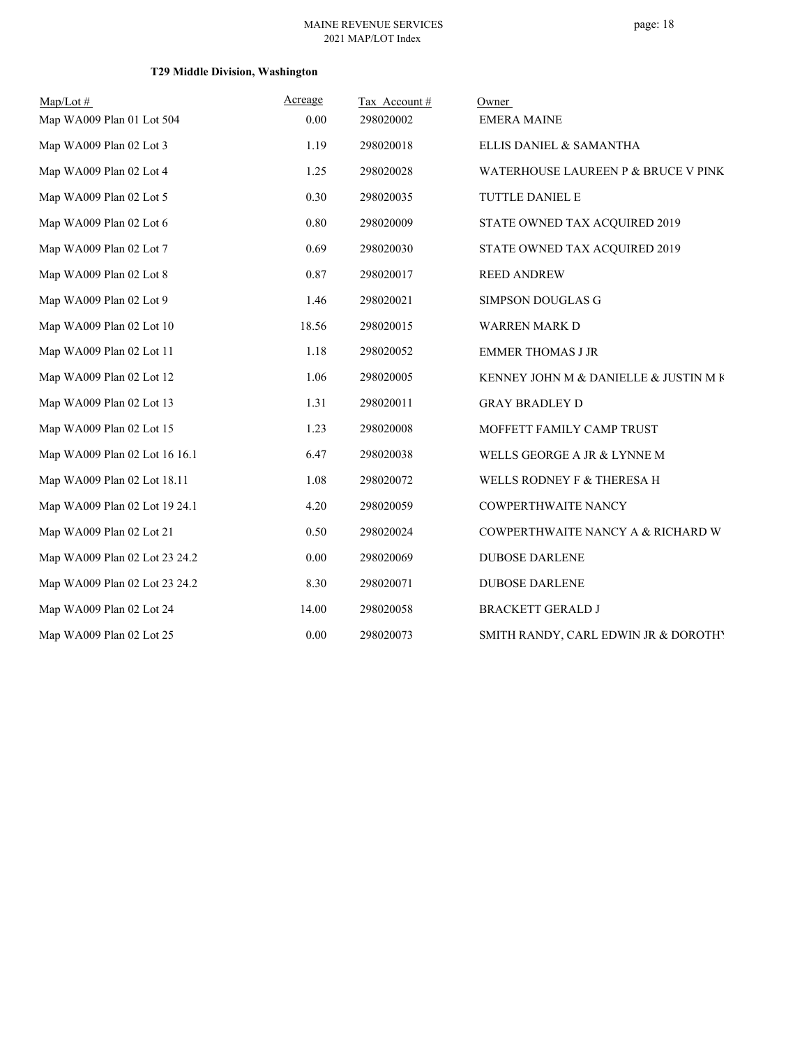## page: 18

## **T29 Middle Division, Washington**

| Map/Lot#                      | Acreage  | Tax Account# | Owner                                 |
|-------------------------------|----------|--------------|---------------------------------------|
| Map WA009 Plan 01 Lot 504     | 0.00     | 298020002    | <b>EMERA MAINE</b>                    |
| Map WA009 Plan 02 Lot 3       | 1.19     | 298020018    | ELLIS DANIEL & SAMANTHA               |
| Map WA009 Plan 02 Lot 4       | 1.25     | 298020028    | WATERHOUSE LAUREEN P & BRUCE V PINK   |
| Map WA009 Plan 02 Lot 5       | 0.30     | 298020035    | TUTTLE DANIEL E                       |
| Map WA009 Plan 02 Lot 6       | $0.80\,$ | 298020009    | STATE OWNED TAX ACQUIRED 2019         |
| Map WA009 Plan 02 Lot 7       | 0.69     | 298020030    | STATE OWNED TAX ACQUIRED 2019         |
| Map WA009 Plan 02 Lot 8       | 0.87     | 298020017    | <b>REED ANDREW</b>                    |
| Map WA009 Plan 02 Lot 9       | 1.46     | 298020021    | SIMPSON DOUGLAS G                     |
| Map WA009 Plan 02 Lot 10      | 18.56    | 298020015    | WARREN MARK D                         |
| Map WA009 Plan 02 Lot 11      | 1.18     | 298020052    | <b>EMMER THOMAS J JR</b>              |
| Map WA009 Plan 02 Lot 12      | 1.06     | 298020005    | KENNEY JOHN M & DANIELLE & JUSTIN M K |
| Map WA009 Plan 02 Lot 13      | 1.31     | 298020011    | <b>GRAY BRADLEY D</b>                 |
| Map WA009 Plan 02 Lot 15      | 1.23     | 298020008    | MOFFETT FAMILY CAMP TRUST             |
| Map WA009 Plan 02 Lot 16 16.1 | 6.47     | 298020038    | WELLS GEORGE A JR & LYNNE M           |
| Map WA009 Plan 02 Lot 18.11   | 1.08     | 298020072    | WELLS RODNEY F & THERESA H            |
| Map WA009 Plan 02 Lot 19 24.1 | 4.20     | 298020059    | <b>COWPERTHWAITE NANCY</b>            |
| Map WA009 Plan 02 Lot 21      | 0.50     | 298020024    | COWPERTHWAITE NANCY A & RICHARD W     |
| Map WA009 Plan 02 Lot 23 24.2 | 0.00     | 298020069    | <b>DUBOSE DARLENE</b>                 |
| Map WA009 Plan 02 Lot 23 24.2 | 8.30     | 298020071    | <b>DUBOSE DARLENE</b>                 |
| Map WA009 Plan 02 Lot 24      | 14.00    | 298020058    | <b>BRACKETT GERALD J</b>              |
| Map WA009 Plan 02 Lot 25      | 0.00     | 298020073    | SMITH RANDY, CARL EDWIN JR & DOROTHY  |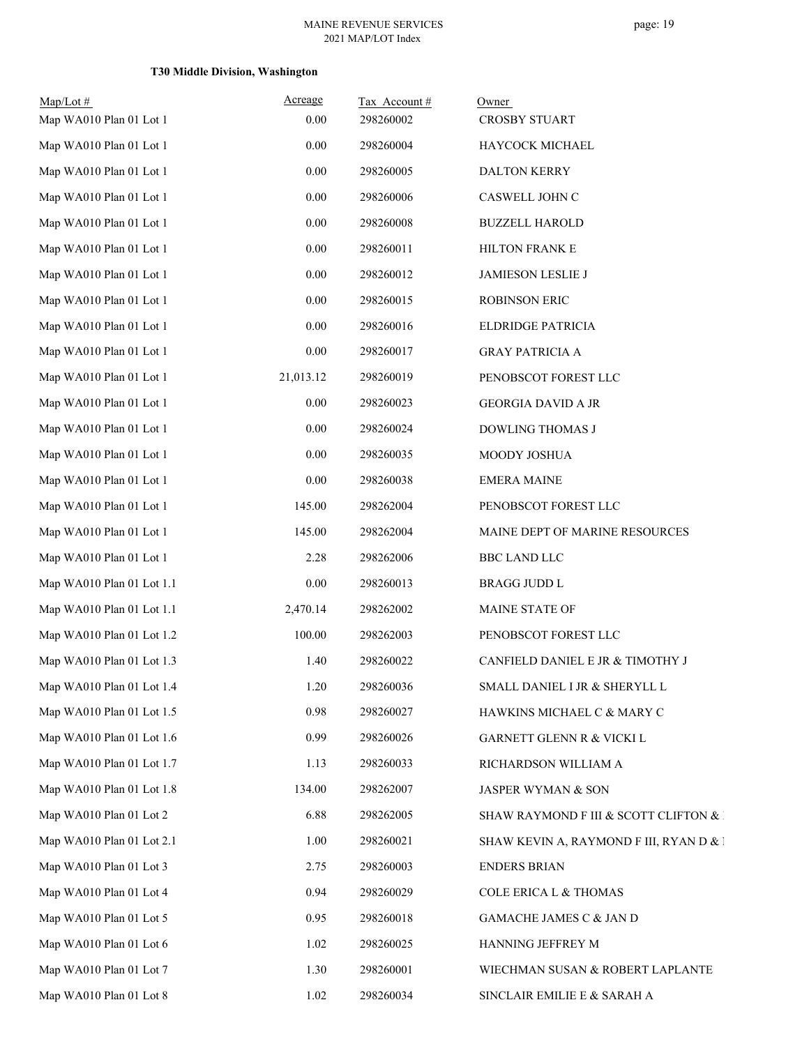## **T30 Middle Division, Washington**

| $Map/Lot$ #<br>Map WA010 Plan 01 Lot 1 | Acreage<br>0.00 | Tax Account#<br>298260002 | Owner<br>CROSBY STUART                  |
|----------------------------------------|-----------------|---------------------------|-----------------------------------------|
| Map WA010 Plan 01 Lot 1                | 0.00            | 298260004                 | HAYCOCK MICHAEL                         |
| Map WA010 Plan 01 Lot 1                | 0.00            | 298260005                 | DALTON KERRY                            |
| Map WA010 Plan 01 Lot 1                | 0.00            | 298260006                 | CASWELL JOHN C                          |
| Map WA010 Plan 01 Lot 1                | 0.00            | 298260008                 | <b>BUZZELL HAROLD</b>                   |
| Map WA010 Plan 01 Lot 1                | 0.00            | 298260011                 | HILTON FRANK E                          |
| Map WA010 Plan 01 Lot 1                | $0.00\,$        | 298260012                 | <b>JAMIESON LESLIE J</b>                |
| Map WA010 Plan 01 Lot 1                | 0.00            | 298260015                 | <b>ROBINSON ERIC</b>                    |
| Map WA010 Plan 01 Lot 1                | 0.00            | 298260016                 | ELDRIDGE PATRICIA                       |
| Map WA010 Plan 01 Lot 1                | 0.00            | 298260017                 | <b>GRAY PATRICIA A</b>                  |
| Map WA010 Plan 01 Lot 1                | 21,013.12       | 298260019                 | PENOBSCOT FOREST LLC                    |
| Map WA010 Plan 01 Lot 1                | 0.00            | 298260023                 | <b>GEORGIA DAVID A JR</b>               |
| Map WA010 Plan 01 Lot 1                | 0.00            | 298260024                 | DOWLING THOMAS J                        |
| Map WA010 Plan 01 Lot 1                | 0.00            | 298260035                 | MOODY JOSHUA                            |
| Map WA010 Plan 01 Lot 1                | 0.00            | 298260038                 | <b>EMERA MAINE</b>                      |
| Map WA010 Plan 01 Lot 1                | 145.00          | 298262004                 | PENOBSCOT FOREST LLC                    |
| Map WA010 Plan 01 Lot 1                | 145.00          | 298262004                 | MAINE DEPT OF MARINE RESOURCES          |
| Map WA010 Plan 01 Lot 1                | 2.28            | 298262006                 | BBC LAND LLC                            |
| Map WA010 Plan 01 Lot 1.1              | 0.00            | 298260013                 | <b>BRAGG JUDD L</b>                     |
| Map WA010 Plan 01 Lot 1.1              | 2,470.14        | 298262002                 | MAINE STATE OF                          |
| Map WA010 Plan 01 Lot 1.2              | 100.00          | 298262003                 | PENOBSCOT FOREST LLC                    |
| Map WA010 Plan 01 Lot 1.3              | 1.40            | 298260022                 | CANFIELD DANIEL E JR & TIMOTHY J        |
| Map WA010 Plan 01 Lot 1.4              | 1.20            | 298260036                 | SMALL DANIEL I JR & SHERYLL L           |
| Map WA010 Plan 01 Lot 1.5              | 0.98            | 298260027                 | HAWKINS MICHAEL C & MARY C              |
| Map WA010 Plan 01 Lot 1.6              | 0.99            | 298260026                 | GARNETT GLENN R & VICKI L               |
| Map WA010 Plan 01 Lot 1.7              | 1.13            | 298260033                 | RICHARDSON WILLIAM A                    |
| Map WA010 Plan 01 Lot 1.8              | 134.00          | 298262007                 | JASPER WYMAN & SON                      |
| Map WA010 Plan 01 Lot 2                | 6.88            | 298262005                 | SHAW RAYMOND F III & SCOTT CLIFTON & I  |
| Map WA010 Plan 01 Lot 2.1              | 1.00            | 298260021                 | SHAW KEVIN A, RAYMOND F III, RYAN D & 1 |
| Map WA010 Plan 01 Lot 3                | 2.75            | 298260003                 | <b>ENDERS BRIAN</b>                     |
| Map WA010 Plan 01 Lot 4                | 0.94            | 298260029                 | <b>COLE ERICA L &amp; THOMAS</b>        |
| Map WA010 Plan 01 Lot 5                | 0.95            | 298260018                 | GAMACHE JAMES C & JAN D                 |
| Map WA010 Plan 01 Lot 6                | 1.02            | 298260025                 | HANNING JEFFREY M                       |
| Map WA010 Plan 01 Lot 7                | 1.30            | 298260001                 | WIECHMAN SUSAN & ROBERT LAPLANTE        |
| Map WA010 Plan 01 Lot 8                | 1.02            | 298260034                 | SINCLAIR EMILIE E & SARAH A             |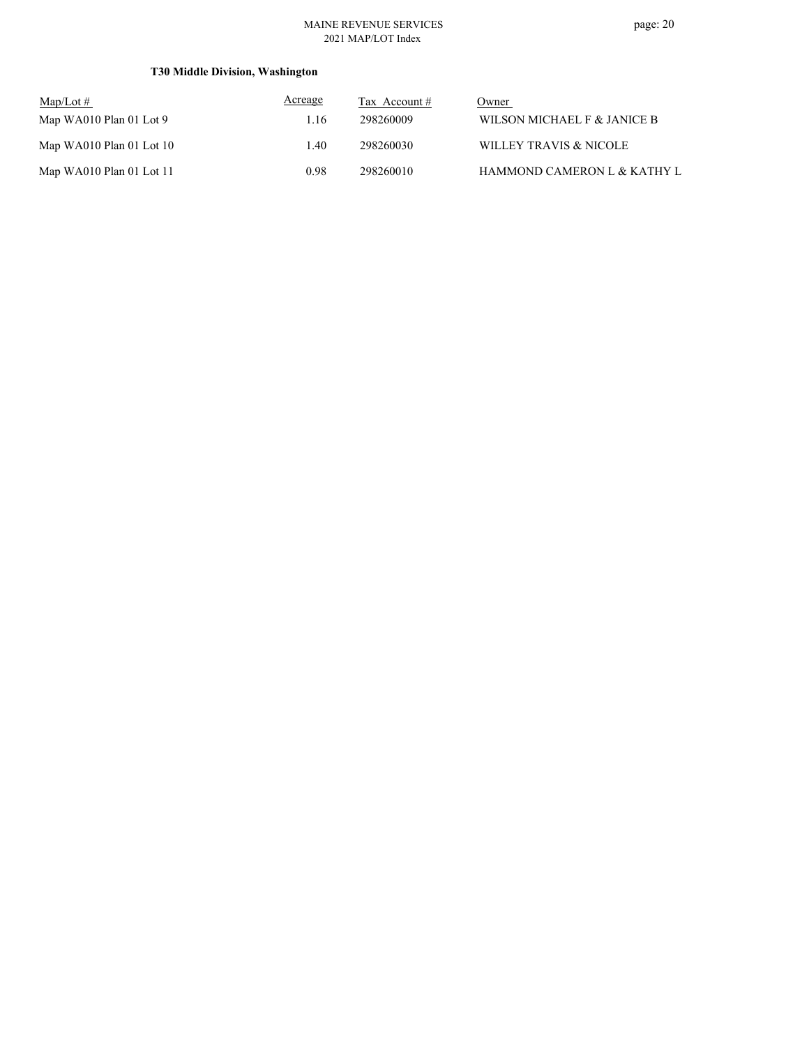## **T30 Middle Division, Washington**

| $Map/Lot \#$             | Acreage | Tax Account # | Owner                       |
|--------------------------|---------|---------------|-----------------------------|
| Map WA010 Plan 01 Lot 9  | 1.16    | 298260009     | WILSON MICHAEL F & JANICE B |
| Map WA010 Plan 01 Lot 10 | l.40    | 298260030     | WILLEY TRAVIS & NICOLE      |
| Map WA010 Plan 01 Lot 11 | 0.98    | 298260010     | HAMMOND CAMERON L & KATHY L |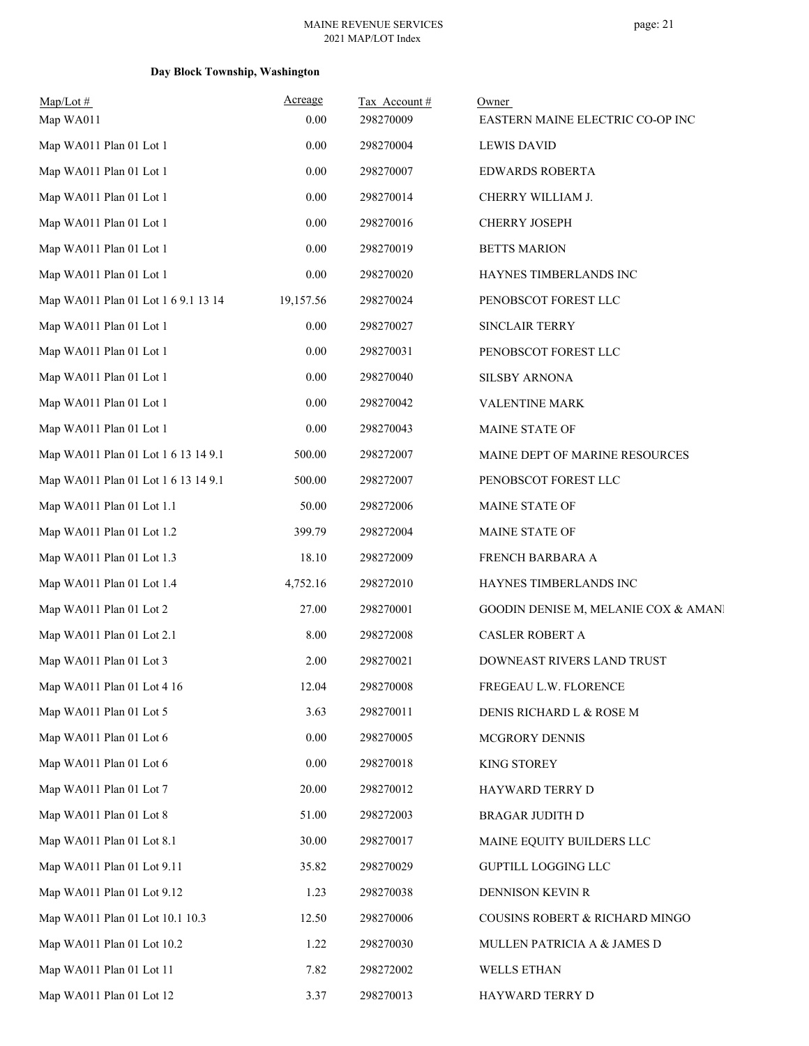## **Day Block Township, Washington**

| $Map/Lot \#$<br>Map WA011           | Acreage<br>0.00 | Tax Account#<br>298270009 | Owner<br>EASTERN MAINE ELECTRIC CO-OP INC |
|-------------------------------------|-----------------|---------------------------|-------------------------------------------|
| Map WA011 Plan 01 Lot 1             | 0.00            | 298270004                 | <b>LEWIS DAVID</b>                        |
| Map WA011 Plan 01 Lot 1             | 0.00            | 298270007                 | <b>EDWARDS ROBERTA</b>                    |
| Map WA011 Plan 01 Lot 1             | 0.00            | 298270014                 | CHERRY WILLIAM J.                         |
| Map WA011 Plan 01 Lot 1             | 0.00            | 298270016                 | CHERRY JOSEPH                             |
| Map WA011 Plan 01 Lot 1             | 0.00            | 298270019                 | <b>BETTS MARION</b>                       |
| Map WA011 Plan 01 Lot 1             | 0.00            | 298270020                 | HAYNES TIMBERLANDS INC                    |
| Map WA011 Plan 01 Lot 1 6 9.1 13 14 | 19,157.56       | 298270024                 | PENOBSCOT FOREST LLC                      |
| Map WA011 Plan 01 Lot 1             | 0.00            | 298270027                 | SINCLAIR TERRY                            |
| Map WA011 Plan 01 Lot 1             | 0.00            | 298270031                 | PENOBSCOT FOREST LLC                      |
| Map WA011 Plan 01 Lot 1             | 0.00            | 298270040                 | <b>SILSBY ARNONA</b>                      |
| Map WA011 Plan 01 Lot 1             | 0.00            | 298270042                 | VALENTINE MARK                            |
| Map WA011 Plan 01 Lot 1             | 0.00            | 298270043                 | MAINE STATE OF                            |
| Map WA011 Plan 01 Lot 1 6 13 14 9.1 | 500.00          | 298272007                 | MAINE DEPT OF MARINE RESOURCES            |
| Map WA011 Plan 01 Lot 1 6 13 14 9.1 | 500.00          | 298272007                 | PENOBSCOT FOREST LLC                      |
| Map WA011 Plan 01 Lot 1.1           | 50.00           | 298272006                 | MAINE STATE OF                            |
| Map WA011 Plan 01 Lot 1.2           | 399.79          | 298272004                 | MAINE STATE OF                            |
| Map WA011 Plan 01 Lot 1.3           | 18.10           | 298272009                 | FRENCH BARBARA A                          |
| Map WA011 Plan 01 Lot 1.4           | 4,752.16        | 298272010                 | HAYNES TIMBERLANDS INC                    |
| Map WA011 Plan 01 Lot 2             | 27.00           | 298270001                 | GOODIN DENISE M, MELANIE COX & AMANI      |
| Map WA011 Plan 01 Lot 2.1           | 8.00            | 298272008                 | <b>CASLER ROBERT A</b>                    |
| Map WA011 Plan 01 Lot 3             | 2.00            | 298270021                 | DOWNEAST RIVERS LAND TRUST                |
| Map WA011 Plan 01 Lot 4 16          | 12.04           | 298270008                 | FREGEAU L.W. FLORENCE                     |
| Map WA011 Plan 01 Lot 5             | 3.63            | 298270011                 | DENIS RICHARD L & ROSE M                  |
| Map WA011 Plan 01 Lot 6             | 0.00            | 298270005                 | MCGRORY DENNIS                            |
| Map WA011 Plan 01 Lot 6             | 0.00            | 298270018                 | KING STOREY                               |
| Map WA011 Plan 01 Lot 7             | 20.00           | 298270012                 | HAYWARD TERRY D                           |
| Map WA011 Plan 01 Lot 8             | 51.00           | 298272003                 | <b>BRAGAR JUDITH D</b>                    |
| Map WA011 Plan 01 Lot 8.1           | 30.00           | 298270017                 | MAINE EQUITY BUILDERS LLC                 |
| Map WA011 Plan 01 Lot 9.11          | 35.82           | 298270029                 | GUPTILL LOGGING LLC                       |
| Map WA011 Plan 01 Lot 9.12          | 1.23            | 298270038                 | DENNISON KEVIN R                          |
| Map WA011 Plan 01 Lot 10.1 10.3     | 12.50           | 298270006                 | COUSINS ROBERT & RICHARD MINGO            |
| Map WA011 Plan 01 Lot 10.2          | 1.22            | 298270030                 | MULLEN PATRICIA A & JAMES D               |
| Map WA011 Plan 01 Lot 11            | 7.82            | 298272002                 | WELLS ETHAN                               |
| Map WA011 Plan 01 Lot 12            | 3.37            | 298270013                 | HAYWARD TERRY D                           |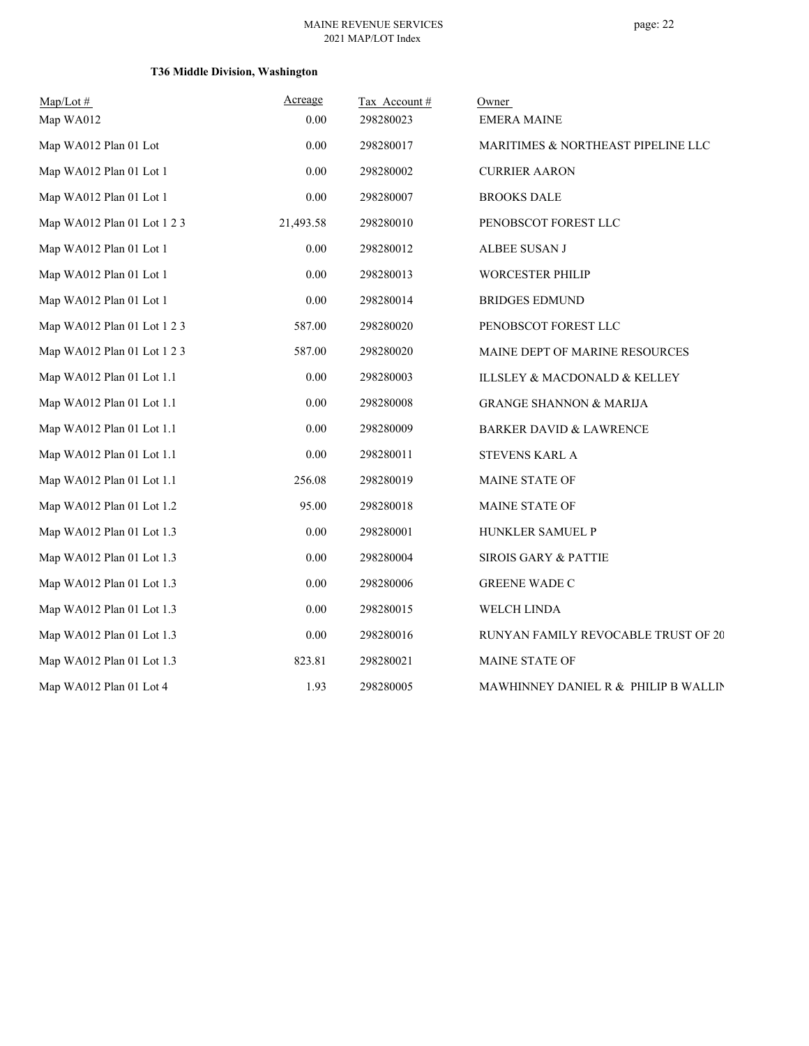## **T36 Middle Division, Washington**

| $Map/Lot \#$                | Acreage   | Tax Account# | Owner                                |
|-----------------------------|-----------|--------------|--------------------------------------|
| Map WA012                   | 0.00      | 298280023    | <b>EMERA MAINE</b>                   |
| Map WA012 Plan 01 Lot       | 0.00      | 298280017    | MARITIMES & NORTHEAST PIPELINE LLC   |
| Map WA012 Plan 01 Lot 1     | 0.00      | 298280002    | <b>CURRIER AARON</b>                 |
| Map WA012 Plan 01 Lot 1     | 0.00      | 298280007    | <b>BROOKS DALE</b>                   |
| Map WA012 Plan 01 Lot 1 2 3 | 21,493.58 | 298280010    | PENOBSCOT FOREST LLC                 |
| Map WA012 Plan 01 Lot 1     | 0.00      | 298280012    | ALBEE SUSAN J                        |
| Map WA012 Plan 01 Lot 1     | 0.00      | 298280013    | WORCESTER PHILIP                     |
| Map WA012 Plan 01 Lot 1     | 0.00      | 298280014    | <b>BRIDGES EDMUND</b>                |
| Map WA012 Plan 01 Lot 1 2 3 | 587.00    | 298280020    | PENOBSCOT FOREST LLC                 |
| Map WA012 Plan 01 Lot 1 2 3 | 587.00    | 298280020    | MAINE DEPT OF MARINE RESOURCES       |
| Map WA012 Plan 01 Lot 1.1   | 0.00      | 298280003    | ILLSLEY & MACDONALD & KELLEY         |
| Map WA012 Plan 01 Lot 1.1   | 0.00      | 298280008    | <b>GRANGE SHANNON &amp; MARIJA</b>   |
| Map WA012 Plan 01 Lot 1.1   | 0.00      | 298280009    | <b>BARKER DAVID &amp; LAWRENCE</b>   |
| Map WA012 Plan 01 Lot 1.1   | 0.00      | 298280011    | STEVENS KARL A                       |
| Map WA012 Plan 01 Lot 1.1   | 256.08    | 298280019    | MAINE STATE OF                       |
| Map WA012 Plan 01 Lot 1.2   | 95.00     | 298280018    | MAINE STATE OF                       |
| Map WA012 Plan 01 Lot 1.3   | 0.00      | 298280001    | HUNKLER SAMUEL P                     |
| Map WA012 Plan 01 Lot 1.3   | 0.00      | 298280004    | <b>SIROIS GARY &amp; PATTIE</b>      |
| Map WA012 Plan 01 Lot 1.3   | 0.00      | 298280006    | <b>GREENE WADE C</b>                 |
| Map WA012 Plan 01 Lot 1.3   | 0.00      | 298280015    | WELCH LINDA                          |
| Map WA012 Plan 01 Lot 1.3   | 0.00      | 298280016    | RUNYAN FAMILY REVOCABLE TRUST OF 20  |
| Map WA012 Plan 01 Lot 1.3   | 823.81    | 298280021    | MAINE STATE OF                       |
| Map WA012 Plan 01 Lot 4     | 1.93      | 298280005    | MAWHINNEY DANIEL R & PHILIP B WALLIN |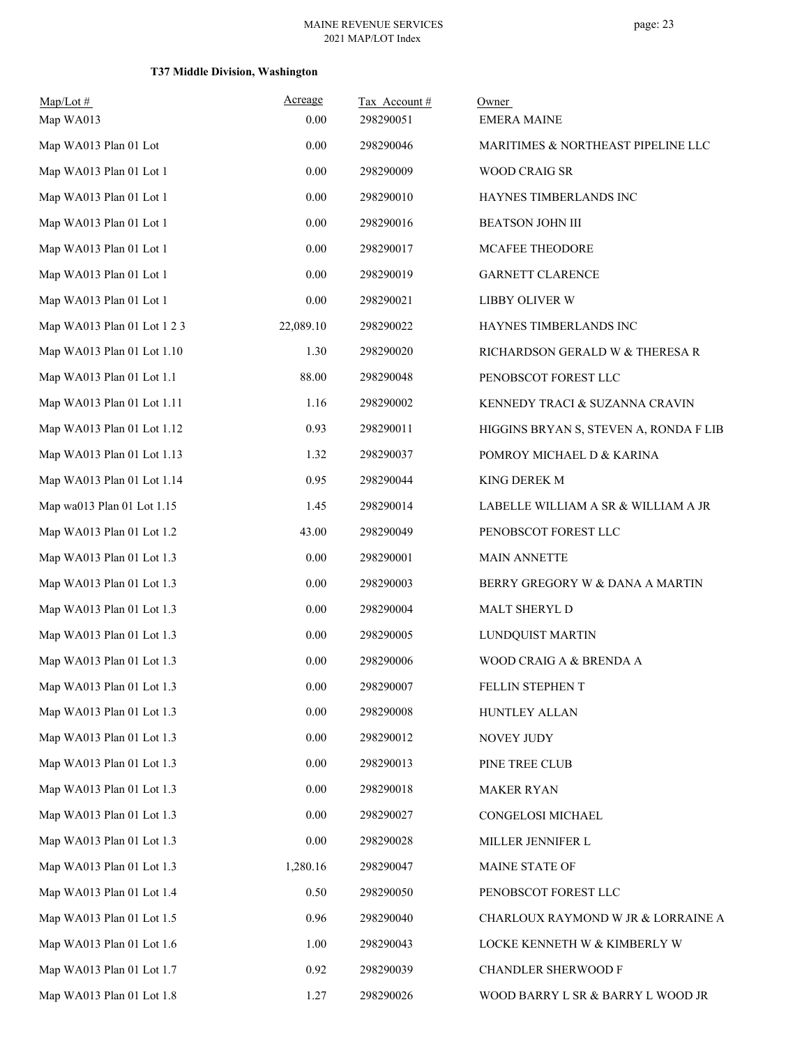## **T37 Middle Division, Washington**

| $Map/Lot \#$<br>Map WA013   | Acreage<br>0.00 | Tax Account#<br>298290051 | Owner<br><b>EMERA MAINE</b>            |
|-----------------------------|-----------------|---------------------------|----------------------------------------|
| Map WA013 Plan 01 Lot       | 0.00            | 298290046                 | MARITIMES & NORTHEAST PIPELINE LLC     |
| Map WA013 Plan 01 Lot 1     | 0.00            | 298290009                 | <b>WOOD CRAIG SR</b>                   |
| Map WA013 Plan 01 Lot 1     | 0.00            | 298290010                 | HAYNES TIMBERLANDS INC                 |
| Map WA013 Plan 01 Lot 1     | 0.00            | 298290016                 | <b>BEATSON JOHN III</b>                |
| Map WA013 Plan 01 Lot 1     | 0.00            | 298290017                 | MCAFEE THEODORE                        |
| Map WA013 Plan 01 Lot 1     | 0.00            | 298290019                 | GARNETT CLARENCE                       |
| Map WA013 Plan 01 Lot 1     | 0.00            | 298290021                 | LIBBY OLIVER W                         |
| Map WA013 Plan 01 Lot 1 2 3 | 22,089.10       | 298290022                 | HAYNES TIMBERLANDS INC                 |
| Map WA013 Plan 01 Lot 1.10  | 1.30            | 298290020                 | RICHARDSON GERALD W & THERESA R        |
| Map WA013 Plan 01 Lot 1.1   | 88.00           | 298290048                 | PENOBSCOT FOREST LLC                   |
| Map WA013 Plan 01 Lot 1.11  | 1.16            | 298290002                 | KENNEDY TRACI & SUZANNA CRAVIN         |
| Map WA013 Plan 01 Lot 1.12  | 0.93            | 298290011                 | HIGGINS BRYAN S, STEVEN A, RONDA F LIB |
| Map WA013 Plan 01 Lot 1.13  | 1.32            | 298290037                 | POMROY MICHAEL D & KARINA              |
| Map WA013 Plan 01 Lot 1.14  | 0.95            | 298290044                 | KING DEREK M                           |
| Map wa013 Plan 01 Lot 1.15  | 1.45            | 298290014                 | LABELLE WILLIAM A SR & WILLIAM A JR    |
| Map WA013 Plan 01 Lot 1.2   | 43.00           | 298290049                 | PENOBSCOT FOREST LLC                   |
| Map WA013 Plan 01 Lot 1.3   | 0.00            | 298290001                 | <b>MAIN ANNETTE</b>                    |
| Map WA013 Plan 01 Lot 1.3   | 0.00            | 298290003                 | BERRY GREGORY W & DANA A MARTIN        |
| Map WA013 Plan 01 Lot 1.3   | 0.00            | 298290004                 | MALT SHERYL D                          |
| Map WA013 Plan 01 Lot 1.3   | 0.00            | 298290005                 | LUNDQUIST MARTIN                       |
| Map WA013 Plan 01 Lot 1.3   | 0.00            | 298290006                 | WOOD CRAIG A & BRENDA A                |
| Map WA013 Plan 01 Lot 1.3   | $0.00\,$        | 298290007                 | FELLIN STEPHEN T                       |
| Map WA013 Plan 01 Lot 1.3   | 0.00            | 298290008                 | HUNTLEY ALLAN                          |
| Map WA013 Plan 01 Lot 1.3   | 0.00            | 298290012                 | NOVEY JUDY                             |
| Map WA013 Plan 01 Lot 1.3   | $0.00\,$        | 298290013                 | PINE TREE CLUB                         |
| Map WA013 Plan 01 Lot 1.3   | 0.00            | 298290018                 | <b>MAKER RYAN</b>                      |
| Map WA013 Plan 01 Lot 1.3   | 0.00            | 298290027                 | CONGELOSI MICHAEL                      |
| Map WA013 Plan 01 Lot 1.3   | 0.00            | 298290028                 | MILLER JENNIFER L                      |
| Map WA013 Plan 01 Lot 1.3   | 1,280.16        | 298290047                 | MAINE STATE OF                         |
| Map WA013 Plan 01 Lot 1.4   | 0.50            | 298290050                 | PENOBSCOT FOREST LLC                   |
| Map WA013 Plan 01 Lot 1.5   | 0.96            | 298290040                 | CHARLOUX RAYMOND W JR & LORRAINE A     |
| Map WA013 Plan 01 Lot 1.6   | 1.00            | 298290043                 | LOCKE KENNETH W & KIMBERLY W           |
| Map WA013 Plan 01 Lot 1.7   | 0.92            | 298290039                 | CHANDLER SHERWOOD F                    |
| Map WA013 Plan 01 Lot 1.8   | 1.27            | 298290026                 | WOOD BARRY L SR & BARRY L WOOD JR      |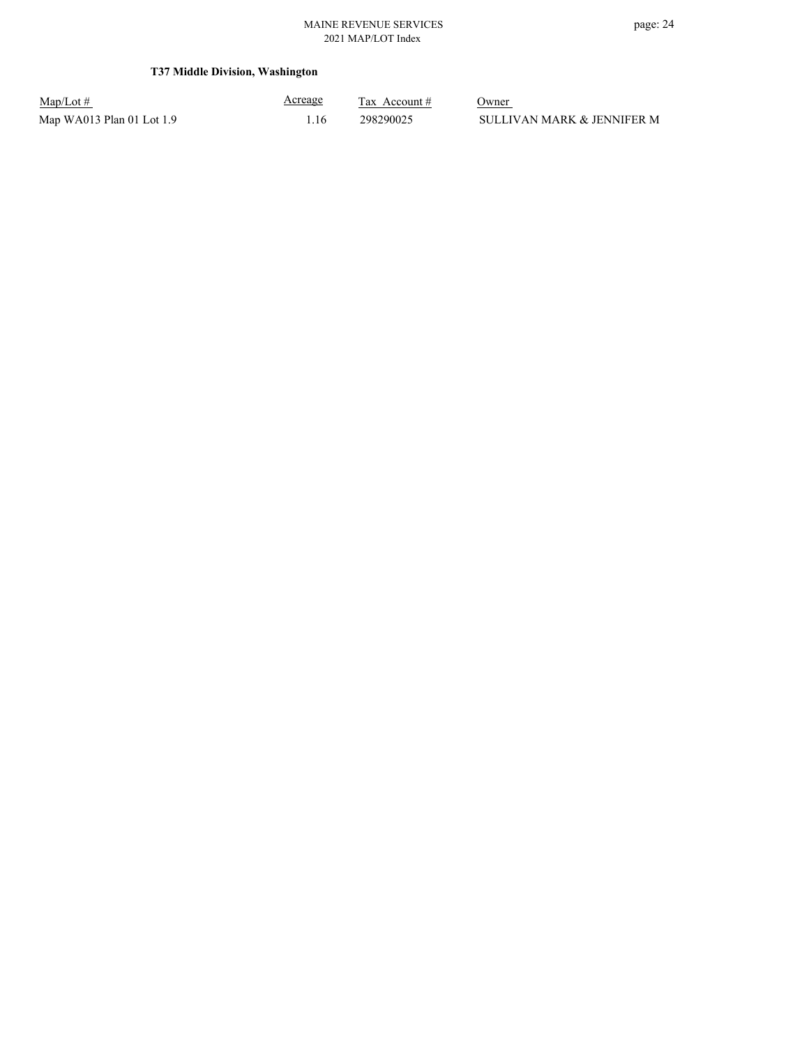## **T37 Middle Division, Washington**

| $Map/Lot \#$              | <u>Acreage</u> | Tax Account $#$ | Owner                      |
|---------------------------|----------------|-----------------|----------------------------|
| Map WA013 Plan 01 Lot 1.9 |                | 298290025       | SULLIVAN MARK & JENNIFER M |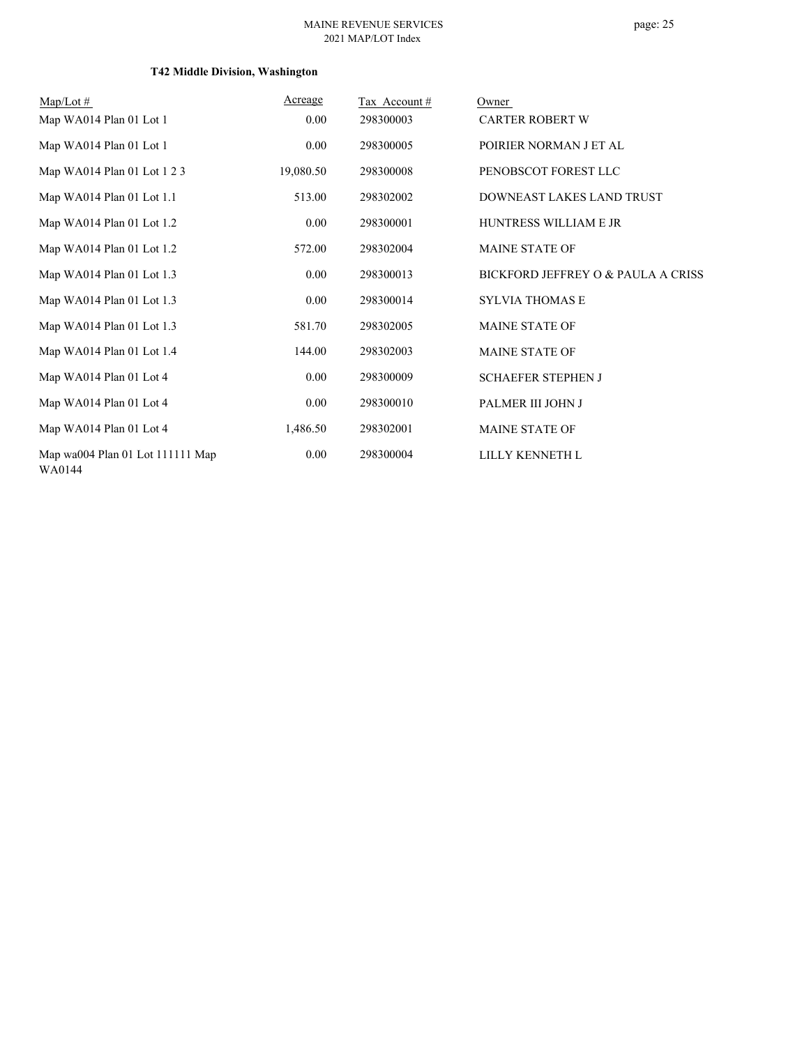## **T42 Middle Division, Washington**

| $Map/Lot \#$                               | Acreage   | Tax Account# | Owner                              |
|--------------------------------------------|-----------|--------------|------------------------------------|
| Map WA014 Plan 01 Lot 1                    | 0.00      | 298300003    | <b>CARTER ROBERT W</b>             |
| Map WA014 Plan 01 Lot 1                    | 0.00      | 298300005    | POIRIER NORMAN J ET AL             |
| Map WA014 Plan 01 Lot 1 2 3                | 19,080.50 | 298300008    | PENOBSCOT FOREST LLC               |
| Map WA014 Plan 01 Lot 1.1                  | 513.00    | 298302002    | DOWNEAST LAKES LAND TRUST          |
| Map WA014 Plan 01 Lot 1.2                  | 0.00      | 298300001    | <b>HUNTRESS WILLIAM E JR</b>       |
| Map WA014 Plan 01 Lot 1.2                  | 572.00    | 298302004    | <b>MAINE STATE OF</b>              |
| Map WA014 Plan 01 Lot 1.3                  | 0.00      | 298300013    | BICKFORD JEFFREY O & PAULA A CRISS |
| Map WA014 Plan 01 Lot 1.3                  | 0.00      | 298300014    | SYLVIA THOMAS E                    |
| Map WA014 Plan 01 Lot 1.3                  | 581.70    | 298302005    | <b>MAINE STATE OF</b>              |
| Map WA014 Plan 01 Lot 1.4                  | 144.00    | 298302003    | MAINE STATE OF                     |
| Map WA014 Plan 01 Lot 4                    | 0.00      | 298300009    | <b>SCHAEFER STEPHEN J</b>          |
| Map WA014 Plan 01 Lot 4                    | 0.00      | 298300010    | PALMER III JOHN J                  |
| Map WA014 Plan 01 Lot 4                    | 1,486.50  | 298302001    | <b>MAINE STATE OF</b>              |
| Map wa004 Plan 01 Lot 111111 Map<br>WA0144 | 0.00      | 298300004    | LILLY KENNETH L                    |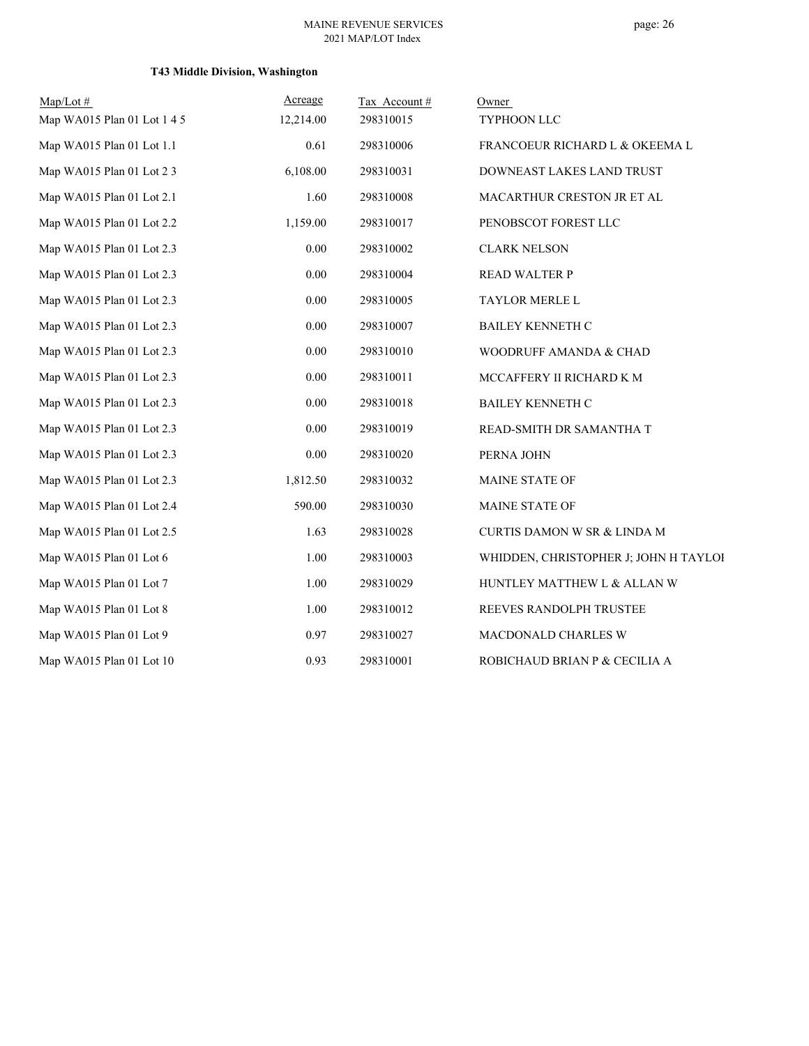# page: 26

## **T43 Middle Division, Washington**

| $Map/Lot \#$                | Acreage   | Tax Account# | Owner                                 |
|-----------------------------|-----------|--------------|---------------------------------------|
| Map WA015 Plan 01 Lot 1 4 5 | 12,214.00 | 298310015    | TYPHOON LLC                           |
| Map WA015 Plan 01 Lot 1.1   | 0.61      | 298310006    | FRANCOEUR RICHARD L & OKEEMA L        |
| Map WA015 Plan 01 Lot 2 3   | 6,108.00  | 298310031    | DOWNEAST LAKES LAND TRUST             |
| Map WA015 Plan 01 Lot 2.1   | 1.60      | 298310008    | MACARTHUR CRESTON JR ET AL            |
| Map WA015 Plan 01 Lot 2.2   | 1,159.00  | 298310017    | PENOBSCOT FOREST LLC                  |
| Map WA015 Plan 01 Lot 2.3   | 0.00      | 298310002    | <b>CLARK NELSON</b>                   |
| Map WA015 Plan 01 Lot 2.3   | 0.00      | 298310004    | <b>READ WALTER P</b>                  |
| Map WA015 Plan 01 Lot 2.3   | 0.00      | 298310005    | TAYLOR MERLE L                        |
| Map WA015 Plan 01 Lot 2.3   | $0.00\,$  | 298310007    | BAILEY KENNETH C                      |
| Map WA015 Plan 01 Lot 2.3   | 0.00      | 298310010    | WOODRUFF AMANDA & CHAD                |
| Map WA015 Plan 01 Lot 2.3   | $0.00\,$  | 298310011    | MCCAFFERY II RICHARD K M              |
| Map WA015 Plan 01 Lot 2.3   | $0.00\,$  | 298310018    | BAILEY KENNETH C                      |
| Map WA015 Plan 01 Lot 2.3   | $0.00\,$  | 298310019    | READ-SMITH DR SAMANTHA T              |
| Map WA015 Plan 01 Lot 2.3   | $0.00\,$  | 298310020    | PERNA JOHN                            |
| Map WA015 Plan 01 Lot 2.3   | 1,812.50  | 298310032    | MAINE STATE OF                        |
| Map WA015 Plan 01 Lot 2.4   | 590.00    | 298310030    | <b>MAINE STATE OF</b>                 |
| Map WA015 Plan 01 Lot 2.5   | 1.63      | 298310028    | CURTIS DAMON W SR & LINDA M           |
| Map WA015 Plan 01 Lot 6     | 1.00      | 298310003    | WHIDDEN, CHRISTOPHER J; JOHN H TAYLOI |
| Map WA015 Plan 01 Lot 7     | 1.00      | 298310029    | HUNTLEY MATTHEW L & ALLAN W           |
| Map WA015 Plan 01 Lot 8     | 1.00      | 298310012    | REEVES RANDOLPH TRUSTEE               |
| Map WA015 Plan 01 Lot 9     | 0.97      | 298310027    | MACDONALD CHARLES W                   |
| Map WA015 Plan 01 Lot 10    | 0.93      | 298310001    | ROBICHAUD BRIAN P & CECILIA A         |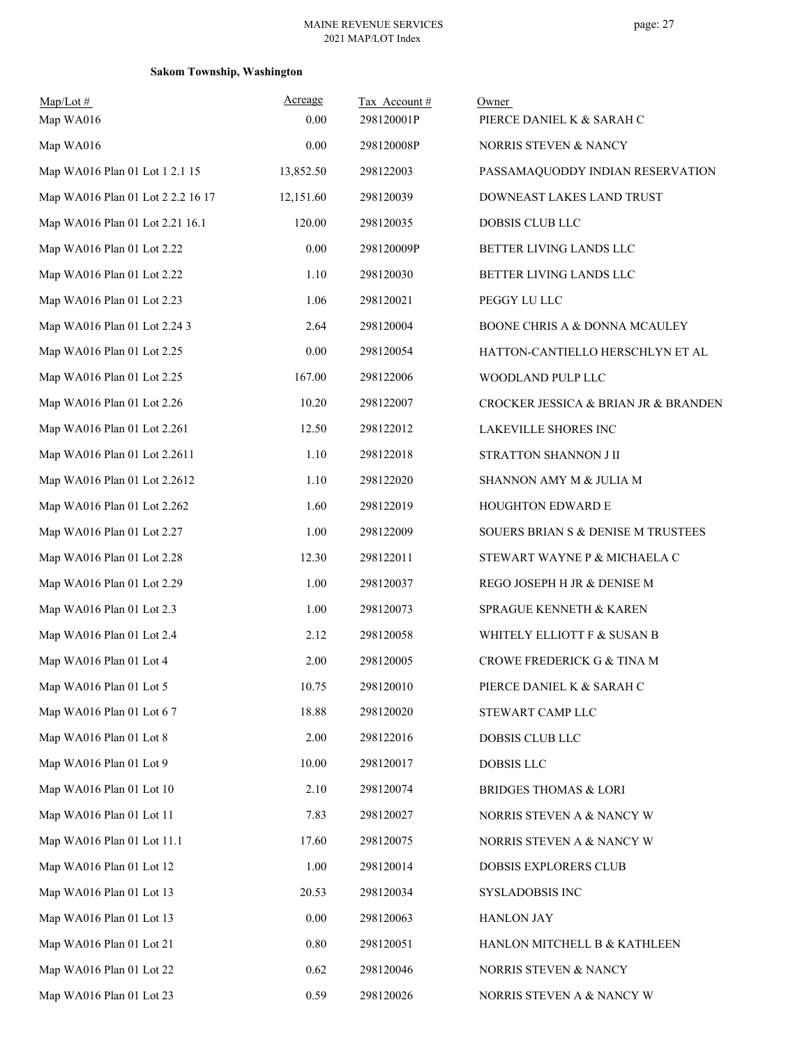## **Sakom Township, Washington**

| $Map/Lot$ #                       | Acreage   | Tax Account# | Owner                                |
|-----------------------------------|-----------|--------------|--------------------------------------|
| Map WA016                         | 0.00      | 298120001P   | PIERCE DANIEL K & SARAH C            |
| Map WA016                         | 0.00      | 298120008P   | NORRIS STEVEN & NANCY                |
| Map WA016 Plan 01 Lot 1 2.1 15    | 13,852.50 | 298122003    | PASSAMAQUODDY INDIAN RESERVATION     |
| Map WA016 Plan 01 Lot 2 2.2 16 17 | 12,151.60 | 298120039    | DOWNEAST LAKES LAND TRUST            |
| Map WA016 Plan 01 Lot 2.21 16.1   | 120.00    | 298120035    | DOBSIS CLUB LLC                      |
| Map WA016 Plan 01 Lot 2.22        | 0.00      | 298120009P   | BETTER LIVING LANDS LLC              |
| Map WA016 Plan 01 Lot 2.22        | 1.10      | 298120030    | BETTER LIVING LANDS LLC              |
| Map WA016 Plan 01 Lot 2.23        | 1.06      | 298120021    | PEGGY LU LLC                         |
| Map WA016 Plan 01 Lot 2.24 3      | 2.64      | 298120004    | BOONE CHRIS A & DONNA MCAULEY        |
| Map WA016 Plan 01 Lot 2.25        | 0.00      | 298120054    | HATTON-CANTIELLO HERSCHLYN ET AL     |
| Map WA016 Plan 01 Lot 2.25        | 167.00    | 298122006    | WOODLAND PULP LLC                    |
| Map WA016 Plan 01 Lot 2.26        | 10.20     | 298122007    | CROCKER JESSICA & BRIAN JR & BRANDEN |
| Map WA016 Plan 01 Lot 2.261       | 12.50     | 298122012    | LAKEVILLE SHORES INC                 |
| Map WA016 Plan 01 Lot 2.2611      | 1.10      | 298122018    | STRATTON SHANNON J II                |
| Map WA016 Plan 01 Lot 2.2612      | 1.10      | 298122020    | SHANNON AMY M & JULIA M              |
| Map WA016 Plan 01 Lot 2.262       | 1.60      | 298122019    | HOUGHTON EDWARD E                    |
| Map WA016 Plan 01 Lot 2.27        | 1.00      | 298122009    | SOUERS BRIAN S & DENISE M TRUSTEES   |
| Map WA016 Plan 01 Lot 2.28        | 12.30     | 298122011    | STEWART WAYNE P & MICHAELA C         |
| Map WA016 Plan 01 Lot 2.29        | 1.00      | 298120037    | REGO JOSEPH H JR & DENISE M          |
| Map WA016 Plan 01 Lot 2.3         | 1.00      | 298120073    | SPRAGUE KENNETH & KAREN              |
| Map WA016 Plan 01 Lot 2.4         | 2.12      | 298120058    | WHITELY ELLIOTT F & SUSAN B          |
| Map WA016 Plan 01 Lot 4           | 2.00      | 298120005    | CROWE FREDERICK G & TINA M           |
| Map WA016 Plan 01 Lot 5           | 10.75     | 298120010    | PIERCE DANIEL K & SARAH C            |
| Map WA016 Plan 01 Lot 67          | 18.88     | 298120020    | STEWART CAMP LLC                     |
| Map WA016 Plan 01 Lot 8           | 2.00      | 298122016    | DOBSIS CLUB LLC                      |
| Map WA016 Plan 01 Lot 9           | 10.00     | 298120017    | <b>DOBSIS LLC</b>                    |
| Map WA016 Plan 01 Lot 10          | 2.10      | 298120074    | <b>BRIDGES THOMAS &amp; LORI</b>     |
| Map WA016 Plan 01 Lot 11          | 7.83      | 298120027    | NORRIS STEVEN A & NANCY W            |
| Map WA016 Plan 01 Lot 11.1        | 17.60     | 298120075    | NORRIS STEVEN A & NANCY W            |
| Map WA016 Plan 01 Lot 12          | 1.00      | 298120014    | DOBSIS EXPLORERS CLUB                |
| Map WA016 Plan 01 Lot 13          | 20.53     | 298120034    | SYSLADOBSIS INC                      |
| Map WA016 Plan 01 Lot 13          | 0.00      | 298120063    | <b>HANLON JAY</b>                    |
| Map WA016 Plan 01 Lot 21          | 0.80      | 298120051    | HANLON MITCHELL B & KATHLEEN         |
| Map WA016 Plan 01 Lot 22          | 0.62      | 298120046    | NORRIS STEVEN & NANCY                |
| Map WA016 Plan 01 Lot 23          | 0.59      | 298120026    | NORRIS STEVEN A & NANCY W            |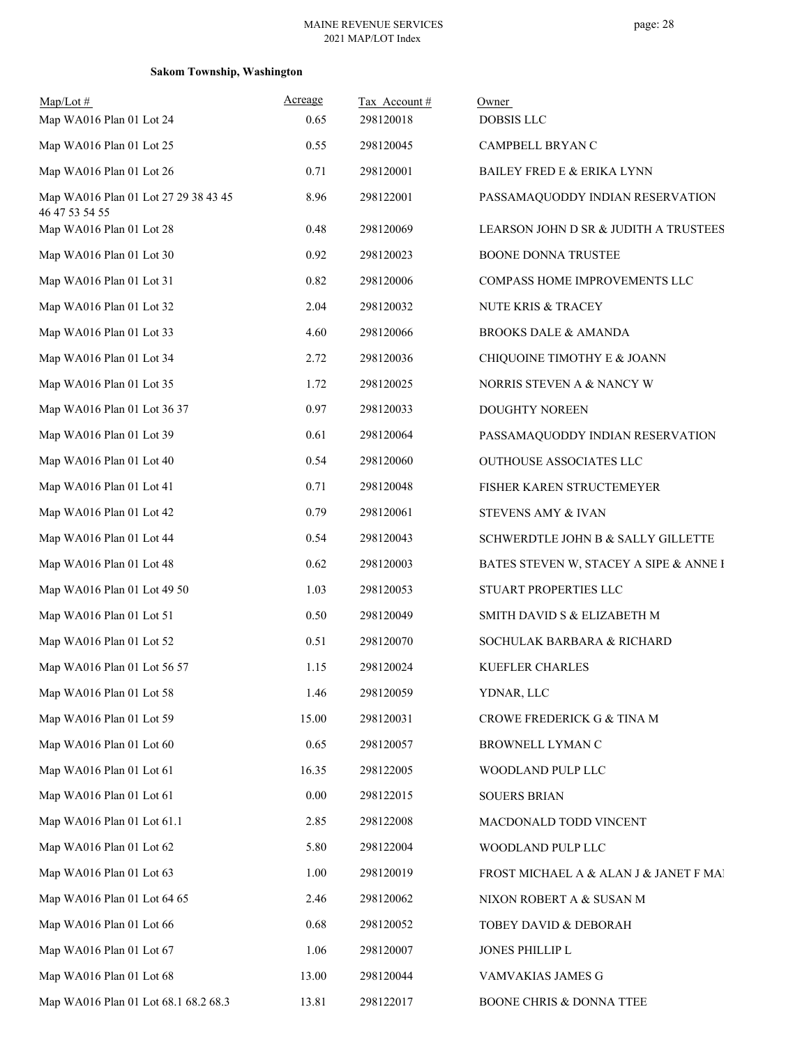## **Sakom Township, Washington**

| $Map/Lot$ #<br>Map WA016 Plan 01 Lot 24                | Acreage<br>0.65 | Tax Account#<br>298120018 | Owner<br><b>DOBSIS LLC</b>             |
|--------------------------------------------------------|-----------------|---------------------------|----------------------------------------|
| Map WA016 Plan 01 Lot 25                               | 0.55            | 298120045                 | CAMPBELL BRYAN C                       |
| Map WA016 Plan 01 Lot 26                               | 0.71            | 298120001                 | BAILEY FRED E & ERIKA LYNN             |
| Map WA016 Plan 01 Lot 27 29 38 43 45<br>46 47 53 54 55 | 8.96            | 298122001                 | PASSAMAQUODDY INDIAN RESERVATION       |
| Map WA016 Plan 01 Lot 28                               | 0.48            | 298120069                 | LEARSON JOHN D SR & JUDITH A TRUSTEES  |
| Map WA016 Plan 01 Lot 30                               | 0.92            | 298120023                 | BOONE DONNA TRUSTEE                    |
| Map WA016 Plan 01 Lot 31                               | 0.82            | 298120006                 | COMPASS HOME IMPROVEMENTS LLC          |
| Map WA016 Plan 01 Lot 32                               | 2.04            | 298120032                 | NUTE KRIS & TRACEY                     |
| Map WA016 Plan 01 Lot 33                               | 4.60            | 298120066                 | <b>BROOKS DALE &amp; AMANDA</b>        |
| Map WA016 Plan 01 Lot 34                               | 2.72            | 298120036                 | CHIQUOINE TIMOTHY E & JOANN            |
| Map WA016 Plan 01 Lot 35                               | 1.72            | 298120025                 | NORRIS STEVEN A & NANCY W              |
| Map WA016 Plan 01 Lot 36 37                            | 0.97            | 298120033                 | DOUGHTY NOREEN                         |
| Map WA016 Plan 01 Lot 39                               | 0.61            | 298120064                 | PASSAMAQUODDY INDIAN RESERVATION       |
| Map WA016 Plan 01 Lot 40                               | 0.54            | 298120060                 | <b>OUTHOUSE ASSOCIATES LLC</b>         |
| Map WA016 Plan 01 Lot 41                               | 0.71            | 298120048                 | FISHER KAREN STRUCTEMEYER              |
| Map WA016 Plan 01 Lot 42                               | 0.79            | 298120061                 | STEVENS AMY & IVAN                     |
| Map WA016 Plan 01 Lot 44                               | 0.54            | 298120043                 | SCHWERDTLE JOHN B & SALLY GILLETTE     |
| Map WA016 Plan 01 Lot 48                               | 0.62            | 298120003                 | BATES STEVEN W, STACEY A SIPE & ANNE I |
| Map WA016 Plan 01 Lot 49 50                            | 1.03            | 298120053                 | STUART PROPERTIES LLC                  |
| Map WA016 Plan 01 Lot 51                               | 0.50            | 298120049                 | SMITH DAVID S & ELIZABETH M            |
| Map WA016 Plan 01 Lot 52                               | 0.51            | 298120070                 | SOCHULAK BARBARA & RICHARD             |
| Map WA016 Plan 01 Lot 56 57                            | 1.15            | 298120024                 | KUEFLER CHARLES                        |
| Map WA016 Plan 01 Lot 58                               | 1.46            | 298120059                 | YDNAR, LLC                             |
| Map WA016 Plan 01 Lot 59                               | 15.00           | 298120031                 | CROWE FREDERICK G & TINA M             |
| Map WA016 Plan 01 Lot 60                               | 0.65            | 298120057                 | BROWNELL LYMAN C                       |
| Map WA016 Plan 01 Lot 61                               | 16.35           | 298122005                 | WOODLAND PULP LLC                      |
| Map WA016 Plan 01 Lot 61                               | $0.00\,$        | 298122015                 | <b>SOUERS BRIAN</b>                    |
| Map WA016 Plan 01 Lot 61.1                             | 2.85            | 298122008                 | MACDONALD TODD VINCENT                 |
| Map WA016 Plan 01 Lot 62                               | 5.80            | 298122004                 | WOODLAND PULP LLC                      |
| Map WA016 Plan 01 Lot 63                               | 1.00            | 298120019                 | FROST MICHAEL A & ALAN J & JANET F MAI |
| Map WA016 Plan 01 Lot 64 65                            | 2.46            | 298120062                 | NIXON ROBERT A & SUSAN M               |
| Map WA016 Plan 01 Lot 66                               | 0.68            | 298120052                 | TOBEY DAVID & DEBORAH                  |
| Map WA016 Plan 01 Lot 67                               | 1.06            | 298120007                 | JONES PHILLIP L                        |
| Map WA016 Plan 01 Lot 68                               | 13.00           | 298120044                 | VAMVAKIAS JAMES G                      |
| Map WA016 Plan 01 Lot 68.1 68.2 68.3                   | 13.81           | 298122017                 | BOONE CHRIS & DONNA TTEE               |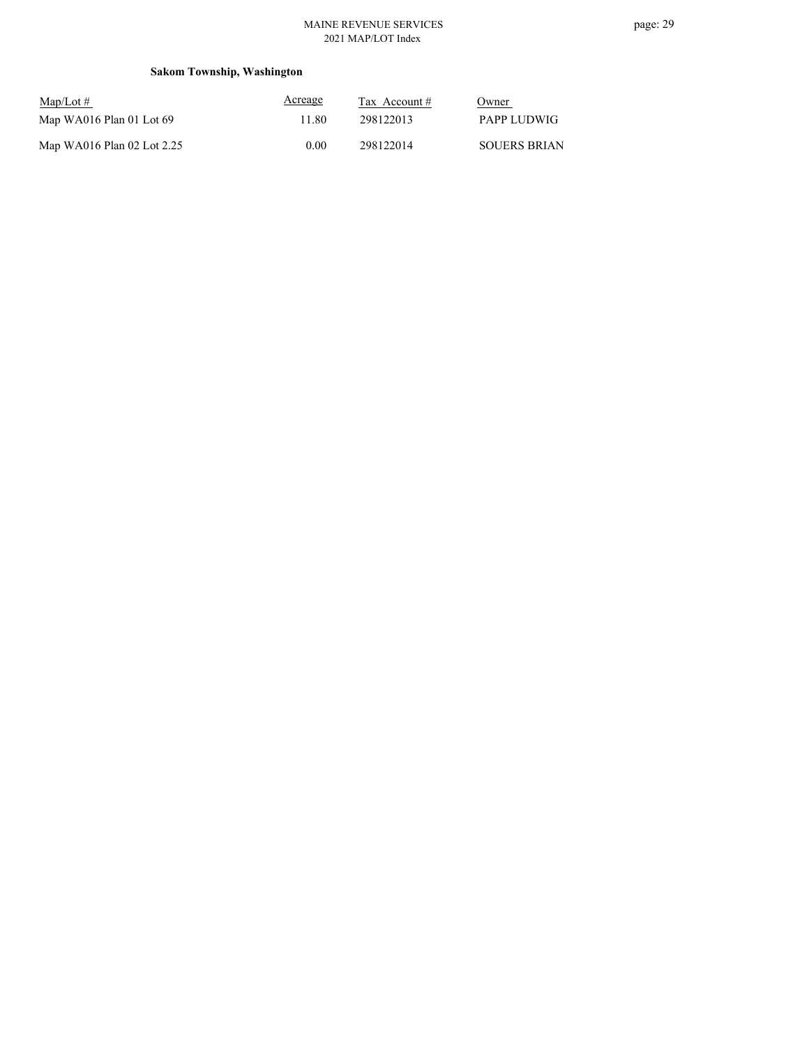## **Sakom Township, Washington**

| $\text{Map/Lot} \#$        | Acreage | Tax Account $#$ | Owner               |
|----------------------------|---------|-----------------|---------------------|
| Map WA016 Plan 01 Lot 69   | 11.80.  | 298122013       | PAPP LUDWIG         |
| Map WA016 Plan 02 Lot 2.25 | 0.00    | 298122014       | <b>SOUERS BRIAN</b> |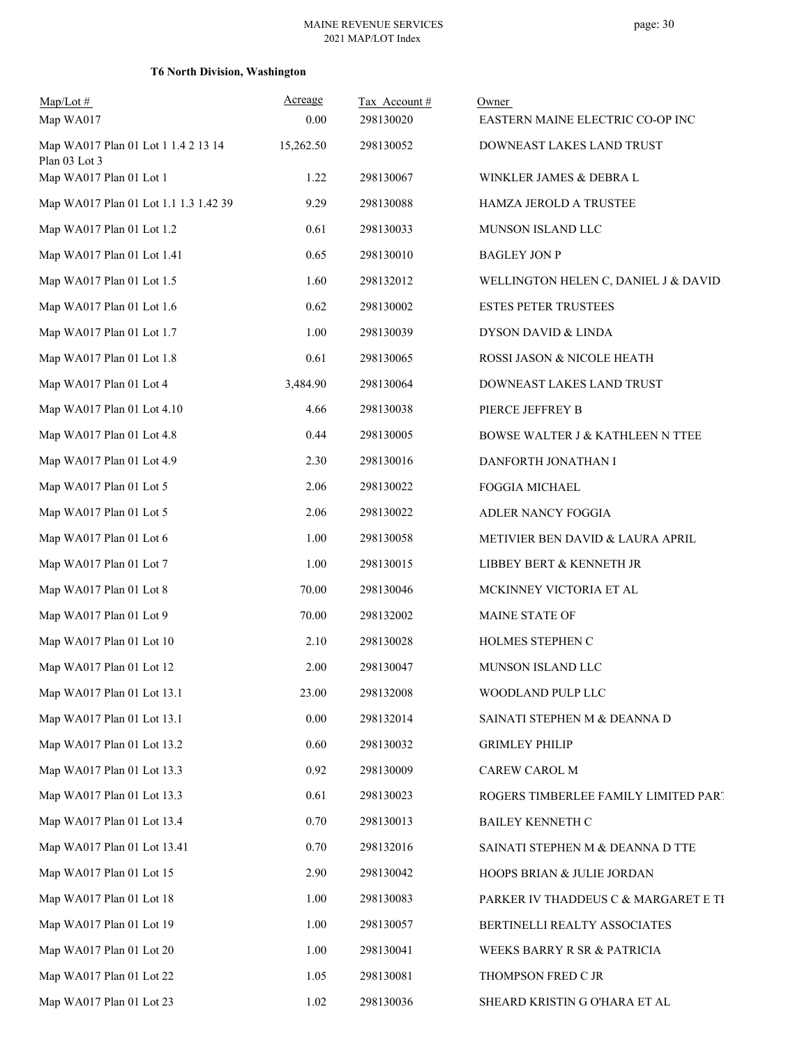## **T6 North Division, Washington**

| $Map/Lot \#$                                         | Acreage   | Tax Account# | Owner                                 |
|------------------------------------------------------|-----------|--------------|---------------------------------------|
| Map WA017                                            | 0.00      | 298130020    | EASTERN MAINE ELECTRIC CO-OP INC      |
| Map WA017 Plan 01 Lot 1 1.4 2 13 14<br>Plan 03 Lot 3 | 15,262.50 | 298130052    | DOWNEAST LAKES LAND TRUST             |
| Map WA017 Plan 01 Lot 1                              | 1.22      | 298130067    | WINKLER JAMES & DEBRA L               |
| Map WA017 Plan 01 Lot 1.1 1.3 1.42 39                | 9.29      | 298130088    | HAMZA JEROLD A TRUSTEE                |
| Map WA017 Plan 01 Lot 1.2                            | 0.61      | 298130033    | MUNSON ISLAND LLC                     |
| Map WA017 Plan 01 Lot 1.41                           | 0.65      | 298130010    | <b>BAGLEY JON P</b>                   |
| Map WA017 Plan 01 Lot 1.5                            | 1.60      | 298132012    | WELLINGTON HELEN C, DANIEL J & DAVID. |
| Map WA017 Plan 01 Lot 1.6                            | 0.62      | 298130002    | <b>ESTES PETER TRUSTEES</b>           |
| Map WA017 Plan 01 Lot 1.7                            | 1.00      | 298130039    | DYSON DAVID & LINDA                   |
| Map WA017 Plan 01 Lot 1.8                            | 0.61      | 298130065    | ROSSI JASON & NICOLE HEATH            |
| Map WA017 Plan 01 Lot 4                              | 3,484.90  | 298130064    | DOWNEAST LAKES LAND TRUST             |
| Map WA017 Plan 01 Lot 4.10                           | 4.66      | 298130038    | PIERCE JEFFREY B                      |
| Map WA017 Plan 01 Lot 4.8                            | 0.44      | 298130005    | BOWSE WALTER J & KATHLEEN N TTEE      |
| Map WA017 Plan 01 Lot 4.9                            | 2.30      | 298130016    | DANFORTH JONATHAN I                   |
| Map WA017 Plan 01 Lot 5                              | 2.06      | 298130022    | FOGGIA MICHAEL                        |
| Map WA017 Plan 01 Lot 5                              | 2.06      | 298130022    | ADLER NANCY FOGGIA                    |
| Map WA017 Plan 01 Lot 6                              | 1.00      | 298130058    | METIVIER BEN DAVID & LAURA APRIL      |
| Map WA017 Plan 01 Lot 7                              | 1.00      | 298130015    | LIBBEY BERT & KENNETH JR              |
| Map WA017 Plan 01 Lot 8                              | 70.00     | 298130046    | MCKINNEY VICTORIA ET AL               |
| Map WA017 Plan 01 Lot 9                              | 70.00     | 298132002    | MAINE STATE OF                        |
| Map WA017 Plan 01 Lot 10                             | 2.10      | 298130028    | HOLMES STEPHEN C                      |
| Map WA017 Plan 01 Lot 12                             | 2.00      | 298130047    | MUNSON ISLAND LLC                     |
| Map WA017 Plan 01 Lot 13.1                           | 23.00     | 298132008    | WOODLAND PULP LLC                     |
| Map WA017 Plan 01 Lot 13.1                           | 0.00      | 298132014    | SAINATI STEPHEN M & DEANNA D          |
| Map WA017 Plan 01 Lot 13.2                           | 0.60      | 298130032    | <b>GRIMLEY PHILIP</b>                 |
| Map WA017 Plan 01 Lot 13.3                           | 0.92      | 298130009    | CAREW CAROL M                         |
| Map WA017 Plan 01 Lot 13.3                           | 0.61      | 298130023    | ROGERS TIMBERLEE FAMILY LIMITED PART  |
| Map WA017 Plan 01 Lot 13.4                           | 0.70      | 298130013    | BAILEY KENNETH C                      |
| Map WA017 Plan 01 Lot 13.41                          | 0.70      | 298132016    | SAINATI STEPHEN M & DEANNA D TTE      |
| Map WA017 Plan 01 Lot 15                             | 2.90      | 298130042    | HOOPS BRIAN & JULIE JORDAN            |
| Map WA017 Plan 01 Lot 18                             | 1.00      | 298130083    | PARKER IV THADDEUS C & MARGARET E TI  |
| Map WA017 Plan 01 Lot 19                             | 1.00      | 298130057    | BERTINELLI REALTY ASSOCIATES          |
| Map WA017 Plan 01 Lot 20                             | 1.00      | 298130041    | WEEKS BARRY R SR & PATRICIA           |
| Map WA017 Plan 01 Lot 22                             | 1.05      | 298130081    | THOMPSON FRED C JR                    |
| Map WA017 Plan 01 Lot 23                             | 1.02      | 298130036    | SHEARD KRISTIN G O'HARA ET AL         |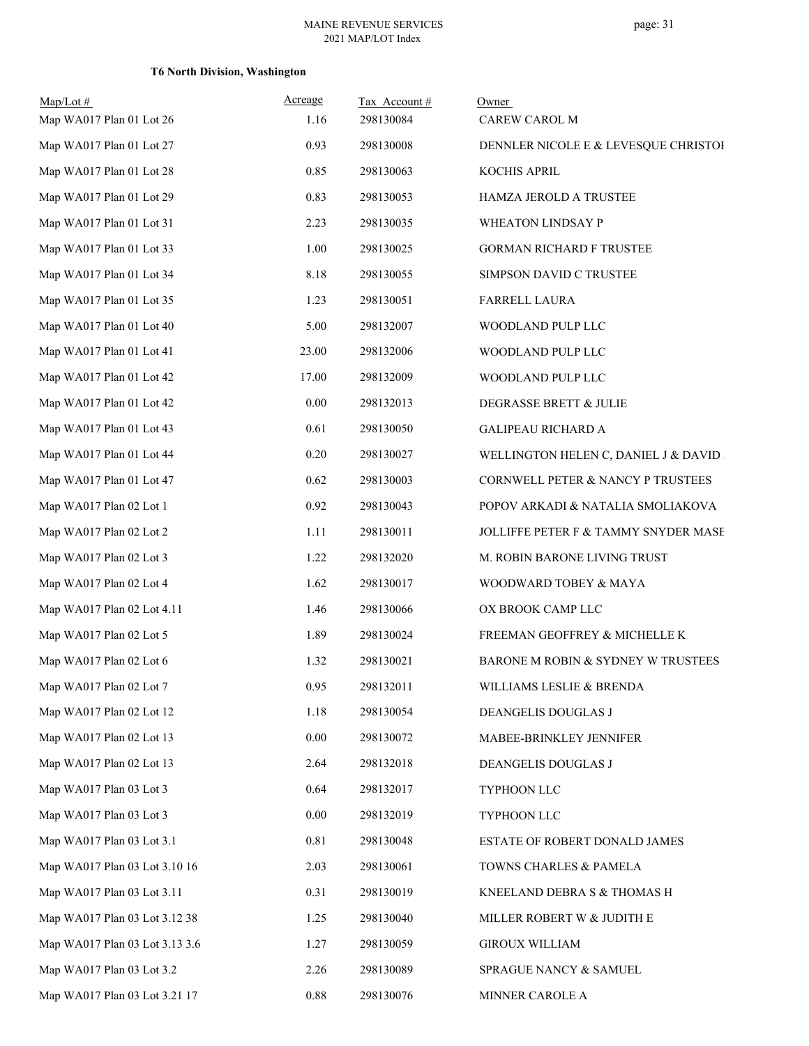## **T6 North Division, Washington**

| $Map/Lot \#$<br>Map WA017 Plan 01 Lot 26 | Acreage<br>1.16 | Tax Account#<br>298130084 | Owner<br>CAREW CAROL M                |
|------------------------------------------|-----------------|---------------------------|---------------------------------------|
| Map WA017 Plan 01 Lot 27                 | 0.93            | 298130008                 | DENNLER NICOLE E & LEVESQUE CHRISTOI  |
| Map WA017 Plan 01 Lot 28                 | 0.85            | 298130063                 | KOCHIS APRIL                          |
| Map WA017 Plan 01 Lot 29                 | 0.83            | 298130053                 | HAMZA JEROLD A TRUSTEE                |
| Map WA017 Plan 01 Lot 31                 | 2.23            | 298130035                 | WHEATON LINDSAY P                     |
| Map WA017 Plan 01 Lot 33                 | 1.00            | 298130025                 | <b>GORMAN RICHARD F TRUSTEE</b>       |
| Map WA017 Plan 01 Lot 34                 | 8.18            | 298130055                 | SIMPSON DAVID C TRUSTEE               |
| Map WA017 Plan 01 Lot 35                 | 1.23            | 298130051                 | <b>FARRELL LAURA</b>                  |
| Map WA017 Plan 01 Lot 40                 | 5.00            | 298132007                 | WOODLAND PULP LLC                     |
| Map WA017 Plan 01 Lot 41                 | 23.00           | 298132006                 | WOODLAND PULP LLC                     |
| Map WA017 Plan 01 Lot 42                 | 17.00           | 298132009                 | WOODLAND PULP LLC                     |
| Map WA017 Plan 01 Lot 42                 | 0.00            | 298132013                 | DEGRASSE BRETT & JULIE                |
| Map WA017 Plan 01 Lot 43                 | 0.61            | 298130050                 | <b>GALIPEAU RICHARD A</b>             |
| Map WA017 Plan 01 Lot 44                 | 0.20            | 298130027                 | WELLINGTON HELEN C, DANIEL J & DAVID. |
| Map WA017 Plan 01 Lot 47                 | 0.62            | 298130003                 | CORNWELL PETER & NANCY P TRUSTEES     |
| Map WA017 Plan 02 Lot 1                  | 0.92            | 298130043                 | POPOV ARKADI & NATALIA SMOLIAKOVA     |
| Map WA017 Plan 02 Lot 2                  | 1.11            | 298130011                 | JOLLIFFE PETER F & TAMMY SNYDER MASE  |
| Map WA017 Plan 02 Lot 3                  | 1.22            | 298132020                 | M. ROBIN BARONE LIVING TRUST          |
| Map WA017 Plan 02 Lot 4                  | 1.62            | 298130017                 | WOODWARD TOBEY & MAYA                 |
| Map WA017 Plan 02 Lot 4.11               | 1.46            | 298130066                 | OX BROOK CAMP LLC                     |
| Map WA017 Plan 02 Lot 5                  | 1.89            | 298130024                 | FREEMAN GEOFFREY & MICHELLE K         |
| Map WA017 Plan 02 Lot 6                  | 1.32            | 298130021                 | BARONE M ROBIN & SYDNEY W TRUSTEES    |
| Map WA017 Plan 02 Lot 7                  | 0.95            | 298132011                 | WILLIAMS LESLIE & BRENDA              |
| Map WA017 Plan 02 Lot 12                 | 1.18            | 298130054                 | DEANGELIS DOUGLAS J                   |
| Map WA017 Plan 02 Lot 13                 | $0.00\,$        | 298130072                 | MABEE-BRINKLEY JENNIFER               |
| Map WA017 Plan 02 Lot 13                 | 2.64            | 298132018                 | DEANGELIS DOUGLAS J                   |
| Map WA017 Plan 03 Lot 3                  | 0.64            | 298132017                 | TYPHOON LLC                           |
| Map WA017 Plan 03 Lot 3                  | 0.00            | 298132019                 | TYPHOON LLC                           |
| Map WA017 Plan 03 Lot 3.1                | 0.81            | 298130048                 | ESTATE OF ROBERT DONALD JAMES         |
| Map WA017 Plan 03 Lot 3.10 16            | 2.03            | 298130061                 | TOWNS CHARLES & PAMELA                |
| Map WA017 Plan 03 Lot 3.11               | 0.31            | 298130019                 | KNEELAND DEBRA S & THOMAS H           |
| Map WA017 Plan 03 Lot 3.12 38            | 1.25            | 298130040                 | MILLER ROBERT W & JUDITH E            |
| Map WA017 Plan 03 Lot 3.13 3.6           | 1.27            | 298130059                 | <b>GIROUX WILLIAM</b>                 |
| Map WA017 Plan 03 Lot 3.2                | 2.26            | 298130089                 | SPRAGUE NANCY & SAMUEL                |
| Map WA017 Plan 03 Lot 3.21 17            | 0.88            | 298130076                 | MINNER CAROLE A                       |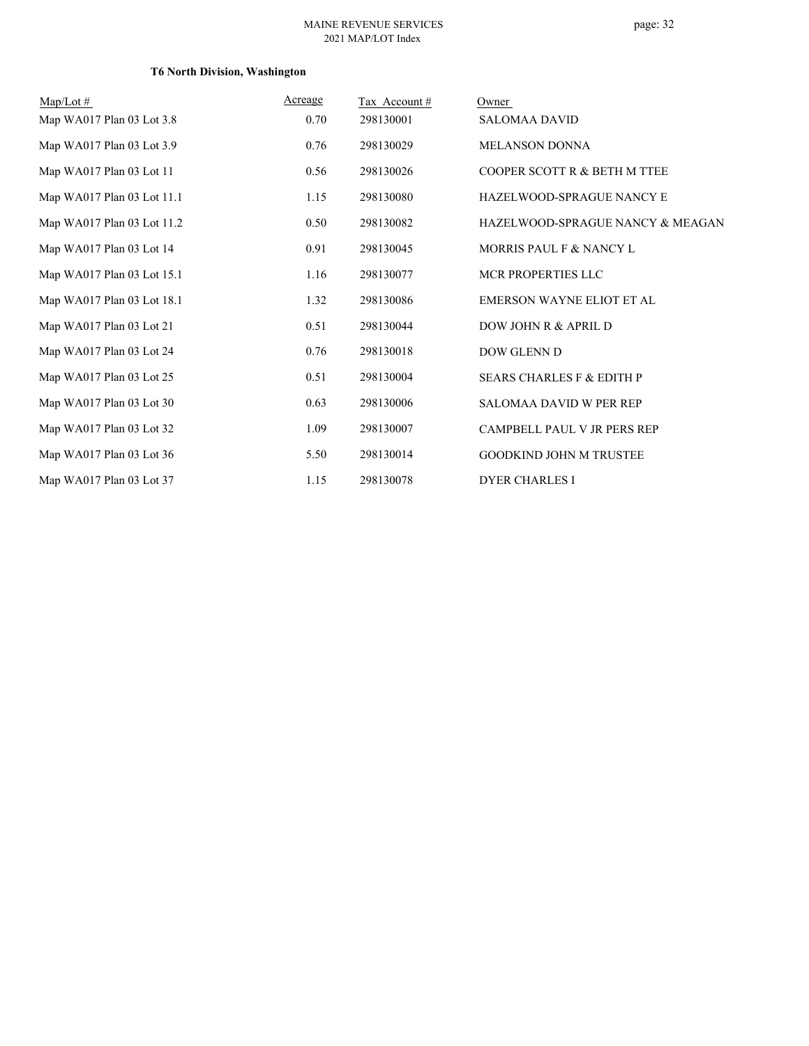## **T6 North Division, Washington**

| $Map/Lot \#$               | Acreage | Tax Account# | Owner                                |
|----------------------------|---------|--------------|--------------------------------------|
| Map WA017 Plan 03 Lot 3.8  | 0.70    | 298130001    | <b>SALOMAA DAVID</b>                 |
| Map WA017 Plan 03 Lot 3.9  | 0.76    | 298130029    | <b>MELANSON DONNA</b>                |
| Map WA017 Plan 03 Lot 11   | 0.56    | 298130026    | COOPER SCOTT R & BETH M TTEE         |
| Map WA017 Plan 03 Lot 11.1 | 1.15    | 298130080    | HAZELWOOD-SPRAGUE NANCY E            |
| Map WA017 Plan 03 Lot 11.2 | 0.50    | 298130082    | HAZELWOOD-SPRAGUE NANCY & MEAGAN     |
| Map WA017 Plan 03 Lot 14   | 0.91    | 298130045    | MORRIS PAUL F & NANCY L              |
| Map WA017 Plan 03 Lot 15.1 | 1.16    | 298130077    | MCR PROPERTIES LLC                   |
| Map WA017 Plan 03 Lot 18.1 | 1.32    | 298130086    | <b>EMERSON WAYNE ELIOT ET AL</b>     |
| Map WA017 Plan 03 Lot 21   | 0.51    | 298130044    | DOW JOHN R & APRIL D                 |
| Map WA017 Plan 03 Lot 24   | 0.76    | 298130018    | DOW GLENN D                          |
| Map WA017 Plan 03 Lot 25   | 0.51    | 298130004    | <b>SEARS CHARLES F &amp; EDITH P</b> |
| Map WA017 Plan 03 Lot 30   | 0.63    | 298130006    | <b>SALOMAA DAVID W PER REP</b>       |
| Map WA017 Plan 03 Lot 32   | 1.09    | 298130007    | CAMPBELL PAUL V JR PERS REP          |
| Map WA017 Plan 03 Lot 36   | 5.50    | 298130014    | <b>GOODKIND JOHN M TRUSTEE</b>       |
| Map WA017 Plan 03 Lot 37   | 1.15    | 298130078    | <b>DYER CHARLES I</b>                |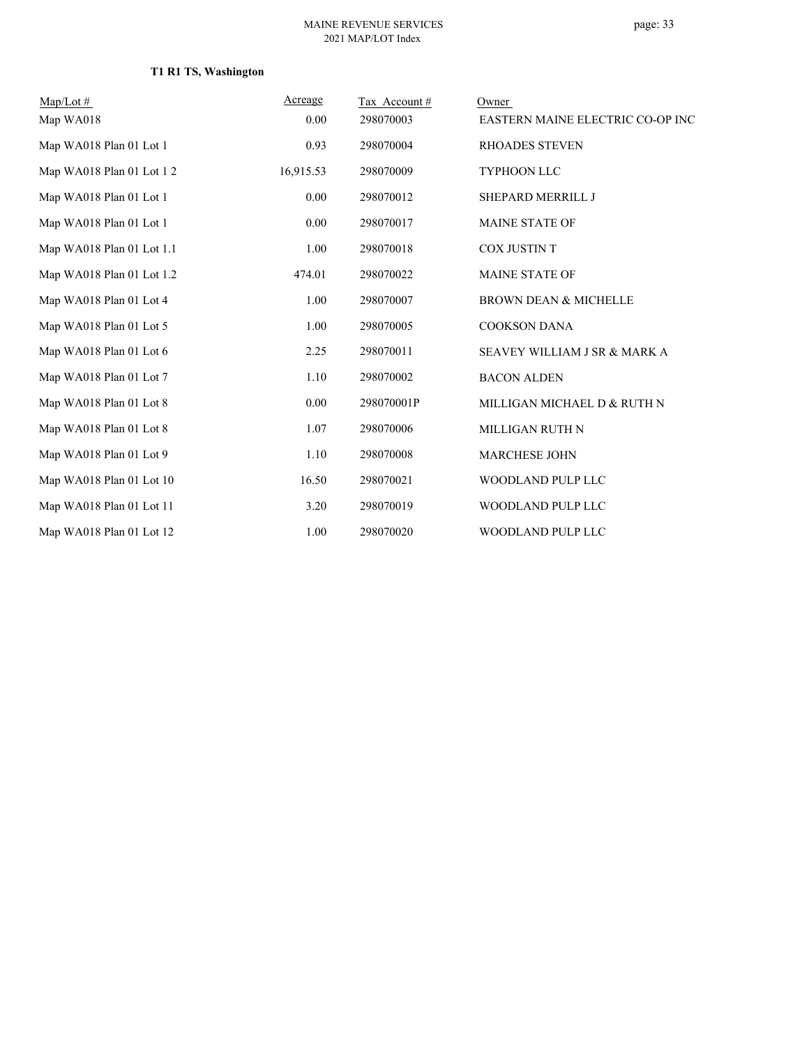## **T1 R1 TS, Washington**

| $Map/Lot \#$              | Acreage   | Tax Account# | Owner                            |
|---------------------------|-----------|--------------|----------------------------------|
| Map WA018                 | 0.00      | 298070003    | EASTERN MAINE ELECTRIC CO-OP INC |
| Map WA018 Plan 01 Lot 1   | 0.93      | 298070004    | <b>RHOADES STEVEN</b>            |
| Map WA018 Plan 01 Lot 1 2 | 16,915.53 | 298070009    | <b>TYPHOON LLC</b>               |
| Map WA018 Plan 01 Lot 1   | 0.00      | 298070012    | SHEPARD MERRILL J                |
| Map WA018 Plan 01 Lot 1   | 0.00      | 298070017    | <b>MAINE STATE OF</b>            |
| Map WA018 Plan 01 Lot 1.1 | 1.00      | 298070018    | COX JUSTIN T                     |
| Map WA018 Plan 01 Lot 1.2 | 474.01    | 298070022    | <b>MAINE STATE OF</b>            |
| Map WA018 Plan 01 Lot 4   | 1.00      | 298070007    | <b>BROWN DEAN &amp; MICHELLE</b> |
| Map WA018 Plan 01 Lot 5   | 1.00      | 298070005    | <b>COOKSON DANA</b>              |
| Map WA018 Plan 01 Lot 6   | 2.25      | 298070011    | SEAVEY WILLIAM J SR & MARK A     |
| Map WA018 Plan 01 Lot 7   | 1.10      | 298070002    | <b>BACON ALDEN</b>               |
| Map WA018 Plan 01 Lot 8   | 0.00      | 298070001P   | MILLIGAN MICHAEL D & RUTH N      |
| Map WA018 Plan 01 Lot 8   | 1.07      | 298070006    | MILLIGAN RUTH N                  |
| Map WA018 Plan 01 Lot 9   | 1.10      | 298070008    | <b>MARCHESE JOHN</b>             |
| Map WA018 Plan 01 Lot 10  | 16.50     | 298070021    | WOODLAND PULP LLC                |
| Map WA018 Plan 01 Lot 11  | 3.20      | 298070019    | WOODLAND PULP LLC                |
| Map WA018 Plan 01 Lot 12  | 1.00      | 298070020    | WOODLAND PULP LLC                |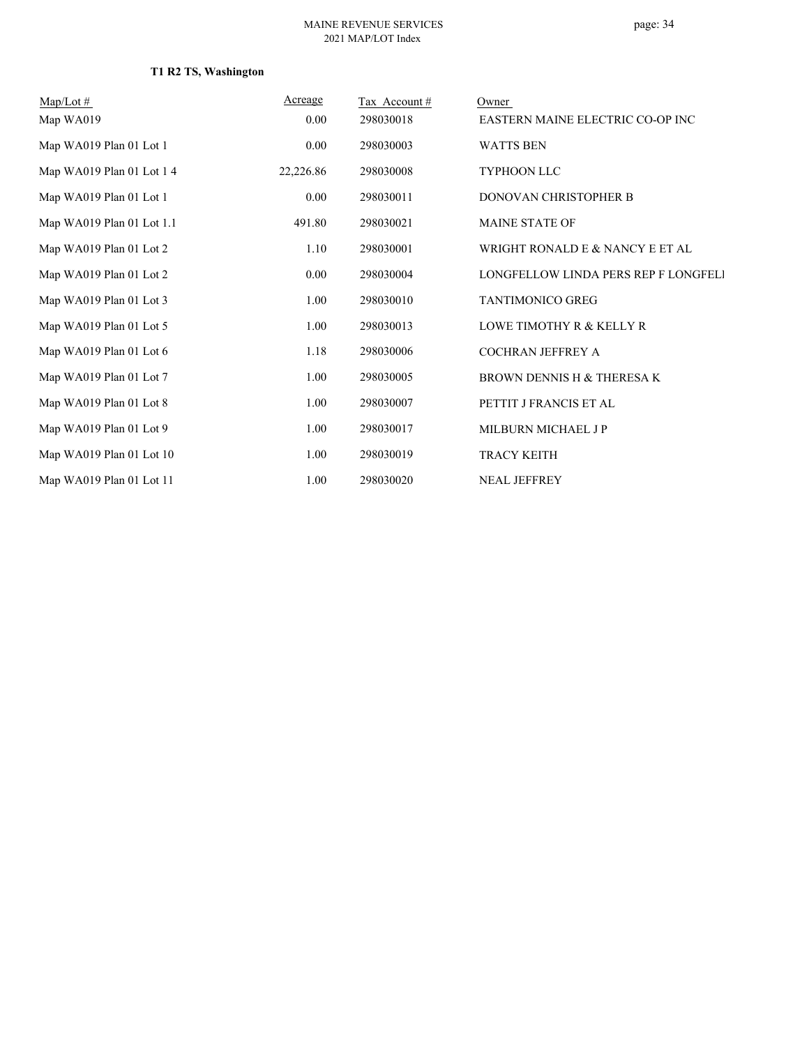## **T1 R2 TS, Washington**

| $Map/Lot \#$              | Acreage   | Tax Account# | Owner                                |
|---------------------------|-----------|--------------|--------------------------------------|
| Map WA019                 | 0.00      | 298030018    | EASTERN MAINE ELECTRIC CO-OP INC     |
| Map WA019 Plan 01 Lot 1   | 0.00      | 298030003    | <b>WATTS BEN</b>                     |
| Map WA019 Plan 01 Lot 1 4 | 22,226.86 | 298030008    | <b>TYPHOON LLC</b>                   |
| Map WA019 Plan 01 Lot 1   | $0.00\,$  | 298030011    | DONOVAN CHRISTOPHER B                |
| Map WA019 Plan 01 Lot 1.1 | 491.80    | 298030021    | <b>MAINE STATE OF</b>                |
| Map WA019 Plan 01 Lot 2   | 1.10      | 298030001    | WRIGHT RONALD E & NANCY E ET AL      |
| Map WA019 Plan 01 Lot 2   | 0.00      | 298030004    | LONGFELLOW LINDA PERS REP F LONGFELI |
| Map WA019 Plan 01 Lot 3   | 1.00      | 298030010    | <b>TANTIMONICO GREG</b>              |
| Map WA019 Plan 01 Lot 5   | 1.00      | 298030013    | LOWE TIMOTHY R & KELLY R             |
| Map WA019 Plan 01 Lot 6   | 1.18      | 298030006    | COCHRAN JEFFREY A                    |
| Map WA019 Plan 01 Lot 7   | 1.00      | 298030005    | BROWN DENNIS H & THERESA K           |
| Map WA019 Plan 01 Lot 8   | 1.00      | 298030007    | PETTIT J FRANCIS ET AL               |
| Map WA019 Plan 01 Lot 9   | 1.00      | 298030017    | MILBURN MICHAEL JP                   |
| Map WA019 Plan 01 Lot 10  | 1.00      | 298030019    | <b>TRACY KEITH</b>                   |
| Map WA019 Plan 01 Lot 11  | 1.00      | 298030020    | <b>NEAL JEFFREY</b>                  |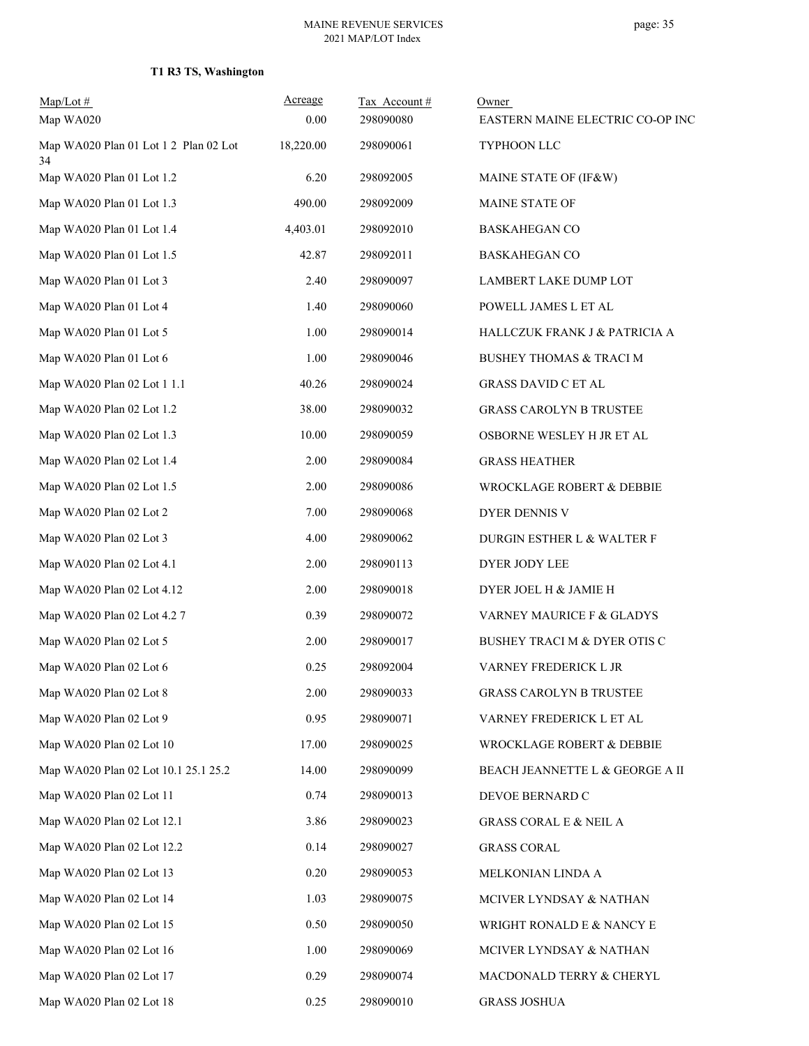## **T1 R3 TS, Washington**

| $Map/Lot \#$<br>Map WA020                   | Acreage<br>0.00 | Tax Account#<br>298090080 | Owner<br>EASTERN MAINE ELECTRIC CO-OP INC |
|---------------------------------------------|-----------------|---------------------------|-------------------------------------------|
| Map WA020 Plan 01 Lot 1 2 Plan 02 Lot<br>34 | 18,220.00       | 298090061                 | TYPHOON LLC                               |
| Map WA020 Plan 01 Lot 1.2                   | 6.20            | 298092005                 | MAINE STATE OF (IF&W)                     |
| Map WA020 Plan 01 Lot 1.3                   | 490.00          | 298092009                 | <b>MAINE STATE OF</b>                     |
| Map WA020 Plan 01 Lot 1.4                   | 4,403.01        | 298092010                 | <b>BASKAHEGAN CO</b>                      |
| Map WA020 Plan 01 Lot 1.5                   | 42.87           | 298092011                 | <b>BASKAHEGAN CO</b>                      |
| Map WA020 Plan 01 Lot 3                     | 2.40            | 298090097                 | LAMBERT LAKE DUMP LOT                     |
| Map WA020 Plan 01 Lot 4                     | 1.40            | 298090060                 | POWELL JAMES L ET AL                      |
| Map WA020 Plan 01 Lot 5                     | 1.00            | 298090014                 | HALLCZUK FRANK J & PATRICIA A             |
| Map WA020 Plan 01 Lot 6                     | 1.00            | 298090046                 | <b>BUSHEY THOMAS &amp; TRACI M</b>        |
| Map WA020 Plan 02 Lot 1 1.1                 | 40.26           | 298090024                 | <b>GRASS DAVID C ET AL</b>                |
| Map WA020 Plan 02 Lot 1.2                   | 38.00           | 298090032                 | <b>GRASS CAROLYN B TRUSTEE</b>            |
| Map WA020 Plan 02 Lot 1.3                   | 10.00           | 298090059                 | OSBORNE WESLEY H JR ET AL                 |
| Map WA020 Plan 02 Lot 1.4                   | 2.00            | 298090084                 | <b>GRASS HEATHER</b>                      |
| Map WA020 Plan 02 Lot 1.5                   | 2.00            | 298090086                 | WROCKLAGE ROBERT & DEBBIE                 |
| Map WA020 Plan 02 Lot 2                     | 7.00            | 298090068                 | DYER DENNIS V                             |
| Map WA020 Plan 02 Lot 3                     | 4.00            | 298090062                 | DURGIN ESTHER L & WALTER F                |
| Map WA020 Plan 02 Lot 4.1                   | 2.00            | 298090113                 | DYER JODY LEE                             |
| Map WA020 Plan 02 Lot 4.12                  | 2.00            | 298090018                 | DYER JOEL H & JAMIE H                     |
| Map WA020 Plan 02 Lot 4.2 7                 | 0.39            | 298090072                 | VARNEY MAURICE F & GLADYS                 |
| Map WA020 Plan 02 Lot 5                     | 2.00            | 298090017                 | <b>BUSHEY TRACI M &amp; DYER OTIS C</b>   |
| Map WA020 Plan 02 Lot 6                     | 0.25            | 298092004                 | <b>VARNEY FREDERICK L JR</b>              |
| Map WA020 Plan 02 Lot 8                     | 2.00            | 298090033                 | <b>GRASS CAROLYN B TRUSTEE</b>            |
| Map WA020 Plan 02 Lot 9                     | 0.95            | 298090071                 | VARNEY FREDERICK L ET AL                  |
| Map WA020 Plan 02 Lot 10                    | 17.00           | 298090025                 | WROCKLAGE ROBERT & DEBBIE                 |
| Map WA020 Plan 02 Lot 10.1 25.1 25.2        | 14.00           | 298090099                 | BEACH JEANNETTE L & GEORGE A II           |
| Map WA020 Plan 02 Lot 11                    | 0.74            | 298090013                 | DEVOE BERNARD C                           |
| Map WA020 Plan 02 Lot 12.1                  | 3.86            | 298090023                 | <b>GRASS CORAL E &amp; NEIL A</b>         |
| Map WA020 Plan 02 Lot 12.2                  | 0.14            | 298090027                 | <b>GRASS CORAL</b>                        |
| Map WA020 Plan 02 Lot 13                    | 0.20            | 298090053                 | MELKONIAN LINDA A                         |
| Map WA020 Plan 02 Lot 14                    | 1.03            | 298090075                 | MCIVER LYNDSAY & NATHAN                   |
| Map WA020 Plan 02 Lot 15                    | 0.50            | 298090050                 | WRIGHT RONALD E & NANCY E                 |
| Map WA020 Plan 02 Lot 16                    | 1.00            | 298090069                 | MCIVER LYNDSAY & NATHAN                   |
| Map WA020 Plan 02 Lot 17                    | 0.29            | 298090074                 | MACDONALD TERRY & CHERYL                  |
| Map WA020 Plan 02 Lot 18                    | 0.25            | 298090010                 | <b>GRASS JOSHUA</b>                       |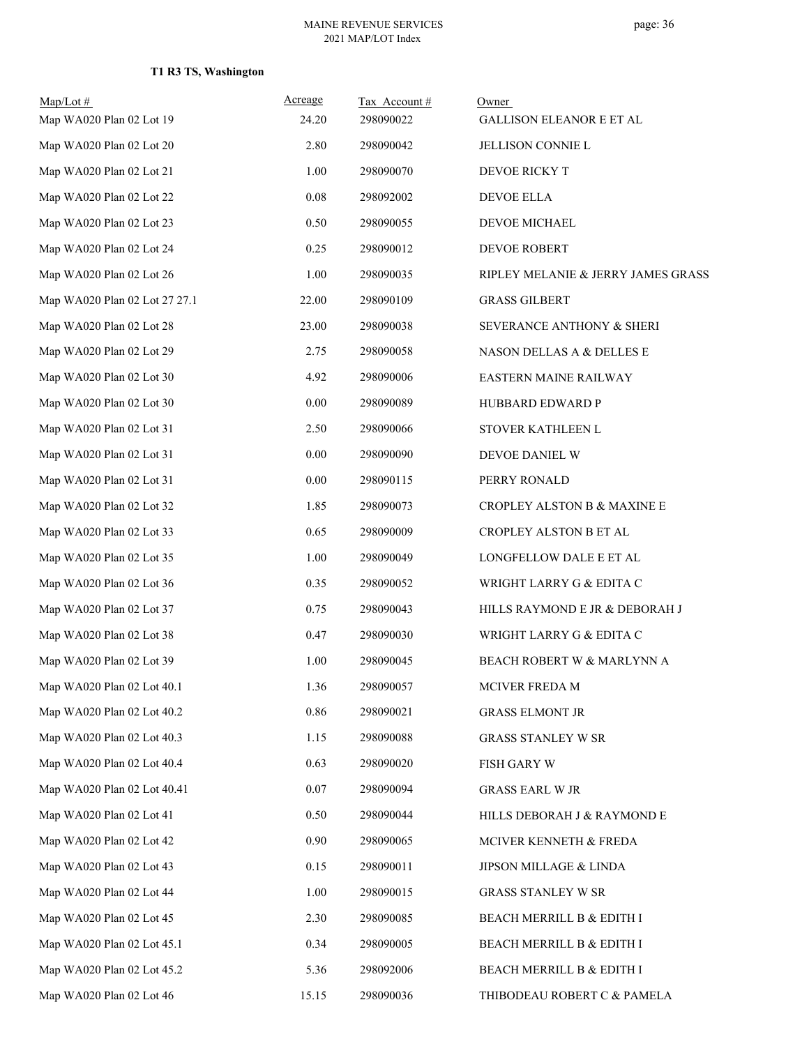### **T1 R3 TS, Washington**

| $Map/Lot \#$<br>Map WA020 Plan 02 Lot 19 | Acreage<br>24.20 | Tax Account#<br>298090022 | Owner<br><b>GALLISON ELEANOR E ET AL</b> |
|------------------------------------------|------------------|---------------------------|------------------------------------------|
| Map WA020 Plan 02 Lot 20                 | 2.80             | 298090042                 | JELLISON CONNIE L                        |
| Map WA020 Plan 02 Lot 21                 | 1.00             | 298090070                 | DEVOE RICKY T                            |
| Map WA020 Plan 02 Lot 22                 | $0.08\,$         | 298092002                 | DEVOE ELLA                               |
| Map WA020 Plan 02 Lot 23                 | 0.50             | 298090055                 | DEVOE MICHAEL                            |
| Map WA020 Plan 02 Lot 24                 | 0.25             | 298090012                 | <b>DEVOE ROBERT</b>                      |
| Map WA020 Plan 02 Lot 26                 | 1.00             | 298090035                 | RIPLEY MELANIE & JERRY JAMES GRASS       |
| Map WA020 Plan 02 Lot 27 27.1            | 22.00            | 298090109                 | <b>GRASS GILBERT</b>                     |
| Map WA020 Plan 02 Lot 28                 | 23.00            | 298090038                 | SEVERANCE ANTHONY & SHERI                |
| Map WA020 Plan 02 Lot 29                 | 2.75             | 298090058                 | NASON DELLAS A & DELLES E                |
| Map WA020 Plan 02 Lot 30                 | 4.92             | 298090006                 | EASTERN MAINE RAILWAY                    |
| Map WA020 Plan 02 Lot 30                 | $0.00\,$         | 298090089                 | HUBBARD EDWARD P                         |
| Map WA020 Plan 02 Lot 31                 | 2.50             | 298090066                 | STOVER KATHLEEN L                        |
| Map WA020 Plan 02 Lot 31                 | $0.00\,$         | 298090090                 | DEVOE DANIEL W                           |
| Map WA020 Plan 02 Lot 31                 | 0.00             | 298090115                 | PERRY RONALD                             |
| Map WA020 Plan 02 Lot 32                 | 1.85             | 298090073                 | CROPLEY ALSTON B & MAXINE E              |
| Map WA020 Plan 02 Lot 33                 | 0.65             | 298090009                 | CROPLEY ALSTON B ET AL                   |
| Map WA020 Plan 02 Lot 35                 | 1.00             | 298090049                 | LONGFELLOW DALE E ET AL                  |
| Map WA020 Plan 02 Lot 36                 | 0.35             | 298090052                 | WRIGHT LARRY G & EDITA C                 |
| Map WA020 Plan 02 Lot 37                 | 0.75             | 298090043                 | HILLS RAYMOND E JR & DEBORAH J           |
| Map WA020 Plan 02 Lot 38                 | 0.47             | 298090030                 | WRIGHT LARRY G & EDITA C                 |
| Map WA020 Plan 02 Lot 39                 | 1.00             | 298090045                 | BEACH ROBERT W & MARLYNN A               |
| Map WA020 Plan 02 Lot 40.1               | 1.36             | 298090057                 | MCIVER FREDA M                           |
| Map WA020 Plan 02 Lot 40.2               | 0.86             | 298090021                 | <b>GRASS ELMONT JR</b>                   |
| Map WA020 Plan 02 Lot 40.3               | 1.15             | 298090088                 | <b>GRASS STANLEY W SR</b>                |
| Map WA020 Plan 02 Lot 40.4               | 0.63             | 298090020                 | <b>FISH GARY W</b>                       |
| Map WA020 Plan 02 Lot 40.41              | 0.07             | 298090094                 | <b>GRASS EARL W JR</b>                   |
| Map WA020 Plan 02 Lot 41                 | 0.50             | 298090044                 | HILLS DEBORAH J & RAYMOND E              |
| Map WA020 Plan 02 Lot 42                 | 0.90             | 298090065                 | MCIVER KENNETH & FREDA                   |
| Map WA020 Plan 02 Lot 43                 | 0.15             | 298090011                 | JIPSON MILLAGE & LINDA                   |
| Map WA020 Plan 02 Lot 44                 | 1.00             | 298090015                 | <b>GRASS STANLEY W SR</b>                |
| Map WA020 Plan 02 Lot 45                 | 2.30             | 298090085                 | BEACH MERRILL B & EDITH I                |
| Map WA020 Plan 02 Lot 45.1               | 0.34             | 298090005                 | BEACH MERRILL B & EDITH I                |
| Map WA020 Plan 02 Lot 45.2               | 5.36             | 298092006                 | BEACH MERRILL B & EDITH I                |
| Map WA020 Plan 02 Lot 46                 | 15.15            | 298090036                 | THIBODEAU ROBERT C & PAMELA              |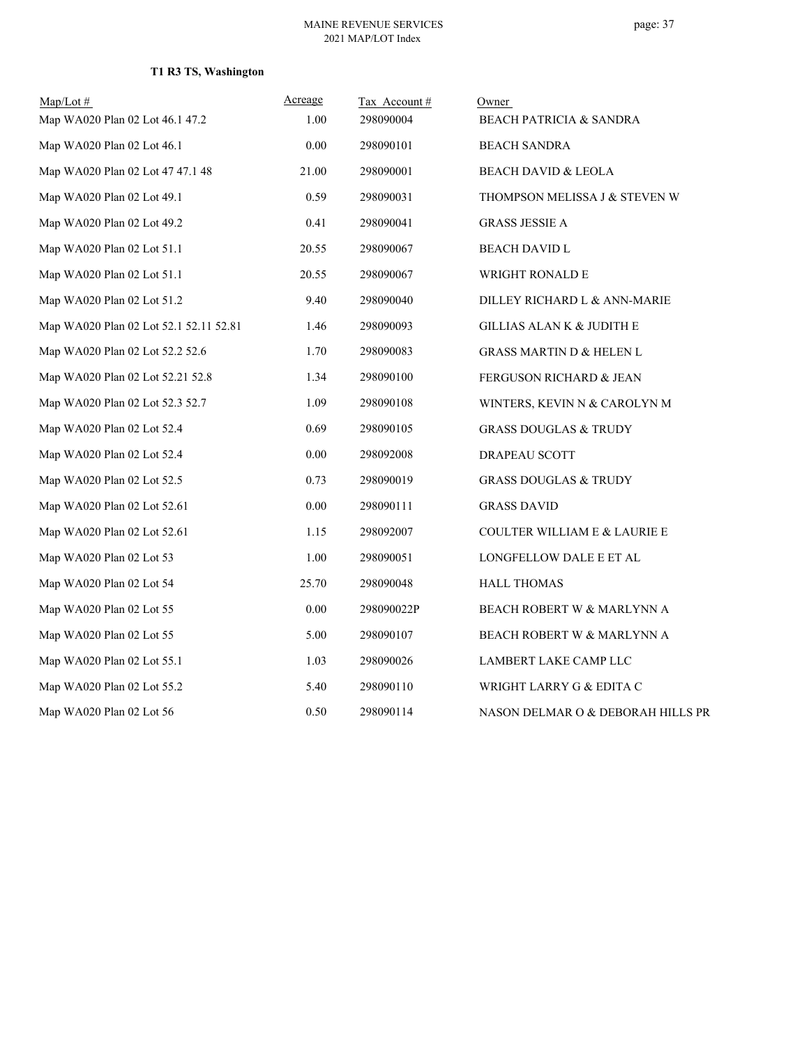### **T1 R3 TS, Washington**

| $Map/Lot \#$                           | Acreage | Tax Account# | Owner                                   |
|----------------------------------------|---------|--------------|-----------------------------------------|
| Map WA020 Plan 02 Lot 46.1 47.2        | 1.00    | 298090004    | <b>BEACH PATRICIA &amp; SANDRA</b>      |
| Map WA020 Plan 02 Lot 46.1             | 0.00    | 298090101    | <b>BEACH SANDRA</b>                     |
| Map WA020 Plan 02 Lot 47 47.1 48       | 21.00   | 298090001    | <b>BEACH DAVID &amp; LEOLA</b>          |
| Map WA020 Plan 02 Lot 49.1             | 0.59    | 298090031    | THOMPSON MELISSA J & STEVEN W           |
| Map WA020 Plan 02 Lot 49.2             | 0.41    | 298090041    | <b>GRASS JESSIE A</b>                   |
| Map WA020 Plan 02 Lot 51.1             | 20.55   | 298090067    | <b>BEACH DAVID L</b>                    |
| Map WA020 Plan 02 Lot 51.1             | 20.55   | 298090067    | WRIGHT RONALD E                         |
| Map WA020 Plan 02 Lot 51.2             | 9.40    | 298090040    | DILLEY RICHARD L & ANN-MARIE            |
| Map WA020 Plan 02 Lot 52.1 52.11 52.81 | 1.46    | 298090093    | GILLIAS ALAN K & JUDITH E               |
| Map WA020 Plan 02 Lot 52.2 52.6        | 1.70    | 298090083    | <b>GRASS MARTIN D &amp; HELEN L</b>     |
| Map WA020 Plan 02 Lot 52.21 52.8       | 1.34    | 298090100    | FERGUSON RICHARD & JEAN                 |
| Map WA020 Plan 02 Lot 52.3 52.7        | 1.09    | 298090108    | WINTERS, KEVIN N & CAROLYN M            |
| Map WA020 Plan 02 Lot 52.4             | 0.69    | 298090105    | <b>GRASS DOUGLAS &amp; TRUDY</b>        |
| Map WA020 Plan 02 Lot 52.4             | 0.00    | 298092008    | DRAPEAU SCOTT                           |
| Map WA020 Plan 02 Lot 52.5             | 0.73    | 298090019    | <b>GRASS DOUGLAS &amp; TRUDY</b>        |
| Map WA020 Plan 02 Lot 52.61            | 0.00    | 298090111    | <b>GRASS DAVID</b>                      |
| Map WA020 Plan 02 Lot 52.61            | 1.15    | 298092007    | <b>COULTER WILLIAM E &amp; LAURIE E</b> |
| Map WA020 Plan 02 Lot 53               | 1.00    | 298090051    | LONGFELLOW DALE E ET AL                 |
| Map WA020 Plan 02 Lot 54               | 25.70   | 298090048    | <b>HALL THOMAS</b>                      |
| Map WA020 Plan 02 Lot 55               | 0.00    | 298090022P   | BEACH ROBERT W & MARLYNN A              |
| Map WA020 Plan 02 Lot 55               | 5.00    | 298090107    | BEACH ROBERT W & MARLYNN A              |
| Map WA020 Plan 02 Lot 55.1             | 1.03    | 298090026    | LAMBERT LAKE CAMP LLC                   |
| Map WA020 Plan 02 Lot 55.2             | 5.40    | 298090110    | WRIGHT LARRY G & EDITA C                |
| Map WA020 Plan 02 Lot 56               | 0.50    | 298090114    | NASON DELMAR O & DEBORAH HILLS PR       |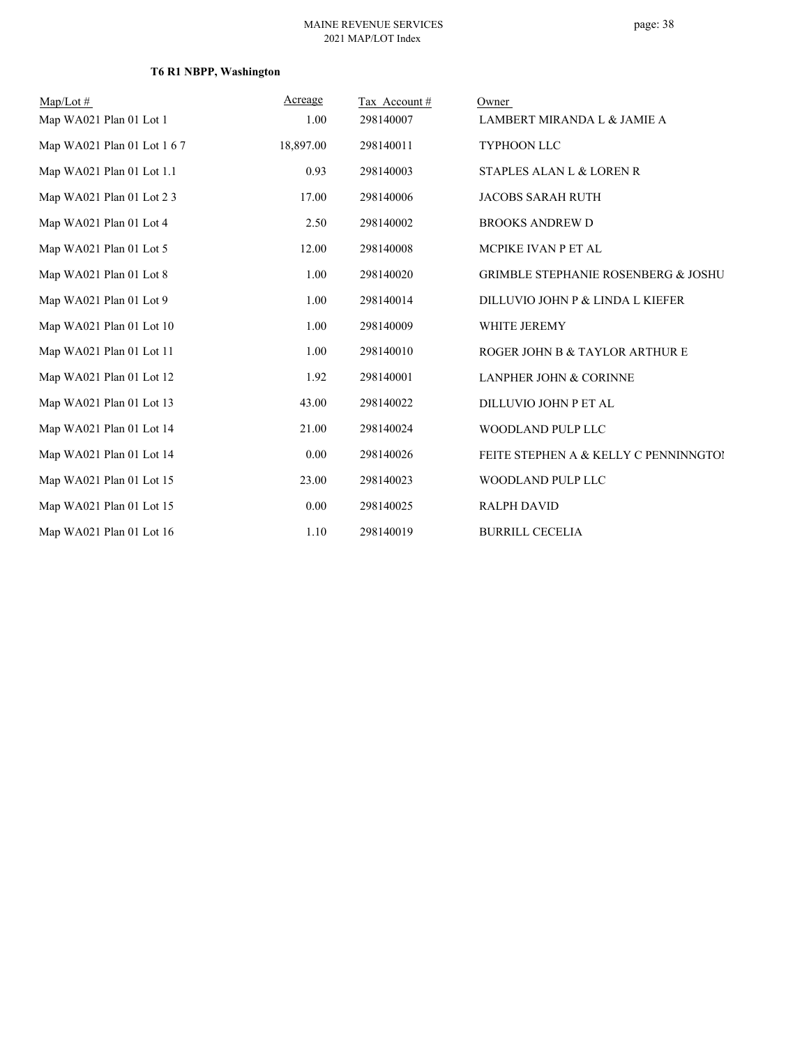## **T6 R1 NBPP, Washington**

| $Map/Lot \#$                | Acreage   | Tax Account# | Owner                                          |
|-----------------------------|-----------|--------------|------------------------------------------------|
| Map WA021 Plan 01 Lot 1     | 1.00      | 298140007    | LAMBERT MIRANDA L & JAMIE A                    |
| Map WA021 Plan 01 Lot 1 6 7 | 18,897.00 | 298140011    | TYPHOON LLC                                    |
| Map WA021 Plan 01 Lot 1.1   | 0.93      | 298140003    | STAPLES ALAN L & LOREN R                       |
| Map WA021 Plan 01 Lot 2 3   | 17.00     | 298140006    | <b>JACOBS SARAH RUTH</b>                       |
| Map WA021 Plan 01 Lot 4     | 2.50      | 298140002    | <b>BROOKS ANDREW D</b>                         |
| Map WA021 Plan 01 Lot 5     | 12.00     | 298140008    | MCPIKE IVAN P ET AL                            |
| Map WA021 Plan 01 Lot 8     | 1.00      | 298140020    | <b>GRIMBLE STEPHANIE ROSENBERG &amp; JOSHU</b> |
| Map WA021 Plan 01 Lot 9     | 1.00      | 298140014    | DILLUVIO JOHN P & LINDA L KIEFER               |
| Map WA021 Plan 01 Lot 10    | 1.00      | 298140009    | WHITE JEREMY                                   |
| Map WA021 Plan 01 Lot 11    | 1.00      | 298140010    | ROGER JOHN B & TAYLOR ARTHUR E                 |
| Map WA021 Plan 01 Lot 12    | 1.92      | 298140001    | <b>LANPHER JOHN &amp; CORINNE</b>              |
| Map WA021 Plan 01 Lot 13    | 43.00     | 298140022    | DILLUVIO JOHN P ET AL                          |
| Map WA021 Plan 01 Lot 14    | 21.00     | 298140024    | WOODLAND PULP LLC                              |
| Map WA021 Plan 01 Lot 14    | 0.00      | 298140026    | FEITE STEPHEN A & KELLY C PENNINNGTOI          |
| Map WA021 Plan 01 Lot 15    | 23.00     | 298140023    | WOODLAND PULP LLC                              |
| Map WA021 Plan 01 Lot 15    | 0.00      | 298140025    | <b>RALPH DAVID</b>                             |
| Map WA021 Plan 01 Lot 16    | 1.10      | 298140019    | <b>BURRILL CECELIA</b>                         |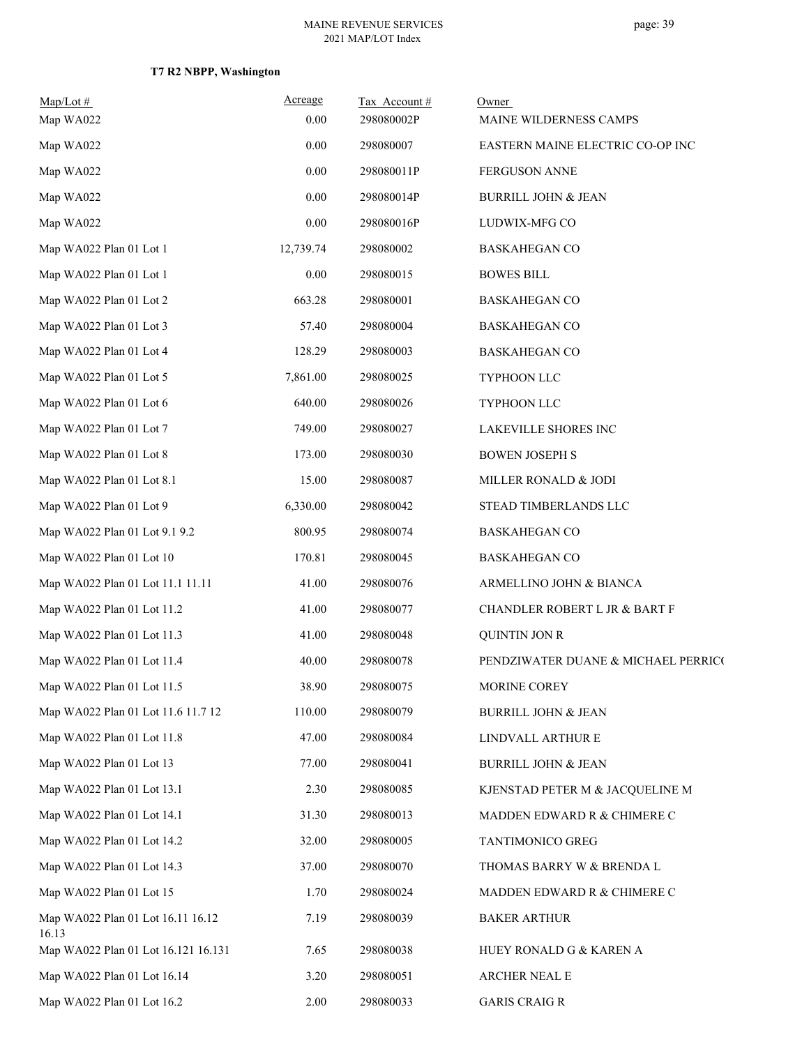## **T7 R2 NBPP, Washington**

| $Map/Lot \#$<br>Map WA022                  | Acreage<br>0.00 | Tax Account #<br>298080002P | Owner<br>MAINE WILDERNESS CAMPS     |
|--------------------------------------------|-----------------|-----------------------------|-------------------------------------|
| Map WA022                                  | 0.00            | 298080007                   | EASTERN MAINE ELECTRIC CO-OP INC    |
| Map WA022                                  | 0.00            | 298080011P                  | FERGUSON ANNE                       |
| Map WA022                                  | 0.00            | 298080014P                  | <b>BURRILL JOHN &amp; JEAN</b>      |
| Map WA022                                  | 0.00            | 298080016P                  | LUDWIX-MFG CO                       |
| Map WA022 Plan 01 Lot 1                    | 12,739.74       | 298080002                   | <b>BASKAHEGAN CO</b>                |
| Map WA022 Plan 01 Lot 1                    | 0.00            | 298080015                   | <b>BOWES BILL</b>                   |
| Map WA022 Plan 01 Lot 2                    | 663.28          | 298080001                   | <b>BASKAHEGAN CO</b>                |
| Map WA022 Plan 01 Lot 3                    | 57.40           | 298080004                   | <b>BASKAHEGAN CO</b>                |
| Map WA022 Plan 01 Lot 4                    | 128.29          | 298080003                   | <b>BASKAHEGAN CO</b>                |
| Map WA022 Plan 01 Lot 5                    | 7,861.00        | 298080025                   | TYPHOON LLC                         |
| Map WA022 Plan 01 Lot 6                    | 640.00          | 298080026                   | TYPHOON LLC                         |
| Map WA022 Plan 01 Lot 7                    | 749.00          | 298080027                   | LAKEVILLE SHORES INC                |
| Map WA022 Plan 01 Lot 8                    | 173.00          | 298080030                   | <b>BOWEN JOSEPH S</b>               |
| Map WA022 Plan 01 Lot 8.1                  | 15.00           | 298080087                   | MILLER RONALD & JODI                |
| Map WA022 Plan 01 Lot 9                    | 6,330.00        | 298080042                   | STEAD TIMBERLANDS LLC               |
| Map WA022 Plan 01 Lot 9.1 9.2              | 800.95          | 298080074                   | <b>BASKAHEGAN CO</b>                |
| Map WA022 Plan 01 Lot 10                   | 170.81          | 298080045                   | <b>BASKAHEGAN CO</b>                |
| Map WA022 Plan 01 Lot 11.1 11.11           | 41.00           | 298080076                   | ARMELLINO JOHN & BIANCA             |
| Map WA022 Plan 01 Lot 11.2                 | 41.00           | 298080077                   | CHANDLER ROBERT L JR & BART F       |
| Map WA022 Plan 01 Lot 11.3                 | 41.00           | 298080048                   | <b>QUINTIN JON R</b>                |
| Map WA022 Plan 01 Lot 11.4                 | 40.00           | 298080078                   | PENDZIWATER DUANE & MICHAEL PERRICO |
| Map WA022 Plan 01 Lot 11.5                 | 38.90           | 298080075                   | MORINE COREY                        |
| Map WA022 Plan 01 Lot 11.6 11.7 12         | 110.00          | 298080079                   | <b>BURRILL JOHN &amp; JEAN</b>      |
| Map WA022 Plan 01 Lot 11.8                 | 47.00           | 298080084                   | LINDVALL ARTHUR E                   |
| Map WA022 Plan 01 Lot 13                   | 77.00           | 298080041                   | BURRILL JOHN & JEAN                 |
| Map WA022 Plan 01 Lot 13.1                 | 2.30            | 298080085                   | KJENSTAD PETER M & JACQUELINE M     |
| Map WA022 Plan 01 Lot 14.1                 | 31.30           | 298080013                   | MADDEN EDWARD R & CHIMERE C         |
| Map WA022 Plan 01 Lot 14.2                 | 32.00           | 298080005                   | TANTIMONICO GREG                    |
| Map WA022 Plan 01 Lot 14.3                 | 37.00           | 298080070                   | THOMAS BARRY W & BRENDA L           |
| Map WA022 Plan 01 Lot 15                   | 1.70            | 298080024                   | MADDEN EDWARD R & CHIMERE C         |
| Map WA022 Plan 01 Lot 16.11 16.12<br>16.13 | 7.19            | 298080039                   | <b>BAKER ARTHUR</b>                 |
| Map WA022 Plan 01 Lot 16.121 16.131        | 7.65            | 298080038                   | HUEY RONALD G & KAREN A             |
| Map WA022 Plan 01 Lot 16.14                | 3.20            | 298080051                   | ARCHER NEAL E                       |
| Map WA022 Plan 01 Lot 16.2                 | 2.00            | 298080033                   | <b>GARIS CRAIG R</b>                |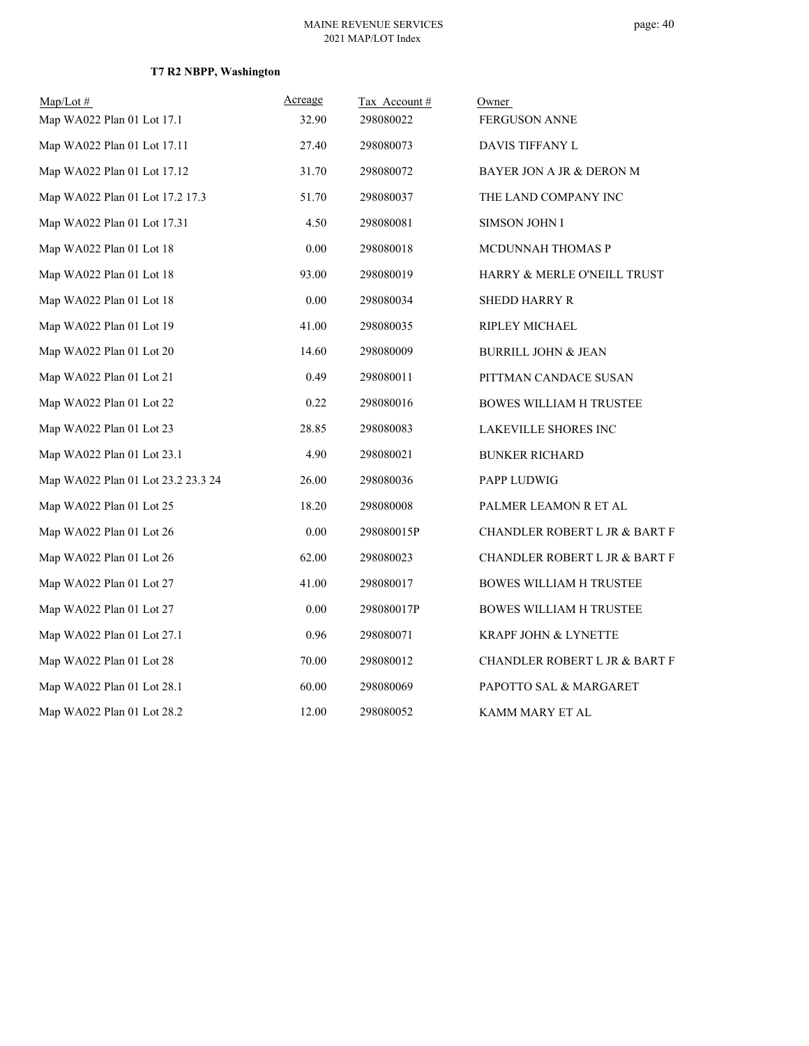## **T7 R2 NBPP, Washington**

| $Map/Lot \#$                       | Acreage | Tax Account# | Owner                           |
|------------------------------------|---------|--------------|---------------------------------|
| Map WA022 Plan 01 Lot 17.1         | 32.90   | 298080022    | <b>FERGUSON ANNE</b>            |
| Map WA022 Plan 01 Lot 17.11        | 27.40   | 298080073    | DAVIS TIFFANY L                 |
| Map WA022 Plan 01 Lot 17.12        | 31.70   | 298080072    | BAYER JON A JR & DERON M        |
| Map WA022 Plan 01 Lot 17.2 17.3    | 51.70   | 298080037    | THE LAND COMPANY INC            |
| Map WA022 Plan 01 Lot 17.31        | 4.50    | 298080081    | SIMSON JOHN I                   |
| Map WA022 Plan 01 Lot 18           | 0.00    | 298080018    | MCDUNNAH THOMAS P               |
| Map WA022 Plan 01 Lot 18           | 93.00   | 298080019    | HARRY & MERLE O'NEILL TRUST     |
| Map WA022 Plan 01 Lot 18           | 0.00    | 298080034    | <b>SHEDD HARRY R</b>            |
| Map WA022 Plan 01 Lot 19           | 41.00   | 298080035    | <b>RIPLEY MICHAEL</b>           |
| Map WA022 Plan 01 Lot 20           | 14.60   | 298080009    | <b>BURRILL JOHN &amp; JEAN</b>  |
| Map WA022 Plan 01 Lot 21           | 0.49    | 298080011    | PITTMAN CANDACE SUSAN           |
| Map WA022 Plan 01 Lot 22           | 0.22    | 298080016    | <b>BOWES WILLIAM H TRUSTEE</b>  |
| Map WA022 Plan 01 Lot 23           | 28.85   | 298080083    | LAKEVILLE SHORES INC            |
| Map WA022 Plan 01 Lot 23.1         | 4.90    | 298080021    | <b>BUNKER RICHARD</b>           |
| Map WA022 Plan 01 Lot 23.2 23.3 24 | 26.00   | 298080036    | PAPP LUDWIG                     |
| Map WA022 Plan 01 Lot 25           | 18.20   | 298080008    | PALMER LEAMON R ET AL           |
| Map WA022 Plan 01 Lot 26           | 0.00    | 298080015P   | CHANDLER ROBERT L JR & BART F   |
| Map WA022 Plan 01 Lot 26           | 62.00   | 298080023    | CHANDLER ROBERT L JR & BART F   |
| Map WA022 Plan 01 Lot 27           | 41.00   | 298080017    | <b>BOWES WILLIAM H TRUSTEE</b>  |
| Map WA022 Plan 01 Lot 27           | 0.00    | 298080017P   | <b>BOWES WILLIAM H TRUSTEE</b>  |
| Map WA022 Plan 01 Lot 27.1         | 0.96    | 298080071    | <b>KRAPF JOHN &amp; LYNETTE</b> |
| Map WA022 Plan 01 Lot 28           | 70.00   | 298080012    | CHANDLER ROBERT L JR & BART F   |
| Map WA022 Plan 01 Lot 28.1         | 60.00   | 298080069    | PAPOTTO SAL & MARGARET          |
| Map WA022 Plan 01 Lot 28.2         | 12.00   | 298080052    | KAMM MARY ET AL                 |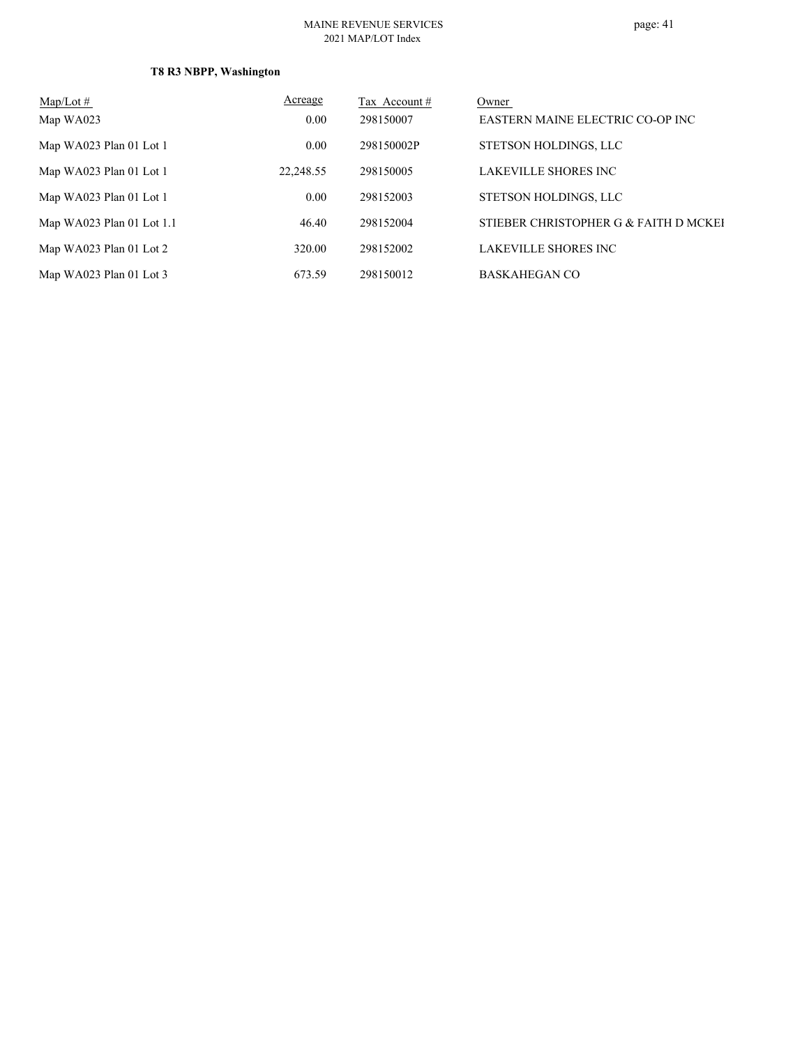#### MAINE REVENUE SERVICES 2021 MAP/LOT Index

## **T8 R3 NBPP, Washington**

| $Map/Lot \#$                | Acreage   | Tax Account # | Owner                                 |
|-----------------------------|-----------|---------------|---------------------------------------|
| Map WA023                   | 0.00      | 298150007     | EASTERN MAINE ELECTRIC CO-OP INC      |
| Map WA023 Plan 01 Lot 1     | 0.00      | 298150002P    | STETSON HOLDINGS, LLC                 |
| Map WA023 Plan 01 Lot 1     | 22,248.55 | 298150005     | LAKEVILLE SHORES INC                  |
| Map WA023 Plan 01 Lot 1     | 0.00      | 298152003     | STETSON HOLDINGS, LLC                 |
| Map WA023 Plan 01 Lot $1.1$ | 46.40     | 298152004     | STIEBER CHRISTOPHER G & FAITH D MCKEI |
| Map WA023 Plan 01 Lot 2     | 320.00    | 298152002     | LAKEVILLE SHORES INC                  |
| Map WA023 Plan 01 Lot 3     | 673.59    | 298150012     | <b>BASKAHEGAN CO</b>                  |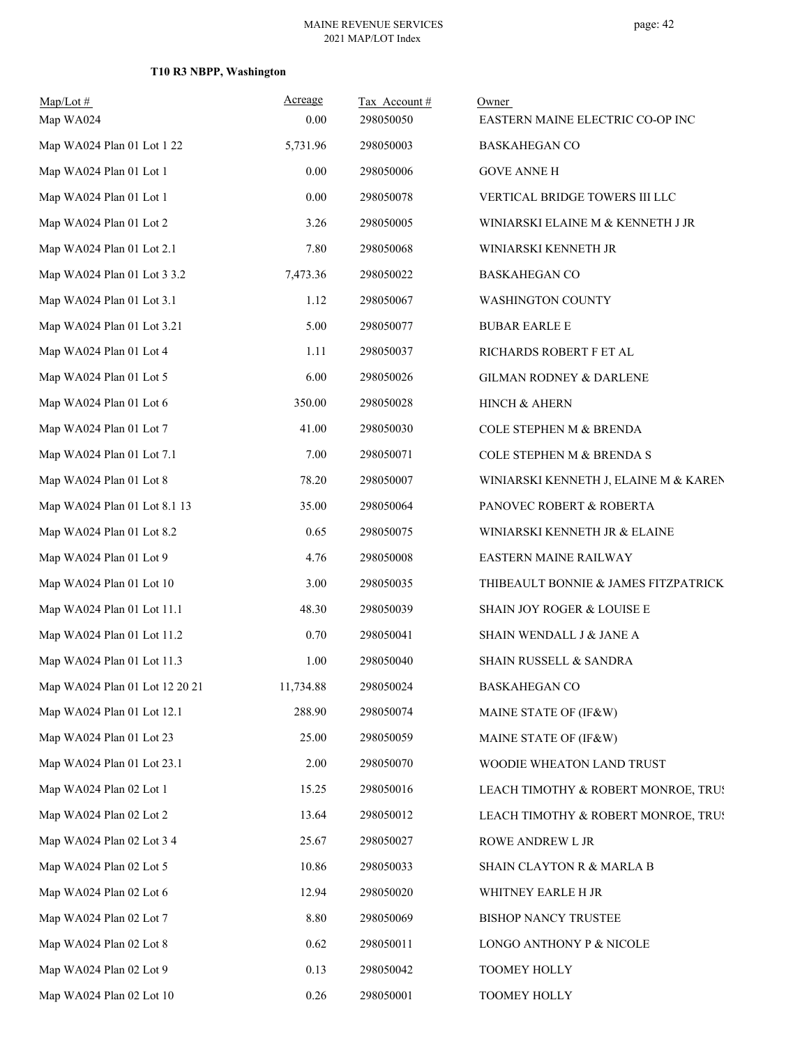## **T10 R3 NBPP, Washington**

| $Map/Lot \#$<br>Map WA024      | Acreage<br>0.00 | Tax Account#<br>298050050 | Owner<br>EASTERN MAINE ELECTRIC CO-OP INC |
|--------------------------------|-----------------|---------------------------|-------------------------------------------|
| Map WA024 Plan 01 Lot 1 22     | 5,731.96        | 298050003                 | <b>BASKAHEGAN CO</b>                      |
| Map WA024 Plan 01 Lot 1        | 0.00            | 298050006                 | <b>GOVE ANNE H</b>                        |
| Map WA024 Plan 01 Lot 1        | 0.00            | 298050078                 | VERTICAL BRIDGE TOWERS III LLC            |
| Map WA024 Plan 01 Lot 2        | 3.26            | 298050005                 | WINIARSKI ELAINE M & KENNETH J JR         |
| Map WA024 Plan 01 Lot 2.1      | 7.80            | 298050068                 | WINIARSKI KENNETH JR                      |
| Map WA024 Plan 01 Lot 3 3.2    | 7,473.36        | 298050022                 | <b>BASKAHEGAN CO</b>                      |
| Map WA024 Plan 01 Lot 3.1      | 1.12            | 298050067                 | <b>WASHINGTON COUNTY</b>                  |
| Map WA024 Plan 01 Lot 3.21     | 5.00            | 298050077                 | <b>BUBAR EARLE E</b>                      |
| Map WA024 Plan 01 Lot 4        | 1.11            | 298050037                 | RICHARDS ROBERT F ET AL                   |
| Map WA024 Plan 01 Lot 5        | 6.00            | 298050026                 | GILMAN RODNEY & DARLENE                   |
| Map WA024 Plan 01 Lot 6        | 350.00          | 298050028                 | HINCH & AHERN                             |
| Map WA024 Plan 01 Lot 7        | 41.00           | 298050030                 | COLE STEPHEN M & BRENDA                   |
| Map WA024 Plan 01 Lot 7.1      | 7.00            | 298050071                 | COLE STEPHEN M & BRENDA S                 |
| Map WA024 Plan 01 Lot 8        | 78.20           | 298050007                 | WINIARSKI KENNETH J, ELAINE M & KAREN     |
| Map WA024 Plan 01 Lot 8.1 13   | 35.00           | 298050064                 | PANOVEC ROBERT & ROBERTA                  |
| Map WA024 Plan 01 Lot 8.2      | 0.65            | 298050075                 | WINIARSKI KENNETH JR & ELAINE             |
| Map WA024 Plan 01 Lot 9        | 4.76            | 298050008                 | EASTERN MAINE RAILWAY                     |
| Map WA024 Plan 01 Lot 10       | 3.00            | 298050035                 | THIBEAULT BONNIE & JAMES FITZPATRICK      |
| Map WA024 Plan 01 Lot 11.1     | 48.30           | 298050039                 | SHAIN JOY ROGER & LOUISE E                |
| Map WA024 Plan 01 Lot 11.2     | 0.70            | 298050041                 | SHAIN WENDALL J & JANE A                  |
| Map WA024 Plan 01 Lot 11.3     | 1.00            | 298050040                 | SHAIN RUSSELL & SANDRA                    |
| Map WA024 Plan 01 Lot 12 20 21 | 11,734.88       | 298050024                 | <b>BASKAHEGAN CO</b>                      |
| Map WA024 Plan 01 Lot 12.1     | 288.90          | 298050074                 | MAINE STATE OF (IF&W)                     |
| Map WA024 Plan 01 Lot 23       | 25.00           | 298050059                 | MAINE STATE OF (IF&W)                     |
| Map WA024 Plan 01 Lot 23.1     | 2.00            | 298050070                 | WOODIE WHEATON LAND TRUST                 |
| Map WA024 Plan 02 Lot 1        | 15.25           | 298050016                 | LEACH TIMOTHY & ROBERT MONROE, TRUS       |
| Map WA024 Plan 02 Lot 2        | 13.64           | 298050012                 | LEACH TIMOTHY & ROBERT MONROE, TRUS       |
| Map WA024 Plan 02 Lot 3 4      | 25.67           | 298050027                 | ROWE ANDREW L JR                          |
| Map WA024 Plan 02 Lot 5        | 10.86           | 298050033                 | SHAIN CLAYTON R & MARLA B                 |
| Map WA024 Plan 02 Lot 6        | 12.94           | 298050020                 | WHITNEY EARLE H JR                        |
| Map WA024 Plan 02 Lot 7        | 8.80            | 298050069                 | BISHOP NANCY TRUSTEE                      |
| Map WA024 Plan 02 Lot 8        | 0.62            | 298050011                 | LONGO ANTHONY P & NICOLE                  |
| Map WA024 Plan 02 Lot 9        | 0.13            | 298050042                 | TOOMEY HOLLY                              |
| Map WA024 Plan 02 Lot 10       | 0.26            | 298050001                 | TOOMEY HOLLY                              |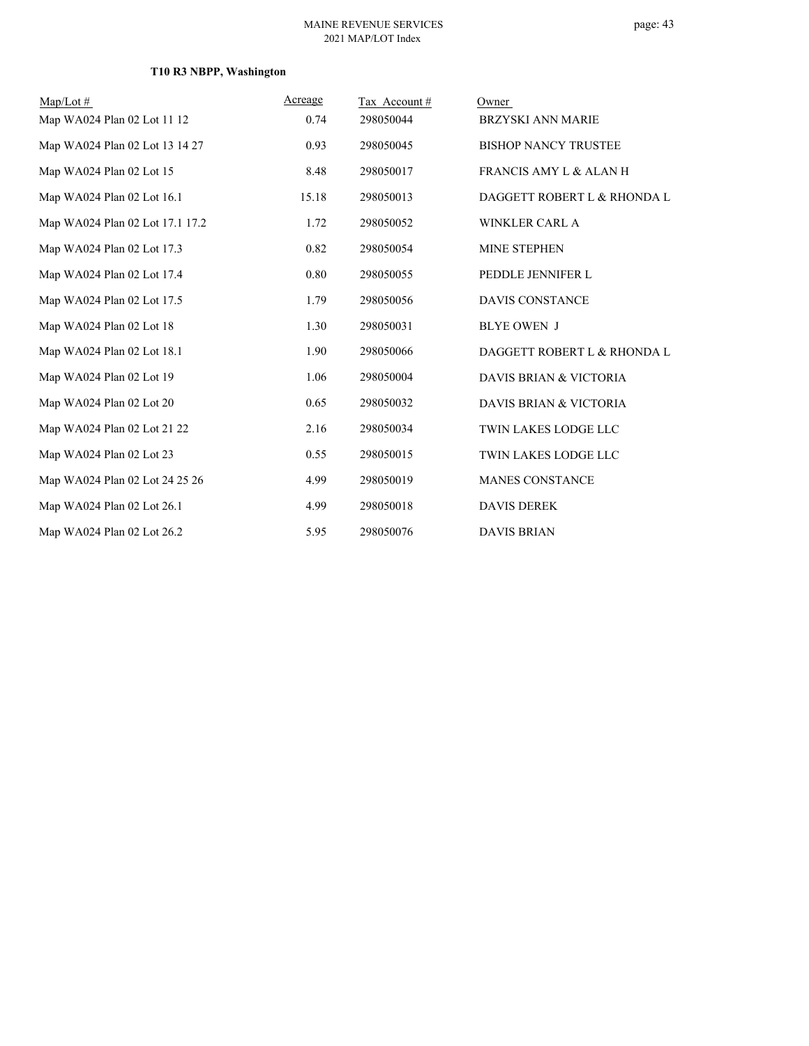## **T10 R3 NBPP, Washington**

| $Map/Lot \#$                    | Acreage | Tax Account# | Owner                             |
|---------------------------------|---------|--------------|-----------------------------------|
| Map WA024 Plan 02 Lot 11 12     | 0.74    | 298050044    | <b>BRZYSKI ANN MARIE</b>          |
| Map WA024 Plan 02 Lot 13 14 27  | 0.93    | 298050045    | <b>BISHOP NANCY TRUSTEE</b>       |
| Map WA024 Plan 02 Lot 15        | 8.48    | 298050017    | <b>FRANCIS AMY L &amp; ALAN H</b> |
| Map WA024 Plan 02 Lot 16.1      | 15.18   | 298050013    | DAGGETT ROBERT L & RHONDA L       |
| Map WA024 Plan 02 Lot 17.1 17.2 | 1.72    | 298050052    | <b>WINKLER CARL A</b>             |
| Map WA024 Plan 02 Lot 17.3      | 0.82    | 298050054    | <b>MINE STEPHEN</b>               |
| Map WA024 Plan 02 Lot 17.4      | 0.80    | 298050055    | PEDDLE JENNIFER L                 |
| Map WA024 Plan 02 Lot 17.5      | 1.79    | 298050056    | <b>DAVIS CONSTANCE</b>            |
| Map WA024 Plan 02 Lot 18        | 1.30    | 298050031    | <b>BLYE OWEN J</b>                |
| Map WA024 Plan 02 Lot 18.1      | 1.90    | 298050066    | DAGGETT ROBERT L & RHONDA L       |
| Map WA024 Plan 02 Lot 19        | 1.06    | 298050004    | DAVIS BRIAN & VICTORIA            |
| Map WA024 Plan 02 Lot 20        | 0.65    | 298050032    | DAVIS BRIAN & VICTORIA            |
| Map WA024 Plan 02 Lot 21 22     | 2.16    | 298050034    | TWIN LAKES LODGE LLC              |
| Map WA024 Plan 02 Lot 23        | 0.55    | 298050015    | TWIN LAKES LODGE LLC              |
| Map WA024 Plan 02 Lot 24 25 26  | 4.99    | 298050019    | <b>MANES CONSTANCE</b>            |
| Map WA024 Plan 02 Lot 26.1      | 4.99    | 298050018    | <b>DAVIS DEREK</b>                |
| Map WA024 Plan 02 Lot 26.2      | 5.95    | 298050076    | <b>DAVIS BRIAN</b>                |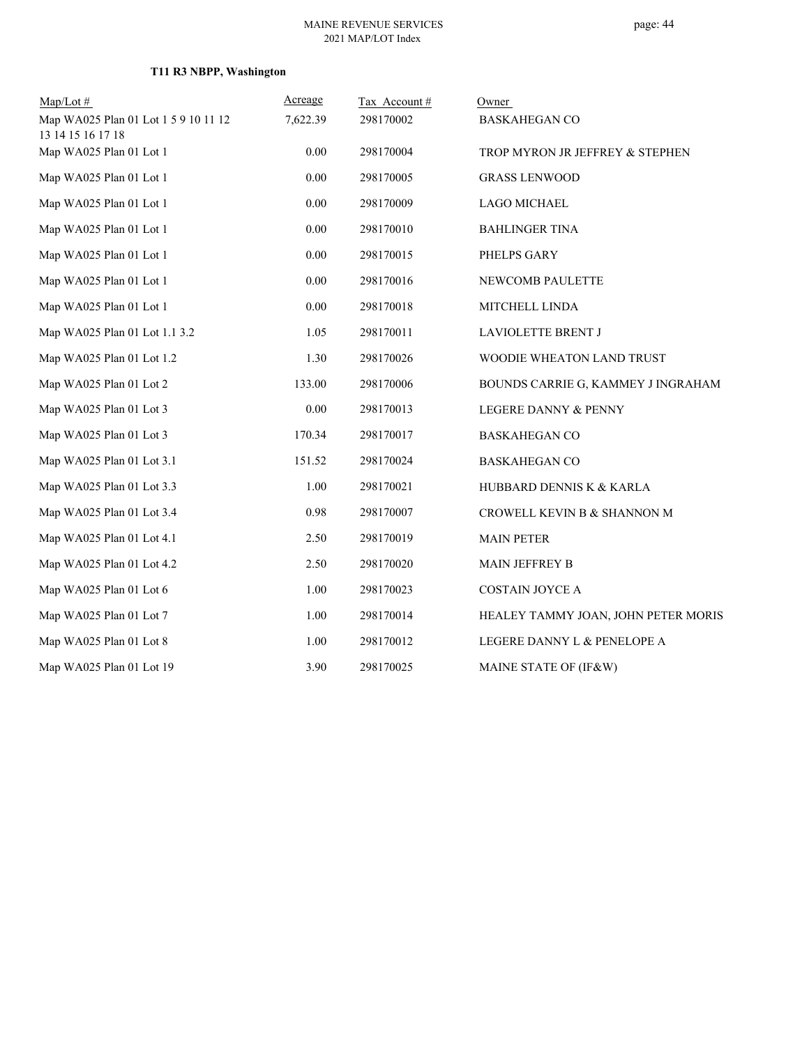## **T11 R3 NBPP, Washington**

| $Map/Lot \#$                                              | Acreage  | Tax Account# | Owner                               |
|-----------------------------------------------------------|----------|--------------|-------------------------------------|
| Map WA025 Plan 01 Lot 1 5 9 10 11 12<br>13 14 15 16 17 18 | 7,622.39 | 298170002    | <b>BASKAHEGAN CO</b>                |
| Map WA025 Plan 01 Lot 1                                   | 0.00     | 298170004    | TROP MYRON JR JEFFREY & STEPHEN     |
| Map WA025 Plan 01 Lot 1                                   | 0.00     | 298170005    | <b>GRASS LENWOOD</b>                |
| Map WA025 Plan 01 Lot 1                                   | 0.00     | 298170009    | <b>LAGO MICHAEL</b>                 |
| Map WA025 Plan 01 Lot 1                                   | $0.00\,$ | 298170010    | <b>BAHLINGER TINA</b>               |
| Map WA025 Plan 01 Lot 1                                   | 0.00     | 298170015    | PHELPS GARY                         |
| Map WA025 Plan 01 Lot 1                                   | 0.00     | 298170016    | NEWCOMB PAULETTE                    |
| Map WA025 Plan 01 Lot 1                                   | 0.00     | 298170018    | MITCHELL LINDA                      |
| Map WA025 Plan 01 Lot 1.1 3.2                             | 1.05     | 298170011    | LAVIOLETTE BRENT J                  |
| Map WA025 Plan 01 Lot 1.2                                 | 1.30     | 298170026    | WOODIE WHEATON LAND TRUST           |
| Map WA025 Plan 01 Lot 2                                   | 133.00   | 298170006    | BOUNDS CARRIE G, KAMMEY J INGRAHAM  |
| Map WA025 Plan 01 Lot 3                                   | 0.00     | 298170013    | LEGERE DANNY & PENNY                |
| Map WA025 Plan 01 Lot 3                                   | 170.34   | 298170017    | <b>BASKAHEGAN CO</b>                |
| Map WA025 Plan 01 Lot 3.1                                 | 151.52   | 298170024    | <b>BASKAHEGAN CO</b>                |
| Map WA025 Plan 01 Lot 3.3                                 | 1.00     | 298170021    | HUBBARD DENNIS K & KARLA            |
| Map WA025 Plan 01 Lot 3.4                                 | 0.98     | 298170007    | CROWELL KEVIN B & SHANNON M         |
| Map WA025 Plan 01 Lot 4.1                                 | 2.50     | 298170019    | <b>MAIN PETER</b>                   |
| Map WA025 Plan 01 Lot 4.2                                 | 2.50     | 298170020    | <b>MAIN JEFFREY B</b>               |
| Map WA025 Plan 01 Lot 6                                   | 1.00     | 298170023    | <b>COSTAIN JOYCE A</b>              |
| Map WA025 Plan 01 Lot 7                                   | 1.00     | 298170014    | HEALEY TAMMY JOAN, JOHN PETER MORIS |
| Map WA025 Plan 01 Lot 8                                   | 1.00     | 298170012    | LEGERE DANNY L & PENELOPE A         |
| Map WA025 Plan 01 Lot 19                                  | 3.90     | 298170025    | MAINE STATE OF (IF&W)               |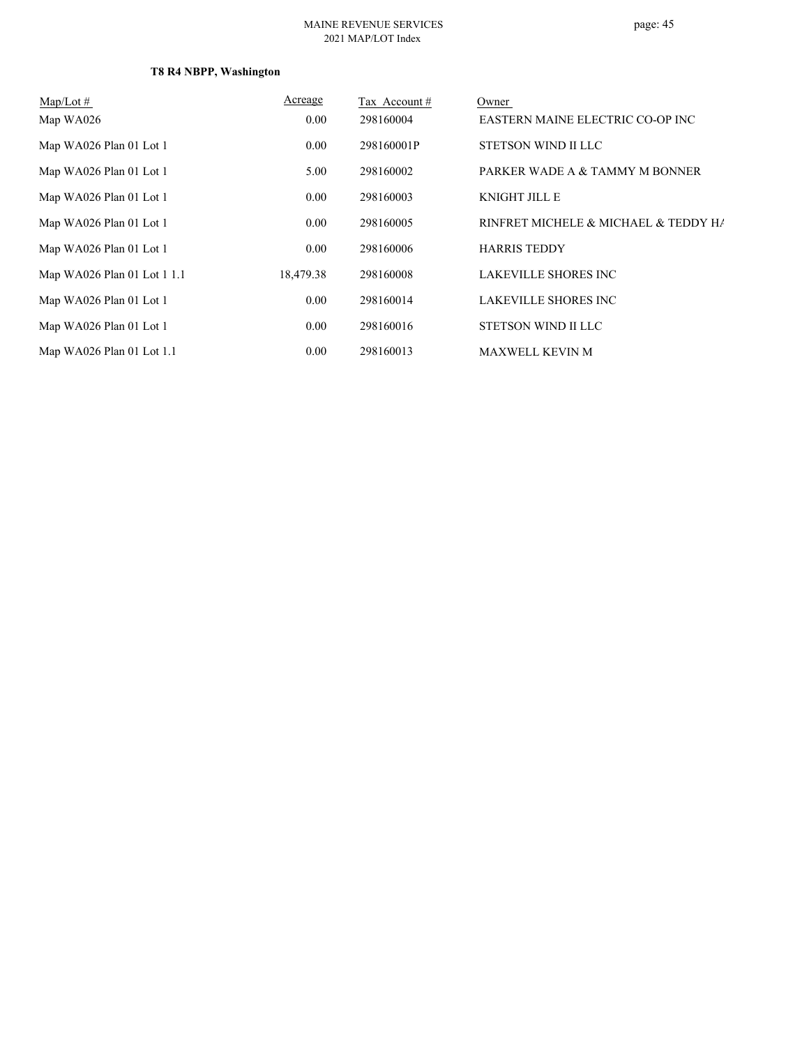#### MAINE REVENUE SERVICES 2021 MAP/LOT Index

## **T8 R4 NBPP, Washington**

| $Map/Lot \#$                | Acreage   | Tax Account # | Owner                                |
|-----------------------------|-----------|---------------|--------------------------------------|
| Map WA026                   | 0.00      | 298160004     | EASTERN MAINE ELECTRIC CO-OP INC     |
| Map WA026 Plan 01 Lot 1     | 0.00      | 298160001P    | STETSON WIND II LLC                  |
| Map WA026 Plan 01 Lot 1     | 5.00      | 298160002     | PARKER WADE A & TAMMY M BONNER       |
| Map WA026 Plan 01 Lot 1     | 0.00      | 298160003     | <b>KNIGHT JILL E</b>                 |
| Map WA026 Plan 01 Lot 1     | 0.00      | 298160005     | RINFRET MICHELE & MICHAEL & TEDDY HA |
| Map WA026 Plan 01 Lot 1     | 0.00      | 298160006     | <b>HARRIS TEDDY</b>                  |
| Map WA026 Plan 01 Lot 1 1.1 | 18,479.38 | 298160008     | <b>LAKEVILLE SHORES INC</b>          |
| Map WA026 Plan 01 Lot 1     | 0.00      | 298160014     | <b>LAKEVILLE SHORES INC</b>          |
| Map WA026 Plan 01 Lot 1     | 0.00      | 298160016     | STETSON WIND II LLC                  |
| Map WA026 Plan 01 Lot 1.1   | 0.00      | 298160013     | <b>MAXWELL KEVIN M</b>               |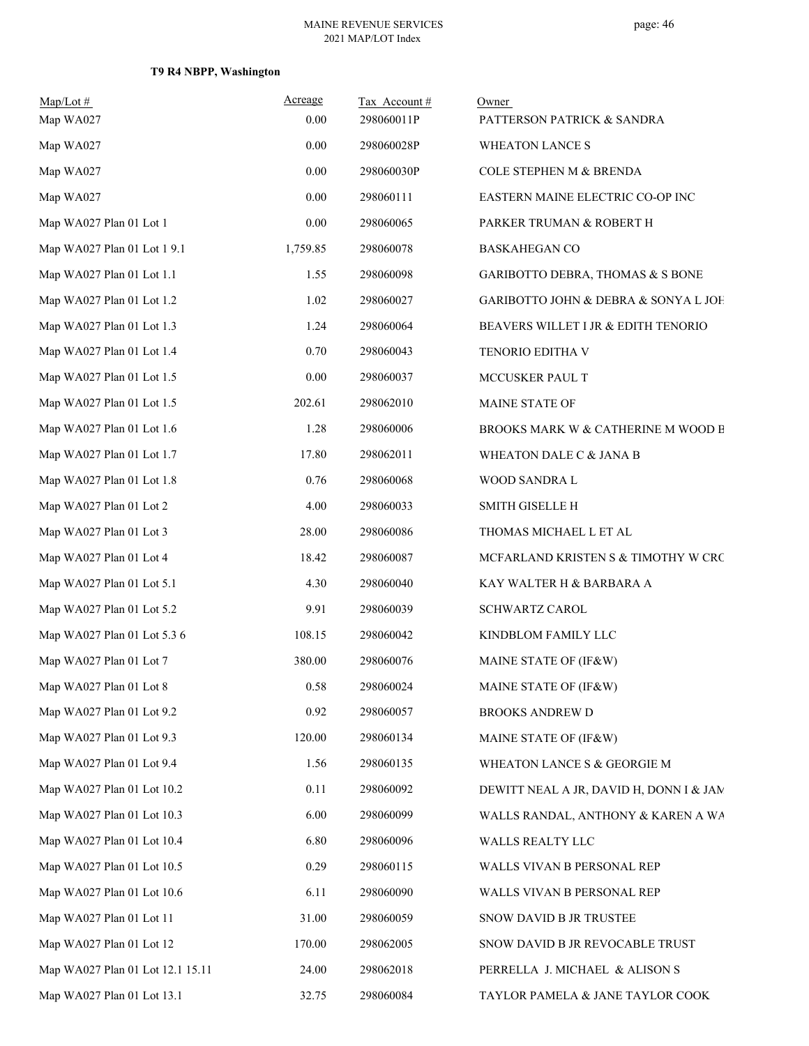## **T9 R4 NBPP, Washington**

| $Map/Lot \#$<br>Map WA027        | Acreage<br>0.00 | Tax Account#<br>298060011P | Owner<br>PATTERSON PATRICK & SANDRA     |
|----------------------------------|-----------------|----------------------------|-----------------------------------------|
| Map WA027                        | 0.00            | 298060028P                 | <b>WHEATON LANCE S</b>                  |
| Map WA027                        | 0.00            | 298060030P                 | COLE STEPHEN M & BRENDA                 |
| Map WA027                        | 0.00            | 298060111                  | EASTERN MAINE ELECTRIC CO-OP INC        |
| Map WA027 Plan 01 Lot 1          | 0.00            | 298060065                  | PARKER TRUMAN & ROBERT H                |
| Map WA027 Plan 01 Lot 1 9.1      | 1,759.85        | 298060078                  | <b>BASKAHEGAN CO</b>                    |
| Map WA027 Plan 01 Lot 1.1        | 1.55            | 298060098                  | GARIBOTTO DEBRA, THOMAS & S BONE        |
| Map WA027 Plan 01 Lot 1.2        | 1.02            | 298060027                  | GARIBOTTO JOHN & DEBRA & SONYA L JOH    |
| Map WA027 Plan 01 Lot 1.3        | 1.24            | 298060064                  | BEAVERS WILLET I JR & EDITH TENORIO     |
| Map WA027 Plan 01 Lot 1.4        | 0.70            | 298060043                  | TENORIO EDITHA V                        |
| Map WA027 Plan 01 Lot 1.5        | 0.00            | 298060037                  | MCCUSKER PAUL T                         |
| Map WA027 Plan 01 Lot 1.5        | 202.61          | 298062010                  | MAINE STATE OF                          |
| Map WA027 Plan 01 Lot 1.6        | 1.28            | 298060006                  | BROOKS MARK W & CATHERINE M WOOD B      |
| Map WA027 Plan 01 Lot 1.7        | 17.80           | 298062011                  | WHEATON DALE C & JANA B                 |
| Map WA027 Plan 01 Lot 1.8        | 0.76            | 298060068                  | WOOD SANDRA L                           |
| Map WA027 Plan 01 Lot 2          | 4.00            | 298060033                  | <b>SMITH GISELLE H</b>                  |
| Map WA027 Plan 01 Lot 3          | 28.00           | 298060086                  | THOMAS MICHAEL L ET AL                  |
| Map WA027 Plan 01 Lot 4          | 18.42           | 298060087                  | MCFARLAND KRISTEN S & TIMOTHY W CRC     |
| Map WA027 Plan 01 Lot 5.1        | 4.30            | 298060040                  | KAY WALTER H & BARBARA A                |
| Map WA027 Plan 01 Lot 5.2        | 9.91            | 298060039                  | <b>SCHWARTZ CAROL</b>                   |
| Map WA027 Plan 01 Lot 5.3 6      | 108.15          | 298060042                  | KINDBLOM FAMILY LLC                     |
| Map WA027 Plan 01 Lot 7          | 380.00          | 298060076                  | MAINE STATE OF (IF&W)                   |
| Map WA027 Plan 01 Lot 8          | 0.58            | 298060024                  | MAINE STATE OF (IF&W)                   |
| Map WA027 Plan 01 Lot 9.2        | 0.92            | 298060057                  | <b>BROOKS ANDREW D</b>                  |
| Map WA027 Plan 01 Lot 9.3        | 120.00          | 298060134                  | MAINE STATE OF (IF&W)                   |
| Map WA027 Plan 01 Lot 9.4        | 1.56            | 298060135                  | WHEATON LANCE S & GEORGIE M             |
| Map WA027 Plan 01 Lot 10.2       | 0.11            | 298060092                  | DEWITT NEAL A JR, DAVID H, DONN I & JAM |
| Map WA027 Plan 01 Lot 10.3       | 6.00            | 298060099                  | WALLS RANDAL, ANTHONY & KAREN A WA      |
| Map WA027 Plan 01 Lot 10.4       | 6.80            | 298060096                  | WALLS REALTY LLC                        |
| Map WA027 Plan 01 Lot 10.5       | 0.29            | 298060115                  | WALLS VIVAN B PERSONAL REP              |
| Map WA027 Plan 01 Lot 10.6       | 6.11            | 298060090                  | WALLS VIVAN B PERSONAL REP              |
| Map WA027 Plan 01 Lot 11         | 31.00           | 298060059                  | SNOW DAVID B JR TRUSTEE                 |
| Map WA027 Plan 01 Lot 12         | 170.00          | 298062005                  | SNOW DAVID B JR REVOCABLE TRUST         |
| Map WA027 Plan 01 Lot 12.1 15.11 | 24.00           | 298062018                  | PERRELLA J. MICHAEL & ALISON S          |
| Map WA027 Plan 01 Lot 13.1       | 32.75           | 298060084                  | TAYLOR PAMELA & JANE TAYLOR COOK        |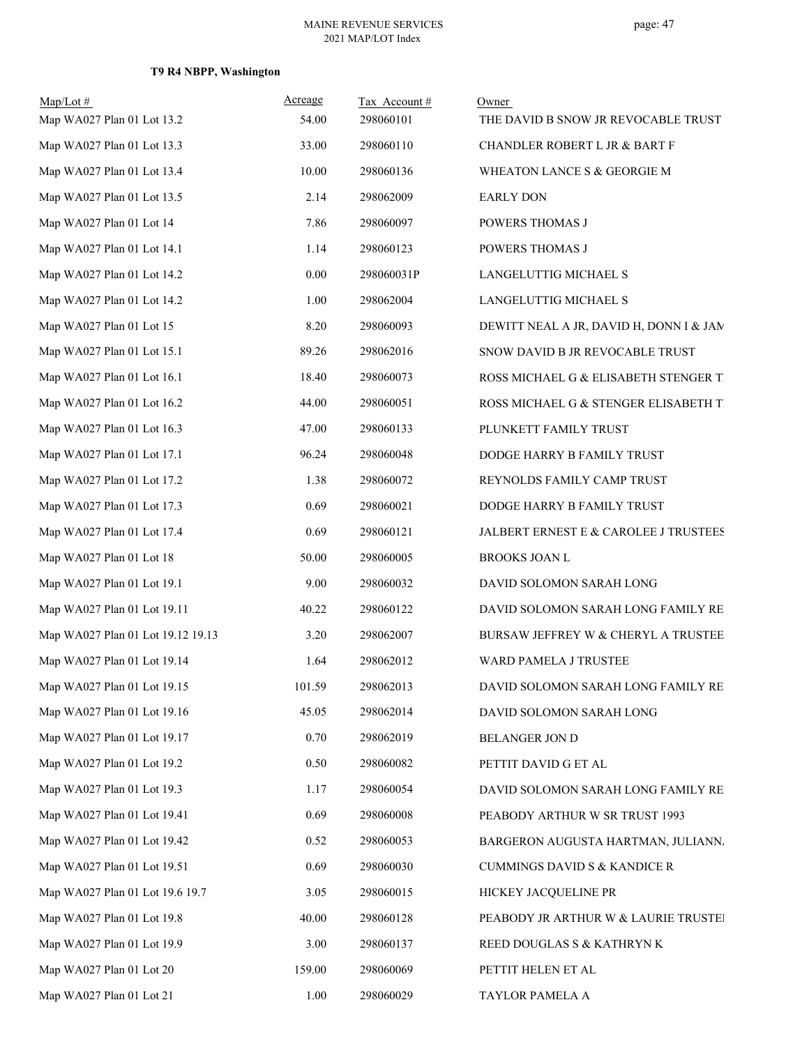## **T9 R4 NBPP, Washington**

| $Map/Lot$ #<br>Map WA027 Plan 01 Lot 13.2 | Acreage<br>54.00 | Tax Account#<br>298060101 | Owner<br>THE DAVID B SNOW JR REVOCABLE TRUST |
|-------------------------------------------|------------------|---------------------------|----------------------------------------------|
| Map WA027 Plan 01 Lot 13.3                | 33.00            | 298060110                 | CHANDLER ROBERT L JR & BART F                |
| Map WA027 Plan 01 Lot 13.4                | 10.00            | 298060136                 | WHEATON LANCE S & GEORGIE M                  |
| Map WA027 Plan 01 Lot 13.5                | 2.14             | 298062009                 | <b>EARLY DON</b>                             |
| Map WA027 Plan 01 Lot 14                  | 7.86             | 298060097                 | POWERS THOMAS J                              |
| Map WA027 Plan 01 Lot 14.1                | 1.14             | 298060123                 | POWERS THOMAS J                              |
| Map WA027 Plan 01 Lot 14.2                | 0.00             | 298060031P                | LANGELUTTIG MICHAEL S                        |
| Map WA027 Plan 01 Lot 14.2                | 1.00             | 298062004                 | LANGELUTTIG MICHAEL S                        |
| Map WA027 Plan 01 Lot 15                  | 8.20             | 298060093                 | DEWITT NEAL A JR, DAVID H, DONN I & JAM      |
| Map WA027 Plan 01 Lot 15.1                | 89.26            | 298062016                 | SNOW DAVID B JR REVOCABLE TRUST              |
| Map WA027 Plan 01 Lot 16.1                | 18.40            | 298060073                 | ROSS MICHAEL G & ELISABETH STENGER T         |
| Map WA027 Plan 01 Lot 16.2                | 44.00            | 298060051                 | ROSS MICHAEL G & STENGER ELISABETH T         |
| Map WA027 Plan 01 Lot 16.3                | 47.00            | 298060133                 | PLUNKETT FAMILY TRUST                        |
| Map WA027 Plan 01 Lot 17.1                | 96.24            | 298060048                 | DODGE HARRY B FAMILY TRUST                   |
| Map WA027 Plan 01 Lot 17.2                | 1.38             | 298060072                 | REYNOLDS FAMILY CAMP TRUST                   |
| Map WA027 Plan 01 Lot 17.3                | 0.69             | 298060021                 | DODGE HARRY B FAMILY TRUST                   |
| Map WA027 Plan 01 Lot 17.4                | 0.69             | 298060121                 | JALBERT ERNEST E & CAROLEE J TRUSTEES        |
| Map WA027 Plan 01 Lot 18                  | 50.00            | 298060005                 | BROOKS JOAN L                                |
| Map WA027 Plan 01 Lot 19.1                | 9.00             | 298060032                 | DAVID SOLOMON SARAH LONG                     |
| Map WA027 Plan 01 Lot 19.11               | 40.22            | 298060122                 | DAVID SOLOMON SARAH LONG FAMILY RE           |
| Map WA027 Plan 01 Lot 19.12 19.13         | 3.20             | 298062007                 | BURSAW JEFFREY W & CHERYL A TRUSTEE          |
| Map WA027 Plan 01 Lot 19.14               | 1.64             | 298062012                 | WARD PAMELA J TRUSTEE                        |
| Map WA027 Plan 01 Lot 19.15               | 101.59           | 298062013                 | DAVID SOLOMON SARAH LONG FAMILY RE           |
| Map WA027 Plan 01 Lot 19.16               | 45.05            | 298062014                 | DAVID SOLOMON SARAH LONG                     |
| Map WA027 Plan 01 Lot 19.17               | 0.70             | 298062019                 | BELANGER JON D                               |
| Map WA027 Plan 01 Lot 19.2                | 0.50             | 298060082                 | PETTIT DAVID G ET AL                         |
| Map WA027 Plan 01 Lot 19.3                | 1.17             | 298060054                 | DAVID SOLOMON SARAH LONG FAMILY RE           |
| Map WA027 Plan 01 Lot 19.41               | 0.69             | 298060008                 | PEABODY ARTHUR W SR TRUST 1993               |
| Map WA027 Plan 01 Lot 19.42               | 0.52             | 298060053                 | BARGERON AUGUSTA HARTMAN, JULIANN.           |
| Map WA027 Plan 01 Lot 19.51               | 0.69             | 298060030                 | <b>CUMMINGS DAVID S &amp; KANDICE R</b>      |
| Map WA027 Plan 01 Lot 19.6 19.7           | 3.05             | 298060015                 | HICKEY JACQUELINE PR                         |
| Map WA027 Plan 01 Lot 19.8                | 40.00            | 298060128                 | PEABODY JR ARTHUR W & LAURIE TRUSTEI         |
| Map WA027 Plan 01 Lot 19.9                | 3.00             | 298060137                 | REED DOUGLAS S & KATHRYN K                   |
| Map WA027 Plan 01 Lot 20                  | 159.00           | 298060069                 | PETTIT HELEN ET AL                           |
| Map WA027 Plan 01 Lot 21                  | 1.00             | 298060029                 | TAYLOR PAMELA A                              |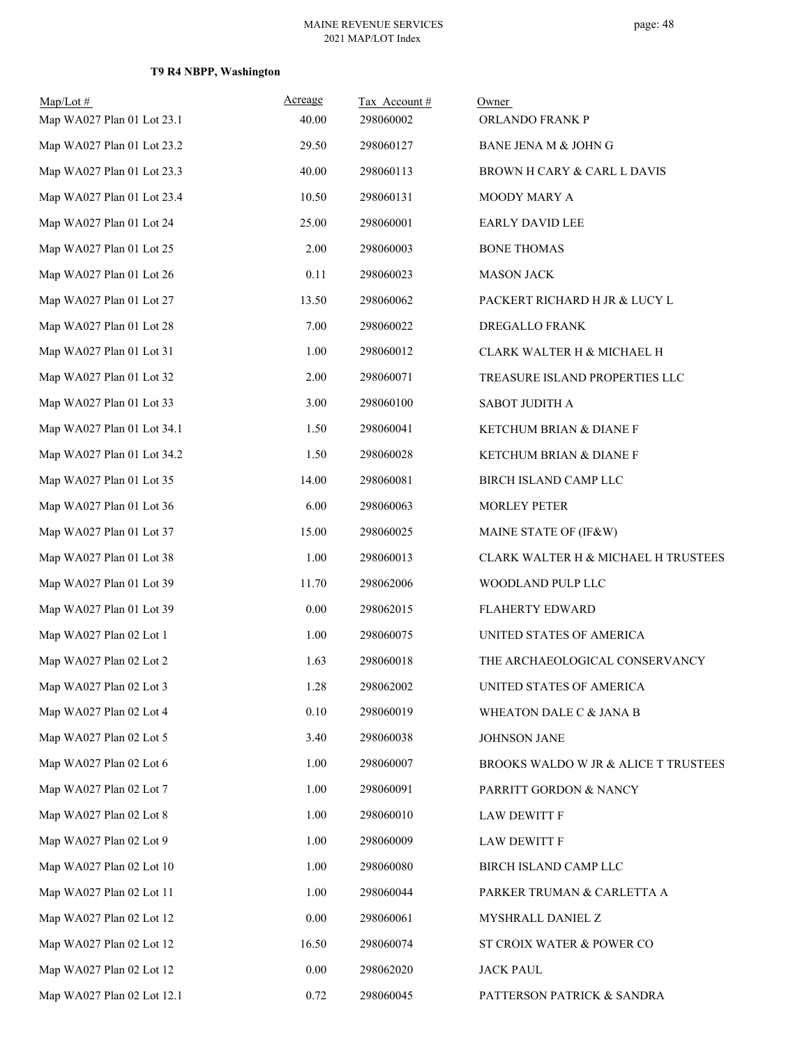| $Map/Lot$ #<br>Map WA027 Plan 01 Lot 23.1 | Acreage<br>40.00 | Tax Account#<br>298060002 | Owner<br>ORLANDO FRANK P               |
|-------------------------------------------|------------------|---------------------------|----------------------------------------|
| Map WA027 Plan 01 Lot 23.2                | 29.50            | 298060127                 | BANE JENA M & JOHN G                   |
| Map WA027 Plan 01 Lot 23.3                | 40.00            | 298060113                 | <b>BROWN H CARY &amp; CARL L DAVIS</b> |
| Map WA027 Plan 01 Lot 23.4                | 10.50            | 298060131                 | MOODY MARY A                           |
| Map WA027 Plan 01 Lot 24                  | 25.00            | 298060001                 | <b>EARLY DAVID LEE</b>                 |
| Map WA027 Plan 01 Lot 25                  | 2.00             | 298060003                 | <b>BONE THOMAS</b>                     |
| Map WA027 Plan 01 Lot 26                  | 0.11             | 298060023                 | <b>MASON JACK</b>                      |
| Map WA027 Plan 01 Lot 27                  | 13.50            | 298060062                 | PACKERT RICHARD H JR & LUCY L          |
| Map WA027 Plan 01 Lot 28                  | 7.00             | 298060022                 | DREGALLO FRANK                         |
| Map WA027 Plan 01 Lot 31                  | 1.00             | 298060012                 | CLARK WALTER H & MICHAEL H             |
| Map WA027 Plan 01 Lot 32                  | 2.00             | 298060071                 | TREASURE ISLAND PROPERTIES LLC         |
| Map WA027 Plan 01 Lot 33                  | 3.00             | 298060100                 | SABOT JUDITH A                         |
| Map WA027 Plan 01 Lot 34.1                | 1.50             | 298060041                 | <b>KETCHUM BRIAN &amp; DIANE F</b>     |
| Map WA027 Plan 01 Lot 34.2                | 1.50             | 298060028                 | KETCHUM BRIAN & DIANE F                |
| Map WA027 Plan 01 Lot 35                  | 14.00            | 298060081                 | BIRCH ISLAND CAMP LLC                  |
| Map WA027 Plan 01 Lot 36                  | 6.00             | 298060063                 | <b>MORLEY PETER</b>                    |
| Map WA027 Plan 01 Lot 37                  | 15.00            | 298060025                 | MAINE STATE OF (IF&W)                  |
| Map WA027 Plan 01 Lot 38                  | 1.00             | 298060013                 | CLARK WALTER H & MICHAEL H TRUSTEES    |
| Map WA027 Plan 01 Lot 39                  | 11.70            | 298062006                 | WOODLAND PULP LLC                      |
| Map WA027 Plan 01 Lot 39                  | 0.00             | 298062015                 | <b>FLAHERTY EDWARD</b>                 |
| Map WA027 Plan 02 Lot 1                   | 1.00             | 298060075                 | UNITED STATES OF AMERICA               |
| Map WA027 Plan 02 Lot 2                   | 1.63             | 298060018                 | THE ARCHAEOLOGICAL CONSERVANCY         |
| Map WA027 Plan 02 Lot 3                   | 1.28             | 298062002                 | UNITED STATES OF AMERICA               |
| Map WA027 Plan 02 Lot 4                   | 0.10             | 298060019                 | WHEATON DALE C & JANA B                |
| Map WA027 Plan 02 Lot 5                   | 3.40             | 298060038                 | <b>JOHNSON JANE</b>                    |
| Map WA027 Plan 02 Lot 6                   | 1.00             | 298060007                 | BROOKS WALDO W JR & ALICE T TRUSTEES   |
| Map WA027 Plan 02 Lot 7                   | 1.00             | 298060091                 | PARRITT GORDON & NANCY                 |
| Map WA027 Plan 02 Lot 8                   | 1.00             | 298060010                 | <b>LAW DEWITT F</b>                    |
| Map WA027 Plan 02 Lot 9                   | 1.00             | 298060009                 | <b>LAW DEWITT F</b>                    |
| Map WA027 Plan 02 Lot 10                  | 1.00             | 298060080                 | BIRCH ISLAND CAMP LLC                  |
| Map WA027 Plan 02 Lot 11                  | 1.00             | 298060044                 | PARKER TRUMAN & CARLETTA A             |
| Map WA027 Plan 02 Lot 12                  | 0.00             | 298060061                 | MYSHRALL DANIEL Z                      |
| Map WA027 Plan 02 Lot 12                  | 16.50            | 298060074                 | ST CROIX WATER & POWER CO              |
| Map WA027 Plan 02 Lot 12                  | $0.00\,$         | 298062020                 | <b>JACK PAUL</b>                       |
| Map WA027 Plan 02 Lot 12.1                | 0.72             | 298060045                 | PATTERSON PATRICK & SANDRA             |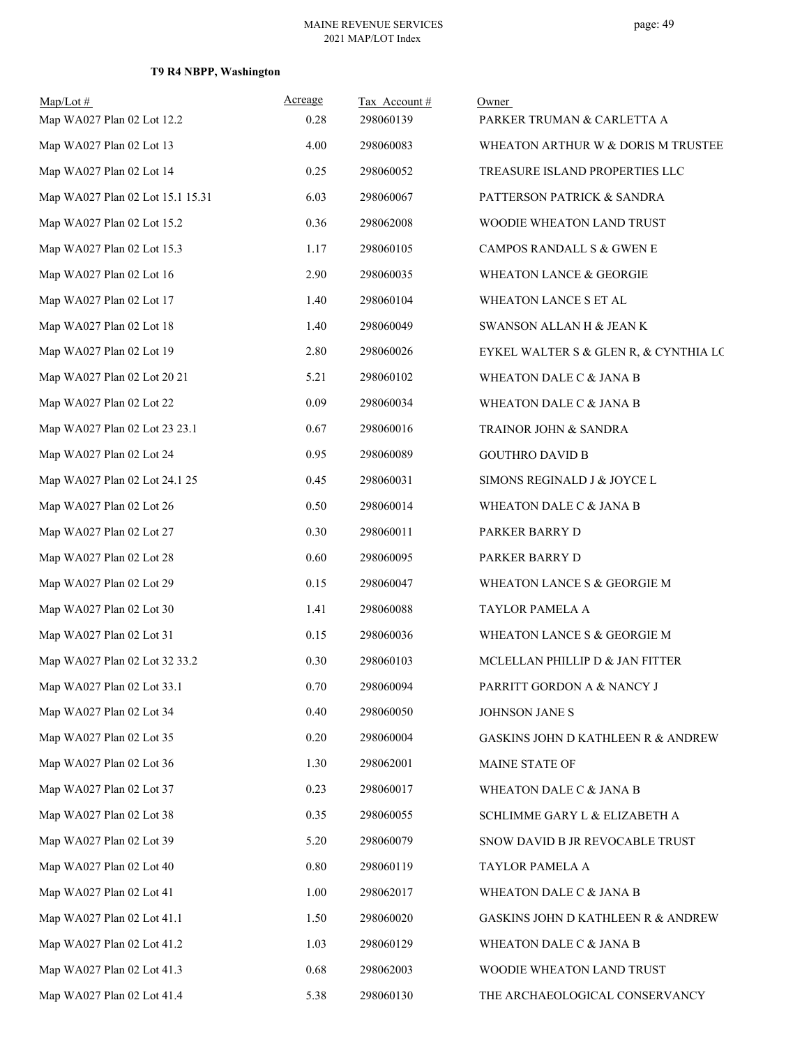## **T9 R4 NBPP, Washington**

| $Map/Lot$ #                      | Acreage | Tax Account# | Owner                                         |
|----------------------------------|---------|--------------|-----------------------------------------------|
| Map WA027 Plan 02 Lot 12.2       | 0.28    | 298060139    | PARKER TRUMAN & CARLETTA A                    |
| Map WA027 Plan 02 Lot 13         | 4.00    | 298060083    | WHEATON ARTHUR W & DORIS M TRUSTEE            |
| Map WA027 Plan 02 Lot 14         | 0.25    | 298060052    | TREASURE ISLAND PROPERTIES LLC                |
| Map WA027 Plan 02 Lot 15.1 15.31 | 6.03    | 298060067    | PATTERSON PATRICK & SANDRA                    |
| Map WA027 Plan 02 Lot 15.2       | 0.36    | 298062008    | WOODIE WHEATON LAND TRUST                     |
| Map WA027 Plan 02 Lot 15.3       | 1.17    | 298060105    | CAMPOS RANDALL S & GWEN E                     |
| Map WA027 Plan 02 Lot 16         | 2.90    | 298060035    | WHEATON LANCE & GEORGIE                       |
| Map WA027 Plan 02 Lot 17         | 1.40    | 298060104    | WHEATON LANCE S ET AL                         |
| Map WA027 Plan 02 Lot 18         | 1.40    | 298060049    | SWANSON ALLAN H & JEAN K                      |
| Map WA027 Plan 02 Lot 19         | 2.80    | 298060026    | EYKEL WALTER S & GLEN R, & CYNTHIA LC         |
| Map WA027 Plan 02 Lot 20 21      | 5.21    | 298060102    | WHEATON DALE C & JANA B                       |
| Map WA027 Plan 02 Lot 22         | 0.09    | 298060034    | WHEATON DALE C & JANA B                       |
| Map WA027 Plan 02 Lot 23 23.1    | 0.67    | 298060016    | TRAINOR JOHN & SANDRA                         |
| Map WA027 Plan 02 Lot 24         | 0.95    | 298060089    | <b>GOUTHRO DAVID B</b>                        |
| Map WA027 Plan 02 Lot 24.1 25    | 0.45    | 298060031    | SIMONS REGINALD J & JOYCE L                   |
| Map WA027 Plan 02 Lot 26         | 0.50    | 298060014    | WHEATON DALE C & JANA B                       |
| Map WA027 Plan 02 Lot 27         | 0.30    | 298060011    | PARKER BARRY D                                |
| Map WA027 Plan 02 Lot 28         | 0.60    | 298060095    | PARKER BARRY D                                |
| Map WA027 Plan 02 Lot 29         | 0.15    | 298060047    | WHEATON LANCE S & GEORGIE M                   |
| Map WA027 Plan 02 Lot 30         | 1.41    | 298060088    | TAYLOR PAMELA A                               |
| Map WA027 Plan 02 Lot 31         | 0.15    | 298060036    | WHEATON LANCE S & GEORGIE M                   |
| Map WA027 Plan 02 Lot 32 33.2    | 0.30    | 298060103    | MCLELLAN PHILLIP D & JAN FITTER               |
| Map WA027 Plan 02 Lot 33.1       | 0.70    | 298060094    | PARRITT GORDON A & NANCY J                    |
| Map WA027 Plan 02 Lot 34         | 0.40    | 298060050    | JOHNSON JANE S                                |
| Map WA027 Plan 02 Lot 35         | 0.20    | 298060004    | GASKINS JOHN D KATHLEEN R & ANDREW            |
| Map WA027 Plan 02 Lot 36         | 1.30    | 298062001    | MAINE STATE OF                                |
| Map WA027 Plan 02 Lot 37         | 0.23    | 298060017    | WHEATON DALE C & JANA B                       |
| Map WA027 Plan 02 Lot 38         | 0.35    | 298060055    | SCHLIMME GARY L & ELIZABETH A                 |
| Map WA027 Plan 02 Lot 39         | 5.20    | 298060079    | SNOW DAVID B JR REVOCABLE TRUST               |
| Map WA027 Plan 02 Lot 40         | 0.80    | 298060119    | TAYLOR PAMELA A                               |
| Map WA027 Plan 02 Lot 41         | 1.00    | 298062017    | WHEATON DALE C & JANA B                       |
| Map WA027 Plan 02 Lot 41.1       | 1.50    | 298060020    | <b>GASKINS JOHN D KATHLEEN R &amp; ANDREW</b> |
| Map WA027 Plan 02 Lot 41.2       | 1.03    | 298060129    | WHEATON DALE C & JANA B                       |
| Map WA027 Plan 02 Lot 41.3       | 0.68    | 298062003    | WOODIE WHEATON LAND TRUST                     |
| Map WA027 Plan 02 Lot 41.4       | 5.38    | 298060130    | THE ARCHAEOLOGICAL CONSERVANCY                |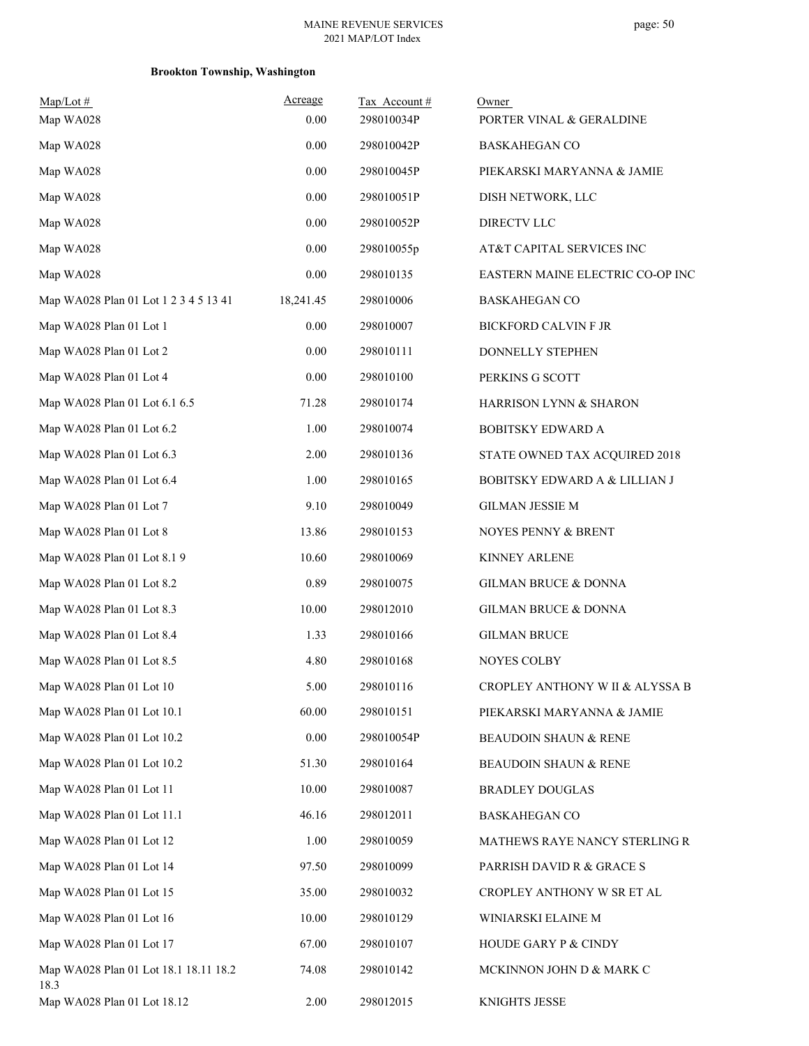| $Map/Lot \#$                                  | Acreage   | Tax Account# | Owner                            |
|-----------------------------------------------|-----------|--------------|----------------------------------|
| Map WA028                                     | 0.00      | 298010034P   | PORTER VINAL & GERALDINE         |
| Map WA028                                     | 0.00      | 298010042P   | <b>BASKAHEGAN CO</b>             |
| Map WA028                                     | 0.00      | 298010045P   | PIEKARSKI MARYANNA & JAMIE       |
| Map WA028                                     | 0.00      | 298010051P   | DISH NETWORK, LLC                |
| Map WA028                                     | 0.00      | 298010052P   | DIRECTV LLC                      |
| Map WA028                                     | 0.00      | 298010055p   | AT&T CAPITAL SERVICES INC        |
| Map WA028                                     | 0.00      | 298010135    | EASTERN MAINE ELECTRIC CO-OP INC |
| Map WA028 Plan 01 Lot 1 2 3 4 5 13 41         | 18,241.45 | 298010006    | <b>BASKAHEGAN CO</b>             |
| Map WA028 Plan 01 Lot 1                       | 0.00      | 298010007    | <b>BICKFORD CALVIN F JR</b>      |
| Map WA028 Plan 01 Lot 2                       | 0.00      | 298010111    | DONNELLY STEPHEN                 |
| Map WA028 Plan 01 Lot 4                       | 0.00      | 298010100    | PERKINS G SCOTT                  |
| Map WA028 Plan 01 Lot 6.1 6.5                 | 71.28     | 298010174    | HARRISON LYNN & SHARON           |
| Map WA028 Plan 01 Lot 6.2                     | 1.00      | 298010074    | <b>BOBITSKY EDWARD A</b>         |
| Map WA028 Plan 01 Lot 6.3                     | 2.00      | 298010136    | STATE OWNED TAX ACQUIRED 2018    |
| Map WA028 Plan 01 Lot 6.4                     | 1.00      | 298010165    | BOBITSKY EDWARD A & LILLIAN J    |
| Map WA028 Plan 01 Lot 7                       | 9.10      | 298010049    | <b>GILMAN JESSIE M</b>           |
| Map WA028 Plan 01 Lot 8                       | 13.86     | 298010153    | NOYES PENNY & BRENT              |
| Map WA028 Plan 01 Lot 8.1 9                   | 10.60     | 298010069    | <b>KINNEY ARLENE</b>             |
| Map WA028 Plan 01 Lot 8.2                     | 0.89      | 298010075    | GILMAN BRUCE & DONNA             |
| Map WA028 Plan 01 Lot 8.3                     | 10.00     | 298012010    | GILMAN BRUCE & DONNA             |
| Map WA028 Plan 01 Lot 8.4                     | 1.33      | 298010166    | <b>GILMAN BRUCE</b>              |
| Map WA028 Plan 01 Lot 8.5                     | 4.80      | 298010168    | <b>NOYES COLBY</b>               |
| Map WA028 Plan 01 Lot 10                      | 5.00      | 298010116    | CROPLEY ANTHONY W II & ALYSSA B  |
| Map WA028 Plan 01 Lot 10.1                    | 60.00     | 298010151    | PIEKARSKI MARYANNA & JAMIE       |
| Map WA028 Plan 01 Lot 10.2                    | 0.00      | 298010054P   | BEAUDOIN SHAUN & RENE            |
| Map WA028 Plan 01 Lot 10.2                    | 51.30     | 298010164    | BEAUDOIN SHAUN & RENE            |
| Map WA028 Plan 01 Lot 11                      | 10.00     | 298010087    | BRADLEY DOUGLAS                  |
| Map WA028 Plan 01 Lot 11.1                    | 46.16     | 298012011    | <b>BASKAHEGAN CO</b>             |
| Map WA028 Plan 01 Lot 12                      | 1.00      | 298010059    | MATHEWS RAYE NANCY STERLING R    |
| Map WA028 Plan 01 Lot 14                      | 97.50     | 298010099    | PARRISH DAVID R & GRACE S        |
| Map WA028 Plan 01 Lot 15                      | 35.00     | 298010032    | CROPLEY ANTHONY W SR ET AL       |
| Map WA028 Plan 01 Lot 16                      | 10.00     | 298010129    | WINIARSKI ELAINE M               |
| Map WA028 Plan 01 Lot 17                      | 67.00     | 298010107    | HOUDE GARY P & CINDY             |
| Map WA028 Plan 01 Lot 18.1 18.11 18.2<br>18.3 | 74.08     | 298010142    | MCKINNON JOHN D & MARK C         |
| Map WA028 Plan 01 Lot 18.12                   | 2.00      | 298012015    | KNIGHTS JESSE                    |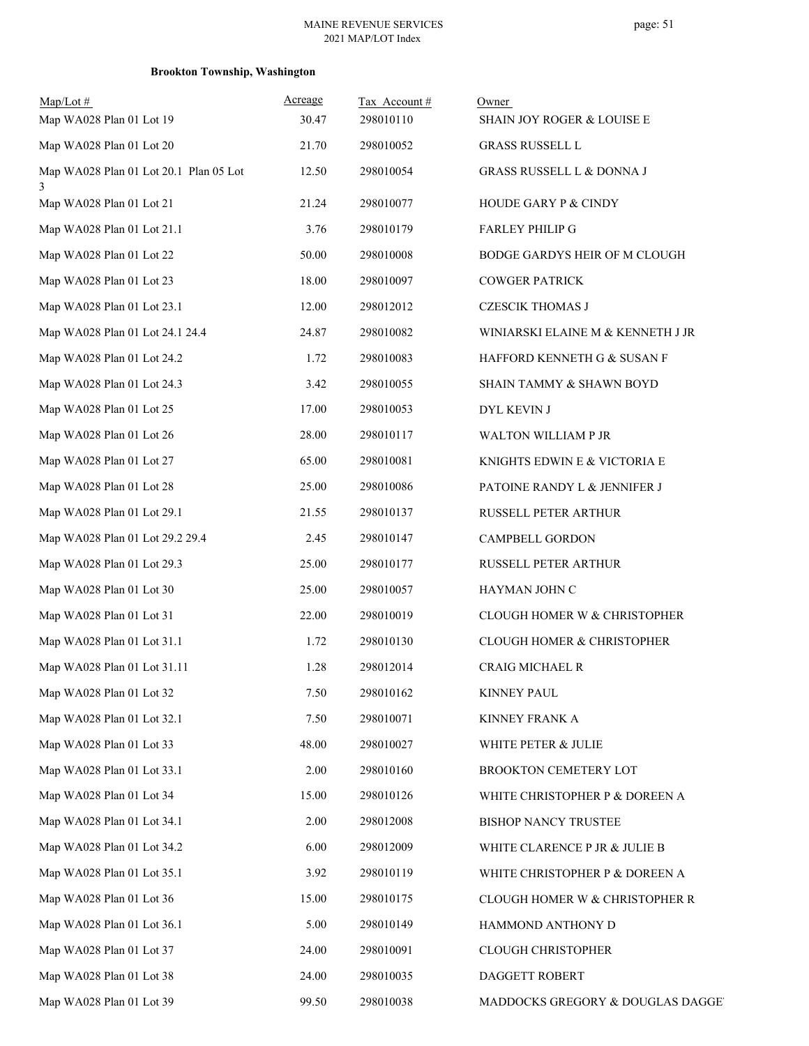| $Map/Lot$ #<br>Map WA028 Plan 01 Lot 19     | Acreage<br>30.47 | Tax Account#<br>298010110 | Owner<br>SHAIN JOY ROGER & LOUISE E |
|---------------------------------------------|------------------|---------------------------|-------------------------------------|
| Map WA028 Plan 01 Lot 20                    | 21.70            | 298010052                 | <b>GRASS RUSSELL L</b>              |
| Map WA028 Plan 01 Lot 20.1 Plan 05 Lot<br>3 | 12.50            | 298010054                 | GRASS RUSSELL L & DONNA J           |
| Map WA028 Plan 01 Lot 21                    | 21.24            | 298010077                 | HOUDE GARY P & CINDY                |
| Map WA028 Plan 01 Lot 21.1                  | 3.76             | 298010179                 | FARLEY PHILIP G                     |
| Map WA028 Plan 01 Lot 22                    | 50.00            | 298010008                 | BODGE GARDYS HEIR OF M CLOUGH       |
| Map WA028 Plan 01 Lot 23                    | 18.00            | 298010097                 | <b>COWGER PATRICK</b>               |
| Map WA028 Plan 01 Lot 23.1                  | 12.00            | 298012012                 | <b>CZESCIK THOMAS J</b>             |
| Map WA028 Plan 01 Lot 24.1 24.4             | 24.87            | 298010082                 | WINIARSKI ELAINE M & KENNETH J JR   |
| Map WA028 Plan 01 Lot 24.2                  | 1.72             | 298010083                 | HAFFORD KENNETH G & SUSAN F         |
| Map WA028 Plan 01 Lot 24.3                  | 3.42             | 298010055                 | SHAIN TAMMY & SHAWN BOYD            |
| Map WA028 Plan 01 Lot 25                    | 17.00            | 298010053                 | DYL KEVIN J                         |
| Map WA028 Plan 01 Lot 26                    | 28.00            | 298010117                 | WALTON WILLIAM P JR                 |
| Map WA028 Plan 01 Lot 27                    | 65.00            | 298010081                 | KNIGHTS EDWIN E & VICTORIA E        |
| Map WA028 Plan 01 Lot 28                    | 25.00            | 298010086                 | PATOINE RANDY L & JENNIFER J        |
| Map WA028 Plan 01 Lot 29.1                  | 21.55            | 298010137                 | RUSSELL PETER ARTHUR                |
| Map WA028 Plan 01 Lot 29.2 29.4             | 2.45             | 298010147                 | CAMPBELL GORDON                     |
| Map WA028 Plan 01 Lot 29.3                  | 25.00            | 298010177                 | RUSSELL PETER ARTHUR                |
| Map WA028 Plan 01 Lot 30                    | 25.00            | 298010057                 | HAYMAN JOHN C                       |
| Map WA028 Plan 01 Lot 31                    | 22.00            | 298010019                 | CLOUGH HOMER W & CHRISTOPHER        |
| Map WA028 Plan 01 Lot 31.1                  | 1.72             | 298010130                 | CLOUGH HOMER & CHRISTOPHER          |
| Map WA028 Plan 01 Lot 31.11                 | 1.28             | 298012014                 | CRAIG MICHAEL R                     |
| Map WA028 Plan 01 Lot 32                    | 7.50             | 298010162                 | <b>KINNEY PAUL</b>                  |
| Map WA028 Plan 01 Lot 32.1                  | 7.50             | 298010071                 | KINNEY FRANK A                      |
| Map WA028 Plan 01 Lot 33                    | 48.00            | 298010027                 | WHITE PETER & JULIE                 |
| Map WA028 Plan 01 Lot 33.1                  | 2.00             | 298010160                 | BROOKTON CEMETERY LOT               |
| Map WA028 Plan 01 Lot 34                    | 15.00            | 298010126                 | WHITE CHRISTOPHER P & DOREEN A      |
| Map WA028 Plan 01 Lot 34.1                  | 2.00             | 298012008                 | BISHOP NANCY TRUSTEE                |
| Map WA028 Plan 01 Lot 34.2                  | 6.00             | 298012009                 | WHITE CLARENCE P JR & JULIE B       |
| Map WA028 Plan 01 Lot 35.1                  | 3.92             | 298010119                 | WHITE CHRISTOPHER P & DOREEN A      |
| Map WA028 Plan 01 Lot 36                    | 15.00            | 298010175                 | CLOUGH HOMER W & CHRISTOPHER R      |
| Map WA028 Plan 01 Lot 36.1                  | 5.00             | 298010149                 | HAMMOND ANTHONY D                   |
| Map WA028 Plan 01 Lot 37                    | 24.00            | 298010091                 | CLOUGH CHRISTOPHER                  |
| Map WA028 Plan 01 Lot 38                    | 24.00            | 298010035                 | DAGGETT ROBERT                      |
| Map WA028 Plan 01 Lot 39                    | 99.50            | 298010038                 | MADDOCKS GREGORY & DOUGLAS DAGGE'   |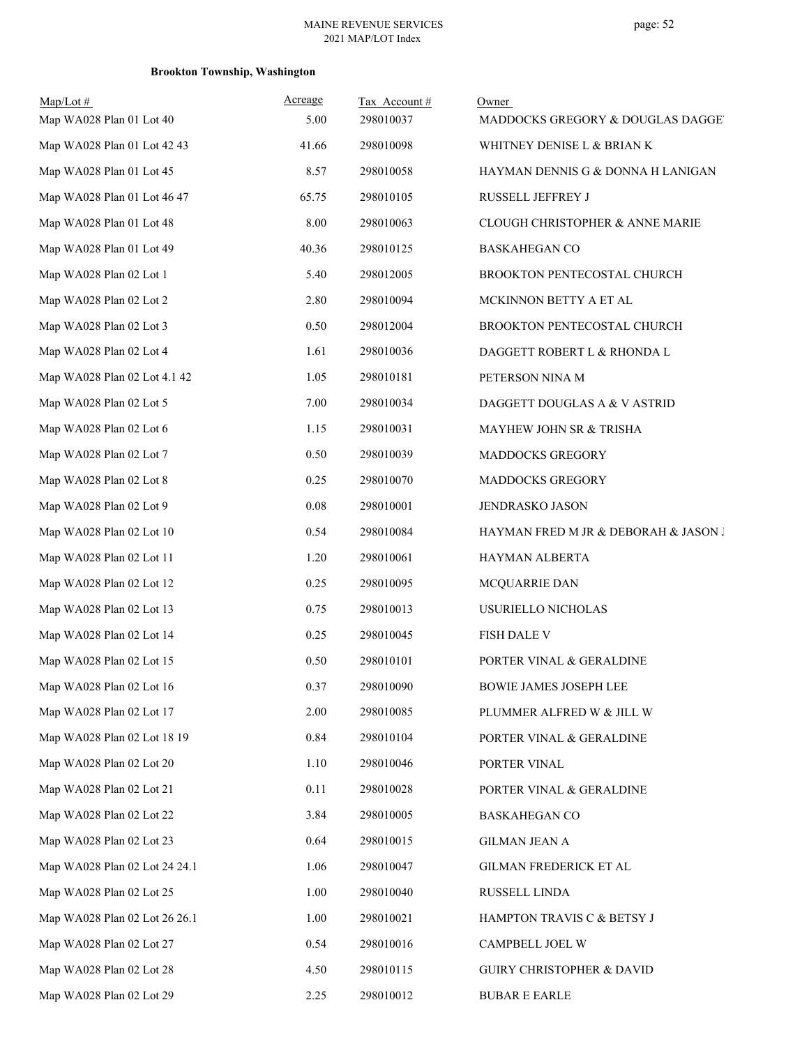| $Map/Lot \#$<br>Map WA028 Plan 01 Lot 40 | Acreage<br>5.00 | Tax Account #<br>298010037 | Owner<br>MADDOCKS GREGORY & DOUGLAS DAGGET |
|------------------------------------------|-----------------|----------------------------|--------------------------------------------|
| Map WA028 Plan 01 Lot 42 43              | 41.66           | 298010098                  | WHITNEY DENISE L & BRIAN K                 |
| Map WA028 Plan 01 Lot 45                 | 8.57            | 298010058                  | HAYMAN DENNIS G & DONNA H LANIGAN          |
| Map WA028 Plan 01 Lot 46 47              | 65.75           | 298010105                  | RUSSELL JEFFREY J                          |
| Map WA028 Plan 01 Lot 48                 | 8.00            | 298010063                  | CLOUGH CHRISTOPHER & ANNE MARIE            |
| Map WA028 Plan 01 Lot 49                 | 40.36           | 298010125                  | <b>BASKAHEGAN CO</b>                       |
| Map WA028 Plan 02 Lot 1                  | 5.40            | 298012005                  | BROOKTON PENTECOSTAL CHURCH                |
| Map WA028 Plan 02 Lot 2                  | 2.80            | 298010094                  | MCKINNON BETTY A ET AL                     |
| Map WA028 Plan 02 Lot 3                  | 0.50            | 298012004                  | BROOKTON PENTECOSTAL CHURCH                |
| Map WA028 Plan 02 Lot 4                  | 1.61            | 298010036                  | DAGGETT ROBERT L & RHONDA L                |
| Map WA028 Plan 02 Lot 4.1 42             | 1.05            | 298010181                  | PETERSON NINA M                            |
| Map WA028 Plan 02 Lot 5                  | 7.00            | 298010034                  | DAGGETT DOUGLAS A & V ASTRID               |
| Map WA028 Plan 02 Lot 6                  | 1.15            | 298010031                  | MAYHEW JOHN SR & TRISHA                    |
| Map WA028 Plan 02 Lot 7                  | 0.50            | 298010039                  | MADDOCKS GREGORY                           |
| Map WA028 Plan 02 Lot 8                  | 0.25            | 298010070                  | MADDOCKS GREGORY                           |
| Map WA028 Plan 02 Lot 9                  | 0.08            | 298010001                  | JENDRASKO JASON                            |
| Map WA028 Plan 02 Lot 10                 | 0.54            | 298010084                  | HAYMAN FRED M JR & DEBORAH & JASON J       |
| Map WA028 Plan 02 Lot 11                 | 1.20            | 298010061                  | HAYMAN ALBERTA                             |
| Map WA028 Plan 02 Lot 12                 | 0.25            | 298010095                  | MCQUARRIE DAN                              |
| Map WA028 Plan 02 Lot 13                 | 0.75            | 298010013                  | USURIELLO NICHOLAS                         |
| Map WA028 Plan 02 Lot 14                 | 0.25            | 298010045                  | FISH DALE V                                |
| Map WA028 Plan 02 Lot 15                 | 0.50            | 298010101                  | PORTER VINAL & GERALDINE                   |
| Map WA028 Plan 02 Lot 16                 | 0.37            | 298010090                  | <b>BOWIE JAMES JOSEPH LEE</b>              |
| Map WA028 Plan 02 Lot 17                 | 2.00            | 298010085                  | PLUMMER ALFRED W & JILL W                  |
| Map WA028 Plan 02 Lot 18 19              | 0.84            | 298010104                  | PORTER VINAL & GERALDINE                   |
| Map WA028 Plan 02 Lot 20                 | 1.10            | 298010046                  | PORTER VINAL                               |
| Map WA028 Plan 02 Lot 21                 | 0.11            | 298010028                  | PORTER VINAL & GERALDINE                   |
| Map WA028 Plan 02 Lot 22                 | 3.84            | 298010005                  | <b>BASKAHEGAN CO</b>                       |
| Map WA028 Plan 02 Lot 23                 | 0.64            | 298010015                  | <b>GILMAN JEAN A</b>                       |
| Map WA028 Plan 02 Lot 24 24.1            | 1.06            | 298010047                  | GILMAN FREDERICK ET AL                     |
| Map WA028 Plan 02 Lot 25                 | 1.00            | 298010040                  | RUSSELL LINDA                              |
| Map WA028 Plan 02 Lot 26 26.1            | 1.00            | 298010021                  | HAMPTON TRAVIS C & BETSY J                 |
| Map WA028 Plan 02 Lot 27                 | 0.54            | 298010016                  | CAMPBELL JOEL W                            |
| Map WA028 Plan 02 Lot 28                 | 4.50            | 298010115                  | GUIRY CHRISTOPHER & DAVID                  |
| Map WA028 Plan 02 Lot 29                 | 2.25            | 298010012                  | <b>BUBAR E EARLE</b>                       |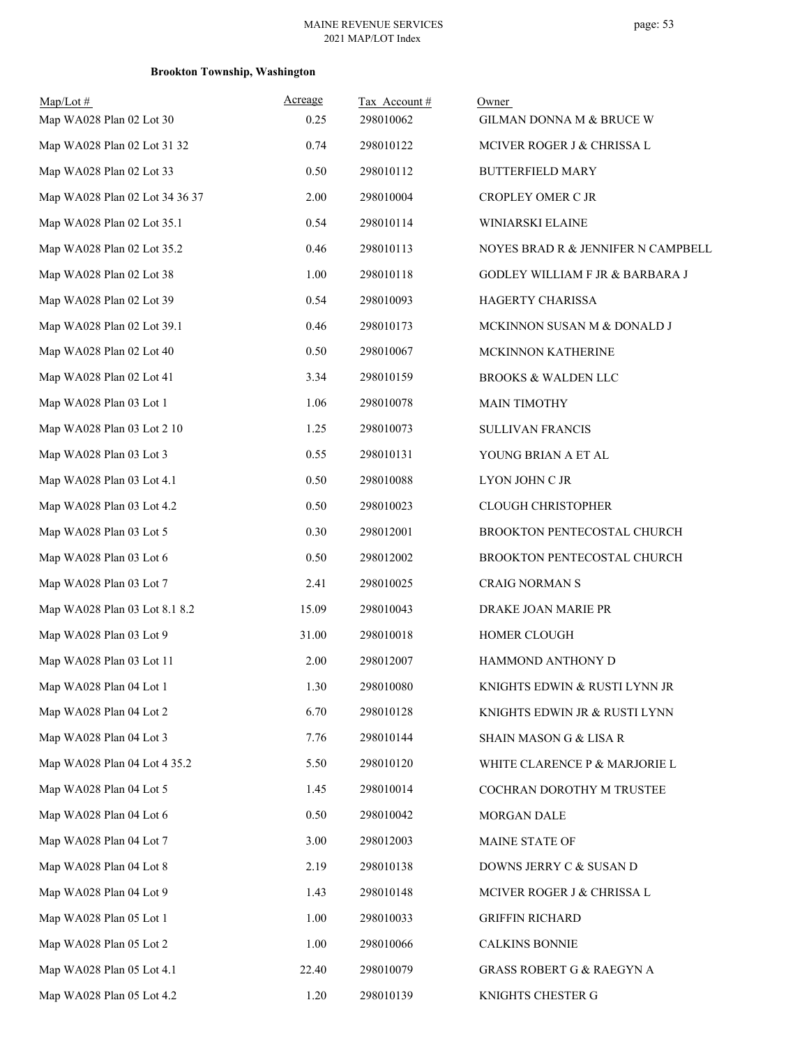| $Map/Lot \#$                   | Acreage | Tax Account# | Owner                                |
|--------------------------------|---------|--------------|--------------------------------------|
| Map WA028 Plan 02 Lot 30       | 0.25    | 298010062    | GILMAN DONNA M & BRUCE W             |
| Map WA028 Plan 02 Lot 31 32    | 0.74    | 298010122    | MCIVER ROGER J & CHRISSA L           |
| Map WA028 Plan 02 Lot 33       | 0.50    | 298010112    | <b>BUTTERFIELD MARY</b>              |
| Map WA028 Plan 02 Lot 34 36 37 | 2.00    | 298010004    | CROPLEY OMER C JR                    |
| Map WA028 Plan 02 Lot 35.1     | 0.54    | 298010114    | WINIARSKI ELAINE                     |
| Map WA028 Plan 02 Lot 35.2     | 0.46    | 298010113    | NOYES BRAD R & JENNIFER N CAMPBELL   |
| Map WA028 Plan 02 Lot 38       | 1.00    | 298010118    | GODLEY WILLIAM F JR & BARBARA J      |
| Map WA028 Plan 02 Lot 39       | 0.54    | 298010093    | HAGERTY CHARISSA                     |
| Map WA028 Plan 02 Lot 39.1     | 0.46    | 298010173    | MCKINNON SUSAN M & DONALD J          |
| Map WA028 Plan 02 Lot 40       | 0.50    | 298010067    | MCKINNON KATHERINE                   |
| Map WA028 Plan 02 Lot 41       | 3.34    | 298010159    | <b>BROOKS &amp; WALDEN LLC</b>       |
| Map WA028 Plan 03 Lot 1        | 1.06    | 298010078    | <b>MAIN TIMOTHY</b>                  |
| Map WA028 Plan 03 Lot 2 10     | 1.25    | 298010073    | <b>SULLIVAN FRANCIS</b>              |
| Map WA028 Plan 03 Lot 3        | 0.55    | 298010131    | YOUNG BRIAN A ET AL                  |
| Map WA028 Plan 03 Lot 4.1      | 0.50    | 298010088    | LYON JOHN C JR                       |
| Map WA028 Plan 03 Lot 4.2      | 0.50    | 298010023    | <b>CLOUGH CHRISTOPHER</b>            |
| Map WA028 Plan 03 Lot 5        | 0.30    | 298012001    | <b>BROOKTON PENTECOSTAL CHURCH</b>   |
| Map WA028 Plan 03 Lot 6        | 0.50    | 298012002    | BROOKTON PENTECOSTAL CHURCH          |
| Map WA028 Plan 03 Lot 7        | 2.41    | 298010025    | <b>CRAIG NORMAN S</b>                |
| Map WA028 Plan 03 Lot 8.1 8.2  | 15.09   | 298010043    | DRAKE JOAN MARIE PR                  |
| Map WA028 Plan 03 Lot 9        | 31.00   | 298010018    | HOMER CLOUGH                         |
| Map WA028 Plan 03 Lot 11       | 2.00    | 298012007    | HAMMOND ANTHONY D                    |
| Map WA028 Plan 04 Lot 1        | 1.30    | 298010080    | KNIGHTS EDWIN & RUSTI LYNN JR        |
| Map WA028 Plan 04 Lot 2        | 6.70    | 298010128    | KNIGHTS EDWIN JR & RUSTI LYNN        |
| Map WA028 Plan 04 Lot 3        | 7.76    | 298010144    | <b>SHAIN MASON G &amp; LISA R</b>    |
| Map WA028 Plan 04 Lot 4 35.2   | 5.50    | 298010120    | WHITE CLARENCE P & MARJORIE L        |
| Map WA028 Plan 04 Lot 5        | 1.45    | 298010014    | COCHRAN DOROTHY M TRUSTEE            |
| Map WA028 Plan 04 Lot 6        | 0.50    | 298010042    | MORGAN DALE                          |
| Map WA028 Plan 04 Lot 7        | 3.00    | 298012003    | MAINE STATE OF                       |
| Map WA028 Plan 04 Lot 8        | 2.19    | 298010138    | DOWNS JERRY C & SUSAN D              |
| Map WA028 Plan 04 Lot 9        | 1.43    | 298010148    | MCIVER ROGER J & CHRISSA L           |
| Map WA028 Plan 05 Lot 1        | 1.00    | 298010033    | <b>GRIFFIN RICHARD</b>               |
| Map WA028 Plan 05 Lot 2        | 1.00    | 298010066    | <b>CALKINS BONNIE</b>                |
| Map WA028 Plan 05 Lot 4.1      | 22.40   | 298010079    | <b>GRASS ROBERT G &amp; RAEGYN A</b> |
| Map WA028 Plan 05 Lot 4.2      | 1.20    | 298010139    | KNIGHTS CHESTER G                    |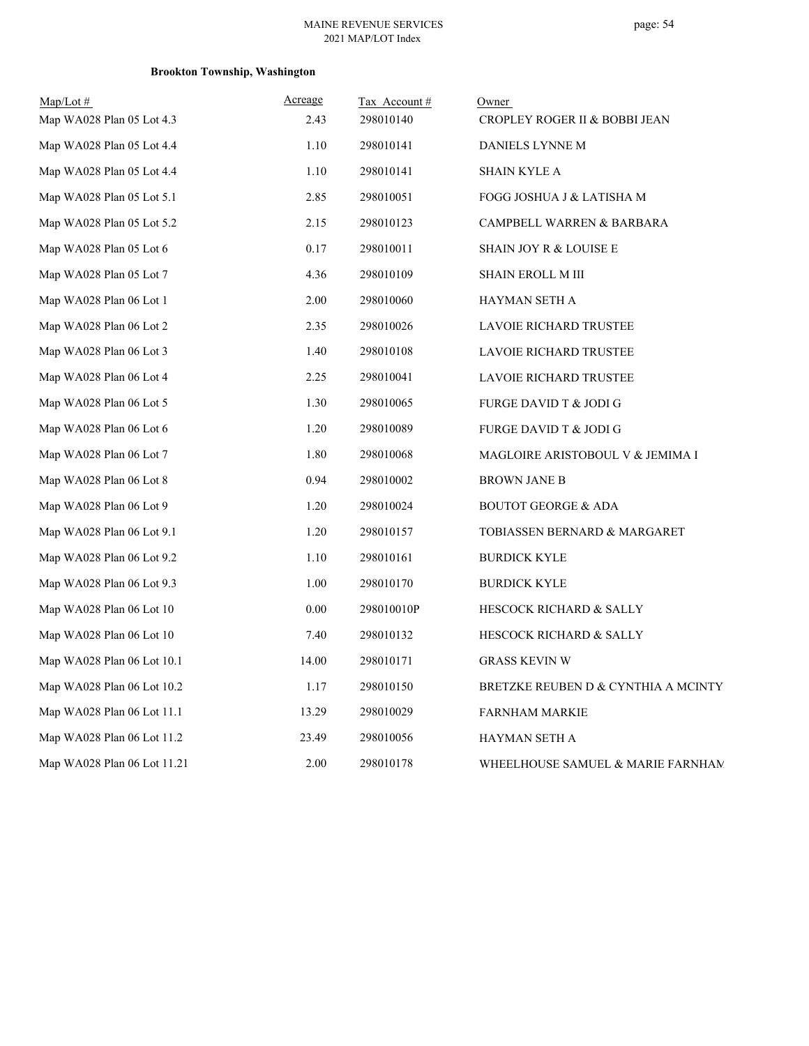# page: 54

| $Map/Lot \#$                | Acreage | Tax Account# | Owner                                |
|-----------------------------|---------|--------------|--------------------------------------|
| Map WA028 Plan 05 Lot 4.3   | 2.43    | 298010140    | CROPLEY ROGER II & BOBBI JEAN        |
| Map WA028 Plan 05 Lot 4.4   | 1.10    | 298010141    | DANIELS LYNNE M                      |
| Map WA028 Plan 05 Lot 4.4   | 1.10    | 298010141    | <b>SHAIN KYLE A</b>                  |
| Map WA028 Plan 05 Lot 5.1   | 2.85    | 298010051    | FOGG JOSHUA J & LATISHA M            |
| Map WA028 Plan 05 Lot 5.2   | 2.15    | 298010123    | CAMPBELL WARREN & BARBARA            |
| Map WA028 Plan 05 Lot 6     | 0.17    | 298010011    | SHAIN JOY R & LOUISE E               |
| Map WA028 Plan 05 Lot 7     | 4.36    | 298010109    | <b>SHAIN EROLL M III</b>             |
| Map WA028 Plan 06 Lot 1     | 2.00    | 298010060    | HAYMAN SETH A                        |
| Map WA028 Plan 06 Lot 2     | 2.35    | 298010026    | <b>LAVOIE RICHARD TRUSTEE</b>        |
| Map WA028 Plan 06 Lot 3     | 1.40    | 298010108    | <b>LAVOIE RICHARD TRUSTEE</b>        |
| Map WA028 Plan 06 Lot 4     | 2.25    | 298010041    | LAVOIE RICHARD TRUSTEE               |
| Map WA028 Plan 06 Lot 5     | 1.30    | 298010065    | <b>FURGE DAVID T &amp; JODI G</b>    |
| Map WA028 Plan 06 Lot 6     | 1.20    | 298010089    | <b>FURGE DAVID T &amp; JODI G</b>    |
| Map WA028 Plan 06 Lot 7     | 1.80    | 298010068    | MAGLOIRE ARISTOBOUL V & JEMIMA I     |
| Map WA028 Plan 06 Lot 8     | 0.94    | 298010002    | <b>BROWN JANE B</b>                  |
| Map WA028 Plan 06 Lot 9     | 1.20    | 298010024    | <b>BOUTOT GEORGE &amp; ADA</b>       |
| Map WA028 Plan 06 Lot 9.1   | 1.20    | 298010157    | TOBIASSEN BERNARD & MARGARET         |
| Map WA028 Plan 06 Lot 9.2   | 1.10    | 298010161    | <b>BURDICK KYLE</b>                  |
| Map WA028 Plan 06 Lot 9.3   | 1.00    | 298010170    | <b>BURDICK KYLE</b>                  |
| Map WA028 Plan 06 Lot 10    | 0.00    | 298010010P   | HESCOCK RICHARD & SALLY              |
| Map WA028 Plan 06 Lot 10    | 7.40    | 298010132    | HESCOCK RICHARD & SALLY              |
| Map WA028 Plan 06 Lot 10.1  | 14.00   | 298010171    | <b>GRASS KEVIN W</b>                 |
| Map WA028 Plan 06 Lot 10.2  | 1.17    | 298010150    | BRETZKE REUBEN D & CYNTHIA A MCINTY. |
| Map WA028 Plan 06 Lot 11.1  | 13.29   | 298010029    | <b>FARNHAM MARKIE</b>                |
| Map WA028 Plan 06 Lot 11.2  | 23.49   | 298010056    | HAYMAN SETH A                        |
| Map WA028 Plan 06 Lot 11.21 | 2.00    | 298010178    | WHEELHOUSE SAMUEL & MARIE FARNHAM    |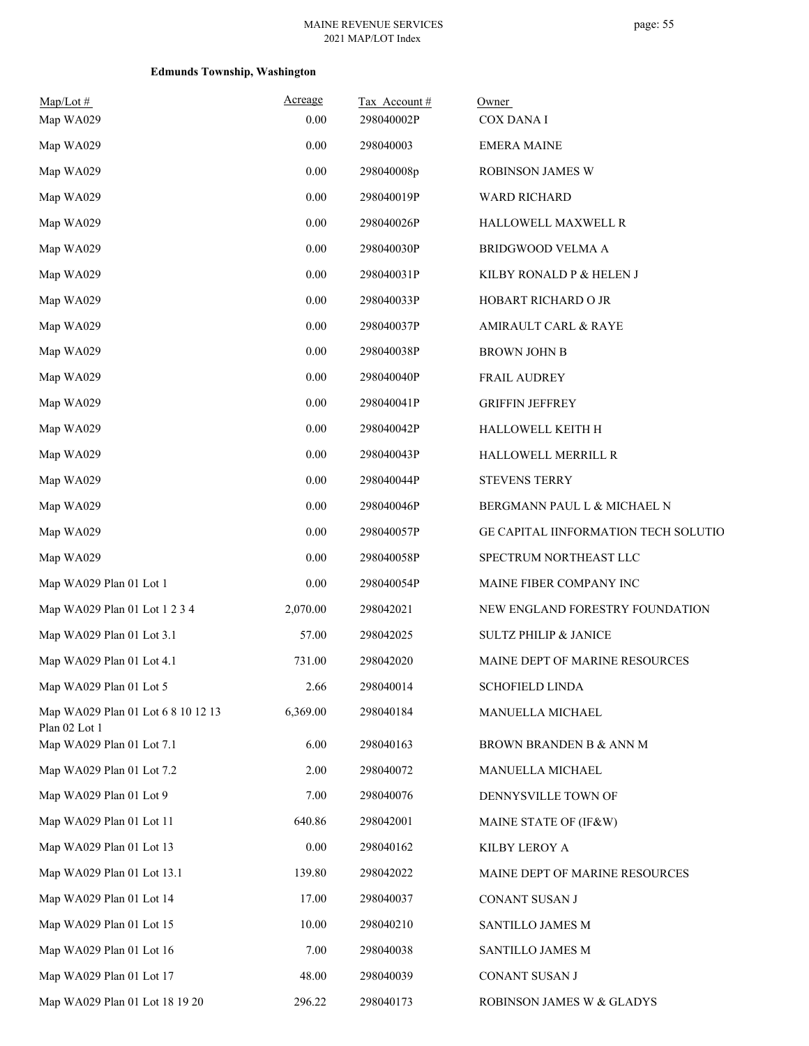## page: 55

| $Map/Lot \#$<br>Map WA029                           | Acreage<br>0.00 | Tax Account#<br>298040002P | Owner<br>COX DANA I                  |
|-----------------------------------------------------|-----------------|----------------------------|--------------------------------------|
| Map WA029                                           | 0.00            | 298040003                  | <b>EMERA MAINE</b>                   |
| Map WA029                                           | 0.00            | 298040008p                 | ROBINSON JAMES W                     |
| Map WA029                                           | 0.00            | 298040019P                 | WARD RICHARD                         |
| Map WA029                                           | 0.00            | 298040026P                 | HALLOWELL MAXWELL R                  |
| Map WA029                                           | $0.00\,$        | 298040030P                 | BRIDGWOOD VELMA A                    |
| Map WA029                                           | 0.00            | 298040031P                 | KILBY RONALD P & HELEN J             |
| Map WA029                                           | 0.00            | 298040033P                 | HOBART RICHARD O JR                  |
| Map WA029                                           | $0.00\,$        | 298040037P                 | AMIRAULT CARL & RAYE                 |
| Map WA029                                           | 0.00            | 298040038P                 | <b>BROWN JOHN B</b>                  |
| Map WA029                                           | 0.00            | 298040040P                 | <b>FRAIL AUDREY</b>                  |
| Map WA029                                           | 0.00            | 298040041P                 | <b>GRIFFIN JEFFREY</b>               |
| Map WA029                                           | 0.00            | 298040042P                 | HALLOWELL KEITH H                    |
| Map WA029                                           | $0.00\,$        | 298040043P                 | HALLOWELL MERRILL R                  |
| Map WA029                                           | 0.00            | 298040044P                 | <b>STEVENS TERRY</b>                 |
| Map WA029                                           | 0.00            | 298040046P                 | BERGMANN PAUL L & MICHAEL N          |
| Map WA029                                           | $0.00\,$        | 298040057P                 | GE CAPITAL IINFORMATION TECH SOLUTIO |
| Map WA029                                           | 0.00            | 298040058P                 | SPECTRUM NORTHEAST LLC               |
| Map WA029 Plan 01 Lot 1                             | 0.00            | 298040054P                 | MAINE FIBER COMPANY INC              |
| Map WA029 Plan 01 Lot 1 2 3 4                       | 2,070.00        | 298042021                  | NEW ENGLAND FORESTRY FOUNDATION      |
| Map WA029 Plan 01 Lot 3.1                           | 57.00           | 298042025                  | <b>SULTZ PHILIP &amp; JANICE</b>     |
| Map WA029 Plan 01 Lot 4.1                           | 731.00          | 298042020                  | MAINE DEPT OF MARINE RESOURCES       |
| Map WA029 Plan 01 Lot 5                             | 2.66            | 298040014                  | <b>SCHOFIELD LINDA</b>               |
| Map WA029 Plan 01 Lot 6 8 10 12 13<br>Plan 02 Lot 1 | 6,369.00        | 298040184                  | MANUELLA MICHAEL                     |
| Map WA029 Plan 01 Lot 7.1                           | 6.00            | 298040163                  | BROWN BRANDEN B & ANN M              |
| Map WA029 Plan 01 Lot 7.2                           | 2.00            | 298040072                  | MANUELLA MICHAEL                     |
| Map WA029 Plan 01 Lot 9                             | 7.00            | 298040076                  | DENNYSVILLE TOWN OF                  |
| Map WA029 Plan 01 Lot 11                            | 640.86          | 298042001                  | MAINE STATE OF (IF&W)                |
| Map WA029 Plan 01 Lot 13                            | 0.00            | 298040162                  | KILBY LEROY A                        |
| Map WA029 Plan 01 Lot 13.1                          | 139.80          | 298042022                  | MAINE DEPT OF MARINE RESOURCES       |
| Map WA029 Plan 01 Lot 14                            | 17.00           | 298040037                  | CONANT SUSAN J                       |
| Map WA029 Plan 01 Lot 15                            | 10.00           | 298040210                  | SANTILLO JAMES M                     |
| Map WA029 Plan 01 Lot 16                            | 7.00            | 298040038                  | SANTILLO JAMES M                     |
| Map WA029 Plan 01 Lot 17                            | 48.00           | 298040039                  | CONANT SUSAN J                       |
| Map WA029 Plan 01 Lot 18 19 20                      | 296.22          | 298040173                  | ROBINSON JAMES W & GLADYS            |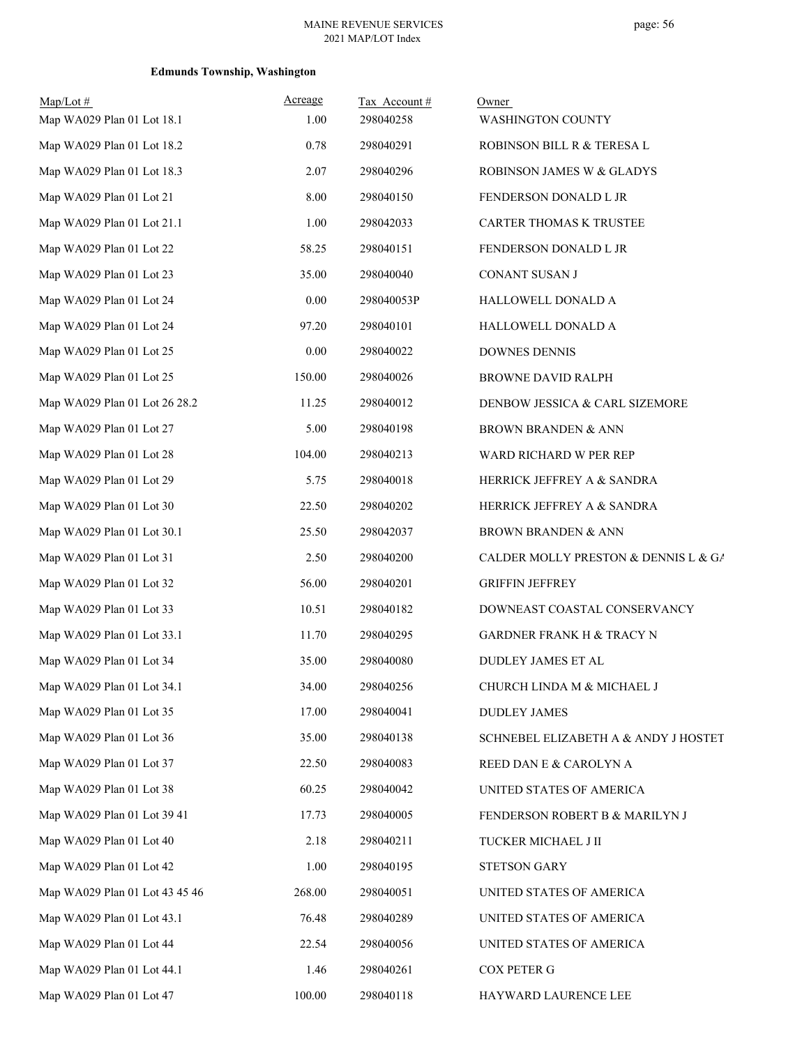| $Map/Lot$ #<br>Map WA029 Plan 01 Lot 18.1 | Acreage<br>1.00 | Tax Account#<br>298040258 | Owner<br><b>WASHINGTON COUNTY</b>    |
|-------------------------------------------|-----------------|---------------------------|--------------------------------------|
| Map WA029 Plan 01 Lot 18.2                | 0.78            | 298040291                 | ROBINSON BILL R & TERESA L           |
| Map WA029 Plan 01 Lot 18.3                | 2.07            | 298040296                 | ROBINSON JAMES W & GLADYS            |
| Map WA029 Plan 01 Lot 21                  | 8.00            | 298040150                 | FENDERSON DONALD L JR                |
| Map WA029 Plan 01 Lot 21.1                | 1.00            | 298042033                 | CARTER THOMAS K TRUSTEE              |
| Map WA029 Plan 01 Lot 22                  | 58.25           | 298040151                 | FENDERSON DONALD L JR                |
| Map WA029 Plan 01 Lot 23                  | 35.00           | 298040040                 | CONANT SUSAN J                       |
| Map WA029 Plan 01 Lot 24                  | 0.00            | 298040053P                | HALLOWELL DONALD A                   |
| Map WA029 Plan 01 Lot 24                  | 97.20           | 298040101                 | HALLOWELL DONALD A                   |
| Map WA029 Plan 01 Lot 25                  | 0.00            | 298040022                 | <b>DOWNES DENNIS</b>                 |
| Map WA029 Plan 01 Lot 25                  | 150.00          | 298040026                 | <b>BROWNE DAVID RALPH</b>            |
| Map WA029 Plan 01 Lot 26 28.2             | 11.25           | 298040012                 | DENBOW JESSICA & CARL SIZEMORE       |
| Map WA029 Plan 01 Lot 27                  | 5.00            | 298040198                 | <b>BROWN BRANDEN &amp; ANN</b>       |
| Map WA029 Plan 01 Lot 28                  | 104.00          | 298040213                 | WARD RICHARD W PER REP               |
| Map WA029 Plan 01 Lot 29                  | 5.75            | 298040018                 | HERRICK JEFFREY A & SANDRA           |
| Map WA029 Plan 01 Lot 30                  | 22.50           | 298040202                 | HERRICK JEFFREY A & SANDRA           |
| Map WA029 Plan 01 Lot 30.1                | 25.50           | 298042037                 | <b>BROWN BRANDEN &amp; ANN</b>       |
| Map WA029 Plan 01 Lot 31                  | 2.50            | 298040200                 | CALDER MOLLY PRESTON & DENNIS L & GA |
| Map WA029 Plan 01 Lot 32                  | 56.00           | 298040201                 | <b>GRIFFIN JEFFREY</b>               |
| Map WA029 Plan 01 Lot 33                  | 10.51           | 298040182                 | DOWNEAST COASTAL CONSERVANCY         |
| Map WA029 Plan 01 Lot 33.1                | 11.70           | 298040295                 | <b>GARDNER FRANK H &amp; TRACY N</b> |
| Map WA029 Plan 01 Lot 34                  | 35.00           | 298040080                 | DUDLEY JAMES ET AL                   |
| Map WA029 Plan 01 Lot 34.1                | 34.00           | 298040256                 | CHURCH LINDA M & MICHAEL J           |
| Map WA029 Plan 01 Lot 35                  | 17.00           | 298040041                 | <b>DUDLEY JAMES</b>                  |
| Map WA029 Plan 01 Lot 36                  | 35.00           | 298040138                 | SCHNEBEL ELIZABETH A & ANDY J HOSTET |
| Map WA029 Plan 01 Lot 37                  | 22.50           | 298040083                 | REED DAN E & CAROLYN A               |
| Map WA029 Plan 01 Lot 38                  | 60.25           | 298040042                 | UNITED STATES OF AMERICA             |
| Map WA029 Plan 01 Lot 39 41               | 17.73           | 298040005                 | FENDERSON ROBERT B & MARILYN J       |
| Map WA029 Plan 01 Lot 40                  | 2.18            | 298040211                 | TUCKER MICHAEL J II                  |
| Map WA029 Plan 01 Lot 42                  | 1.00            | 298040195                 | STETSON GARY                         |
| Map WA029 Plan 01 Lot 43 45 46            | 268.00          | 298040051                 | UNITED STATES OF AMERICA             |
| Map WA029 Plan 01 Lot 43.1                | 76.48           | 298040289                 | UNITED STATES OF AMERICA             |
| Map WA029 Plan 01 Lot 44                  | 22.54           | 298040056                 | UNITED STATES OF AMERICA             |
| Map WA029 Plan 01 Lot 44.1                | 1.46            | 298040261                 | <b>COX PETER G</b>                   |
| Map WA029 Plan 01 Lot 47                  | 100.00          | 298040118                 | HAYWARD LAURENCE LEE                 |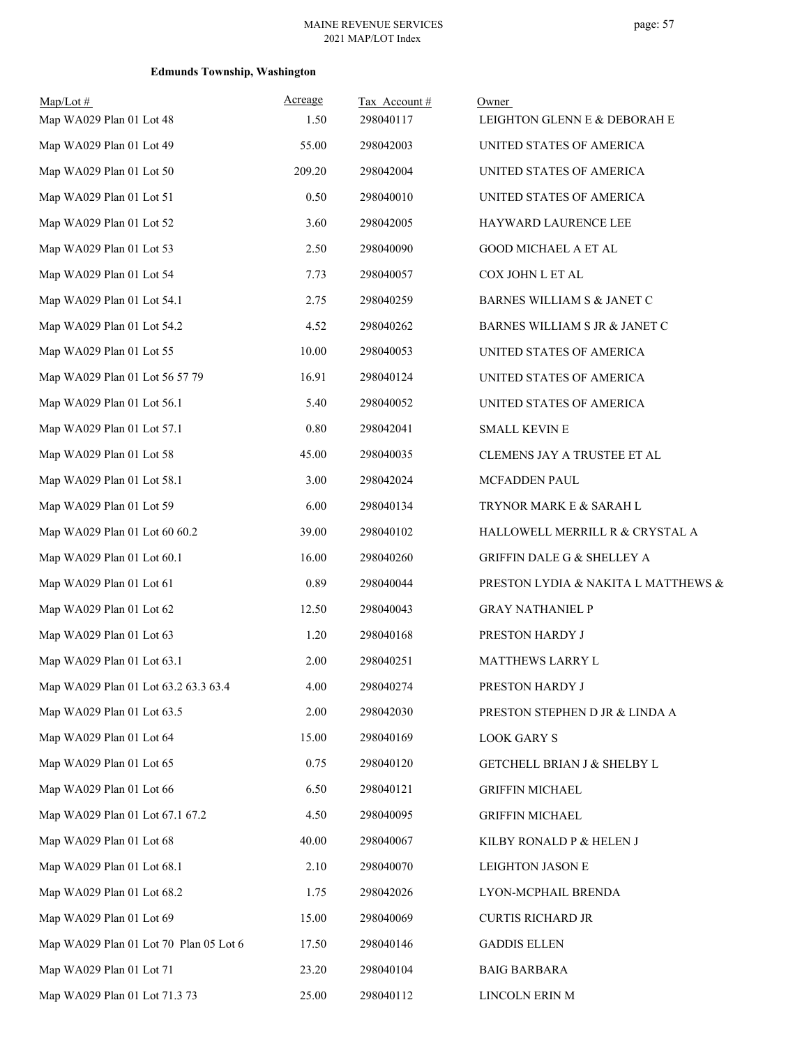| $Map/Lot \#$<br>Map WA029 Plan 01 Lot 48 | Acreage<br>1.50 | Tax Account#<br>298040117 | Owner<br>LEIGHTON GLENN E & DEBORAH E  |
|------------------------------------------|-----------------|---------------------------|----------------------------------------|
| Map WA029 Plan 01 Lot 49                 | 55.00           | 298042003                 | UNITED STATES OF AMERICA               |
| Map WA029 Plan 01 Lot 50                 | 209.20          | 298042004                 | UNITED STATES OF AMERICA               |
| Map WA029 Plan 01 Lot 51                 | 0.50            | 298040010                 | UNITED STATES OF AMERICA               |
| Map WA029 Plan 01 Lot 52                 | 3.60            | 298042005                 | HAYWARD LAURENCE LEE                   |
| Map WA029 Plan 01 Lot 53                 | 2.50            | 298040090                 | <b>GOOD MICHAEL A ET AL</b>            |
| Map WA029 Plan 01 Lot 54                 | 7.73            | 298040057                 | COX JOHN L ET AL                       |
| Map WA029 Plan 01 Lot 54.1               | 2.75            | 298040259                 | BARNES WILLIAM S & JANET C             |
| Map WA029 Plan 01 Lot 54.2               | 4.52            | 298040262                 | BARNES WILLIAM S JR & JANET C          |
| Map WA029 Plan 01 Lot 55                 | 10.00           | 298040053                 | UNITED STATES OF AMERICA               |
| Map WA029 Plan 01 Lot 56 57 79           | 16.91           | 298040124                 | UNITED STATES OF AMERICA               |
| Map WA029 Plan 01 Lot 56.1               | 5.40            | 298040052                 | UNITED STATES OF AMERICA               |
| Map WA029 Plan 01 Lot 57.1               | 0.80            | 298042041                 | <b>SMALL KEVIN E</b>                   |
| Map WA029 Plan 01 Lot 58                 | 45.00           | 298040035                 | CLEMENS JAY A TRUSTEE ET AL            |
| Map WA029 Plan 01 Lot 58.1               | 3.00            | 298042024                 | MCFADDEN PAUL                          |
| Map WA029 Plan 01 Lot 59                 | 6.00            | 298040134                 | TRYNOR MARK E & SARAH L                |
| Map WA029 Plan 01 Lot 60 60.2            | 39.00           | 298040102                 | HALLOWELL MERRILL R & CRYSTAL A        |
| Map WA029 Plan 01 Lot 60.1               | 16.00           | 298040260                 | <b>GRIFFIN DALE G &amp; SHELLEY A</b>  |
| Map WA029 Plan 01 Lot 61                 | 0.89            | 298040044                 | PRESTON LYDIA & NAKITA L MATTHEWS &    |
| Map WA029 Plan 01 Lot 62                 | 12.50           | 298040043                 | <b>GRAY NATHANIEL P</b>                |
| Map WA029 Plan 01 Lot 63                 | 1.20            | 298040168                 | PRESTON HARDY J                        |
| Map WA029 Plan 01 Lot 63.1               | 2.00            | 298040251                 | <b>MATTHEWS LARRY L</b>                |
| Map WA029 Plan 01 Lot 63.2 63.3 63.4     | 4.00            | 298040274                 | PRESTON HARDY J                        |
| Map WA029 Plan 01 Lot 63.5               | 2.00            | 298042030                 | PRESTON STEPHEN D JR & LINDA A         |
| Map WA029 Plan 01 Lot 64                 | 15.00           | 298040169                 | <b>LOOK GARY S</b>                     |
| Map WA029 Plan 01 Lot 65                 | 0.75            | 298040120                 | <b>GETCHELL BRIAN J &amp; SHELBY L</b> |
| Map WA029 Plan 01 Lot 66                 | 6.50            | 298040121                 | <b>GRIFFIN MICHAEL</b>                 |
| Map WA029 Plan 01 Lot 67.1 67.2          | 4.50            | 298040095                 | <b>GRIFFIN MICHAEL</b>                 |
| Map WA029 Plan 01 Lot 68                 | 40.00           | 298040067                 | KILBY RONALD P & HELEN J               |
| Map WA029 Plan 01 Lot 68.1               | 2.10            | 298040070                 | LEIGHTON JASON E                       |
| Map WA029 Plan 01 Lot 68.2               | 1.75            | 298042026                 | LYON-MCPHAIL BRENDA                    |
| Map WA029 Plan 01 Lot 69                 | 15.00           | 298040069                 | <b>CURTIS RICHARD JR</b>               |
| Map WA029 Plan 01 Lot 70 Plan 05 Lot 6   | 17.50           | 298040146                 | <b>GADDIS ELLEN</b>                    |
| Map WA029 Plan 01 Lot 71                 | 23.20           | 298040104                 | <b>BAIG BARBARA</b>                    |
| Map WA029 Plan 01 Lot 71.3 73            | 25.00           | 298040112                 | LINCOLN ERIN M                         |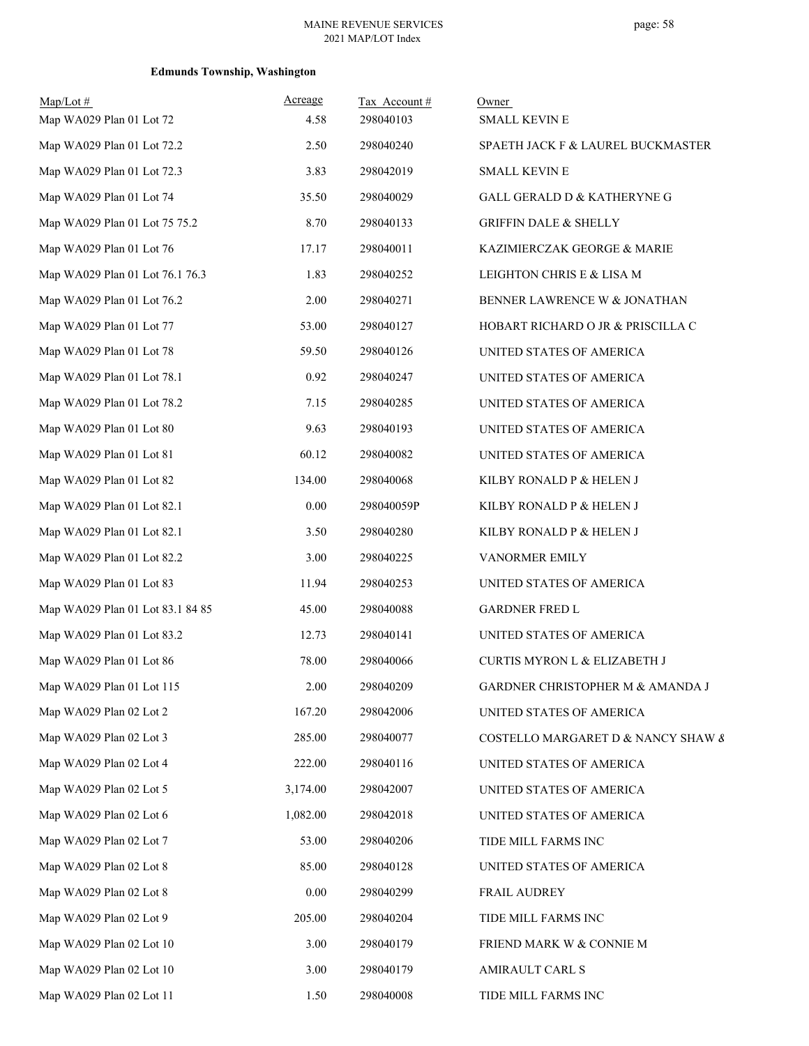| $Map/Lot$ #<br>Map WA029 Plan 01 Lot 72 | <b>Acreage</b><br>4.58 | Tax Account#<br>298040103 | Owner<br>SMALL KEVIN E                  |
|-----------------------------------------|------------------------|---------------------------|-----------------------------------------|
| Map WA029 Plan 01 Lot 72.2              | 2.50                   | 298040240                 | SPAETH JACK F & LAUREL BUCKMASTER       |
| Map WA029 Plan 01 Lot 72.3              | 3.83                   | 298042019                 | <b>SMALL KEVIN E</b>                    |
| Map WA029 Plan 01 Lot 74                | 35.50                  | 298040029                 | GALL GERALD D & KATHERYNE G             |
| Map WA029 Plan 01 Lot 75 75.2           | 8.70                   | 298040133                 | <b>GRIFFIN DALE &amp; SHELLY</b>        |
| Map WA029 Plan 01 Lot 76                | 17.17                  | 298040011                 | KAZIMIERCZAK GEORGE & MARIE             |
| Map WA029 Plan 01 Lot 76.1 76.3         | 1.83                   | 298040252                 | LEIGHTON CHRIS E & LISA M               |
| Map WA029 Plan 01 Lot 76.2              | 2.00                   | 298040271                 | BENNER LAWRENCE W & JONATHAN            |
| Map WA029 Plan 01 Lot 77                | 53.00                  | 298040127                 | HOBART RICHARD O JR & PRISCILLA C       |
| Map WA029 Plan 01 Lot 78                | 59.50                  | 298040126                 | UNITED STATES OF AMERICA                |
| Map WA029 Plan 01 Lot 78.1              | 0.92                   | 298040247                 | UNITED STATES OF AMERICA                |
| Map WA029 Plan 01 Lot 78.2              | 7.15                   | 298040285                 | UNITED STATES OF AMERICA                |
| Map WA029 Plan 01 Lot 80                | 9.63                   | 298040193                 | UNITED STATES OF AMERICA                |
| Map WA029 Plan 01 Lot 81                | 60.12                  | 298040082                 | UNITED STATES OF AMERICA                |
| Map WA029 Plan 01 Lot 82                | 134.00                 | 298040068                 | KILBY RONALD P & HELEN J                |
| Map WA029 Plan 01 Lot 82.1              | 0.00                   | 298040059P                | KILBY RONALD P & HELEN J                |
| Map WA029 Plan 01 Lot 82.1              | 3.50                   | 298040280                 | KILBY RONALD P & HELEN J                |
| Map WA029 Plan 01 Lot 82.2              | 3.00                   | 298040225                 | VANORMER EMILY                          |
| Map WA029 Plan 01 Lot 83                | 11.94                  | 298040253                 | UNITED STATES OF AMERICA                |
| Map WA029 Plan 01 Lot 83.1 84 85        | 45.00                  | 298040088                 | <b>GARDNER FRED L</b>                   |
| Map WA029 Plan 01 Lot 83.2              | 12.73                  | 298040141                 | UNITED STATES OF AMERICA                |
| Map WA029 Plan 01 Lot 86                | 78.00                  | 298040066                 | <b>CURTIS MYRON L &amp; ELIZABETH J</b> |
| Map WA029 Plan 01 Lot 115               | 2.00                   | 298040209                 | GARDNER CHRISTOPHER M & AMANDA J        |
| Map WA029 Plan 02 Lot 2                 | 167.20                 | 298042006                 | UNITED STATES OF AMERICA                |
| Map WA029 Plan 02 Lot 3                 | 285.00                 | 298040077                 | COSTELLO MARGARET D & NANCY SHAW &      |
| Map WA029 Plan 02 Lot 4                 | 222.00                 | 298040116                 | UNITED STATES OF AMERICA                |
| Map WA029 Plan 02 Lot 5                 | 3,174.00               | 298042007                 | UNITED STATES OF AMERICA                |
| Map WA029 Plan 02 Lot 6                 | 1,082.00               | 298042018                 | UNITED STATES OF AMERICA                |
| Map WA029 Plan 02 Lot 7                 | 53.00                  | 298040206                 | TIDE MILL FARMS INC                     |
| Map WA029 Plan 02 Lot 8                 | 85.00                  | 298040128                 | UNITED STATES OF AMERICA                |
| Map WA029 Plan 02 Lot 8                 | 0.00                   | 298040299                 | FRAIL AUDREY                            |
| Map WA029 Plan 02 Lot 9                 | 205.00                 | 298040204                 | TIDE MILL FARMS INC                     |
| Map WA029 Plan 02 Lot 10                | 3.00                   | 298040179                 | FRIEND MARK W & CONNIE M                |
| Map WA029 Plan 02 Lot 10                | 3.00                   | 298040179                 | AMIRAULT CARL S                         |
| Map WA029 Plan 02 Lot 11                | 1.50                   | 298040008                 | TIDE MILL FARMS INC                     |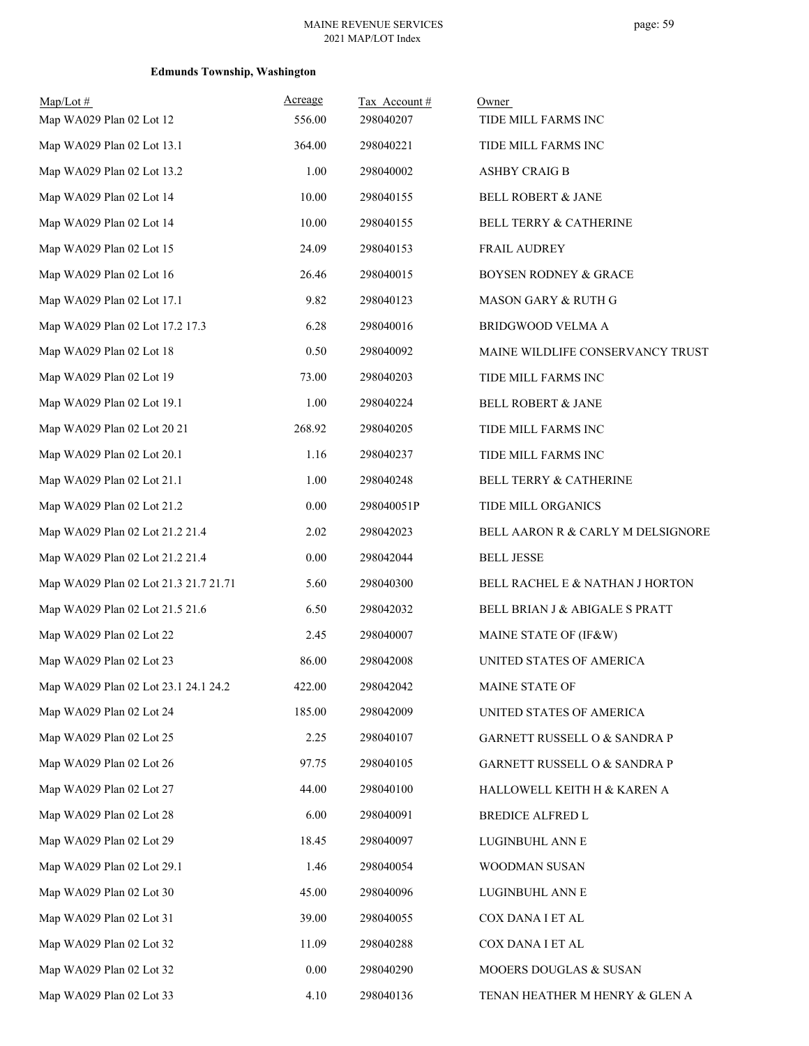| $Map/Lot \#$                          | Acreage  | Tax Account# | Owner                             |
|---------------------------------------|----------|--------------|-----------------------------------|
| Map WA029 Plan 02 Lot 12              | 556.00   | 298040207    | TIDE MILL FARMS INC               |
| Map WA029 Plan 02 Lot 13.1            | 364.00   | 298040221    | TIDE MILL FARMS INC               |
| Map WA029 Plan 02 Lot 13.2            | 1.00     | 298040002    | <b>ASHBY CRAIG B</b>              |
| Map WA029 Plan 02 Lot 14              | 10.00    | 298040155    | <b>BELL ROBERT &amp; JANE</b>     |
| Map WA029 Plan 02 Lot 14              | 10.00    | 298040155    | <b>BELL TERRY &amp; CATHERINE</b> |
| Map WA029 Plan 02 Lot 15              | 24.09    | 298040153    | FRAIL AUDREY                      |
| Map WA029 Plan 02 Lot 16              | 26.46    | 298040015    | <b>BOYSEN RODNEY &amp; GRACE</b>  |
| Map WA029 Plan 02 Lot 17.1            | 9.82     | 298040123    | MASON GARY & RUTH G               |
| Map WA029 Plan 02 Lot 17.2 17.3       | 6.28     | 298040016    | BRIDGWOOD VELMA A                 |
| Map WA029 Plan 02 Lot 18              | 0.50     | 298040092    | MAINE WILDLIFE CONSERVANCY TRUST  |
| Map WA029 Plan 02 Lot 19              | 73.00    | 298040203    | TIDE MILL FARMS INC               |
| Map WA029 Plan 02 Lot 19.1            | 1.00     | 298040224    | BELL ROBERT & JANE                |
| Map WA029 Plan 02 Lot 20 21           | 268.92   | 298040205    | TIDE MILL FARMS INC               |
| Map WA029 Plan 02 Lot 20.1            | 1.16     | 298040237    | TIDE MILL FARMS INC               |
| Map WA029 Plan 02 Lot 21.1            | 1.00     | 298040248    | BELL TERRY & CATHERINE            |
| Map WA029 Plan 02 Lot 21.2            | $0.00\,$ | 298040051P   | TIDE MILL ORGANICS                |
| Map WA029 Plan 02 Lot 21.2 21.4       | 2.02     | 298042023    | BELL AARON R & CARLY M DELSIGNORE |
| Map WA029 Plan 02 Lot 21.2 21.4       | 0.00     | 298042044    | <b>BELL JESSE</b>                 |
| Map WA029 Plan 02 Lot 21.3 21.7 21.71 | 5.60     | 298040300    | BELL RACHEL E & NATHAN J HORTON   |
| Map WA029 Plan 02 Lot 21.5 21.6       | 6.50     | 298042032    | BELL BRIAN J & ABIGALE S PRATT    |
| Map WA029 Plan 02 Lot 22              | 2.45     | 298040007    | MAINE STATE OF (IF&W)             |
| Map WA029 Plan 02 Lot 23              | 86.00    | 298042008    | UNITED STATES OF AMERICA          |
| Map WA029 Plan 02 Lot 23.1 24.1 24.2  | 422.00   | 298042042    | MAINE STATE OF                    |
| Map WA029 Plan 02 Lot 24              | 185.00   | 298042009    | UNITED STATES OF AMERICA          |
| Map WA029 Plan 02 Lot 25              | 2.25     | 298040107    | GARNETT RUSSELL O & SANDRA P      |
| Map WA029 Plan 02 Lot 26              | 97.75    | 298040105    | GARNETT RUSSELL O & SANDRA P      |
| Map WA029 Plan 02 Lot 27              | 44.00    | 298040100    | HALLOWELL KEITH H & KAREN A       |
| Map WA029 Plan 02 Lot 28              | 6.00     | 298040091    | BREDICE ALFRED L                  |
| Map WA029 Plan 02 Lot 29              | 18.45    | 298040097    | LUGINBUHL ANN E                   |
| Map WA029 Plan 02 Lot 29.1            | 1.46     | 298040054    | WOODMAN SUSAN                     |
| Map WA029 Plan 02 Lot 30              | 45.00    | 298040096    | LUGINBUHL ANN E                   |
| Map WA029 Plan 02 Lot 31              | 39.00    | 298040055    | COX DANA I ET AL                  |
| Map WA029 Plan 02 Lot 32              | 11.09    | 298040288    | COX DANA I ET AL                  |
| Map WA029 Plan 02 Lot 32              | $0.00\,$ | 298040290    | MOOERS DOUGLAS & SUSAN            |
| Map WA029 Plan 02 Lot 33              | 4.10     | 298040136    | TENAN HEATHER M HENRY & GLEN A    |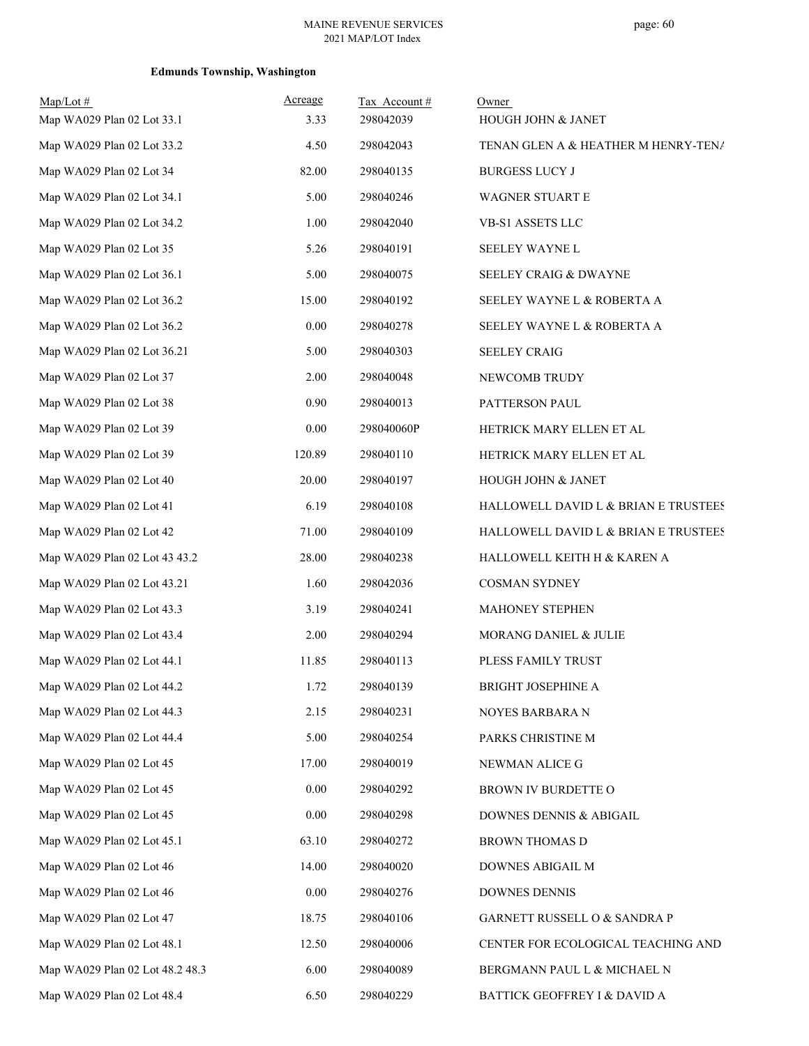| $Map/Lot \#$<br>Map WA029 Plan 02 Lot 33.1 | <u>Acreage</u><br>3.33 | Tax Account#<br>298042039 | Owner<br>HOUGH JOHN & JANET          |
|--------------------------------------------|------------------------|---------------------------|--------------------------------------|
| Map WA029 Plan 02 Lot 33.2                 | 4.50                   | 298042043                 | TENAN GLEN A & HEATHER M HENRY-TENA  |
| Map WA029 Plan 02 Lot 34                   | 82.00                  | 298040135                 | <b>BURGESS LUCY J</b>                |
| Map WA029 Plan 02 Lot 34.1                 | 5.00                   | 298040246                 | <b>WAGNER STUART E</b>               |
| Map WA029 Plan 02 Lot 34.2                 | 1.00                   | 298042040                 | VB-S1 ASSETS LLC                     |
| Map WA029 Plan 02 Lot 35                   | 5.26                   | 298040191                 | SEELEY WAYNE L                       |
| Map WA029 Plan 02 Lot 36.1                 | 5.00                   | 298040075                 | <b>SEELEY CRAIG &amp; DWAYNE</b>     |
| Map WA029 Plan 02 Lot 36.2                 | 15.00                  | 298040192                 | SEELEY WAYNE L & ROBERTA A           |
| Map WA029 Plan 02 Lot 36.2                 | 0.00                   | 298040278                 | SEELEY WAYNE L & ROBERTA A           |
| Map WA029 Plan 02 Lot 36.21                | 5.00                   | 298040303                 | <b>SEELEY CRAIG</b>                  |
| Map WA029 Plan 02 Lot 37                   | 2.00                   | 298040048                 | NEWCOMB TRUDY                        |
| Map WA029 Plan 02 Lot 38                   | 0.90                   | 298040013                 | PATTERSON PAUL                       |
| Map WA029 Plan 02 Lot 39                   | 0.00                   | 298040060P                | HETRICK MARY ELLEN ET AL             |
| Map WA029 Plan 02 Lot 39                   | 120.89                 | 298040110                 | HETRICK MARY ELLEN ET AL             |
| Map WA029 Plan 02 Lot 40                   | 20.00                  | 298040197                 | <b>HOUGH JOHN &amp; JANET</b>        |
| Map WA029 Plan 02 Lot 41                   | 6.19                   | 298040108                 | HALLOWELL DAVID L & BRIAN E TRUSTEES |
| Map WA029 Plan 02 Lot 42                   | 71.00                  | 298040109                 | HALLOWELL DAVID L & BRIAN E TRUSTEES |
| Map WA029 Plan 02 Lot 43 43.2              | 28.00                  | 298040238                 | HALLOWELL KEITH H & KAREN A          |
| Map WA029 Plan 02 Lot 43.21                | 1.60                   | 298042036                 | <b>COSMAN SYDNEY</b>                 |
| Map WA029 Plan 02 Lot 43.3                 | 3.19                   | 298040241                 | <b>MAHONEY STEPHEN</b>               |
| Map WA029 Plan 02 Lot 43.4                 | 2.00                   | 298040294                 | MORANG DANIEL & JULIE                |
| Map WA029 Plan 02 Lot 44.1                 | 11.85                  | 298040113                 | PLESS FAMILY TRUST                   |
| Map WA029 Plan 02 Lot 44.2                 | 1.72                   | 298040139                 | BRIGHT JOSEPHINE A                   |
| Map WA029 Plan 02 Lot 44.3                 | 2.15                   | 298040231                 | NOYES BARBARA N                      |
| Map WA029 Plan 02 Lot 44.4                 | 5.00                   | 298040254                 | PARKS CHRISTINE M                    |
| Map WA029 Plan 02 Lot 45                   | 17.00                  | 298040019                 | NEWMAN ALICE G                       |
| Map WA029 Plan 02 Lot 45                   | 0.00                   | 298040292                 | BROWN IV BURDETTE O                  |
| Map WA029 Plan 02 Lot 45                   | 0.00                   | 298040298                 | DOWNES DENNIS & ABIGAIL              |
| Map WA029 Plan 02 Lot 45.1                 | 63.10                  | 298040272                 | BROWN THOMAS D                       |
| Map WA029 Plan 02 Lot 46                   | 14.00                  | 298040020                 | DOWNES ABIGAIL M                     |
| Map WA029 Plan 02 Lot 46                   | $0.00\,$               | 298040276                 | <b>DOWNES DENNIS</b>                 |
| Map WA029 Plan 02 Lot 47                   | 18.75                  | 298040106                 | GARNETT RUSSELL O & SANDRA P         |
| Map WA029 Plan 02 Lot 48.1                 | 12.50                  | 298040006                 | CENTER FOR ECOLOGICAL TEACHING AND   |
| Map WA029 Plan 02 Lot 48.2 48.3            | 6.00                   | 298040089                 | BERGMANN PAUL L & MICHAEL N          |
| Map WA029 Plan 02 Lot 48.4                 | 6.50                   | 298040229                 | BATTICK GEOFFREY I & DAVID A         |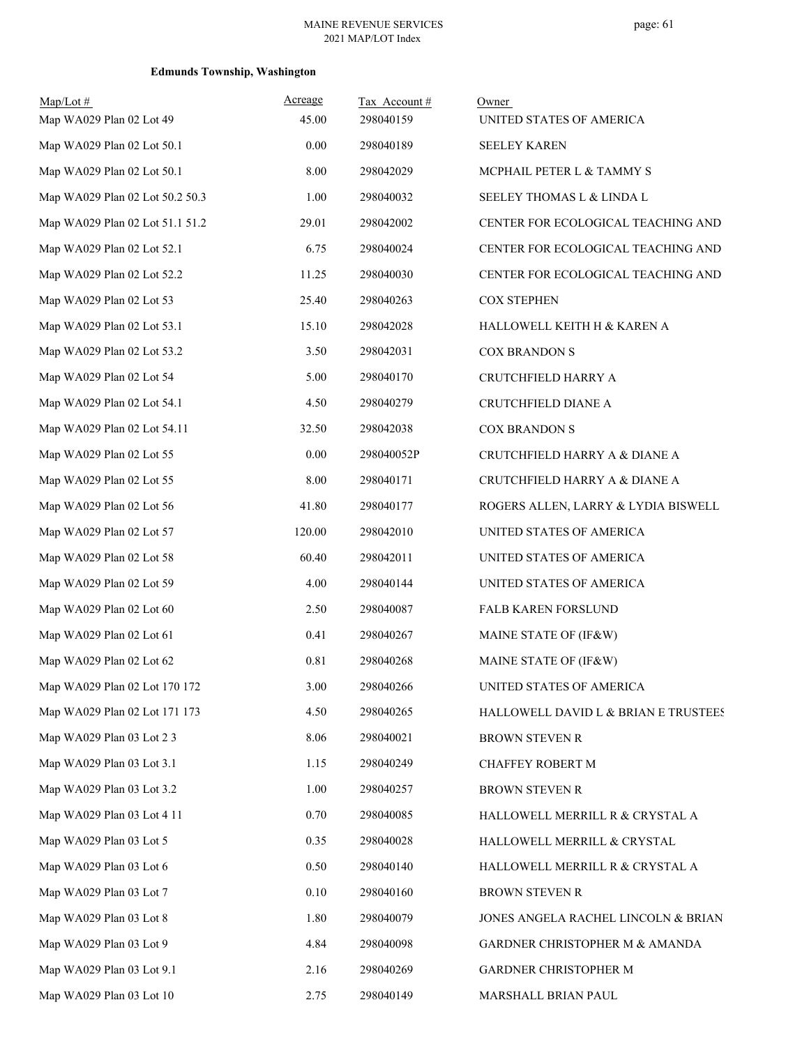| $Map/Lot \#$<br>Map WA029 Plan 02 Lot 49 | Acreage<br>45.00 | Tax Account#<br>298040159 | Owner<br>UNITED STATES OF AMERICA    |
|------------------------------------------|------------------|---------------------------|--------------------------------------|
| Map WA029 Plan 02 Lot 50.1               | 0.00             | 298040189                 | <b>SEELEY KAREN</b>                  |
| Map WA029 Plan 02 Lot 50.1               | 8.00             | 298042029                 | MCPHAIL PETER L & TAMMY S            |
| Map WA029 Plan 02 Lot 50.2 50.3          | 1.00             | 298040032                 | SEELEY THOMAS L & LINDA L            |
| Map WA029 Plan 02 Lot 51.1 51.2          | 29.01            | 298042002                 | CENTER FOR ECOLOGICAL TEACHING AND   |
| Map WA029 Plan 02 Lot 52.1               | 6.75             | 298040024                 | CENTER FOR ECOLOGICAL TEACHING AND   |
| Map WA029 Plan 02 Lot 52.2               | 11.25            | 298040030                 | CENTER FOR ECOLOGICAL TEACHING AND   |
| Map WA029 Plan 02 Lot 53                 | 25.40            | 298040263                 | <b>COX STEPHEN</b>                   |
| Map WA029 Plan 02 Lot 53.1               | 15.10            | 298042028                 | HALLOWELL KEITH H & KAREN A          |
| Map WA029 Plan 02 Lot 53.2               | 3.50             | 298042031                 | <b>COX BRANDON S</b>                 |
| Map WA029 Plan 02 Lot 54                 | 5.00             | 298040170                 | CRUTCHFIELD HARRY A                  |
| Map WA029 Plan 02 Lot 54.1               | 4.50             | 298040279                 | CRUTCHFIELD DIANE A                  |
| Map WA029 Plan 02 Lot 54.11              | 32.50            | 298042038                 | <b>COX BRANDON S</b>                 |
| Map WA029 Plan 02 Lot 55                 | $0.00\,$         | 298040052P                | CRUTCHFIELD HARRY A & DIANE A        |
| Map WA029 Plan 02 Lot 55                 | 8.00             | 298040171                 | CRUTCHFIELD HARRY A & DIANE A        |
| Map WA029 Plan 02 Lot 56                 | 41.80            | 298040177                 | ROGERS ALLEN, LARRY & LYDIA BISWELL  |
| Map WA029 Plan 02 Lot 57                 | 120.00           | 298042010                 | UNITED STATES OF AMERICA             |
| Map WA029 Plan 02 Lot 58                 | 60.40            | 298042011                 | UNITED STATES OF AMERICA             |
| Map WA029 Plan 02 Lot 59                 | 4.00             | 298040144                 | UNITED STATES OF AMERICA             |
| Map WA029 Plan 02 Lot 60                 | 2.50             | 298040087                 | FALB KAREN FORSLUND                  |
| Map WA029 Plan 02 Lot 61                 | 0.41             | 298040267                 | MAINE STATE OF (IF&W)                |
| Map WA029 Plan 02 Lot 62                 | 0.81             | 298040268                 | MAINE STATE OF (IF&W)                |
| Map WA029 Plan 02 Lot 170 172            | 3.00             | 298040266                 | UNITED STATES OF AMERICA             |
| Map WA029 Plan 02 Lot 171 173            | 4.50             | 298040265                 | HALLOWELL DAVID L & BRIAN E TRUSTEES |
| Map WA029 Plan 03 Lot 2 3                | 8.06             | 298040021                 | <b>BROWN STEVEN R</b>                |
| Map WA029 Plan 03 Lot 3.1                | 1.15             | 298040249                 | CHAFFEY ROBERT M                     |
| Map WA029 Plan 03 Lot 3.2                | 1.00             | 298040257                 | BROWN STEVEN R                       |
| Map WA029 Plan 03 Lot 4 11               | 0.70             | 298040085                 | HALLOWELL MERRILL R & CRYSTAL A      |
| Map WA029 Plan 03 Lot 5                  | 0.35             | 298040028                 | HALLOWELL MERRILL & CRYSTAL          |
| Map WA029 Plan 03 Lot 6                  | 0.50             | 298040140                 | HALLOWELL MERRILL R & CRYSTAL A      |
| Map WA029 Plan 03 Lot 7                  | 0.10             | 298040160                 | <b>BROWN STEVEN R</b>                |
| Map WA029 Plan 03 Lot 8                  | 1.80             | 298040079                 | JONES ANGELA RACHEL LINCOLN & BRIAN  |
| Map WA029 Plan 03 Lot 9                  | 4.84             | 298040098                 | GARDNER CHRISTOPHER M & AMANDA       |
| Map WA029 Plan 03 Lot 9.1                | 2.16             | 298040269                 | GARDNER CHRISTOPHER M                |
| Map WA029 Plan 03 Lot 10                 | 2.75             | 298040149                 | MARSHALL BRIAN PAUL                  |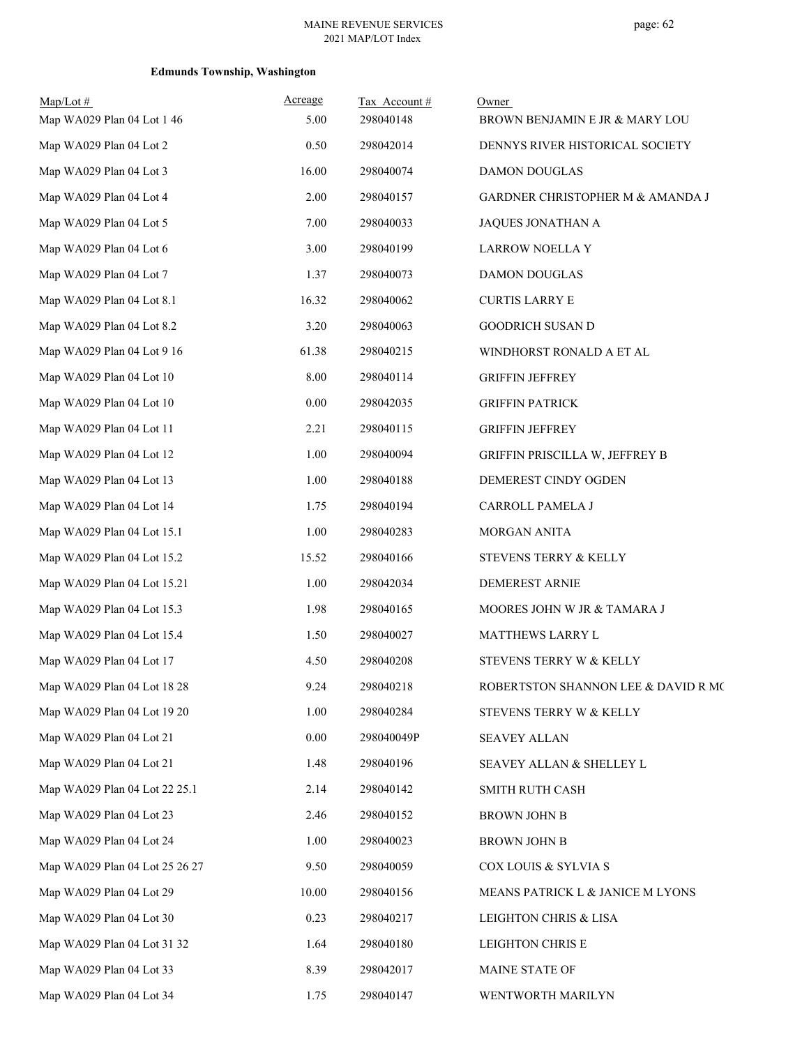| $Map/Lot \#$<br>Map WA029 Plan 04 Lot 1 46 | Acreage<br>5.00 | Tax Account#<br>298040148 | Owner<br>BROWN BENJAMIN E JR & MARY LOU |
|--------------------------------------------|-----------------|---------------------------|-----------------------------------------|
| Map WA029 Plan 04 Lot 2                    | 0.50            | 298042014                 | DENNYS RIVER HISTORICAL SOCIETY         |
| Map WA029 Plan 04 Lot 3                    | 16.00           | 298040074                 | <b>DAMON DOUGLAS</b>                    |
| Map WA029 Plan 04 Lot 4                    | 2.00            | 298040157                 | GARDNER CHRISTOPHER M & AMANDA J        |
| Map WA029 Plan 04 Lot 5                    | 7.00            | 298040033                 | JAQUES JONATHAN A                       |
| Map WA029 Plan 04 Lot 6                    | 3.00            | 298040199                 | LARROW NOELLA Y                         |
| Map WA029 Plan 04 Lot 7                    | 1.37            | 298040073                 | <b>DAMON DOUGLAS</b>                    |
| Map WA029 Plan 04 Lot 8.1                  | 16.32           | 298040062                 | <b>CURTIS LARRY E</b>                   |
| Map WA029 Plan 04 Lot 8.2                  | 3.20            | 298040063                 | <b>GOODRICH SUSAN D</b>                 |
| Map WA029 Plan 04 Lot 9 16                 | 61.38           | 298040215                 | WINDHORST RONALD A ET AL                |
| Map WA029 Plan 04 Lot 10                   | 8.00            | 298040114                 | <b>GRIFFIN JEFFREY</b>                  |
| Map WA029 Plan 04 Lot 10                   | 0.00            | 298042035                 | <b>GRIFFIN PATRICK</b>                  |
| Map WA029 Plan 04 Lot 11                   | 2.21            | 298040115                 | <b>GRIFFIN JEFFREY</b>                  |
| Map WA029 Plan 04 Lot 12                   | 1.00            | 298040094                 | GRIFFIN PRISCILLA W, JEFFREY B          |
| Map WA029 Plan 04 Lot 13                   | 1.00            | 298040188                 | DEMEREST CINDY OGDEN                    |
| Map WA029 Plan 04 Lot 14                   | 1.75            | 298040194                 | CARROLL PAMELA J                        |
| Map WA029 Plan 04 Lot 15.1                 | 1.00            | 298040283                 | MORGAN ANITA                            |
| Map WA029 Plan 04 Lot 15.2                 | 15.52           | 298040166                 | STEVENS TERRY & KELLY                   |
| Map WA029 Plan 04 Lot 15.21                | 1.00            | 298042034                 | <b>DEMEREST ARNIE</b>                   |
| Map WA029 Plan 04 Lot 15.3                 | 1.98            | 298040165                 | MOORES JOHN W JR & TAMARA J             |
| Map WA029 Plan 04 Lot 15.4                 | 1.50            | 298040027                 | MATTHEWS LARRY L                        |
| Map WA029 Plan 04 Lot 17                   | 4.50            | 298040208                 | STEVENS TERRY W & KELLY                 |
| Map WA029 Plan 04 Lot 18 28                | 9.24            | 298040218                 | ROBERTSTON SHANNON LEE & DAVID R MC     |
| Map WA029 Plan 04 Lot 19 20                | 1.00            | 298040284                 | STEVENS TERRY W & KELLY                 |
| Map WA029 Plan 04 Lot 21                   | 0.00            | 298040049P                | <b>SEAVEY ALLAN</b>                     |
| Map WA029 Plan 04 Lot 21                   | 1.48            | 298040196                 | SEAVEY ALLAN & SHELLEY L                |
| Map WA029 Plan 04 Lot 22 25.1              | 2.14            | 298040142                 | SMITH RUTH CASH                         |
| Map WA029 Plan 04 Lot 23                   | 2.46            | 298040152                 | <b>BROWN JOHN B</b>                     |
| Map WA029 Plan 04 Lot 24                   | 1.00            | 298040023                 | BROWN JOHN B                            |
| Map WA029 Plan 04 Lot 25 26 27             | 9.50            | 298040059                 | COX LOUIS & SYLVIA S                    |
| Map WA029 Plan 04 Lot 29                   | 10.00           | 298040156                 | MEANS PATRICK L & JANICE M LYONS        |
| Map WA029 Plan 04 Lot 30                   | 0.23            | 298040217                 | LEIGHTON CHRIS & LISA                   |
| Map WA029 Plan 04 Lot 31 32                | 1.64            | 298040180                 | LEIGHTON CHRIS E                        |
| Map WA029 Plan 04 Lot 33                   | 8.39            | 298042017                 | MAINE STATE OF                          |
| Map WA029 Plan 04 Lot 34                   | 1.75            | 298040147                 | WENTWORTH MARILYN                       |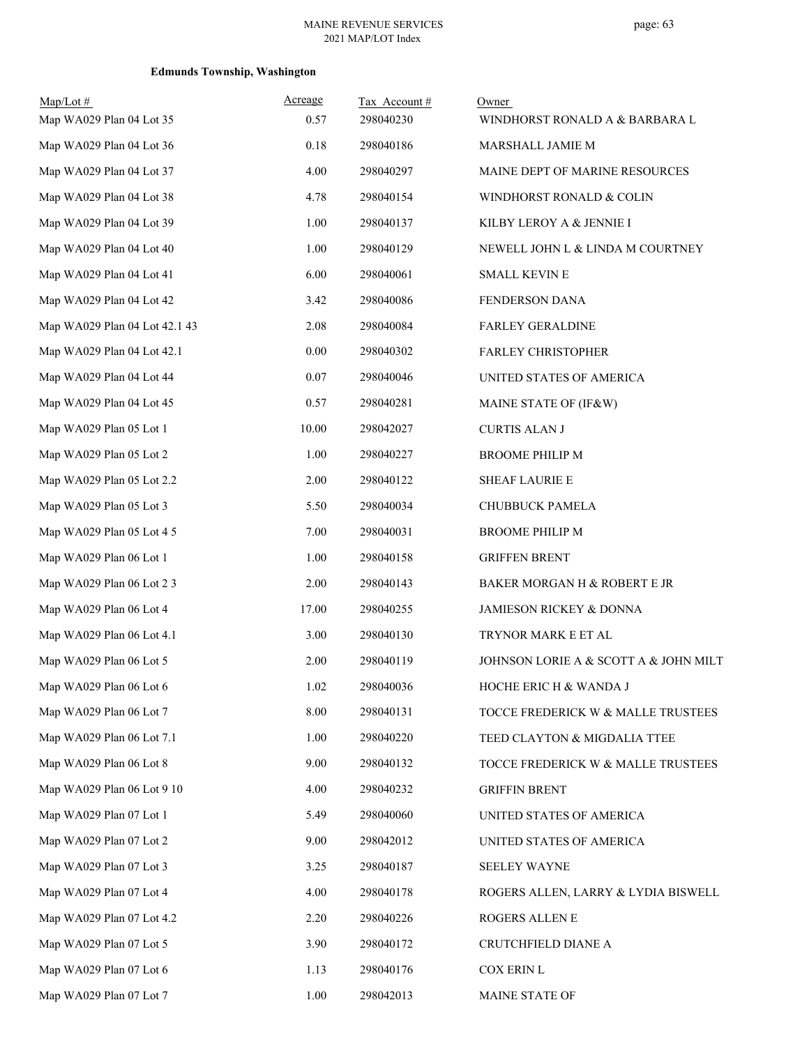| $Map/Lot \#$<br>Map WA029 Plan 04 Lot 35 | Acreage<br>0.57 | Tax Account#<br>298040230 | Owner<br>WINDHORST RONALD A & BARBARA L |
|------------------------------------------|-----------------|---------------------------|-----------------------------------------|
| Map WA029 Plan 04 Lot 36                 | 0.18            | 298040186                 | MARSHALL JAMIE M                        |
| Map WA029 Plan 04 Lot 37                 | 4.00            | 298040297                 | MAINE DEPT OF MARINE RESOURCES          |
| Map WA029 Plan 04 Lot 38                 | 4.78            | 298040154                 | WINDHORST RONALD & COLIN                |
| Map WA029 Plan 04 Lot 39                 | 1.00            | 298040137                 | KILBY LEROY A & JENNIE I                |
| Map WA029 Plan 04 Lot 40                 | 1.00            | 298040129                 | NEWELL JOHN L & LINDA M COURTNEY        |
| Map WA029 Plan 04 Lot 41                 | 6.00            | 298040061                 | <b>SMALL KEVIN E</b>                    |
| Map WA029 Plan 04 Lot 42                 | 3.42            | 298040086                 | FENDERSON DANA                          |
| Map WA029 Plan 04 Lot 42.1 43            | 2.08            | 298040084                 | <b>FARLEY GERALDINE</b>                 |
| Map WA029 Plan 04 Lot 42.1               | 0.00            | 298040302                 | <b>FARLEY CHRISTOPHER</b>               |
| Map WA029 Plan 04 Lot 44                 | 0.07            | 298040046                 | UNITED STATES OF AMERICA                |
| Map WA029 Plan 04 Lot 45                 | 0.57            | 298040281                 | MAINE STATE OF (IF&W)                   |
| Map WA029 Plan 05 Lot 1                  | 10.00           | 298042027                 | <b>CURTIS ALAN J</b>                    |
| Map WA029 Plan 05 Lot 2                  | 1.00            | 298040227                 | <b>BROOME PHILIP M</b>                  |
| Map WA029 Plan 05 Lot 2.2                | 2.00            | 298040122                 | <b>SHEAF LAURIE E</b>                   |
| Map WA029 Plan 05 Lot 3                  | 5.50            | 298040034                 | CHUBBUCK PAMELA                         |
| Map WA029 Plan 05 Lot 4 5                | 7.00            | 298040031                 | <b>BROOME PHILIP M</b>                  |
| Map WA029 Plan 06 Lot 1                  | 1.00            | 298040158                 | <b>GRIFFEN BRENT</b>                    |
| Map WA029 Plan 06 Lot 2 3                | 2.00            | 298040143                 | BAKER MORGAN H & ROBERT E JR            |
| Map WA029 Plan 06 Lot 4                  | 17.00           | 298040255                 | JAMIESON RICKEY & DONNA                 |
| Map WA029 Plan 06 Lot 4.1                | 3.00            | 298040130                 | TRYNOR MARK E ET AL                     |
| Map WA029 Plan 06 Lot 5                  | 2.00            | 298040119                 | JOHNSON LORIE A & SCOTT A & JOHN MILT   |
| Map WA029 Plan 06 Lot 6                  | 1.02            | 298040036                 | HOCHE ERIC H & WANDA J                  |
| Map WA029 Plan 06 Lot 7                  | 8.00            | 298040131                 | TOCCE FREDERICK W & MALLE TRUSTEES      |
| Map WA029 Plan 06 Lot 7.1                | 1.00            | 298040220                 | TEED CLAYTON & MIGDALIA TTEE            |
| Map WA029 Plan 06 Lot 8                  | 9.00            | 298040132                 | TOCCE FREDERICK W & MALLE TRUSTEES      |
| Map WA029 Plan 06 Lot 9 10               | 4.00            | 298040232                 | <b>GRIFFIN BRENT</b>                    |
| Map WA029 Plan 07 Lot 1                  | 5.49            | 298040060                 | UNITED STATES OF AMERICA                |
| Map WA029 Plan 07 Lot 2                  | 9.00            | 298042012                 | UNITED STATES OF AMERICA                |
| Map WA029 Plan 07 Lot 3                  | 3.25            | 298040187                 | <b>SEELEY WAYNE</b>                     |
| Map WA029 Plan 07 Lot 4                  | 4.00            | 298040178                 | ROGERS ALLEN, LARRY & LYDIA BISWELL     |
| Map WA029 Plan 07 Lot 4.2                | 2.20            | 298040226                 | ROGERS ALLEN E                          |
| Map WA029 Plan 07 Lot 5                  | 3.90            | 298040172                 | CRUTCHFIELD DIANE A                     |
| Map WA029 Plan 07 Lot 6                  | 1.13            | 298040176                 | COX ERIN L                              |
| Map WA029 Plan 07 Lot 7                  | 1.00            | 298042013                 | MAINE STATE OF                          |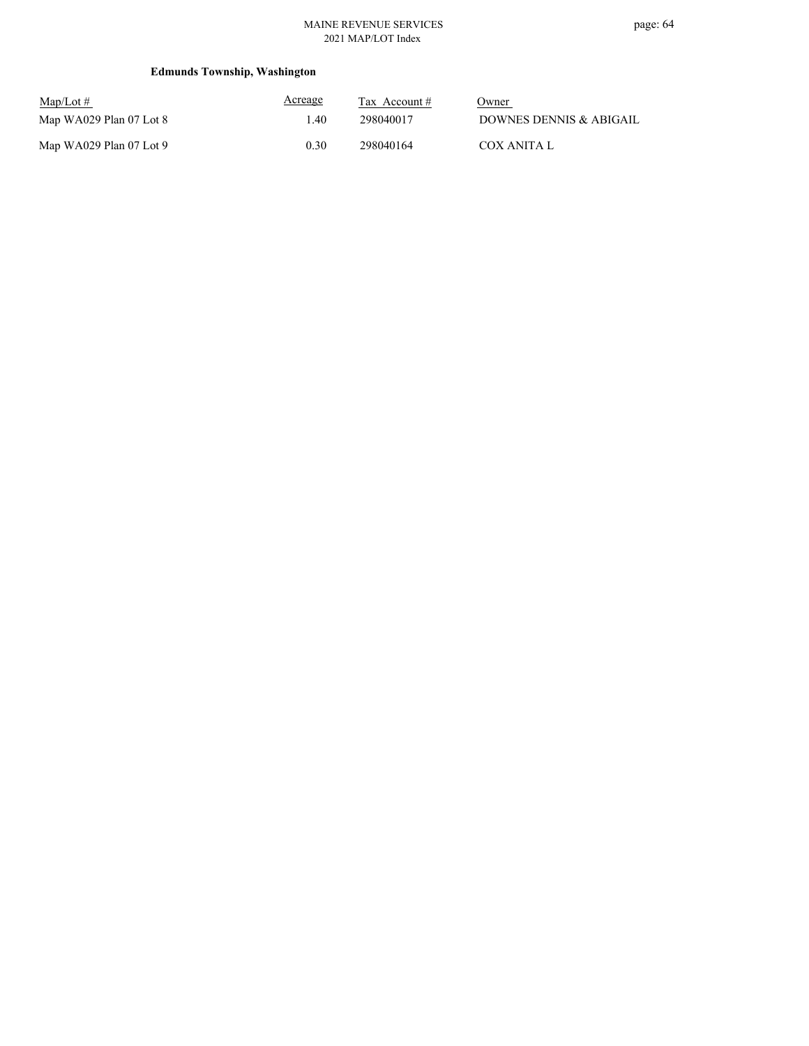#### MAINE REVENUE SERVICES 2021 MAP/LOT Index

| $Map/Lot \#$            | Acreage | Tax Account $#$ | Owner                   |
|-------------------------|---------|-----------------|-------------------------|
| Map WA029 Plan 07 Lot 8 | .40     | 298040017       | DOWNES DENNIS & ABIGAIL |
| Map WA029 Plan 07 Lot 9 | 0.30    | 298040164       | COX ANITA L             |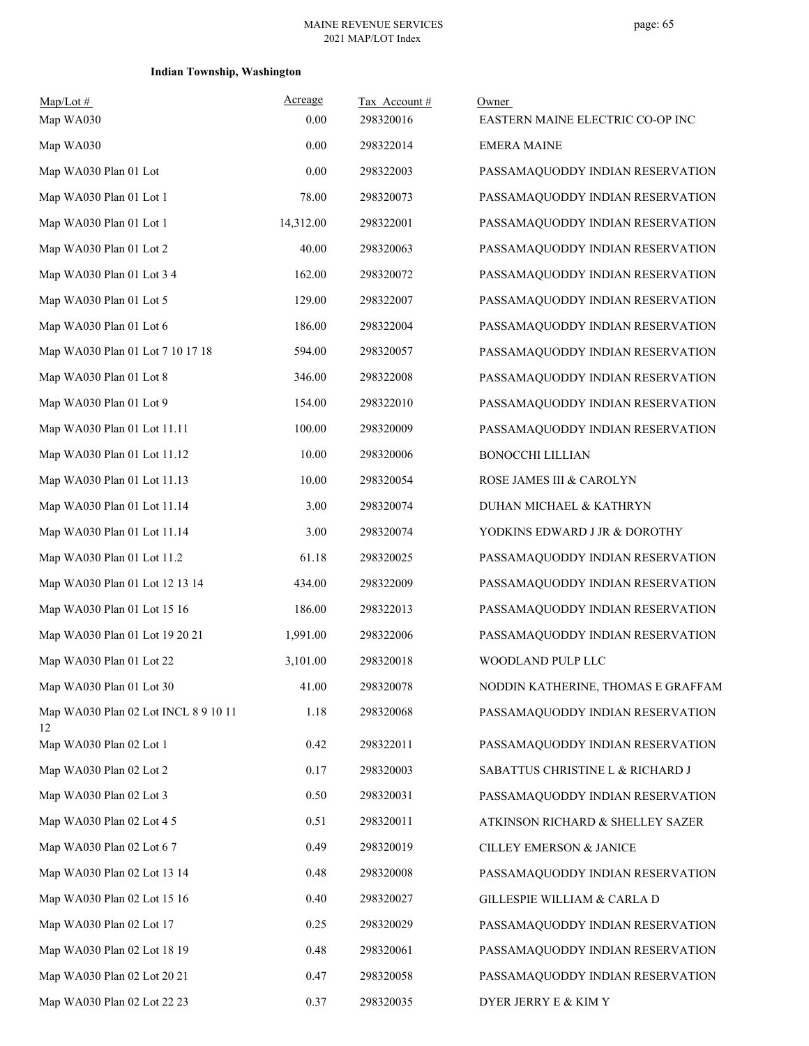### **Indian Township, Washington**

| $Map/Lot$ #                                | Acreage   | Tax Account# | Owner                              |
|--------------------------------------------|-----------|--------------|------------------------------------|
| Map WA030                                  | 0.00      | 298320016    | EASTERN MAINE ELECTRIC CO-OP INC   |
| Map WA030                                  | 0.00      | 298322014    | <b>EMERA MAINE</b>                 |
| Map WA030 Plan 01 Lot                      | 0.00      | 298322003    | PASSAMAQUODDY INDIAN RESERVATION   |
| Map WA030 Plan 01 Lot 1                    | 78.00     | 298320073    | PASSAMAQUODDY INDIAN RESERVATION   |
| Map WA030 Plan 01 Lot 1                    | 14,312.00 | 298322001    | PASSAMAQUODDY INDIAN RESERVATION   |
| Map WA030 Plan 01 Lot 2                    | 40.00     | 298320063    | PASSAMAQUODDY INDIAN RESERVATION   |
| Map WA030 Plan 01 Lot 3 4                  | 162.00    | 298320072    | PASSAMAQUODDY INDIAN RESERVATION   |
| Map WA030 Plan 01 Lot 5                    | 129.00    | 298322007    | PASSAMAQUODDY INDIAN RESERVATION   |
| Map WA030 Plan 01 Lot 6                    | 186.00    | 298322004    | PASSAMAQUODDY INDIAN RESERVATION   |
| Map WA030 Plan 01 Lot 7 10 17 18           | 594.00    | 298320057    | PASSAMAQUODDY INDIAN RESERVATION   |
| Map WA030 Plan 01 Lot 8                    | 346.00    | 298322008    | PASSAMAQUODDY INDIAN RESERVATION   |
| Map WA030 Plan 01 Lot 9                    | 154.00    | 298322010    | PASSAMAQUODDY INDIAN RESERVATION   |
| Map WA030 Plan 01 Lot 11.11                | 100.00    | 298320009    | PASSAMAQUODDY INDIAN RESERVATION   |
| Map WA030 Plan 01 Lot 11.12                | 10.00     | 298320006    | <b>BONOCCHI LILLIAN</b>            |
| Map WA030 Plan 01 Lot 11.13                | 10.00     | 298320054    | ROSE JAMES III & CAROLYN           |
| Map WA030 Plan 01 Lot 11.14                | 3.00      | 298320074    | DUHAN MICHAEL & KATHRYN            |
| Map WA030 Plan 01 Lot 11.14                | 3.00      | 298320074    | YODKINS EDWARD J JR & DOROTHY      |
| Map WA030 Plan 01 Lot 11.2                 | 61.18     | 298320025    | PASSAMAQUODDY INDIAN RESERVATION   |
| Map WA030 Plan 01 Lot 12 13 14             | 434.00    | 298322009    | PASSAMAQUODDY INDIAN RESERVATION   |
| Map WA030 Plan 01 Lot 15 16                | 186.00    | 298322013    | PASSAMAQUODDY INDIAN RESERVATION   |
| Map WA030 Plan 01 Lot 19 20 21             | 1,991.00  | 298322006    | PASSAMAQUODDY INDIAN RESERVATION   |
| Map WA030 Plan 01 Lot 22                   | 3,101.00  | 298320018    | WOODLAND PULP LLC                  |
| Map WA030 Plan 01 Lot 30                   | 41.00     | 298320078    | NODDIN KATHERINE, THOMAS E GRAFFAM |
| Map WA030 Plan 02 Lot INCL 8 9 10 11<br>12 | 1.18      | 298320068    | PASSAMAQUODDY INDIAN RESERVATION   |
| Map WA030 Plan 02 Lot 1                    | 0.42      | 298322011    | PASSAMAQUODDY INDIAN RESERVATION   |
| Map WA030 Plan 02 Lot 2                    | 0.17      | 298320003    | SABATTUS CHRISTINE L & RICHARD J   |
| Map WA030 Plan 02 Lot 3                    | 0.50      | 298320031    | PASSAMAQUODDY INDIAN RESERVATION   |
| Map WA030 Plan 02 Lot 4 5                  | 0.51      | 298320011    | ATKINSON RICHARD & SHELLEY SAZER   |
| Map WA030 Plan 02 Lot 6 7                  | 0.49      | 298320019    | <b>CILLEY EMERSON &amp; JANICE</b> |
| Map WA030 Plan 02 Lot 13 14                | 0.48      | 298320008    | PASSAMAQUODDY INDIAN RESERVATION   |
| Map WA030 Plan 02 Lot 15 16                | 0.40      | 298320027    | GILLESPIE WILLIAM & CARLA D        |
| Map WA030 Plan 02 Lot 17                   | 0.25      | 298320029    | PASSAMAQUODDY INDIAN RESERVATION   |
| Map WA030 Plan 02 Lot 18 19                | 0.48      | 298320061    | PASSAMAQUODDY INDIAN RESERVATION   |
| Map WA030 Plan 02 Lot 20 21                | 0.47      | 298320058    | PASSAMAQUODDY INDIAN RESERVATION   |
| Map WA030 Plan 02 Lot 22 23                | 0.37      | 298320035    | DYER JERRY E & KIM Y               |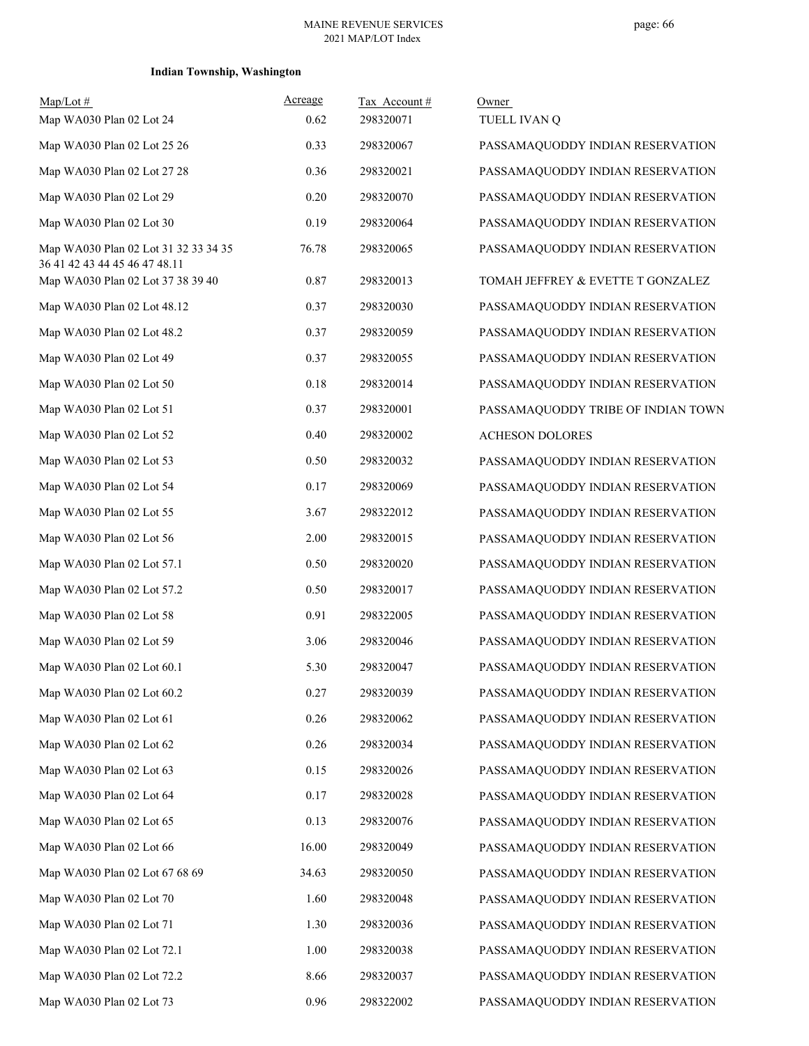### **Indian Township, Washington**

| $Map/Lot$ #                                                           | Acreage | Tax Account# | Owner                              |
|-----------------------------------------------------------------------|---------|--------------|------------------------------------|
| Map WA030 Plan 02 Lot 24                                              | 0.62    | 298320071    | TUELL IVAN Q                       |
| Map WA030 Plan 02 Lot 25 26                                           | 0.33    | 298320067    | PASSAMAQUODDY INDIAN RESERVATION   |
| Map WA030 Plan 02 Lot 27 28                                           | 0.36    | 298320021    | PASSAMAQUODDY INDIAN RESERVATION   |
| Map WA030 Plan 02 Lot 29                                              | 0.20    | 298320070    | PASSAMAQUODDY INDIAN RESERVATION   |
| Map WA030 Plan 02 Lot 30                                              | 0.19    | 298320064    | PASSAMAQUODDY INDIAN RESERVATION   |
| Map WA030 Plan 02 Lot 31 32 33 34 35<br>36 41 42 43 44 45 46 47 48.11 | 76.78   | 298320065    | PASSAMAQUODDY INDIAN RESERVATION   |
| Map WA030 Plan 02 Lot 37 38 39 40                                     | 0.87    | 298320013    | TOMAH JEFFREY & EVETTE T GONZALEZ  |
| Map WA030 Plan 02 Lot 48.12                                           | 0.37    | 298320030    | PASSAMAQUODDY INDIAN RESERVATION   |
| Map WA030 Plan 02 Lot 48.2                                            | 0.37    | 298320059    | PASSAMAQUODDY INDIAN RESERVATION   |
| Map WA030 Plan 02 Lot 49                                              | 0.37    | 298320055    | PASSAMAQUODDY INDIAN RESERVATION   |
| Map WA030 Plan 02 Lot 50                                              | 0.18    | 298320014    | PASSAMAQUODDY INDIAN RESERVATION   |
| Map WA030 Plan 02 Lot 51                                              | 0.37    | 298320001    | PASSAMAQUODDY TRIBE OF INDIAN TOWN |
| Map WA030 Plan 02 Lot 52                                              | 0.40    | 298320002    | <b>ACHESON DOLORES</b>             |
| Map WA030 Plan 02 Lot 53                                              | 0.50    | 298320032    | PASSAMAQUODDY INDIAN RESERVATION   |
| Map WA030 Plan 02 Lot 54                                              | 0.17    | 298320069    | PASSAMAQUODDY INDIAN RESERVATION   |
| Map WA030 Plan 02 Lot 55                                              | 3.67    | 298322012    | PASSAMAQUODDY INDIAN RESERVATION   |
| Map WA030 Plan 02 Lot 56                                              | 2.00    | 298320015    | PASSAMAQUODDY INDIAN RESERVATION   |
| Map WA030 Plan 02 Lot 57.1                                            | 0.50    | 298320020    | PASSAMAQUODDY INDIAN RESERVATION   |
| Map WA030 Plan 02 Lot 57.2                                            | 0.50    | 298320017    | PASSAMAQUODDY INDIAN RESERVATION   |
| Map WA030 Plan 02 Lot 58                                              | 0.91    | 298322005    | PASSAMAQUODDY INDIAN RESERVATION   |
| Map WA030 Plan 02 Lot 59                                              | 3.06    | 298320046    | PASSAMAQUODDY INDIAN RESERVATION   |
| Map WA030 Plan 02 Lot 60.1                                            | 5.30    | 298320047    | PASSAMAQUODDY INDIAN RESERVATION   |
| Map WA030 Plan 02 Lot 60.2                                            | 0.27    | 298320039    | PASSAMAQUODDY INDIAN RESERVATION   |
| Map WA030 Plan 02 Lot 61                                              | 0.26    | 298320062    | PASSAMAQUODDY INDIAN RESERVATION   |
| Map WA030 Plan 02 Lot 62                                              | 0.26    | 298320034    | PASSAMAQUODDY INDIAN RESERVATION   |
| Map WA030 Plan 02 Lot 63                                              | 0.15    | 298320026    | PASSAMAQUODDY INDIAN RESERVATION   |
| Map WA030 Plan 02 Lot 64                                              | 0.17    | 298320028    | PASSAMAQUODDY INDIAN RESERVATION   |
| Map WA030 Plan 02 Lot 65                                              | 0.13    | 298320076    | PASSAMAQUODDY INDIAN RESERVATION   |
| Map WA030 Plan 02 Lot 66                                              | 16.00   | 298320049    | PASSAMAQUODDY INDIAN RESERVATION   |
| Map WA030 Plan 02 Lot 67 68 69                                        | 34.63   | 298320050    | PASSAMAQUODDY INDIAN RESERVATION   |
| Map WA030 Plan 02 Lot 70                                              | 1.60    | 298320048    | PASSAMAQUODDY INDIAN RESERVATION   |
| Map WA030 Plan 02 Lot 71                                              | 1.30    | 298320036    | PASSAMAQUODDY INDIAN RESERVATION   |
| Map WA030 Plan 02 Lot 72.1                                            | 1.00    | 298320038    | PASSAMAQUODDY INDIAN RESERVATION   |
| Map WA030 Plan 02 Lot 72.2                                            | 8.66    | 298320037    | PASSAMAQUODDY INDIAN RESERVATION   |
| Map WA030 Plan 02 Lot 73                                              | 0.96    | 298322002    | PASSAMAQUODDY INDIAN RESERVATION   |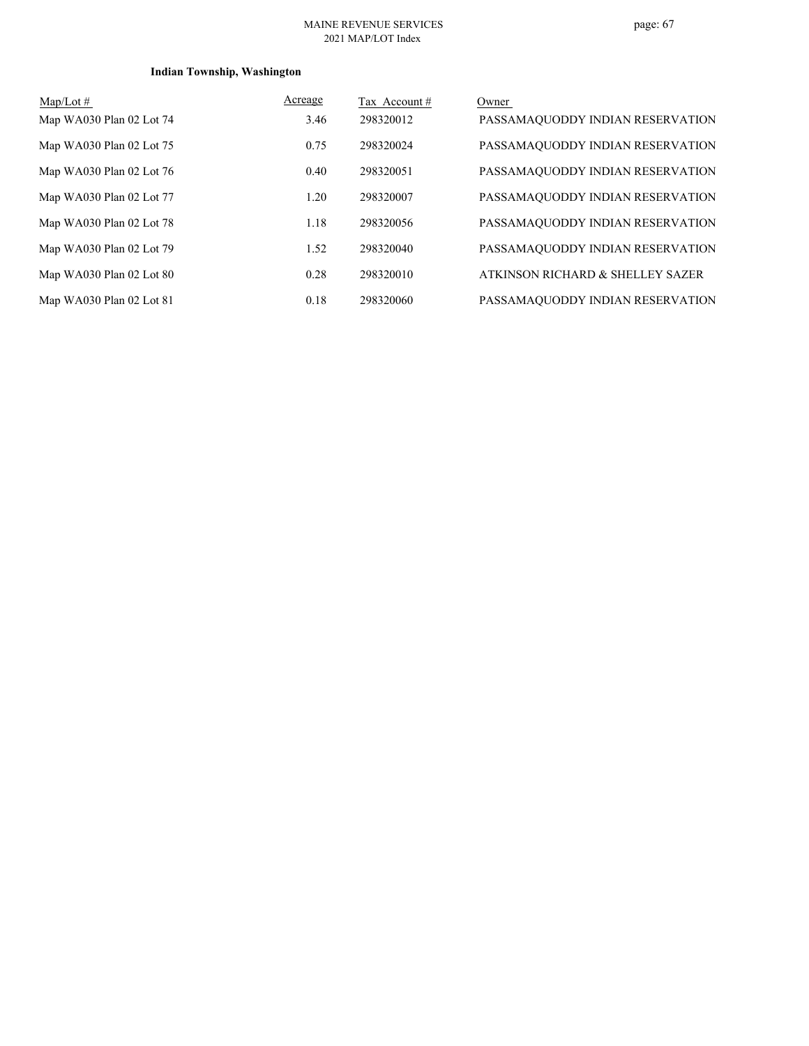#### MAINE REVENUE SERVICES 2021 MAP/LOT Index

### **Indian Township, Washington**

| $Map/Lot \#$             | Acreage | Tax Account# | Owner                            |
|--------------------------|---------|--------------|----------------------------------|
| Map WA030 Plan 02 Lot 74 | 3.46    | 298320012    | PASSAMAQUODDY INDIAN RESERVATION |
| Map WA030 Plan 02 Lot 75 | 0.75    | 298320024    | PASSAMAQUODDY INDIAN RESERVATION |
| Map WA030 Plan 02 Lot 76 | 0.40    | 298320051    | PASSAMAQUODDY INDIAN RESERVATION |
| Map WA030 Plan 02 Lot 77 | 1.20    | 298320007    | PASSAMAQUODDY INDIAN RESERVATION |
| Map WA030 Plan 02 Lot 78 | 1.18    | 298320056    | PASSAMAQUODDY INDIAN RESERVATION |
| Map WA030 Plan 02 Lot 79 | 1.52    | 298320040    | PASSAMAQUODDY INDIAN RESERVATION |
| Map WA030 Plan 02 Lot 80 | 0.28    | 298320010    | ATKINSON RICHARD & SHELLEY SAZER |
| Map WA030 Plan 02 Lot 81 | 0.18    | 298320060    | PASSAMAQUODDY INDIAN RESERVATION |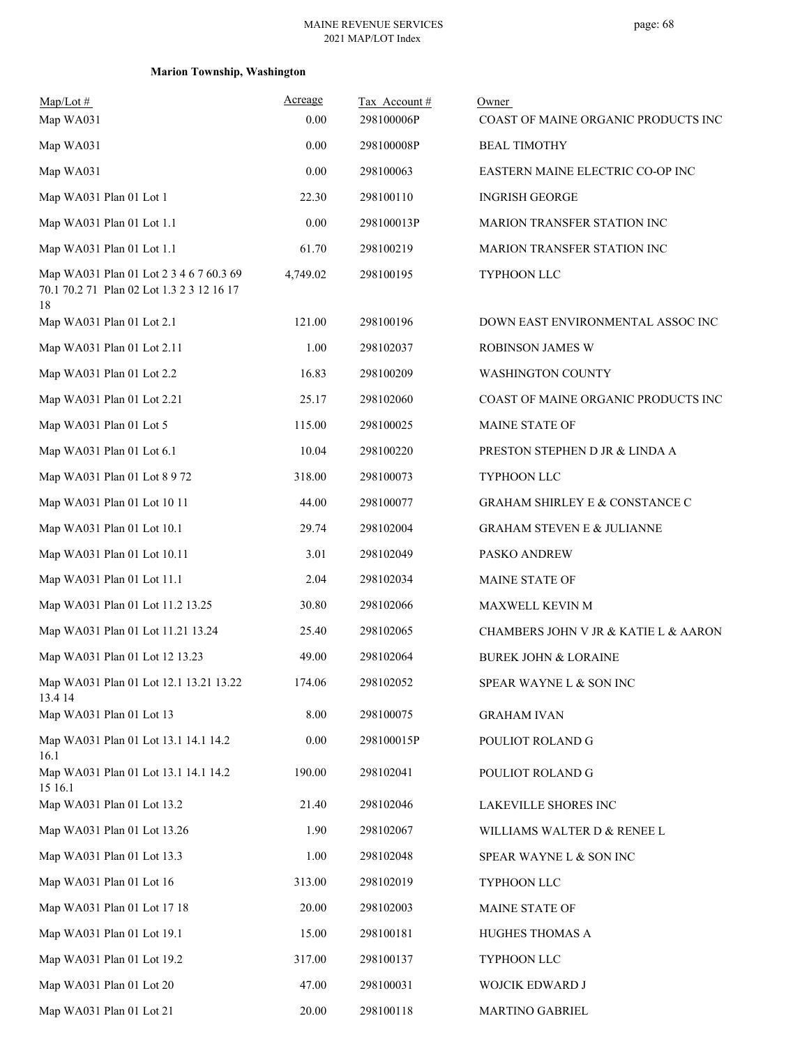| $Map/Lot \#$<br>Map WA031                                                            | Acreage<br>0.00 | Tax Account#<br>298100006P | Owner<br>COAST OF MAINE ORGANIC PRODUCTS INC |
|--------------------------------------------------------------------------------------|-----------------|----------------------------|----------------------------------------------|
| Map WA031                                                                            | 0.00            | 298100008P                 | <b>BEAL TIMOTHY</b>                          |
| Map WA031                                                                            | 0.00            | 298100063                  | EASTERN MAINE ELECTRIC CO-OP INC             |
| Map WA031 Plan 01 Lot 1                                                              | 22.30           | 298100110                  | <b>INGRISH GEORGE</b>                        |
| Map WA031 Plan 01 Lot 1.1                                                            | 0.00            | 298100013P                 | MARION TRANSFER STATION INC                  |
| Map WA031 Plan 01 Lot 1.1                                                            | 61.70           | 298100219                  | <b>MARION TRANSFER STATION INC</b>           |
| Map WA031 Plan 01 Lot 2 3 4 6 7 60.3 69<br>70.1 70.2 71 Plan 02 Lot 1.3 2 3 12 16 17 | 4,749.02        | 298100195                  | TYPHOON LLC                                  |
| 18<br>Map WA031 Plan 01 Lot 2.1                                                      | 121.00          | 298100196                  | DOWN EAST ENVIRONMENTAL ASSOC INC            |
| Map WA031 Plan 01 Lot 2.11                                                           | 1.00            | 298102037                  | <b>ROBINSON JAMES W</b>                      |
| Map WA031 Plan 01 Lot 2.2                                                            | 16.83           | 298100209                  | <b>WASHINGTON COUNTY</b>                     |
| Map WA031 Plan 01 Lot 2.21                                                           | 25.17           | 298102060                  | COAST OF MAINE ORGANIC PRODUCTS INC          |
| Map WA031 Plan 01 Lot 5                                                              | 115.00          | 298100025                  | MAINE STATE OF                               |
| Map WA031 Plan 01 Lot 6.1                                                            | 10.04           | 298100220                  | PRESTON STEPHEN D JR & LINDA A               |
| Map WA031 Plan 01 Lot 8 9 72                                                         | 318.00          | 298100073                  | TYPHOON LLC                                  |
| Map WA031 Plan 01 Lot 10 11                                                          | 44.00           | 298100077                  | <b>GRAHAM SHIRLEY E &amp; CONSTANCE C</b>    |
| Map WA031 Plan 01 Lot 10.1                                                           | 29.74           | 298102004                  | <b>GRAHAM STEVEN E &amp; JULIANNE</b>        |
| Map WA031 Plan 01 Lot 10.11                                                          | 3.01            | 298102049                  | PASKO ANDREW                                 |
| Map WA031 Plan 01 Lot 11.1                                                           | 2.04            | 298102034                  | <b>MAINE STATE OF</b>                        |
| Map WA031 Plan 01 Lot 11.2 13.25                                                     | 30.80           | 298102066                  | MAXWELL KEVIN M                              |
| Map WA031 Plan 01 Lot 11.21 13.24                                                    | 25.40           | 298102065                  | CHAMBERS JOHN V JR & KATIE L & AARON         |
| Map WA031 Plan 01 Lot 12 13.23                                                       | 49.00           | 298102064                  | <b>BUREK JOHN &amp; LORAINE</b>              |
| Map WA031 Plan 01 Lot 12.1 13.21 13.22<br>13.4 14                                    | 174.06          | 298102052                  | SPEAR WAYNE L & SON INC                      |
| Map WA031 Plan 01 Lot 13                                                             | 8.00            | 298100075                  | <b>GRAHAM IVAN</b>                           |
| Map WA031 Plan 01 Lot 13.1 14.1 14.2<br>16.1                                         | 0.00            | 298100015P                 | POULIOT ROLAND G                             |
| Map WA031 Plan 01 Lot 13.1 14.1 14.2<br>15 16.1                                      | 190.00          | 298102041                  | POULIOT ROLAND G                             |
| Map WA031 Plan 01 Lot 13.2                                                           | 21.40           | 298102046                  | LAKEVILLE SHORES INC                         |
| Map WA031 Plan 01 Lot 13.26                                                          | 1.90            | 298102067                  | WILLIAMS WALTER D & RENEE L                  |
| Map WA031 Plan 01 Lot 13.3                                                           | 1.00            | 298102048                  | SPEAR WAYNE L $\&$ SON INC                   |
| Map WA031 Plan 01 Lot 16                                                             | 313.00          | 298102019                  | TYPHOON LLC                                  |
| Map WA031 Plan 01 Lot 17 18                                                          | 20.00           | 298102003                  | MAINE STATE OF                               |
| Map WA031 Plan 01 Lot 19.1                                                           | 15.00           | 298100181                  | HUGHES THOMAS A                              |
| Map WA031 Plan 01 Lot 19.2                                                           | 317.00          | 298100137                  | TYPHOON LLC                                  |
| Map WA031 Plan 01 Lot 20                                                             | 47.00           | 298100031                  | WOJCIK EDWARD J                              |
| Map WA031 Plan 01 Lot 21                                                             | 20.00           | 298100118                  | MARTINO GABRIEL                              |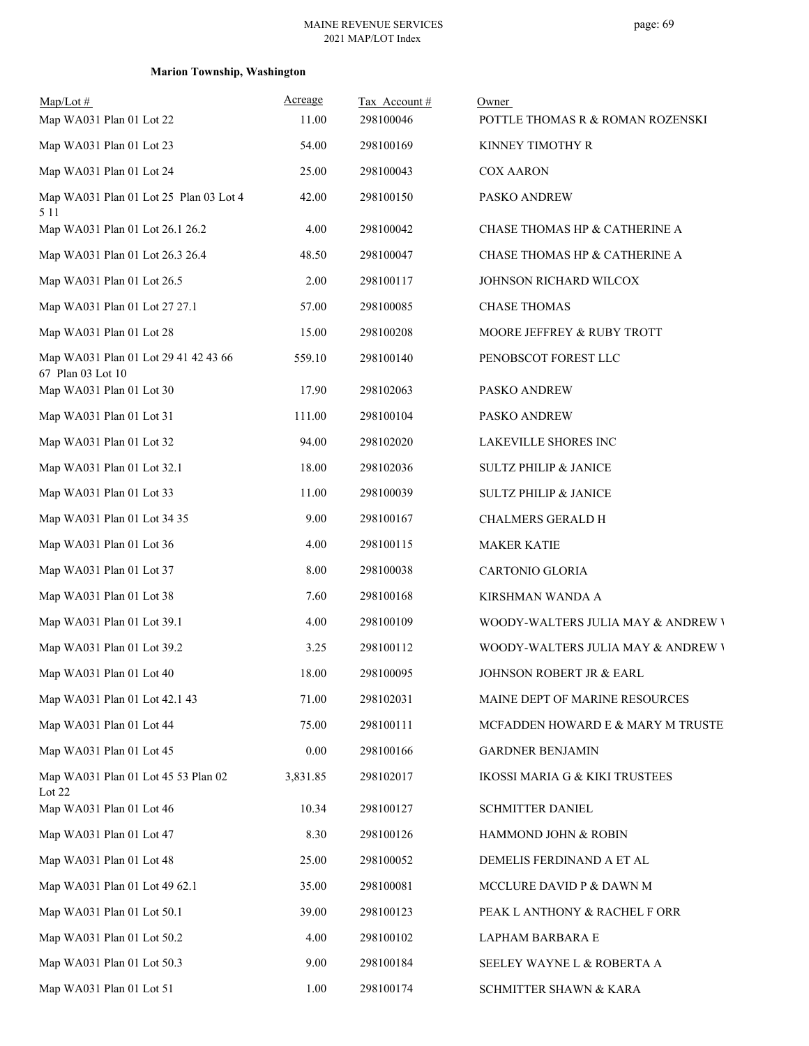| $Map/Lot$ #                                               | Acreage  | Tax Account# | Owner                              |
|-----------------------------------------------------------|----------|--------------|------------------------------------|
| Map WA031 Plan 01 Lot 22                                  | 11.00    | 298100046    | POTTLE THOMAS R & ROMAN ROZENSKI   |
| Map WA031 Plan 01 Lot 23                                  | 54.00    | 298100169    | KINNEY TIMOTHY R                   |
| Map WA031 Plan 01 Lot 24                                  | 25.00    | 298100043    | <b>COX AARON</b>                   |
| Map WA031 Plan 01 Lot 25 Plan 03 Lot 4<br>5 1 1           | 42.00    | 298100150    | PASKO ANDREW                       |
| Map WA031 Plan 01 Lot 26.1 26.2                           | 4.00     | 298100042    | CHASE THOMAS HP & CATHERINE A      |
| Map WA031 Plan 01 Lot 26.3 26.4                           | 48.50    | 298100047    | CHASE THOMAS HP & CATHERINE A      |
| Map WA031 Plan 01 Lot 26.5                                | 2.00     | 298100117    | JOHNSON RICHARD WILCOX             |
| Map WA031 Plan 01 Lot 27 27.1                             | 57.00    | 298100085    | <b>CHASE THOMAS</b>                |
| Map WA031 Plan 01 Lot 28                                  | 15.00    | 298100208    | MOORE JEFFREY & RUBY TROTT         |
| Map WA031 Plan 01 Lot 29 41 42 43 66<br>67 Plan 03 Lot 10 | 559.10   | 298100140    | PENOBSCOT FOREST LLC               |
| Map WA031 Plan 01 Lot 30                                  | 17.90    | 298102063    | PASKO ANDREW                       |
| Map WA031 Plan 01 Lot 31                                  | 111.00   | 298100104    | PASKO ANDREW                       |
| Map WA031 Plan 01 Lot 32                                  | 94.00    | 298102020    | LAKEVILLE SHORES INC               |
| Map WA031 Plan 01 Lot 32.1                                | 18.00    | 298102036    | <b>SULTZ PHILIP &amp; JANICE</b>   |
| Map WA031 Plan 01 Lot 33                                  | 11.00    | 298100039    | <b>SULTZ PHILIP &amp; JANICE</b>   |
| Map WA031 Plan 01 Lot 34 35                               | 9.00     | 298100167    | CHALMERS GERALD H                  |
| Map WA031 Plan 01 Lot 36                                  | 4.00     | 298100115    | <b>MAKER KATIE</b>                 |
| Map WA031 Plan 01 Lot 37                                  | 8.00     | 298100038    | CARTONIO GLORIA                    |
| Map WA031 Plan 01 Lot 38                                  | 7.60     | 298100168    | KIRSHMAN WANDA A                   |
| Map WA031 Plan 01 Lot 39.1                                | 4.00     | 298100109    | WOODY-WALTERS JULIA MAY & ANDREW \ |
| Map WA031 Plan 01 Lot 39.2                                | 3.25     | 298100112    | WOODY-WALTERS JULIA MAY & ANDREW \ |
| Map WA031 Plan 01 Lot 40                                  | 18.00    | 298100095    | JOHNSON ROBERT JR & EARL           |
| Map WA031 Plan 01 Lot 42.1 43                             | 71.00    | 298102031    | MAINE DEPT OF MARINE RESOURCES     |
| Map WA031 Plan 01 Lot 44                                  | 75.00    | 298100111    | MCFADDEN HOWARD E & MARY M TRUSTE  |
| Map WA031 Plan 01 Lot 45                                  | $0.00\,$ | 298100166    | <b>GARDNER BENJAMIN</b>            |
| Map WA031 Plan 01 Lot 45 53 Plan 02<br>Lot 22             | 3,831.85 | 298102017    | IKOSSI MARIA G & KIKI TRUSTEES     |
| Map WA031 Plan 01 Lot 46                                  | 10.34    | 298100127    | SCHMITTER DANIEL                   |
| Map WA031 Plan 01 Lot 47                                  | 8.30     | 298100126    | HAMMOND JOHN & ROBIN               |
| Map WA031 Plan 01 Lot 48                                  | 25.00    | 298100052    | DEMELIS FERDINAND A ET AL          |
| Map WA031 Plan 01 Lot 49 62.1                             | 35.00    | 298100081    | MCCLURE DAVID P & DAWN M           |
| Map WA031 Plan 01 Lot 50.1                                | 39.00    | 298100123    | PEAK L ANTHONY & RACHEL F ORR      |
| Map WA031 Plan 01 Lot 50.2                                | 4.00     | 298100102    | LAPHAM BARBARA E                   |
| Map WA031 Plan 01 Lot 50.3                                | 9.00     | 298100184    | SEELEY WAYNE L & ROBERTA A         |
| Map WA031 Plan 01 Lot 51                                  | 1.00     | 298100174    | SCHMITTER SHAWN & KARA             |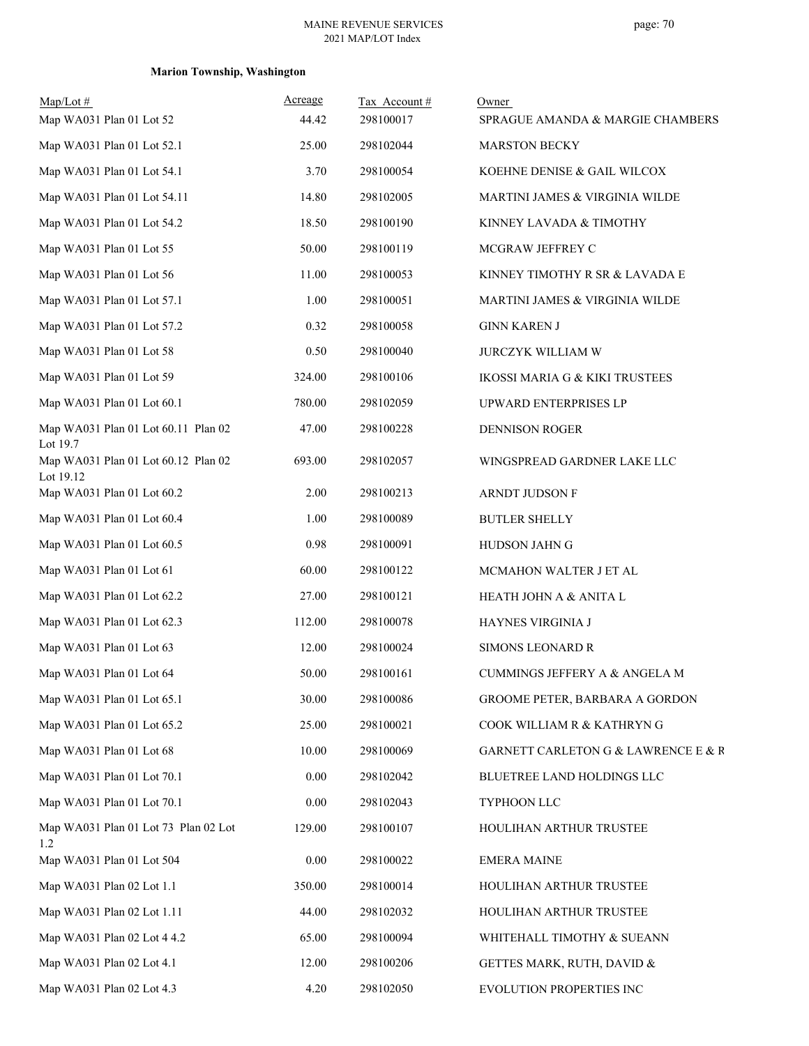| $Map/Lot$ #<br>Map WA031 Plan 01 Lot 52          | Acreage<br>44.42 | Tax Account#<br>298100017 | Owner<br>SPRAGUE AMANDA & MARGIE CHAMBERS |
|--------------------------------------------------|------------------|---------------------------|-------------------------------------------|
|                                                  |                  |                           |                                           |
| Map WA031 Plan 01 Lot 52.1                       | 25.00            | 298102044                 | <b>MARSTON BECKY</b>                      |
| Map WA031 Plan 01 Lot 54.1                       | 3.70             | 298100054                 | KOEHNE DENISE & GAIL WILCOX               |
| Map WA031 Plan 01 Lot 54.11                      | 14.80            | 298102005                 | MARTINI JAMES & VIRGINIA WILDE            |
| Map WA031 Plan 01 Lot 54.2                       | 18.50            | 298100190                 | KINNEY LAVADA & TIMOTHY                   |
| Map WA031 Plan 01 Lot 55                         | 50.00            | 298100119                 | MCGRAW JEFFREY C                          |
| Map WA031 Plan 01 Lot 56                         | 11.00            | 298100053                 | KINNEY TIMOTHY R SR & LAVADA E            |
| Map WA031 Plan 01 Lot 57.1                       | 1.00             | 298100051                 | MARTINI JAMES & VIRGINIA WILDE            |
| Map WA031 Plan 01 Lot 57.2                       | 0.32             | 298100058                 | <b>GINN KAREN J</b>                       |
| Map WA031 Plan 01 Lot 58                         | 0.50             | 298100040                 | <b>JURCZYK WILLIAM W</b>                  |
| Map WA031 Plan 01 Lot 59                         | 324.00           | 298100106                 | <b>IKOSSI MARIA G &amp; KIKI TRUSTEES</b> |
| Map WA031 Plan 01 Lot 60.1                       | 780.00           | 298102059                 | UPWARD ENTERPRISES LP                     |
| Map WA031 Plan 01 Lot 60.11 Plan 02<br>Lot 19.7  | 47.00            | 298100228                 | <b>DENNISON ROGER</b>                     |
| Map WA031 Plan 01 Lot 60.12 Plan 02<br>Lot 19.12 | 693.00           | 298102057                 | WINGSPREAD GARDNER LAKE LLC               |
| Map WA031 Plan 01 Lot 60.2                       | 2.00             | 298100213                 | ARNDT JUDSON F                            |
| Map WA031 Plan 01 Lot 60.4                       | 1.00             | 298100089                 | <b>BUTLER SHELLY</b>                      |
| Map WA031 Plan 01 Lot 60.5                       | 0.98             | 298100091                 | HUDSON JAHN G                             |
| Map WA031 Plan 01 Lot 61                         | 60.00            | 298100122                 | MCMAHON WALTER J ET AL                    |
| Map WA031 Plan 01 Lot 62.2                       | 27.00            | 298100121                 | HEATH JOHN A & ANITA L                    |
| Map WA031 Plan 01 Lot 62.3                       | 112.00           | 298100078                 | HAYNES VIRGINIA J                         |
| Map WA031 Plan 01 Lot 63                         | 12.00            | 298100024                 | <b>SIMONS LEONARD R</b>                   |
| Map WA031 Plan 01 Lot 64                         | 50.00            | 298100161                 | <b>CUMMINGS JEFFERY A &amp; ANGELA M</b>  |
| Map WA031 Plan 01 Lot 65.1                       | 30.00            | 298100086                 | GROOME PETER, BARBARA A GORDON            |
| Map WA031 Plan 01 Lot 65.2                       | 25.00            | 298100021                 | COOK WILLIAM R & KATHRYN G                |
| Map WA031 Plan 01 Lot 68                         | 10.00            | 298100069                 | GARNETT CARLETON G & LAWRENCE E & R       |
| Map WA031 Plan 01 Lot 70.1                       | 0.00             | 298102042                 | BLUETREE LAND HOLDINGS LLC                |
| Map WA031 Plan 01 Lot 70.1                       | 0.00             | 298102043                 | TYPHOON LLC                               |
| Map WA031 Plan 01 Lot 73 Plan 02 Lot<br>1.2      | 129.00           | 298100107                 | HOULIHAN ARTHUR TRUSTEE                   |
| Map WA031 Plan 01 Lot 504                        | 0.00             | 298100022                 | <b>EMERA MAINE</b>                        |
| Map WA031 Plan 02 Lot 1.1                        | 350.00           | 298100014                 | HOULIHAN ARTHUR TRUSTEE                   |
| Map WA031 Plan 02 Lot 1.11                       | 44.00            | 298102032                 | HOULIHAN ARTHUR TRUSTEE                   |
| Map WA031 Plan 02 Lot 4 4.2                      | 65.00            | 298100094                 | WHITEHALL TIMOTHY & SUEANN                |
| Map WA031 Plan 02 Lot 4.1                        | 12.00            | 298100206                 | GETTES MARK, RUTH, DAVID &                |
| Map WA031 Plan 02 Lot 4.3                        | 4.20             | 298102050                 | EVOLUTION PROPERTIES INC                  |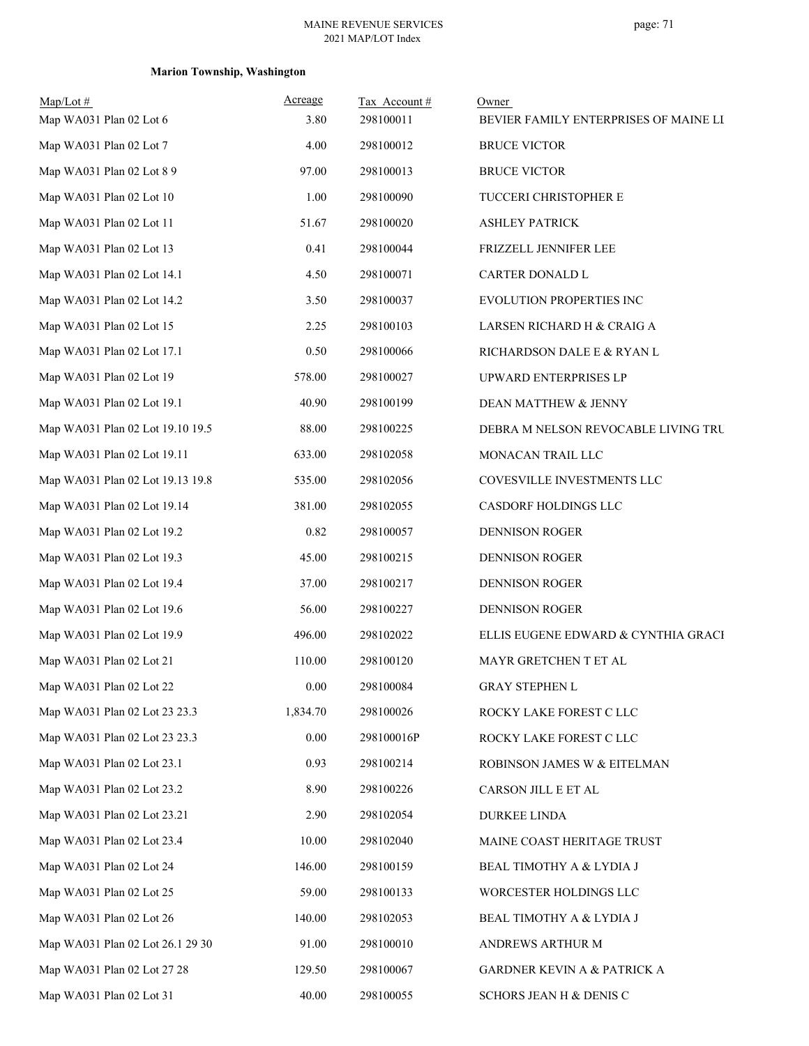| Map/Lot#<br>Map WA031 Plan 02 Lot 6 | Acreage<br>3.80 | Tax Account#<br>298100011 | Owner<br>BEVIER FAMILY ENTERPRISES OF MAINE LI |
|-------------------------------------|-----------------|---------------------------|------------------------------------------------|
| Map WA031 Plan 02 Lot 7             | 4.00            | 298100012                 | <b>BRUCE VICTOR</b>                            |
| Map WA031 Plan 02 Lot 8 9           | 97.00           | 298100013                 | <b>BRUCE VICTOR</b>                            |
| Map WA031 Plan 02 Lot 10            | 1.00            | 298100090                 | TUCCERI CHRISTOPHER E                          |
| Map WA031 Plan 02 Lot 11            | 51.67           | 298100020                 | <b>ASHLEY PATRICK</b>                          |
| Map WA031 Plan 02 Lot 13            | 0.41            | 298100044                 | FRIZZELL JENNIFER LEE                          |
| Map WA031 Plan 02 Lot 14.1          | 4.50            | 298100071                 | CARTER DONALD L                                |
| Map WA031 Plan 02 Lot 14.2          | 3.50            | 298100037                 | EVOLUTION PROPERTIES INC                       |
| Map WA031 Plan 02 Lot 15            | 2.25            | 298100103                 | LARSEN RICHARD H & CRAIG A                     |
| Map WA031 Plan 02 Lot 17.1          | 0.50            | 298100066                 | RICHARDSON DALE E & RYAN L                     |
| Map WA031 Plan 02 Lot 19            | 578.00          | 298100027                 | UPWARD ENTERPRISES LP                          |
| Map WA031 Plan 02 Lot 19.1          | 40.90           | 298100199                 | DEAN MATTHEW & JENNY                           |
| Map WA031 Plan 02 Lot 19.10 19.5    | 88.00           | 298100225                 | DEBRA M NELSON REVOCABLE LIVING TRU            |
| Map WA031 Plan 02 Lot 19.11         | 633.00          | 298102058                 | MONACAN TRAIL LLC                              |
| Map WA031 Plan 02 Lot 19.13 19.8    | 535.00          | 298102056                 | COVESVILLE INVESTMENTS LLC                     |
| Map WA031 Plan 02 Lot 19.14         | 381.00          | 298102055                 | CASDORF HOLDINGS LLC                           |
| Map WA031 Plan 02 Lot 19.2          | 0.82            | 298100057                 | <b>DENNISON ROGER</b>                          |
| Map WA031 Plan 02 Lot 19.3          | 45.00           | 298100215                 | <b>DENNISON ROGER</b>                          |
| Map WA031 Plan 02 Lot 19.4          | 37.00           | 298100217                 | DENNISON ROGER                                 |
| Map WA031 Plan 02 Lot 19.6          | 56.00           | 298100227                 | <b>DENNISON ROGER</b>                          |
| Map WA031 Plan 02 Lot 19.9          | 496.00          | 298102022                 | ELLIS EUGENE EDWARD & CYNTHIA GRACI            |
| Map WA031 Plan 02 Lot 21            | 110.00          | 298100120                 | MAYR GRETCHEN T ET AL                          |
| Map WA031 Plan 02 Lot 22            | $0.00\,$        | 298100084                 | <b>GRAY STEPHEN L</b>                          |
| Map WA031 Plan 02 Lot 23 23.3       | 1,834.70        | 298100026                 | ROCKY LAKE FOREST C LLC                        |
| Map WA031 Plan 02 Lot 23 23.3       | 0.00            | 298100016P                | ROCKY LAKE FOREST C LLC                        |
| Map WA031 Plan 02 Lot 23.1          | 0.93            | 298100214                 | ROBINSON JAMES W & EITELMAN                    |
| Map WA031 Plan 02 Lot 23.2          | 8.90            | 298100226                 | CARSON JILL E ET AL                            |
| Map WA031 Plan 02 Lot 23.21         | 2.90            | 298102054                 | <b>DURKEE LINDA</b>                            |
| Map WA031 Plan 02 Lot 23.4          | 10.00           | 298102040                 | MAINE COAST HERITAGE TRUST                     |
| Map WA031 Plan 02 Lot 24            | 146.00          | 298100159                 | BEAL TIMOTHY A & LYDIA J                       |
| Map WA031 Plan 02 Lot 25            | 59.00           | 298100133                 | WORCESTER HOLDINGS LLC                         |
| Map WA031 Plan 02 Lot 26            | 140.00          | 298102053                 | BEAL TIMOTHY A & LYDIA J                       |
| Map WA031 Plan 02 Lot 26.1 29 30    | 91.00           | 298100010                 | ANDREWS ARTHUR M                               |
| Map WA031 Plan 02 Lot 27 28         | 129.50          | 298100067                 | <b>GARDNER KEVIN A &amp; PATRICK A</b>         |
| Map WA031 Plan 02 Lot 31            | 40.00           | 298100055                 | SCHORS JEAN H & DENIS C                        |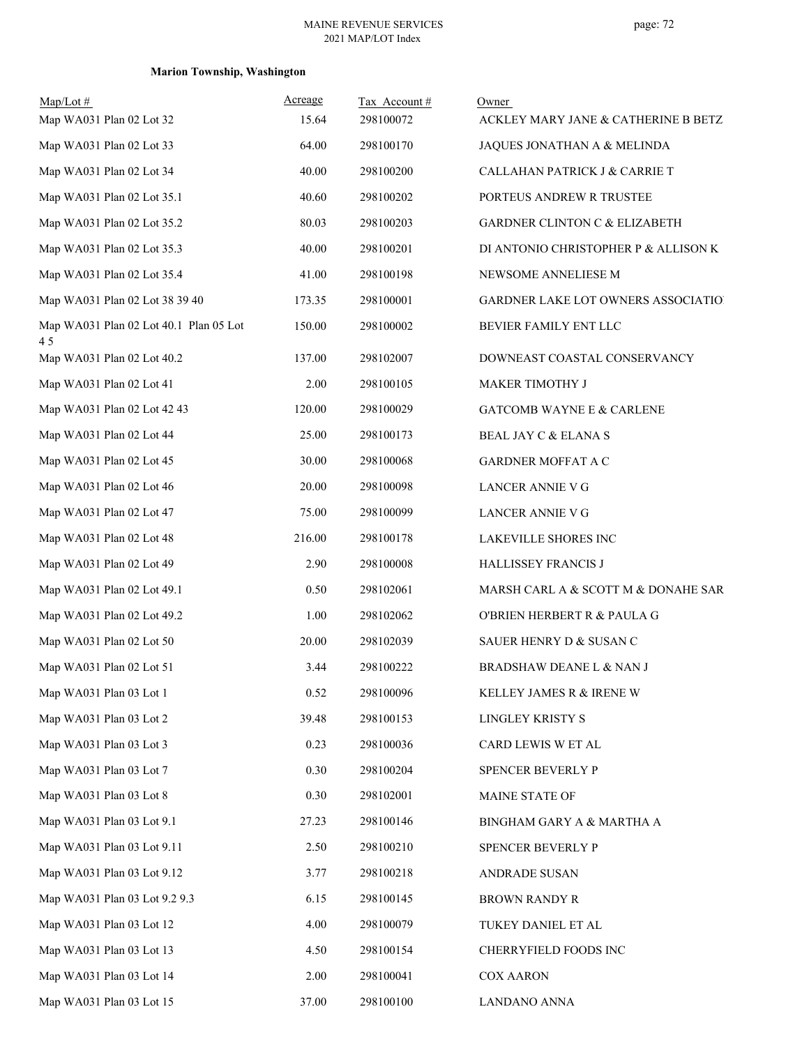# **Marion Township, Washington**

| $Map/Lot \#$<br>Map WA031 Plan 02 Lot 32      | Acreage<br>15.64 | Tax Account#<br>298100072 | Owner<br>ACKLEY MARY JANE & CATHERINE B BETZ |
|-----------------------------------------------|------------------|---------------------------|----------------------------------------------|
| Map WA031 Plan 02 Lot 33                      | 64.00            | 298100170                 | JAQUES JONATHAN A & MELINDA                  |
| Map WA031 Plan 02 Lot 34                      | 40.00            | 298100200                 | CALLAHAN PATRICK J & CARRIE T                |
| Map WA031 Plan 02 Lot 35.1                    | 40.60            | 298100202                 | PORTEUS ANDREW R TRUSTEE                     |
| Map WA031 Plan 02 Lot 35.2                    | 80.03            | 298100203                 | <b>GARDNER CLINTON C &amp; ELIZABETH</b>     |
| Map WA031 Plan 02 Lot 35.3                    | 40.00            | 298100201                 | DI ANTONIO CHRISTOPHER P & ALLISON K         |
| Map WA031 Plan 02 Lot 35.4                    | 41.00            | 298100198                 | NEWSOME ANNELIESE M                          |
| Map WA031 Plan 02 Lot 38 39 40                | 173.35           | 298100001                 | <b>GARDNER LAKE LOT OWNERS ASSOCIATIO</b>    |
| Map WA031 Plan 02 Lot 40.1 Plan 05 Lot<br>4.5 | 150.00           | 298100002                 | BEVIER FAMILY ENT LLC                        |
| Map WA031 Plan 02 Lot 40.2                    | 137.00           | 298102007                 | DOWNEAST COASTAL CONSERVANCY                 |
| Map WA031 Plan 02 Lot 41                      | 2.00             | 298100105                 | <b>MAKER TIMOTHY J</b>                       |
| Map WA031 Plan 02 Lot 42 43                   | 120.00           | 298100029                 | <b>GATCOMB WAYNE E &amp; CARLENE</b>         |
| Map WA031 Plan 02 Lot 44                      | 25.00            | 298100173                 | BEAL JAY C & ELANA S                         |
| Map WA031 Plan 02 Lot 45                      | 30.00            | 298100068                 | <b>GARDNER MOFFAT A C</b>                    |
| Map WA031 Plan 02 Lot 46                      | 20.00            | 298100098                 | <b>LANCER ANNIE V G</b>                      |
| Map WA031 Plan 02 Lot 47                      | 75.00            | 298100099                 | LANCER ANNIE V G                             |
| Map WA031 Plan 02 Lot 48                      | 216.00           | 298100178                 | LAKEVILLE SHORES INC                         |
| Map WA031 Plan 02 Lot 49                      | 2.90             | 298100008                 | HALLISSEY FRANCIS J                          |
| Map WA031 Plan 02 Lot 49.1                    | 0.50             | 298102061                 | MARSH CARL A & SCOTT M & DONAHE SAR          |
| Map WA031 Plan 02 Lot 49.2                    | 1.00             | 298102062                 | O'BRIEN HERBERT R & PAULA G                  |
| Map WA031 Plan 02 Lot 50                      | 20.00            | 298102039                 | SAUER HENRY D & SUSAN C                      |
| Map WA031 Plan 02 Lot 51                      | 3.44             | 298100222                 | BRADSHAW DEANE L & NAN J                     |
| Map WA031 Plan 03 Lot 1                       | 0.52             | 298100096                 | KELLEY JAMES R & IRENE W                     |
| Map WA031 Plan 03 Lot 2                       | 39.48            | 298100153                 | LINGLEY KRISTY S                             |
| Map WA031 Plan 03 Lot 3                       | 0.23             | 298100036                 | CARD LEWIS W ET AL                           |
| Map WA031 Plan 03 Lot 7                       | 0.30             | 298100204                 | SPENCER BEVERLY P                            |
| Map WA031 Plan 03 Lot 8                       | 0.30             | 298102001                 | MAINE STATE OF                               |
| Map WA031 Plan 03 Lot 9.1                     | 27.23            | 298100146                 | BINGHAM GARY A & MARTHA A                    |
| Map WA031 Plan 03 Lot 9.11                    | 2.50             | 298100210                 | SPENCER BEVERLY P                            |
| Map WA031 Plan 03 Lot 9.12                    | 3.77             | 298100218                 | ANDRADE SUSAN                                |
| Map WA031 Plan 03 Lot 9.2 9.3                 | 6.15             | 298100145                 | <b>BROWN RANDY R</b>                         |
| Map WA031 Plan 03 Lot 12                      | 4.00             | 298100079                 | TUKEY DANIEL ET AL                           |
| Map WA031 Plan 03 Lot 13                      | 4.50             | 298100154                 | CHERRYFIELD FOODS INC                        |
| Map WA031 Plan 03 Lot 14                      | 2.00             | 298100041                 | <b>COX AARON</b>                             |
| Map WA031 Plan 03 Lot 15                      | 37.00            | 298100100                 | LANDANO ANNA                                 |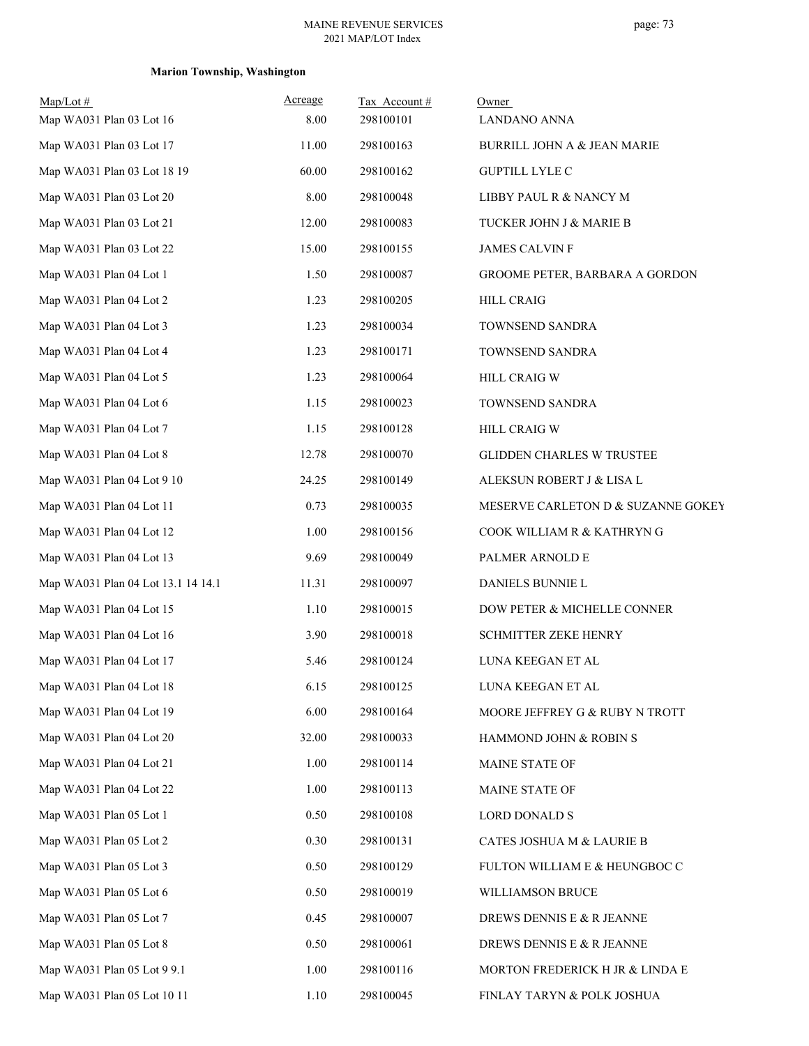# **Marion Township, Washington**

| $Map/Lot \#$                       | Acreage | Tax Account# | Owner                              |
|------------------------------------|---------|--------------|------------------------------------|
| Map WA031 Plan 03 Lot 16           | 8.00    | 298100101    | LANDANO ANNA                       |
| Map WA031 Plan 03 Lot 17           | 11.00   | 298100163    | BURRILL JOHN A & JEAN MARIE        |
| Map WA031 Plan 03 Lot 18 19        | 60.00   | 298100162    | <b>GUPTILL LYLE C</b>              |
| Map WA031 Plan 03 Lot 20           | 8.00    | 298100048    | LIBBY PAUL R & NANCY M             |
| Map WA031 Plan 03 Lot 21           | 12.00   | 298100083    | TUCKER JOHN J & MARIE B            |
| Map WA031 Plan 03 Lot 22           | 15.00   | 298100155    | <b>JAMES CALVIN F</b>              |
| Map WA031 Plan 04 Lot 1            | 1.50    | 298100087    | GROOME PETER, BARBARA A GORDON     |
| Map WA031 Plan 04 Lot 2            | 1.23    | 298100205    | <b>HILL CRAIG</b>                  |
| Map WA031 Plan 04 Lot 3            | 1.23    | 298100034    | TOWNSEND SANDRA                    |
| Map WA031 Plan 04 Lot 4            | 1.23    | 298100171    | TOWNSEND SANDRA                    |
| Map WA031 Plan 04 Lot 5            | 1.23    | 298100064    | <b>HILL CRAIG W</b>                |
| Map WA031 Plan 04 Lot 6            | 1.15    | 298100023    | TOWNSEND SANDRA                    |
| Map WA031 Plan 04 Lot 7            | 1.15    | 298100128    | <b>HILL CRAIG W</b>                |
| Map WA031 Plan 04 Lot 8            | 12.78   | 298100070    | <b>GLIDDEN CHARLES W TRUSTEE</b>   |
| Map WA031 Plan 04 Lot 9 10         | 24.25   | 298100149    | ALEKSUN ROBERT J & LISA L          |
| Map WA031 Plan 04 Lot 11           | 0.73    | 298100035    | MESERVE CARLETON D & SUZANNE GOKEY |
| Map WA031 Plan 04 Lot 12           | 1.00    | 298100156    | COOK WILLIAM R & KATHRYN G         |
| Map WA031 Plan 04 Lot 13           | 9.69    | 298100049    | PALMER ARNOLD E                    |
| Map WA031 Plan 04 Lot 13.1 14 14.1 | 11.31   | 298100097    | DANIELS BUNNIE L                   |
| Map WA031 Plan 04 Lot 15           | 1.10    | 298100015    | DOW PETER & MICHELLE CONNER        |
| Map WA031 Plan 04 Lot 16           | 3.90    | 298100018    | <b>SCHMITTER ZEKE HENRY</b>        |
| Map WA031 Plan 04 Lot 17           | 5.46    | 298100124    | LUNA KEEGAN ET AL                  |
| Map WA031 Plan 04 Lot 18           | 6.15    | 298100125    | LUNA KEEGAN ET AL                  |
| Map WA031 Plan 04 Lot 19           | 6.00    | 298100164    | MOORE JEFFREY G & RUBY N TROTT     |
| Map WA031 Plan 04 Lot 20           | 32.00   | 298100033    | HAMMOND JOHN & ROBIN S             |
| Map WA031 Plan 04 Lot 21           | 1.00    | 298100114    | MAINE STATE OF                     |
| Map WA031 Plan 04 Lot 22           | 1.00    | 298100113    | MAINE STATE OF                     |
| Map WA031 Plan 05 Lot 1            | 0.50    | 298100108    | <b>LORD DONALD S</b>               |
| Map WA031 Plan 05 Lot 2            | 0.30    | 298100131    | CATES JOSHUA M & LAURIE B          |
| Map WA031 Plan 05 Lot 3            | 0.50    | 298100129    | FULTON WILLIAM E & HEUNGBOC C      |
| Map WA031 Plan 05 Lot 6            | 0.50    | 298100019    | WILLIAMSON BRUCE                   |
| Map WA031 Plan 05 Lot 7            | 0.45    | 298100007    | DREWS DENNIS E & R JEANNE          |
| Map WA031 Plan 05 Lot 8            | 0.50    | 298100061    | DREWS DENNIS E & R JEANNE          |
| Map WA031 Plan 05 Lot 9 9.1        | 1.00    | 298100116    | MORTON FREDERICK H JR & LINDA E    |
| Map WA031 Plan 05 Lot 10 11        | 1.10    | 298100045    | FINLAY TARYN & POLK JOSHUA         |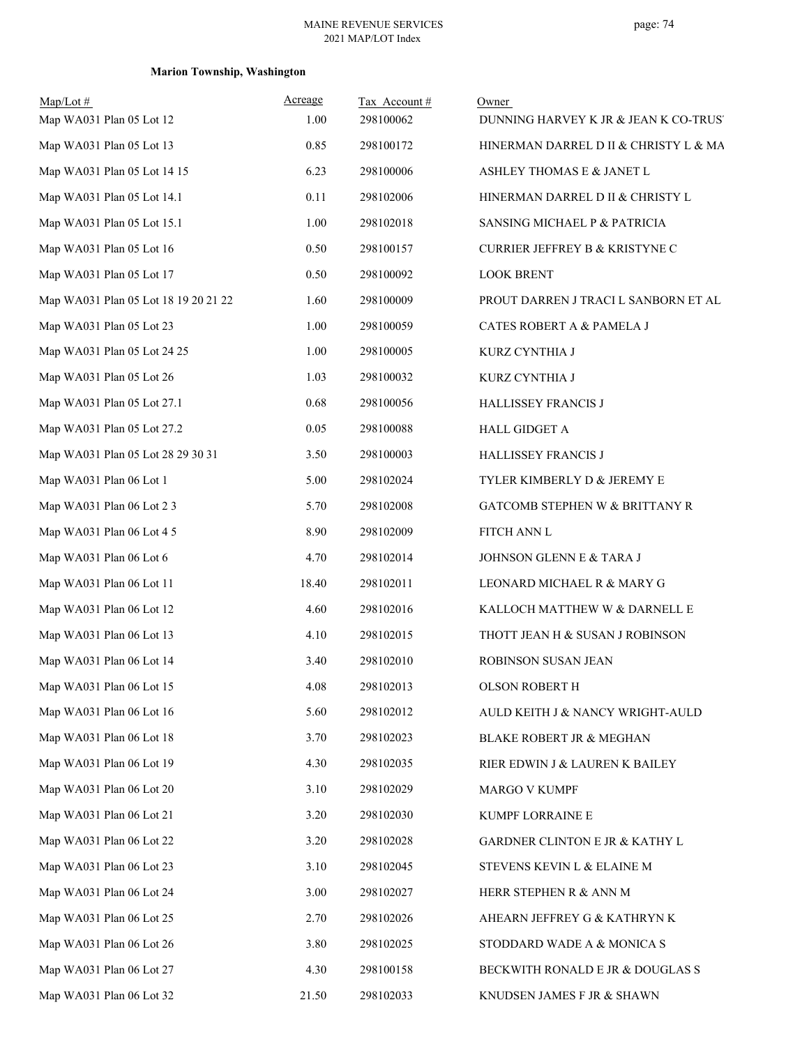# **Marion Township, Washington**

| $Map/Lot$ #<br>Map WA031 Plan 05 Lot 12 | Acreage<br>1.00 | Tax Account#<br>298100062 | Owner<br>DUNNING HARVEY K JR & JEAN K CO-TRUS' |
|-----------------------------------------|-----------------|---------------------------|------------------------------------------------|
| Map WA031 Plan 05 Lot 13                | 0.85            | 298100172                 | HINERMAN DARREL D II & CHRISTY L & MA          |
| Map WA031 Plan 05 Lot 14 15             | 6.23            | 298100006                 | ASHLEY THOMAS E & JANET L                      |
| Map WA031 Plan 05 Lot 14.1              | 0.11            | 298102006                 | HINERMAN DARREL D II & CHRISTY L               |
| Map WA031 Plan 05 Lot 15.1              | 1.00            | 298102018                 | SANSING MICHAEL P & PATRICIA                   |
| Map WA031 Plan 05 Lot 16                | 0.50            | 298100157                 | <b>CURRIER JEFFREY B &amp; KRISTYNE C</b>      |
| Map WA031 Plan 05 Lot 17                | 0.50            | 298100092                 | <b>LOOK BRENT</b>                              |
| Map WA031 Plan 05 Lot 18 19 20 21 22    | 1.60            | 298100009                 | PROUT DARREN J TRACI L SANBORN ET AL           |
| Map WA031 Plan 05 Lot 23                | 1.00            | 298100059                 | CATES ROBERT A & PAMELA J                      |
| Map WA031 Plan 05 Lot 24 25             | 1.00            | 298100005                 | KURZ CYNTHIA J                                 |
| Map WA031 Plan 05 Lot 26                | 1.03            | 298100032                 | KURZ CYNTHIA J                                 |
| Map WA031 Plan 05 Lot 27.1              | 0.68            | 298100056                 | HALLISSEY FRANCIS J                            |
| Map WA031 Plan 05 Lot 27.2              | 0.05            | 298100088                 | HALL GIDGET A                                  |
| Map WA031 Plan 05 Lot 28 29 30 31       | 3.50            | 298100003                 | HALLISSEY FRANCIS J                            |
| Map WA031 Plan 06 Lot 1                 | 5.00            | 298102024                 | TYLER KIMBERLY D & JEREMY E                    |
| Map WA031 Plan 06 Lot 2 3               | 5.70            | 298102008                 | GATCOMB STEPHEN W & BRITTANY R                 |
| Map WA031 Plan 06 Lot 4 5               | 8.90            | 298102009                 | FITCH ANN L                                    |
| Map WA031 Plan 06 Lot 6                 | 4.70            | 298102014                 | JOHNSON GLENN E & TARA J                       |
| Map WA031 Plan 06 Lot 11                | 18.40           | 298102011                 | LEONARD MICHAEL R & MARY G                     |
| Map WA031 Plan 06 Lot 12                | 4.60            | 298102016                 | KALLOCH MATTHEW W & DARNELL E                  |
| Map WA031 Plan 06 Lot 13                | 4.10            | 298102015                 | THOTT JEAN H & SUSAN J ROBINSON                |
| Map WA031 Plan 06 Lot 14                | 3.40            | 298102010                 | ROBINSON SUSAN JEAN                            |
| Map WA031 Plan 06 Lot 15                | 4.08            | 298102013                 | OLSON ROBERT H                                 |
| Map WA031 Plan 06 Lot 16                | 5.60            | 298102012                 | AULD KEITH J & NANCY WRIGHT-AULD               |
| Map WA031 Plan 06 Lot 18                | 3.70            | 298102023                 | BLAKE ROBERT JR & MEGHAN                       |
| Map WA031 Plan 06 Lot 19                | 4.30            | 298102035                 | RIER EDWIN J & LAUREN K BAILEY                 |
| Map WA031 Plan 06 Lot 20                | 3.10            | 298102029                 | MARGO V KUMPF                                  |
| Map WA031 Plan 06 Lot 21                | 3.20            | 298102030                 | KUMPF LORRAINE E                               |
| Map WA031 Plan 06 Lot 22                | 3.20            | 298102028                 | GARDNER CLINTON E JR & KATHY L                 |
| Map WA031 Plan 06 Lot 23                | 3.10            | 298102045                 | STEVENS KEVIN L & ELAINE M                     |
| Map WA031 Plan 06 Lot 24                | 3.00            | 298102027                 | HERR STEPHEN R & ANN M                         |
| Map WA031 Plan 06 Lot 25                | 2.70            | 298102026                 | AHEARN JEFFREY G & KATHRYN K                   |
| Map WA031 Plan 06 Lot 26                | 3.80            | 298102025                 | STODDARD WADE A & MONICA S                     |
| Map WA031 Plan 06 Lot 27                | 4.30            | 298100158                 | BECKWITH RONALD E JR & DOUGLAS S               |
| Map WA031 Plan 06 Lot 32                | 21.50           | 298102033                 | KNUDSEN JAMES F JR & SHAWN                     |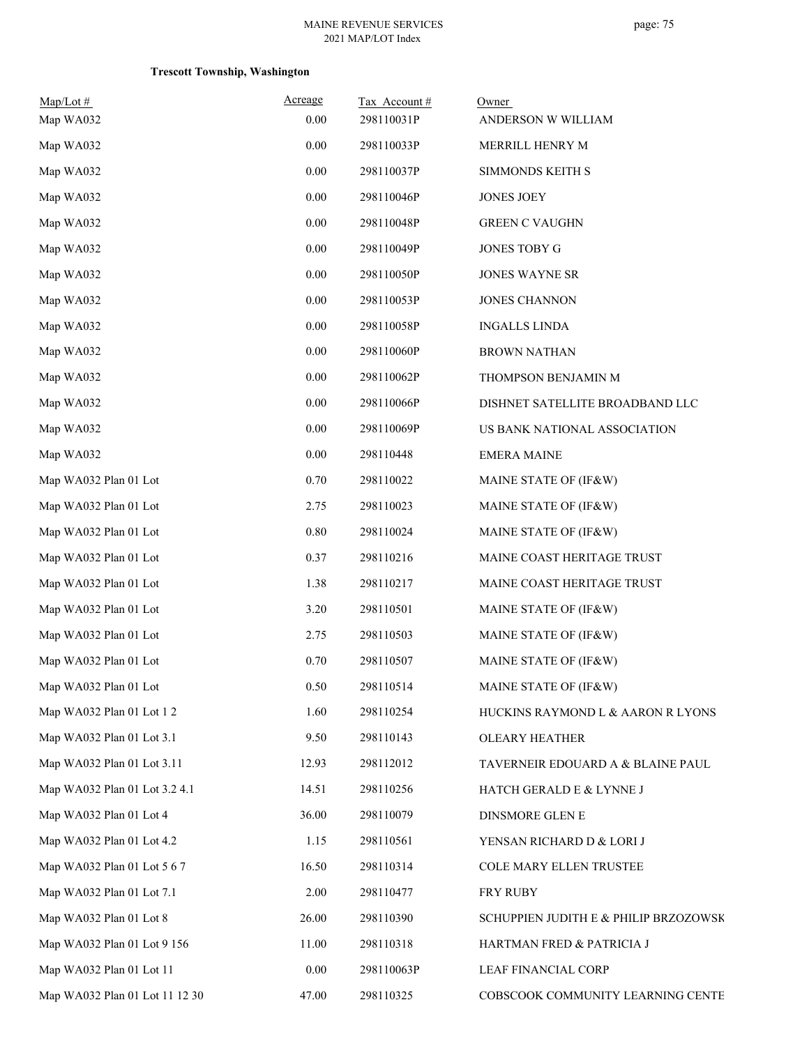| Map/Lot #<br>Map WA032         | Acreage<br>0.00 | Tax Account#<br>298110031P | Owner<br>ANDERSON W WILLIAM           |
|--------------------------------|-----------------|----------------------------|---------------------------------------|
| Map WA032                      | 0.00            | 298110033P                 | MERRILL HENRY M                       |
| Map WA032                      | $0.00\,$        | 298110037P                 | SIMMONDS KEITH S                      |
| Map WA032                      | 0.00            | 298110046P                 | <b>JONES JOEY</b>                     |
| Map WA032                      | $0.00\,$        | 298110048P                 | <b>GREEN C VAUGHN</b>                 |
| Map WA032                      | $0.00\,$        | 298110049P                 | JONES TOBY G                          |
| Map WA032                      | 0.00            | 298110050P                 | <b>JONES WAYNE SR</b>                 |
| Map WA032                      | $0.00\,$        | 298110053P                 | <b>JONES CHANNON</b>                  |
| Map WA032                      | $0.00\,$        | 298110058P                 | <b>INGALLS LINDA</b>                  |
| Map WA032                      | 0.00            | 298110060P                 | <b>BROWN NATHAN</b>                   |
| Map WA032                      | $0.00\,$        | 298110062P                 | THOMPSON BENJAMIN M                   |
| Map WA032                      | 0.00            | 298110066P                 | DISHNET SATELLITE BROADBAND LLC       |
| Map WA032                      | $0.00\,$        | 298110069P                 | US BANK NATIONAL ASSOCIATION          |
| Map WA032                      | $0.00\,$        | 298110448                  | <b>EMERA MAINE</b>                    |
| Map WA032 Plan 01 Lot          | 0.70            | 298110022                  | MAINE STATE OF (IF&W)                 |
| Map WA032 Plan 01 Lot          | 2.75            | 298110023                  | MAINE STATE OF (IF&W)                 |
| Map WA032 Plan 01 Lot          | $0.80\,$        | 298110024                  | MAINE STATE OF (IF&W)                 |
| Map WA032 Plan 01 Lot          | 0.37            | 298110216                  | MAINE COAST HERITAGE TRUST            |
| Map WA032 Plan 01 Lot          | 1.38            | 298110217                  | MAINE COAST HERITAGE TRUST            |
| Map WA032 Plan 01 Lot          | 3.20            | 298110501                  | MAINE STATE OF (IF&W)                 |
| Map WA032 Plan 01 Lot          | 2.75            | 298110503                  | MAINE STATE OF (IF&W)                 |
| Map WA032 Plan 01 Lot          | 0.70            | 298110507                  | MAINE STATE OF (IF&W)                 |
| Map WA032 Plan 01 Lot          | 0.50            | 298110514                  | MAINE STATE OF (IF&W)                 |
| Map WA032 Plan 01 Lot 1 2      | 1.60            | 298110254                  | HUCKINS RAYMOND L & AARON R LYONS     |
| Map WA032 Plan 01 Lot 3.1      | 9.50            | 298110143                  | <b>OLEARY HEATHER</b>                 |
| Map WA032 Plan 01 Lot 3.11     | 12.93           | 298112012                  | TAVERNEIR EDOUARD A & BLAINE PAUL     |
| Map WA032 Plan 01 Lot 3.2 4.1  | 14.51           | 298110256                  | HATCH GERALD E & LYNNE J              |
| Map WA032 Plan 01 Lot 4        | 36.00           | 298110079                  | <b>DINSMORE GLEN E</b>                |
| Map WA032 Plan 01 Lot 4.2      | 1.15            | 298110561                  | YENSAN RICHARD D & LORI J             |
| Map WA032 Plan 01 Lot 5 6 7    | 16.50           | 298110314                  | COLE MARY ELLEN TRUSTEE               |
| Map WA032 Plan 01 Lot 7.1      | 2.00            | 298110477                  | FRY RUBY                              |
| Map WA032 Plan 01 Lot 8        | 26.00           | 298110390                  | SCHUPPIEN JUDITH E & PHILIP BRZOZOWSK |
| Map WA032 Plan 01 Lot 9 156    | 11.00           | 298110318                  | HARTMAN FRED & PATRICIA J             |
| Map WA032 Plan 01 Lot 11       | $0.00\,$        | 298110063P                 | <b>LEAF FINANCIAL CORP</b>            |
| Map WA032 Plan 01 Lot 11 12 30 | 47.00           | 298110325                  | COBSCOOK COMMUNITY LEARNING CENTE     |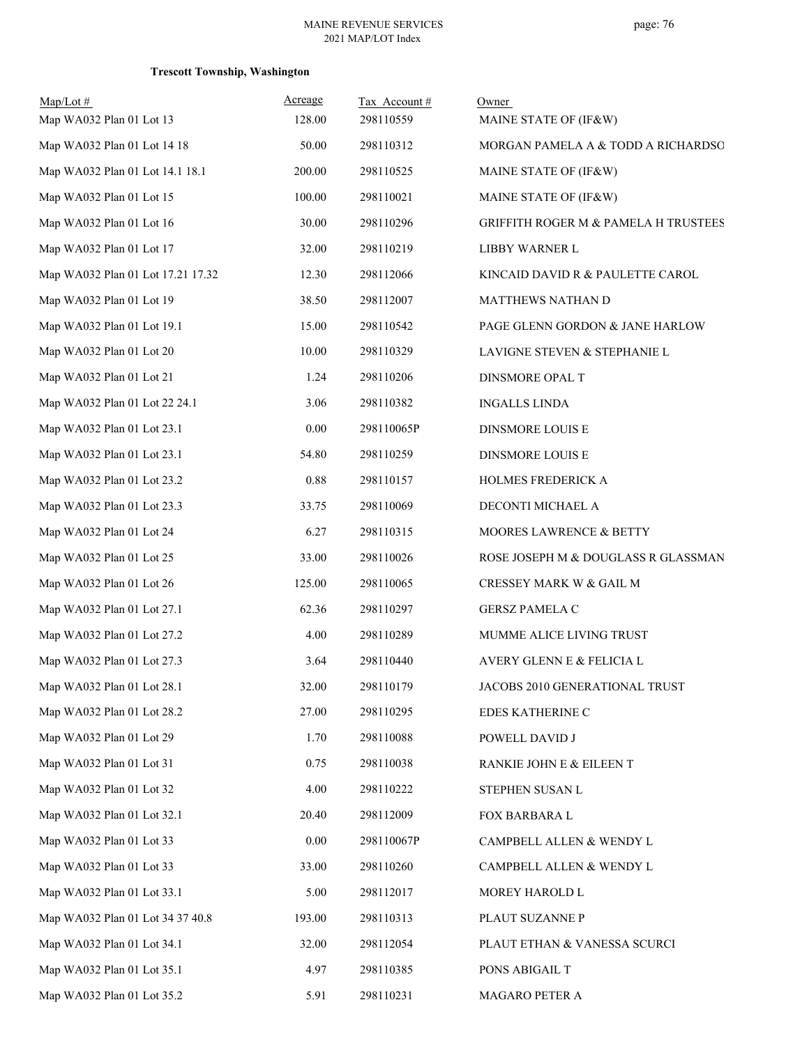| $Map/Lot$ #                       | Acreage | Tax Account# | Owner                                           |
|-----------------------------------|---------|--------------|-------------------------------------------------|
| Map WA032 Plan 01 Lot 13          | 128.00  | 298110559    | MAINE STATE OF (IF&W)                           |
| Map WA032 Plan 01 Lot 14 18       | 50.00   | 298110312    | MORGAN PAMELA A & TODD A RICHARDSO              |
| Map WA032 Plan 01 Lot 14.1 18.1   | 200.00  | 298110525    | MAINE STATE OF (IF&W)                           |
| Map WA032 Plan 01 Lot 15          | 100.00  | 298110021    | MAINE STATE OF (IF&W)                           |
| Map WA032 Plan 01 Lot 16          | 30.00   | 298110296    | <b>GRIFFITH ROGER M &amp; PAMELA H TRUSTEES</b> |
| Map WA032 Plan 01 Lot 17          | 32.00   | 298110219    | LIBBY WARNER L                                  |
| Map WA032 Plan 01 Lot 17.21 17.32 | 12.30   | 298112066    | KINCAID DAVID R & PAULETTE CAROL                |
| Map WA032 Plan 01 Lot 19          | 38.50   | 298112007    | MATTHEWS NATHAN D                               |
| Map WA032 Plan 01 Lot 19.1        | 15.00   | 298110542    | PAGE GLENN GORDON & JANE HARLOW                 |
| Map WA032 Plan 01 Lot 20          | 10.00   | 298110329    | LAVIGNE STEVEN & STEPHANIE L                    |
| Map WA032 Plan 01 Lot 21          | 1.24    | 298110206    | DINSMORE OPAL T                                 |
| Map WA032 Plan 01 Lot 22 24.1     | 3.06    | 298110382    | <b>INGALLS LINDA</b>                            |
| Map WA032 Plan 01 Lot 23.1        | 0.00    | 298110065P   | DINSMORE LOUIS E                                |
| Map WA032 Plan 01 Lot 23.1        | 54.80   | 298110259    | DINSMORE LOUIS E                                |
| Map WA032 Plan 01 Lot 23.2        | 0.88    | 298110157    | <b>HOLMES FREDERICK A</b>                       |
| Map WA032 Plan 01 Lot 23.3        | 33.75   | 298110069    | DECONTI MICHAEL A                               |
| Map WA032 Plan 01 Lot 24          | 6.27    | 298110315    | MOORES LAWRENCE & BETTY                         |
| Map WA032 Plan 01 Lot 25          | 33.00   | 298110026    | ROSE JOSEPH M & DOUGLASS R GLASSMAN             |
| Map WA032 Plan 01 Lot 26          | 125.00  | 298110065    | CRESSEY MARK W & GAIL M                         |
| Map WA032 Plan 01 Lot 27.1        | 62.36   | 298110297    | <b>GERSZ PAMELA C</b>                           |
| Map WA032 Plan 01 Lot 27.2        | 4.00    | 298110289    | MUMME ALICE LIVING TRUST                        |
| Map WA032 Plan 01 Lot 27.3        | 3.64    | 298110440    | AVERY GLENN E & FELICIA L                       |
| Map WA032 Plan 01 Lot 28.1        | 32.00   | 298110179    | JACOBS 2010 GENERATIONAL TRUST                  |
| Map WA032 Plan 01 Lot 28.2        | 27.00   | 298110295    | EDES KATHERINE C                                |
| Map WA032 Plan 01 Lot 29          | 1.70    | 298110088    | POWELL DAVID J                                  |
| Map WA032 Plan 01 Lot 31          | 0.75    | 298110038    | RANKIE JOHN E & EILEEN T                        |
| Map WA032 Plan 01 Lot 32          | 4.00    | 298110222    | STEPHEN SUSAN L                                 |
| Map WA032 Plan 01 Lot 32.1        | 20.40   | 298112009    | FOX BARBARA L                                   |
| Map WA032 Plan 01 Lot 33          | 0.00    | 298110067P   | CAMPBELL ALLEN & WENDY L                        |
| Map WA032 Plan 01 Lot 33          | 33.00   | 298110260    | CAMPBELL ALLEN & WENDY L                        |
| Map WA032 Plan 01 Lot 33.1        | 5.00    | 298112017    | MOREY HAROLD L                                  |
| Map WA032 Plan 01 Lot 34 37 40.8  | 193.00  | 298110313    | PLAUT SUZANNE P                                 |
| Map WA032 Plan 01 Lot 34.1        | 32.00   | 298112054    | PLAUT ETHAN & VANESSA SCURCI                    |
| Map WA032 Plan 01 Lot 35.1        | 4.97    | 298110385    | PONS ABIGAIL T                                  |
| Map WA032 Plan 01 Lot 35.2        | 5.91    | 298110231    | MAGARO PETER A                                  |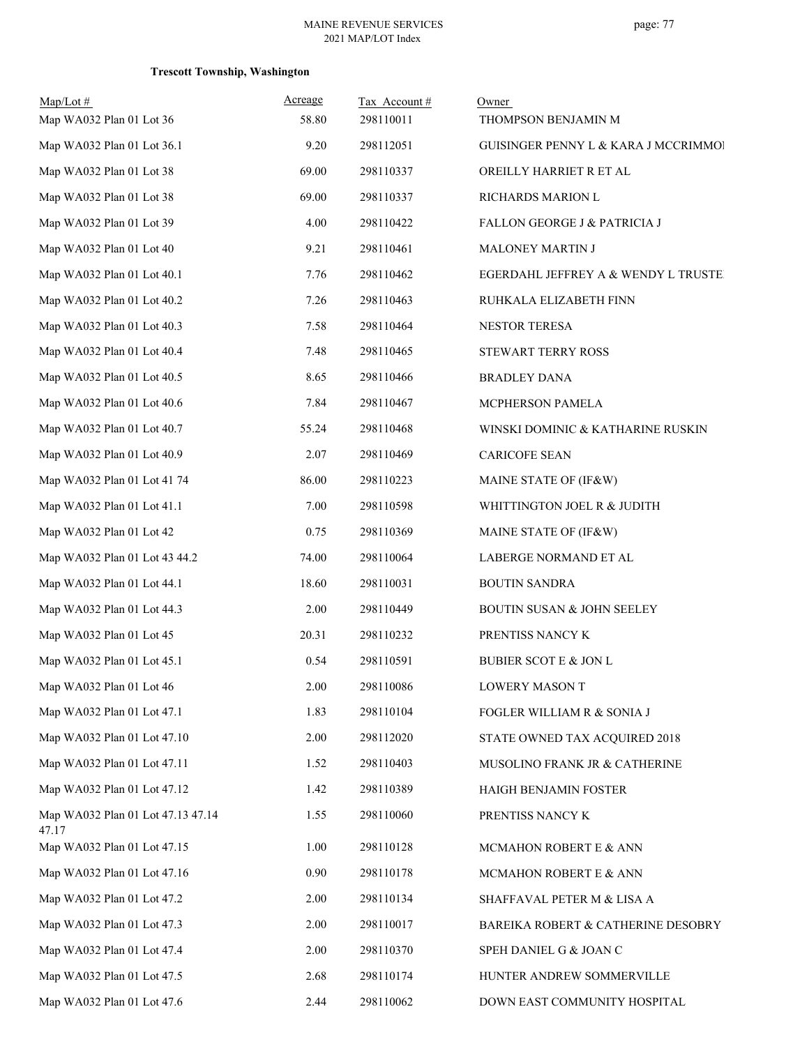| $Map/Lot \#$<br>Map WA032 Plan 01 Lot 36   | Acreage<br>58.80 | Tax Account #<br>298110011 | Owner<br>THOMPSON BENJAMIN M            |
|--------------------------------------------|------------------|----------------------------|-----------------------------------------|
| Map WA032 Plan 01 Lot 36.1                 | 9.20             | 298112051                  | GUISINGER PENNY L & KARA J MCCRIMMOI    |
| Map WA032 Plan 01 Lot 38                   | 69.00            | 298110337                  | OREILLY HARRIET R ET AL                 |
| Map WA032 Plan 01 Lot 38                   | 69.00            | 298110337                  | RICHARDS MARION L                       |
| Map WA032 Plan 01 Lot 39                   | 4.00             | 298110422                  | <b>FALLON GEORGE J &amp; PATRICIA J</b> |
| Map WA032 Plan 01 Lot 40                   | 9.21             | 298110461                  | MALONEY MARTIN J                        |
| Map WA032 Plan 01 Lot 40.1                 | 7.76             | 298110462                  | EGERDAHL JEFFREY A & WENDY L TRUSTE!    |
| Map WA032 Plan 01 Lot 40.2                 | 7.26             | 298110463                  | RUHKALA ELIZABETH FINN                  |
| Map WA032 Plan 01 Lot 40.3                 | 7.58             | 298110464                  | NESTOR TERESA                           |
| Map WA032 Plan 01 Lot 40.4                 | 7.48             | 298110465                  | STEWART TERRY ROSS                      |
| Map WA032 Plan 01 Lot 40.5                 | 8.65             | 298110466                  | <b>BRADLEY DANA</b>                     |
| Map WA032 Plan 01 Lot 40.6                 | 7.84             | 298110467                  | MCPHERSON PAMELA                        |
| Map WA032 Plan 01 Lot 40.7                 | 55.24            | 298110468                  | WINSKI DOMINIC & KATHARINE RUSKIN       |
| Map WA032 Plan 01 Lot 40.9                 | 2.07             | 298110469                  | <b>CARICOFE SEAN</b>                    |
| Map WA032 Plan 01 Lot 41 74                | 86.00            | 298110223                  | MAINE STATE OF (IF&W)                   |
| Map WA032 Plan 01 Lot 41.1                 | 7.00             | 298110598                  | WHITTINGTON JOEL R & JUDITH             |
| Map WA032 Plan 01 Lot 42                   | 0.75             | 298110369                  | MAINE STATE OF (IF&W)                   |
| Map WA032 Plan 01 Lot 43 44.2              | 74.00            | 298110064                  | LABERGE NORMAND ET AL                   |
| Map WA032 Plan 01 Lot 44.1                 | 18.60            | 298110031                  | <b>BOUTIN SANDRA</b>                    |
| Map WA032 Plan 01 Lot 44.3                 | 2.00             | 298110449                  | <b>BOUTIN SUSAN &amp; JOHN SEELEY</b>   |
| Map WA032 Plan 01 Lot 45                   | 20.31            | 298110232                  | PRENTISS NANCY K                        |
| Map WA032 Plan 01 Lot 45.1                 | 0.54             | 298110591                  | <b>BUBIER SCOT E &amp; JON L</b>        |
| Map WA032 Plan 01 Lot 46                   | 2.00             | 298110086                  | LOWERY MASON T                          |
| Map WA032 Plan 01 Lot 47.1                 | 1.83             | 298110104                  | FOGLER WILLIAM R & SONIA J              |
| Map WA032 Plan 01 Lot 47.10                | 2.00             | 298112020                  | STATE OWNED TAX ACQUIRED 2018           |
| Map WA032 Plan 01 Lot 47.11                | 1.52             | 298110403                  | MUSOLINO FRANK JR & CATHERINE           |
| Map WA032 Plan 01 Lot 47.12                | 1.42             | 298110389                  | HAIGH BENJAMIN FOSTER                   |
| Map WA032 Plan 01 Lot 47.13 47.14<br>47.17 | 1.55             | 298110060                  | PRENTISS NANCY K                        |
| Map WA032 Plan 01 Lot 47.15                | 1.00             | 298110128                  | MCMAHON ROBERT E & ANN                  |
| Map WA032 Plan 01 Lot 47.16                | 0.90             | 298110178                  | MCMAHON ROBERT E & ANN                  |
| Map WA032 Plan 01 Lot 47.2                 | 2.00             | 298110134                  | SHAFFAVAL PETER M & LISA A              |
| Map WA032 Plan 01 Lot 47.3                 | 2.00             | 298110017                  | BAREIKA ROBERT & CATHERINE DESOBRY      |
| Map WA032 Plan 01 Lot 47.4                 | 2.00             | 298110370                  | SPEH DANIEL G & JOAN C                  |
| Map WA032 Plan 01 Lot 47.5                 | 2.68             | 298110174                  | HUNTER ANDREW SOMMERVILLE               |
| Map WA032 Plan 01 Lot 47.6                 | 2.44             | 298110062                  | DOWN EAST COMMUNITY HOSPITAL            |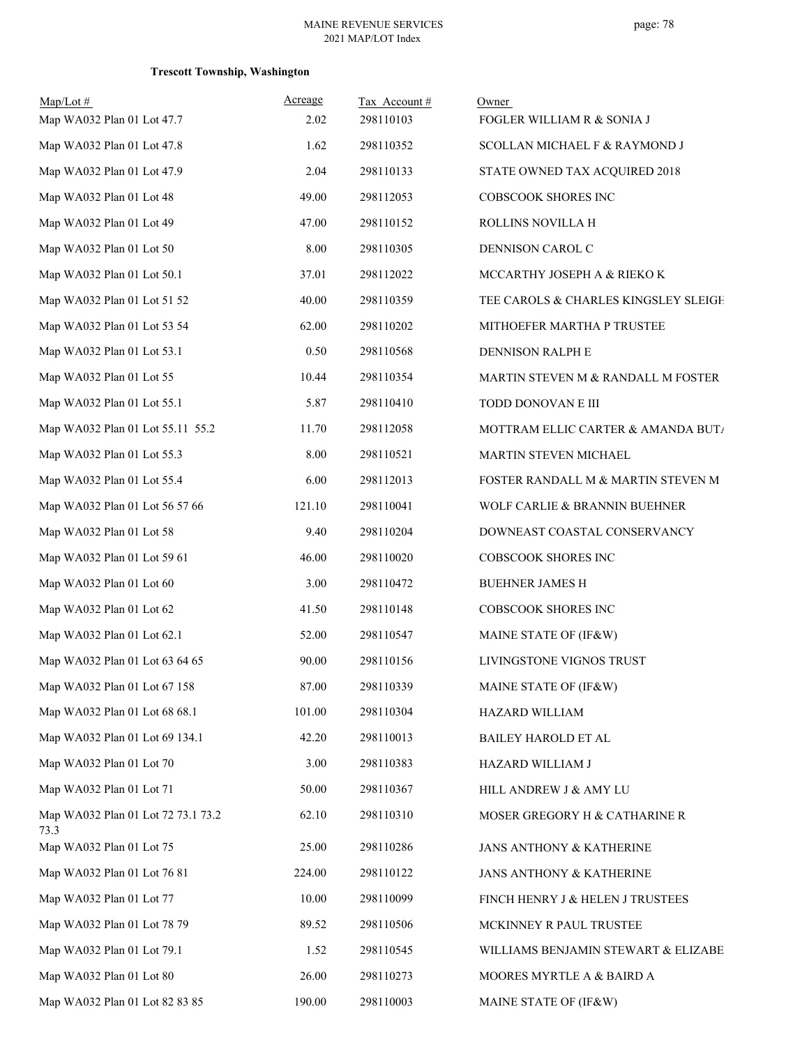| $Map/Lot \#$<br>Map WA032 Plan 01 Lot 47.7 | Acreage<br>2.02 | Tax Account#<br>298110103 | Owner<br>FOGLER WILLIAM R & SONIA J  |
|--------------------------------------------|-----------------|---------------------------|--------------------------------------|
| Map WA032 Plan 01 Lot 47.8                 | 1.62            | 298110352                 | SCOLLAN MICHAEL F & RAYMOND J        |
| Map WA032 Plan 01 Lot 47.9                 | 2.04            | 298110133                 | STATE OWNED TAX ACQUIRED 2018        |
| Map WA032 Plan 01 Lot 48                   | 49.00           | 298112053                 | COBSCOOK SHORES INC                  |
| Map WA032 Plan 01 Lot 49                   | 47.00           | 298110152                 | ROLLINS NOVILLA H                    |
| Map WA032 Plan 01 Lot 50                   | 8.00            | 298110305                 | DENNISON CAROL C                     |
| Map WA032 Plan 01 Lot 50.1                 | 37.01           | 298112022                 | MCCARTHY JOSEPH A & RIEKO K          |
| Map WA032 Plan 01 Lot 51 52                | 40.00           | 298110359                 | TEE CAROLS & CHARLES KINGSLEY SLEIGH |
| Map WA032 Plan 01 Lot 53 54                | 62.00           | 298110202                 | MITHOEFER MARTHA P TRUSTEE           |
| Map WA032 Plan 01 Lot 53.1                 | 0.50            | 298110568                 | DENNISON RALPH E                     |
| Map WA032 Plan 01 Lot 55                   | 10.44           | 298110354                 | MARTIN STEVEN M & RANDALL M FOSTER   |
| Map WA032 Plan 01 Lot 55.1                 | 5.87            | 298110410                 | TODD DONOVAN E III                   |
| Map WA032 Plan 01 Lot 55.11 55.2           | 11.70           | 298112058                 | MOTTRAM ELLIC CARTER & AMANDA BUT/   |
| Map WA032 Plan 01 Lot 55.3                 | 8.00            | 298110521                 | MARTIN STEVEN MICHAEL                |
| Map WA032 Plan 01 Lot 55.4                 | 6.00            | 298112013                 | FOSTER RANDALL M & MARTIN STEVEN M   |
| Map WA032 Plan 01 Lot 56 57 66             | 121.10          | 298110041                 | WOLF CARLIE & BRANNIN BUEHNER        |
| Map WA032 Plan 01 Lot 58                   | 9.40            | 298110204                 | DOWNEAST COASTAL CONSERVANCY         |
| Map WA032 Plan 01 Lot 59 61                | 46.00           | 298110020                 | COBSCOOK SHORES INC                  |
| Map WA032 Plan 01 Lot 60                   | 3.00            | 298110472                 | <b>BUEHNER JAMES H</b>               |
| Map WA032 Plan 01 Lot 62                   | 41.50           | 298110148                 | COBSCOOK SHORES INC                  |
| Map WA032 Plan 01 Lot 62.1                 | 52.00           | 298110547                 | MAINE STATE OF (IF&W)                |
| Map WA032 Plan 01 Lot 63 64 65             | 90.00           | 298110156                 | LIVINGSTONE VIGNOS TRUST             |
| Map WA032 Plan 01 Lot 67 158               | 87.00           | 298110339                 | MAINE STATE OF (IF&W)                |
| Map WA032 Plan 01 Lot 68 68.1              | 101.00          | 298110304                 | HAZARD WILLIAM                       |
| Map WA032 Plan 01 Lot 69 134.1             | 42.20           | 298110013                 | BAILEY HAROLD ET AL                  |
| Map WA032 Plan 01 Lot 70                   | 3.00            | 298110383                 | HAZARD WILLIAM J                     |
| Map WA032 Plan 01 Lot 71                   | 50.00           | 298110367                 | HILL ANDREW J & AMY LU               |
| Map WA032 Plan 01 Lot 72 73.1 73.2<br>73.3 | 62.10           | 298110310                 | MOSER GREGORY H & CATHARINE R        |
| Map WA032 Plan 01 Lot 75                   | 25.00           | 298110286                 | JANS ANTHONY & KATHERINE             |
| Map WA032 Plan 01 Lot 76 81                | 224.00          | 298110122                 | JANS ANTHONY & KATHERINE             |
| Map WA032 Plan 01 Lot 77                   | 10.00           | 298110099                 | FINCH HENRY J & HELEN J TRUSTEES     |
| Map WA032 Plan 01 Lot 78 79                | 89.52           | 298110506                 | MCKINNEY R PAUL TRUSTEE              |
| Map WA032 Plan 01 Lot 79.1                 | 1.52            | 298110545                 | WILLIAMS BENJAMIN STEWART & ELIZABE  |
| Map WA032 Plan 01 Lot 80                   | 26.00           | 298110273                 | MOORES MYRTLE A & BAIRD A            |
| Map WA032 Plan 01 Lot 82 83 85             | 190.00          | 298110003                 | MAINE STATE OF (IF&W)                |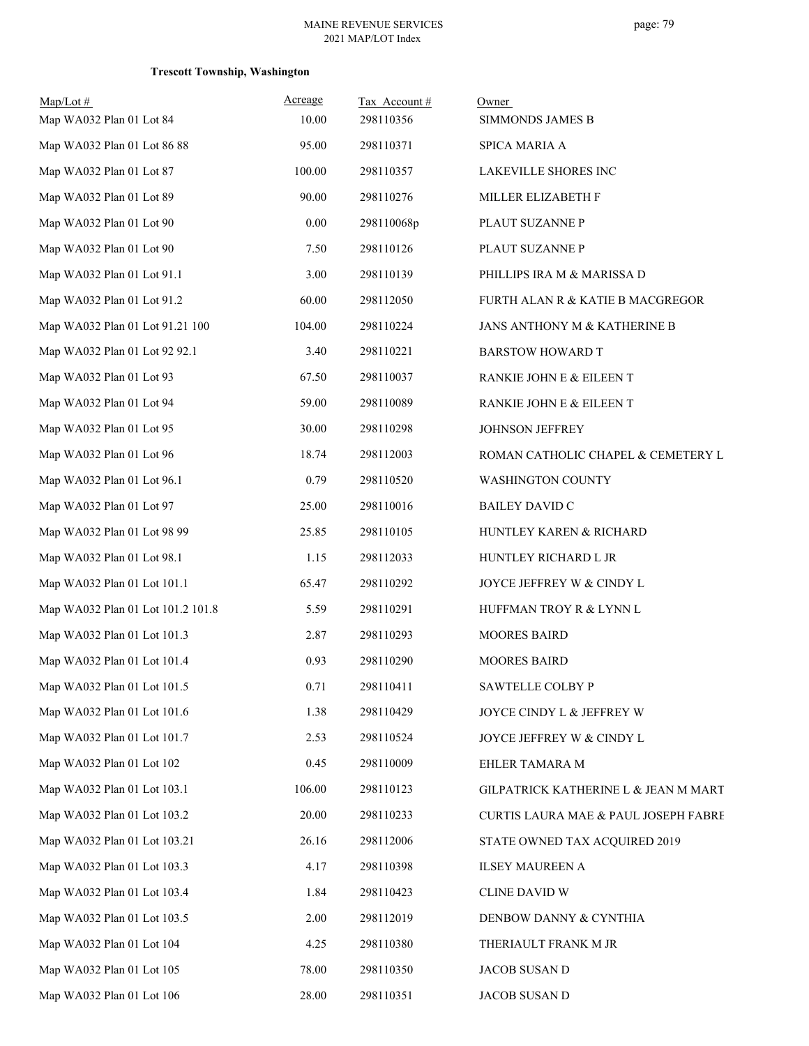| $Map/Lot$ #<br>Map WA032 Plan 01 Lot 84 | Acreage<br>10.00 | Tax Account#<br>298110356 | Owner<br><b>SIMMONDS JAMES B</b>     |
|-----------------------------------------|------------------|---------------------------|--------------------------------------|
| Map WA032 Plan 01 Lot 86 88             | 95.00            | 298110371                 | <b>SPICA MARIA A</b>                 |
| Map WA032 Plan 01 Lot 87                | 100.00           | 298110357                 | LAKEVILLE SHORES INC                 |
| Map WA032 Plan 01 Lot 89                | 90.00            | 298110276                 | MILLER ELIZABETH F                   |
| Map WA032 Plan 01 Lot 90                | 0.00             | 298110068p                | PLAUT SUZANNE P                      |
| Map WA032 Plan 01 Lot 90                | 7.50             | 298110126                 | PLAUT SUZANNE P                      |
| Map WA032 Plan 01 Lot 91.1              | 3.00             | 298110139                 | PHILLIPS IRA M & MARISSA D           |
| Map WA032 Plan 01 Lot 91.2              | 60.00            | 298112050                 | FURTH ALAN R & KATIE B MACGREGOR     |
| Map WA032 Plan 01 Lot 91.21 100         | 104.00           | 298110224                 | JANS ANTHONY M & KATHERINE B         |
| Map WA032 Plan 01 Lot 92 92.1           | 3.40             | 298110221                 | <b>BARSTOW HOWARD T</b>              |
| Map WA032 Plan 01 Lot 93                | 67.50            | 298110037                 | RANKIE JOHN E & EILEEN T             |
| Map WA032 Plan 01 Lot 94                | 59.00            | 298110089                 | RANKIE JOHN E & EILEEN T             |
| Map WA032 Plan 01 Lot 95                | 30.00            | 298110298                 | <b>JOHNSON JEFFREY</b>               |
| Map WA032 Plan 01 Lot 96                | 18.74            | 298112003                 | ROMAN CATHOLIC CHAPEL & CEMETERY L   |
| Map WA032 Plan 01 Lot 96.1              | 0.79             | 298110520                 | WASHINGTON COUNTY                    |
| Map WA032 Plan 01 Lot 97                | 25.00            | 298110016                 | <b>BAILEY DAVID C</b>                |
| Map WA032 Plan 01 Lot 98 99             | 25.85            | 298110105                 | HUNTLEY KAREN & RICHARD              |
| Map WA032 Plan 01 Lot 98.1              | 1.15             | 298112033                 | HUNTLEY RICHARD L JR                 |
| Map WA032 Plan 01 Lot 101.1             | 65.47            | 298110292                 | JOYCE JEFFREY W & CINDY L            |
| Map WA032 Plan 01 Lot 101.2 101.8       | 5.59             | 298110291                 | HUFFMAN TROY R & LYNN L              |
| Map WA032 Plan 01 Lot 101.3             | 2.87             | 298110293                 | <b>MOORES BAIRD</b>                  |
| Map WA032 Plan 01 Lot 101.4             | 0.93             | 298110290                 | <b>MOORES BAIRD</b>                  |
| Map WA032 Plan 01 Lot 101.5             | 0.71             | 298110411                 | SAWTELLE COLBY P                     |
| Map WA032 Plan 01 Lot 101.6             | 1.38             | 298110429                 | JOYCE CINDY L & JEFFREY W            |
| Map WA032 Plan 01 Lot 101.7             | 2.53             | 298110524                 | JOYCE JEFFREY W & CINDY L            |
| Map WA032 Plan 01 Lot 102               | 0.45             | 298110009                 | EHLER TAMARA M                       |
| Map WA032 Plan 01 Lot 103.1             | 106.00           | 298110123                 | GILPATRICK KATHERINE L & JEAN M MART |
| Map WA032 Plan 01 Lot 103.2             | 20.00            | 298110233                 | CURTIS LAURA MAE & PAUL JOSEPH FABRE |
| Map WA032 Plan 01 Lot 103.21            | 26.16            | 298112006                 | STATE OWNED TAX ACQUIRED 2019        |
| Map WA032 Plan 01 Lot 103.3             | 4.17             | 298110398                 | <b>ILSEY MAUREEN A</b>               |
| Map WA032 Plan 01 Lot 103.4             | 1.84             | 298110423                 | CLINE DAVID W                        |
| Map WA032 Plan 01 Lot 103.5             | 2.00             | 298112019                 | DENBOW DANNY & CYNTHIA               |
| Map WA032 Plan 01 Lot 104               | 4.25             | 298110380                 | THERIAULT FRANK M JR                 |
| Map WA032 Plan 01 Lot 105               | 78.00            | 298110350                 | JACOB SUSAN D                        |
| Map WA032 Plan 01 Lot 106               | 28.00            | 298110351                 | JACOB SUSAN D                        |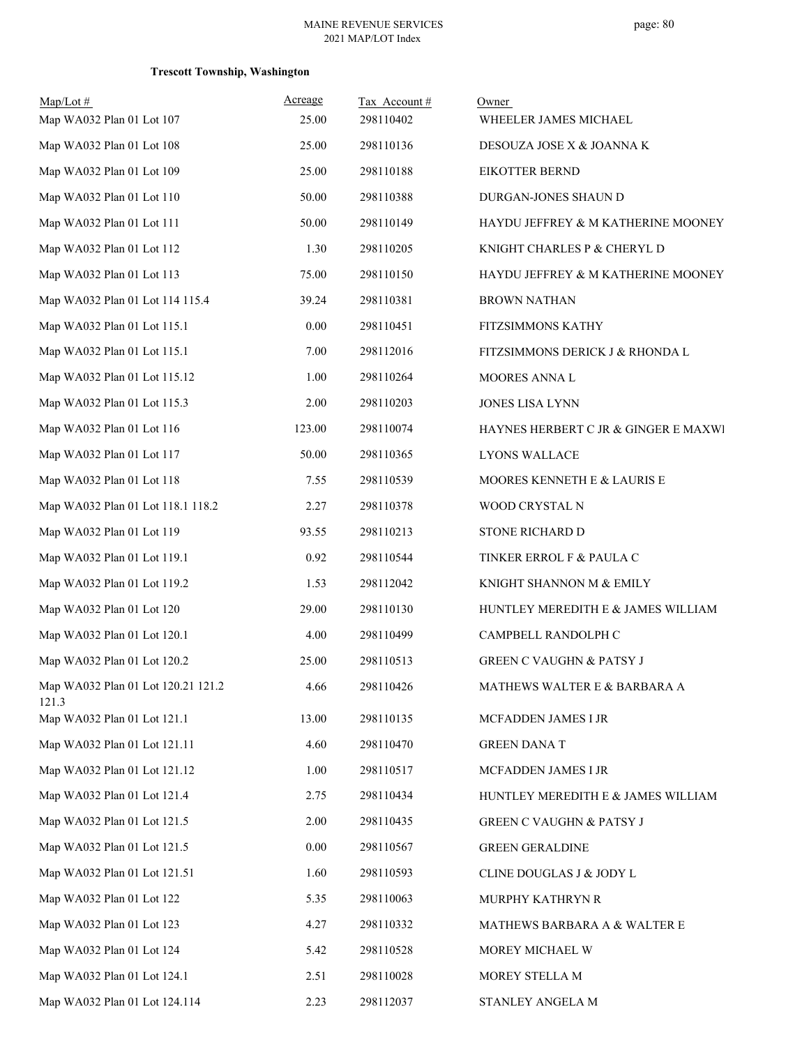| $Map/Lot \#$                                | Acreage | Tax Account# | Owner                                |
|---------------------------------------------|---------|--------------|--------------------------------------|
| Map WA032 Plan 01 Lot 107                   | 25.00   | 298110402    | WHEELER JAMES MICHAEL                |
| Map WA032 Plan 01 Lot 108                   | 25.00   | 298110136    | DESOUZA JOSE X & JOANNA K            |
| Map WA032 Plan 01 Lot 109                   | 25.00   | 298110188    | <b>EIKOTTER BERND</b>                |
| Map WA032 Plan 01 Lot 110                   | 50.00   | 298110388    | DURGAN-JONES SHAUN D                 |
| Map WA032 Plan 01 Lot 111                   | 50.00   | 298110149    | HAYDU JEFFREY & M KATHERINE MOONEY   |
| Map WA032 Plan 01 Lot 112                   | 1.30    | 298110205    | KNIGHT CHARLES P & CHERYL D          |
| Map WA032 Plan 01 Lot 113                   | 75.00   | 298110150    | HAYDU JEFFREY & M KATHERINE MOONEY   |
| Map WA032 Plan 01 Lot 114 115.4             | 39.24   | 298110381    | <b>BROWN NATHAN</b>                  |
| Map WA032 Plan 01 Lot 115.1                 | 0.00    | 298110451    | FITZSIMMONS KATHY                    |
| Map WA032 Plan 01 Lot 115.1                 | 7.00    | 298112016    | FITZSIMMONS DERICK J & RHONDA L      |
| Map WA032 Plan 01 Lot 115.12                | 1.00    | 298110264    | MOORES ANNA L                        |
| Map WA032 Plan 01 Lot 115.3                 | 2.00    | 298110203    | JONES LISA LYNN                      |
| Map WA032 Plan 01 Lot 116                   | 123.00  | 298110074    | HAYNES HERBERT C JR & GINGER E MAXWI |
| Map WA032 Plan 01 Lot 117                   | 50.00   | 298110365    | LYONS WALLACE                        |
| Map WA032 Plan 01 Lot 118                   | 7.55    | 298110539    | MOORES KENNETH E & LAURIS E          |
| Map WA032 Plan 01 Lot 118.1 118.2           | 2.27    | 298110378    | WOOD CRYSTAL N                       |
| Map WA032 Plan 01 Lot 119                   | 93.55   | 298110213    | STONE RICHARD D                      |
| Map WA032 Plan 01 Lot 119.1                 | 0.92    | 298110544    | TINKER ERROL F & PAULA C             |
| Map WA032 Plan 01 Lot 119.2                 | 1.53    | 298112042    | KNIGHT SHANNON M & EMILY             |
| Map WA032 Plan 01 Lot 120                   | 29.00   | 298110130    | HUNTLEY MEREDITH E & JAMES WILLIAM   |
| Map WA032 Plan 01 Lot 120.1                 | 4.00    | 298110499    | CAMPBELL RANDOLPH C                  |
| Map WA032 Plan 01 Lot 120.2                 | 25.00   | 298110513    | <b>GREEN C VAUGHN &amp; PATSY J</b>  |
| Map WA032 Plan 01 Lot 120.21 121.2<br>121.3 | 4.66    | 298110426    | MATHEWS WALTER E $\&$ BARBARA A      |
| Map WA032 Plan 01 Lot 121.1                 | 13.00   | 298110135    | MCFADDEN JAMES I JR                  |
| Map WA032 Plan 01 Lot 121.11                | 4.60    | 298110470    | <b>GREEN DANA T</b>                  |
| Map WA032 Plan 01 Lot 121.12                | 1.00    | 298110517    | MCFADDEN JAMES I JR                  |
| Map WA032 Plan 01 Lot 121.4                 | 2.75    | 298110434    | HUNTLEY MEREDITH E & JAMES WILLIAM   |
| Map WA032 Plan 01 Lot 121.5                 | 2.00    | 298110435    | <b>GREEN C VAUGHN &amp; PATSY J</b>  |
| Map WA032 Plan 01 Lot 121.5                 | 0.00    | 298110567    | <b>GREEN GERALDINE</b>               |
| Map WA032 Plan 01 Lot 121.51                | 1.60    | 298110593    | CLINE DOUGLAS J & JODY L             |
| Map WA032 Plan 01 Lot 122                   | 5.35    | 298110063    | MURPHY KATHRYN R                     |
| Map WA032 Plan 01 Lot 123                   | 4.27    | 298110332    | MATHEWS BARBARA A & WALTER E         |
| Map WA032 Plan 01 Lot 124                   | 5.42    | 298110528    | MOREY MICHAEL W                      |
| Map WA032 Plan 01 Lot 124.1                 | 2.51    | 298110028    | MOREY STELLA M                       |
| Map WA032 Plan 01 Lot 124.114               | 2.23    | 298112037    | STANLEY ANGELA M                     |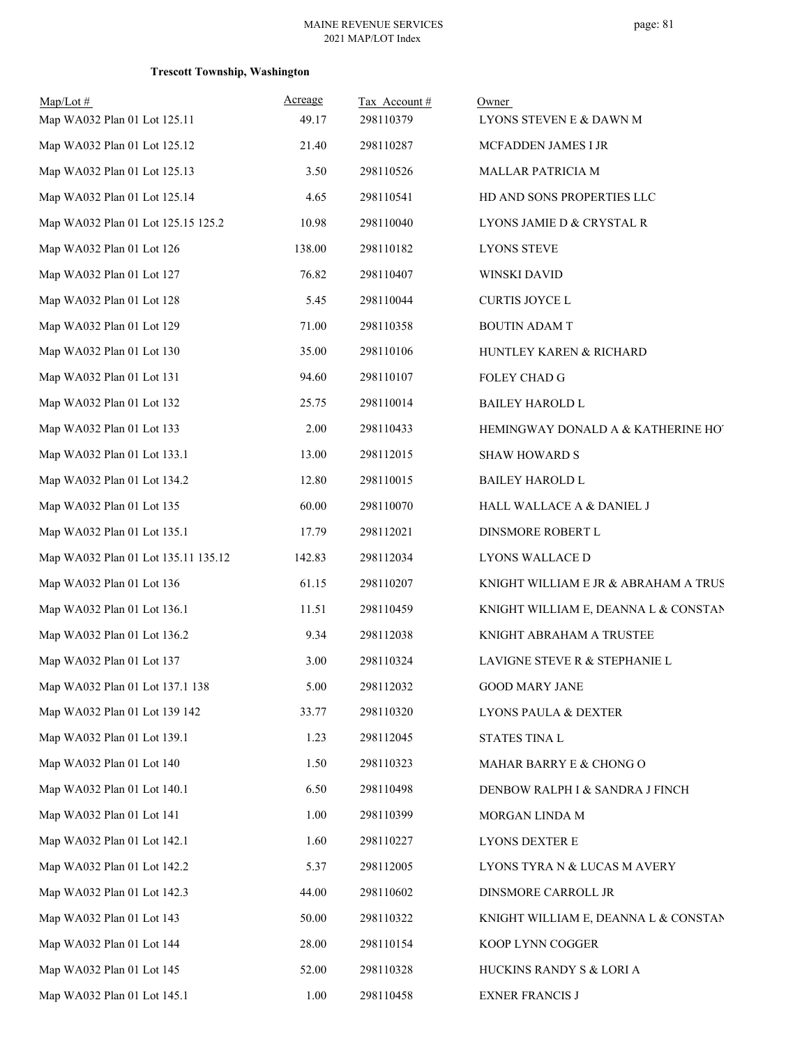| $Map/Lot \#$<br>Map WA032 Plan 01 Lot 125.11 | Acreage<br>49.17 | Tax Account#<br>298110379 | Owner<br>LYONS STEVEN E & DAWN M     |
|----------------------------------------------|------------------|---------------------------|--------------------------------------|
| Map WA032 Plan 01 Lot 125.12                 | 21.40            | 298110287                 | MCFADDEN JAMES I JR                  |
| Map WA032 Plan 01 Lot 125.13                 | 3.50             | 298110526                 | MALLAR PATRICIA M                    |
| Map WA032 Plan 01 Lot 125.14                 | 4.65             | 298110541                 | HD AND SONS PROPERTIES LLC           |
| Map WA032 Plan 01 Lot 125.15 125.2           | 10.98            | 298110040                 | LYONS JAMIE D & CRYSTAL R            |
| Map WA032 Plan 01 Lot 126                    | 138.00           | 298110182                 | <b>LYONS STEVE</b>                   |
| Map WA032 Plan 01 Lot 127                    | 76.82            | 298110407                 | WINSKI DAVID                         |
| Map WA032 Plan 01 Lot 128                    | 5.45             | 298110044                 | <b>CURTIS JOYCE L</b>                |
| Map WA032 Plan 01 Lot 129                    | 71.00            | 298110358                 | <b>BOUTIN ADAM T</b>                 |
| Map WA032 Plan 01 Lot 130                    | 35.00            | 298110106                 | HUNTLEY KAREN & RICHARD              |
| Map WA032 Plan 01 Lot 131                    | 94.60            | 298110107                 | FOLEY CHAD G                         |
| Map WA032 Plan 01 Lot 132                    | 25.75            | 298110014                 | <b>BAILEY HAROLD L</b>               |
| Map WA032 Plan 01 Lot 133                    | 2.00             | 298110433                 | HEMINGWAY DONALD A & KATHERINE HOT   |
| Map WA032 Plan 01 Lot 133.1                  | 13.00            | 298112015                 | <b>SHAW HOWARD S</b>                 |
| Map WA032 Plan 01 Lot 134.2                  | 12.80            | 298110015                 | <b>BAILEY HAROLD L</b>               |
| Map WA032 Plan 01 Lot 135                    | 60.00            | 298110070                 | HALL WALLACE A & DANIEL J            |
| Map WA032 Plan 01 Lot 135.1                  | 17.79            | 298112021                 | DINSMORE ROBERT L                    |
| Map WA032 Plan 01 Lot 135.11 135.12          | 142.83           | 298112034                 | LYONS WALLACE D                      |
| Map WA032 Plan 01 Lot 136                    | 61.15            | 298110207                 | KNIGHT WILLIAM E JR & ABRAHAM A TRUS |
| Map WA032 Plan 01 Lot 136.1                  | 11.51            | 298110459                 | KNIGHT WILLIAM E, DEANNA L & CONSTAN |
| Map WA032 Plan 01 Lot 136.2                  | 9.34             | 298112038                 | KNIGHT ABRAHAM A TRUSTEE             |
| Map WA032 Plan 01 Lot 137                    | 3.00             | 298110324                 | LAVIGNE STEVE R & STEPHANIE L        |
| Map WA032 Plan 01 Lot 137.1 138              | 5.00             | 298112032                 | <b>GOOD MARY JANE</b>                |
| Map WA032 Plan 01 Lot 139 142                | 33.77            | 298110320                 | LYONS PAULA & DEXTER                 |
| Map WA032 Plan 01 Lot 139.1                  | 1.23             | 298112045                 | STATES TINA L                        |
| Map WA032 Plan 01 Lot 140                    | 1.50             | 298110323                 | MAHAR BARRY E & CHONG O              |
| Map WA032 Plan 01 Lot 140.1                  | 6.50             | 298110498                 | DENBOW RALPH I & SANDRA J FINCH      |
| Map WA032 Plan 01 Lot 141                    | 1.00             | 298110399                 | MORGAN LINDA M                       |
| Map WA032 Plan 01 Lot 142.1                  | 1.60             | 298110227                 | LYONS DEXTER E                       |
| Map WA032 Plan 01 Lot 142.2                  | 5.37             | 298112005                 | LYONS TYRA N & LUCAS M AVERY         |
| Map WA032 Plan 01 Lot 142.3                  | 44.00            | 298110602                 | DINSMORE CARROLL JR                  |
| Map WA032 Plan 01 Lot 143                    | 50.00            | 298110322                 | KNIGHT WILLIAM E, DEANNA L & CONSTAN |
| Map WA032 Plan 01 Lot 144                    | 28.00            | 298110154                 | KOOP LYNN COGGER                     |
| Map WA032 Plan 01 Lot 145                    | 52.00            | 298110328                 | HUCKINS RANDY S & LORI A             |
| Map WA032 Plan 01 Lot 145.1                  | 1.00             | 298110458                 | <b>EXNER FRANCIS J</b>               |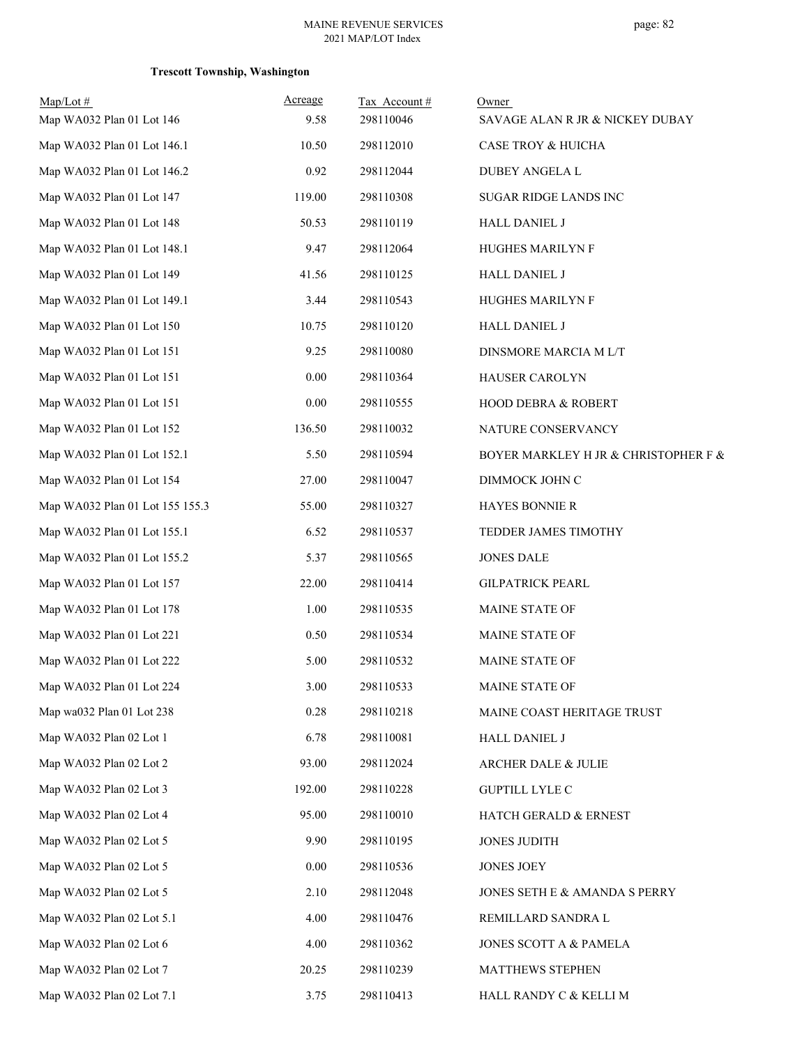| $Map/Lot \#$<br>Map WA032 Plan 01 Lot 146 | Acreage<br>9.58 | Tax Account#<br>298110046 | Owner<br>SAVAGE ALAN R JR & NICKEY DUBAY |
|-------------------------------------------|-----------------|---------------------------|------------------------------------------|
| Map WA032 Plan 01 Lot 146.1               | 10.50           | 298112010                 | CASE TROY & HUICHA                       |
| Map WA032 Plan 01 Lot 146.2               | 0.92            | 298112044                 | DUBEY ANGELA L                           |
| Map WA032 Plan 01 Lot 147                 | 119.00          | 298110308                 | SUGAR RIDGE LANDS INC                    |
| Map WA032 Plan 01 Lot 148                 | 50.53           | 298110119                 | HALL DANIEL J                            |
| Map WA032 Plan 01 Lot 148.1               | 9.47            | 298112064                 | HUGHES MARILYN F                         |
| Map WA032 Plan 01 Lot 149                 | 41.56           | 298110125                 | <b>HALL DANIEL J</b>                     |
| Map WA032 Plan 01 Lot 149.1               | 3.44            | 298110543                 | HUGHES MARILYN F                         |
| Map WA032 Plan 01 Lot 150                 | 10.75           | 298110120                 | HALL DANIEL J                            |
| Map WA032 Plan 01 Lot 151                 | 9.25            | 298110080                 | DINSMORE MARCIA M L/T                    |
| Map WA032 Plan 01 Lot 151                 | 0.00            | 298110364                 | HAUSER CAROLYN                           |
| Map WA032 Plan 01 Lot 151                 | 0.00            | 298110555                 | HOOD DEBRA & ROBERT                      |
| Map WA032 Plan 01 Lot 152                 | 136.50          | 298110032                 | NATURE CONSERVANCY                       |
| Map WA032 Plan 01 Lot 152.1               | 5.50            | 298110594                 | BOYER MARKLEY H JR & CHRISTOPHER F &     |
| Map WA032 Plan 01 Lot 154                 | 27.00           | 298110047                 | DIMMOCK JOHN C                           |
| Map WA032 Plan 01 Lot 155 155.3           | 55.00           | 298110327                 | HAYES BONNIE R                           |
| Map WA032 Plan 01 Lot 155.1               | 6.52            | 298110537                 | TEDDER JAMES TIMOTHY                     |
| Map WA032 Plan 01 Lot 155.2               | 5.37            | 298110565                 | <b>JONES DALE</b>                        |
| Map WA032 Plan 01 Lot 157                 | 22.00           | 298110414                 | <b>GILPATRICK PEARL</b>                  |
| Map WA032 Plan 01 Lot 178                 | 1.00            | 298110535                 | <b>MAINE STATE OF</b>                    |
| Map WA032 Plan 01 Lot 221                 | 0.50            | 298110534                 | MAINE STATE OF                           |
| Map WA032 Plan 01 Lot 222                 | 5.00            | 298110532                 | MAINE STATE OF                           |
| Map WA032 Plan 01 Lot 224                 | 3.00            | 298110533                 | MAINE STATE OF                           |
| Map wa032 Plan 01 Lot 238                 | 0.28            | 298110218                 | MAINE COAST HERITAGE TRUST               |
| Map WA032 Plan 02 Lot 1                   | 6.78            | 298110081                 | HALL DANIEL J                            |
| Map WA032 Plan 02 Lot 2                   | 93.00           | 298112024                 | ARCHER DALE & JULIE                      |
| Map WA032 Plan 02 Lot 3                   | 192.00          | 298110228                 | <b>GUPTILL LYLE C</b>                    |
| Map WA032 Plan 02 Lot 4                   | 95.00           | 298110010                 | HATCH GERALD & ERNEST                    |
| Map WA032 Plan 02 Lot 5                   | 9.90            | 298110195                 | <b>JONES JUDITH</b>                      |
| Map WA032 Plan 02 Lot 5                   | 0.00            | 298110536                 | <b>JONES JOEY</b>                        |
| Map WA032 Plan 02 Lot 5                   | 2.10            | 298112048                 | JONES SETH E & AMANDA S PERRY            |
| Map WA032 Plan 02 Lot 5.1                 | 4.00            | 298110476                 | REMILLARD SANDRA L                       |
| Map WA032 Plan 02 Lot 6                   | 4.00            | 298110362                 | JONES SCOTT A & PAMELA                   |
| Map WA032 Plan 02 Lot 7                   | 20.25           | 298110239                 | MATTHEWS STEPHEN                         |
| Map WA032 Plan 02 Lot 7.1                 | 3.75            | 298110413                 | HALL RANDY C & KELLI M                   |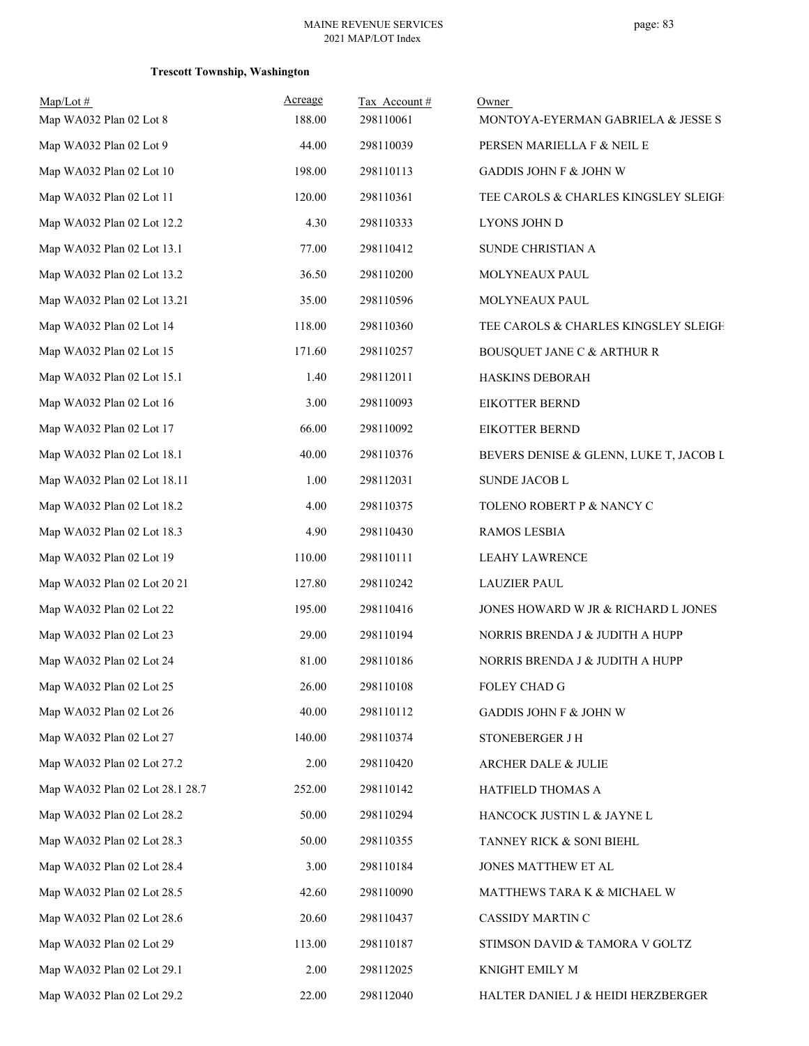| $Map/Lot \#$<br>Map WA032 Plan 02 Lot 8 | Acreage<br>188.00 | Tax Account#<br>298110061 | Owner<br>MONTOYA-EYERMAN GABRIELA & JESSE S |
|-----------------------------------------|-------------------|---------------------------|---------------------------------------------|
| Map WA032 Plan 02 Lot 9                 | 44.00             | 298110039                 | PERSEN MARIELLA F & NEIL E                  |
| Map WA032 Plan 02 Lot 10                | 198.00            | 298110113                 | <b>GADDIS JOHN F &amp; JOHN W</b>           |
| Map WA032 Plan 02 Lot 11                | 120.00            | 298110361                 | TEE CAROLS & CHARLES KINGSLEY SLEIGH        |
| Map WA032 Plan 02 Lot 12.2              | 4.30              | 298110333                 | LYONS JOHN D                                |
| Map WA032 Plan 02 Lot 13.1              | 77.00             | 298110412                 | SUNDE CHRISTIAN A                           |
| Map WA032 Plan 02 Lot 13.2              | 36.50             | 298110200                 | MOLYNEAUX PAUL                              |
| Map WA032 Plan 02 Lot 13.21             | 35.00             | 298110596                 | MOLYNEAUX PAUL                              |
| Map WA032 Plan 02 Lot 14                | 118.00            | 298110360                 | TEE CAROLS & CHARLES KINGSLEY SLEIGH        |
| Map WA032 Plan 02 Lot 15                | 171.60            | 298110257                 | <b>BOUSQUET JANE C &amp; ARTHUR R</b>       |
| Map WA032 Plan 02 Lot 15.1              | 1.40              | 298112011                 | HASKINS DEBORAH                             |
| Map WA032 Plan 02 Lot 16                | 3.00              | 298110093                 | <b>EIKOTTER BERND</b>                       |
| Map WA032 Plan 02 Lot 17                | 66.00             | 298110092                 | <b>EIKOTTER BERND</b>                       |
| Map WA032 Plan 02 Lot 18.1              | 40.00             | 298110376                 | BEVERS DENISE & GLENN, LUKE T, JACOB L      |
| Map WA032 Plan 02 Lot 18.11             | 1.00              | 298112031                 | SUNDE JACOB L                               |
| Map WA032 Plan 02 Lot 18.2              | 4.00              | 298110375                 | TOLENO ROBERT P & NANCY C                   |
| Map WA032 Plan 02 Lot 18.3              | 4.90              | 298110430                 | <b>RAMOS LESBIA</b>                         |
| Map WA032 Plan 02 Lot 19                | 110.00            | 298110111                 | <b>LEAHY LAWRENCE</b>                       |
| Map WA032 Plan 02 Lot 20 21             | 127.80            | 298110242                 | <b>LAUZIER PAUL</b>                         |
| Map WA032 Plan 02 Lot 22                | 195.00            | 298110416                 | JONES HOWARD W JR & RICHARD L JONES         |
| Map WA032 Plan 02 Lot 23                | 29.00             | 298110194                 | NORRIS BRENDA J & JUDITH A HUPP             |
| Map WA032 Plan 02 Lot 24                | 81.00             | 298110186                 | NORRIS BRENDA J & JUDITH A HUPP             |
| Map WA032 Plan 02 Lot 25                | 26.00             | 298110108                 | FOLEY CHAD G                                |
| Map WA032 Plan 02 Lot 26                | 40.00             | 298110112                 | GADDIS JOHN F & JOHN W                      |
| Map WA032 Plan 02 Lot 27                | 140.00            | 298110374                 | <b>STONEBERGER J H</b>                      |
| Map WA032 Plan 02 Lot 27.2              | 2.00              | 298110420                 | ARCHER DALE & JULIE                         |
| Map WA032 Plan 02 Lot 28.1 28.7         | 252.00            | 298110142                 | HATFIELD THOMAS A                           |
| Map WA032 Plan 02 Lot 28.2              | 50.00             | 298110294                 | HANCOCK JUSTIN L & JAYNE L                  |
| Map WA032 Plan 02 Lot 28.3              | 50.00             | 298110355                 | TANNEY RICK & SONI BIEHL                    |
| Map WA032 Plan 02 Lot 28.4              | 3.00              | 298110184                 | JONES MATTHEW ET AL                         |
| Map WA032 Plan 02 Lot 28.5              | 42.60             | 298110090                 | MATTHEWS TARA K & MICHAEL W                 |
| Map WA032 Plan 02 Lot 28.6              | 20.60             | 298110437                 | CASSIDY MARTIN C                            |
| Map WA032 Plan 02 Lot 29                | 113.00            | 298110187                 | STIMSON DAVID & TAMORA V GOLTZ              |
| Map WA032 Plan 02 Lot 29.1              | 2.00              | 298112025                 | KNIGHT EMILY M                              |
| Map WA032 Plan 02 Lot 29.2              | 22.00             | 298112040                 | HALTER DANIEL J & HEIDI HERZBERGER          |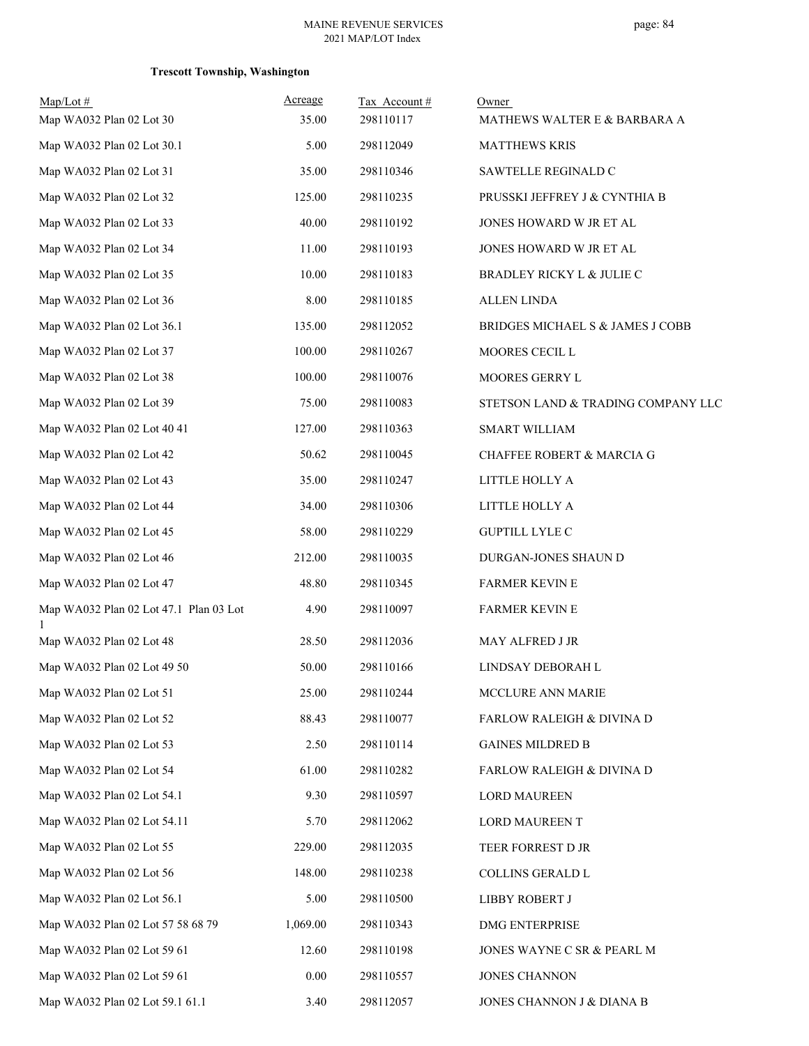| $Map/Lot \#$<br>Map WA032 Plan 02 Lot 30 | Acreage<br>35.00 | Tax Account#<br>298110117 | Owner<br>MATHEWS WALTER E & BARBARA A |
|------------------------------------------|------------------|---------------------------|---------------------------------------|
| Map WA032 Plan 02 Lot 30.1               | 5.00             | 298112049                 | <b>MATTHEWS KRIS</b>                  |
| Map WA032 Plan 02 Lot 31                 | 35.00            | 298110346                 | SAWTELLE REGINALD C                   |
| Map WA032 Plan 02 Lot 32                 | 125.00           | 298110235                 | PRUSSKI JEFFREY J & CYNTHIA B         |
| Map WA032 Plan 02 Lot 33                 | 40.00            | 298110192                 | JONES HOWARD W JR ET AL               |
| Map WA032 Plan 02 Lot 34                 | 11.00            | 298110193                 | JONES HOWARD W JR ET AL               |
| Map WA032 Plan 02 Lot 35                 | 10.00            | 298110183                 | BRADLEY RICKY L & JULIE C             |
| Map WA032 Plan 02 Lot 36                 | 8.00             | 298110185                 | <b>ALLEN LINDA</b>                    |
| Map WA032 Plan 02 Lot 36.1               | 135.00           | 298112052                 | BRIDGES MICHAEL S & JAMES J COBB      |
| Map WA032 Plan 02 Lot 37                 | 100.00           | 298110267                 | MOORES CECIL L                        |
| Map WA032 Plan 02 Lot 38                 | 100.00           | 298110076                 | MOORES GERRY L                        |
| Map WA032 Plan 02 Lot 39                 | 75.00            | 298110083                 | STETSON LAND & TRADING COMPANY LLC    |
| Map WA032 Plan 02 Lot 40 41              | 127.00           | 298110363                 | <b>SMART WILLIAM</b>                  |
| Map WA032 Plan 02 Lot 42                 | 50.62            | 298110045                 | <b>CHAFFEE ROBERT &amp; MARCIA G</b>  |
| Map WA032 Plan 02 Lot 43                 | 35.00            | 298110247                 |                                       |
|                                          |                  |                           | LITTLE HOLLY A                        |
| Map WA032 Plan 02 Lot 44                 | 34.00            | 298110306                 | LITTLE HOLLY A                        |
| Map WA032 Plan 02 Lot 45                 | 58.00            | 298110229                 | <b>GUPTILL LYLE C</b>                 |
| Map WA032 Plan 02 Lot 46                 | 212.00           | 298110035                 | DURGAN-JONES SHAUN D                  |
| Map WA032 Plan 02 Lot 47                 | 48.80            | 298110345                 | <b>FARMER KEVIN E</b>                 |
| Map WA032 Plan 02 Lot 47.1 Plan 03 Lot   | 4.90             | 298110097                 | <b>FARMER KEVIN E</b>                 |
| Map WA032 Plan 02 Lot 48                 | 28.50            | 298112036                 | MAY ALFRED J JR                       |
| Map WA032 Plan 02 Lot 49 50              | 50.00            | 298110166                 | LINDSAY DEBORAH L                     |
| Map WA032 Plan 02 Lot 51                 | 25.00            | 298110244                 | MCCLURE ANN MARIE                     |
| Map WA032 Plan 02 Lot 52                 | 88.43            | 298110077                 | FARLOW RALEIGH & DIVINA D             |
| Map WA032 Plan 02 Lot 53                 | 2.50             | 298110114                 | <b>GAINES MILDRED B</b>               |
| Map WA032 Plan 02 Lot 54                 | 61.00            | 298110282                 | FARLOW RALEIGH & DIVINA D             |
| Map WA032 Plan 02 Lot 54.1               | 9.30             | 298110597                 | <b>LORD MAUREEN</b>                   |
| Map WA032 Plan 02 Lot 54.11              | 5.70             | 298112062                 | LORD MAUREEN T                        |
| Map WA032 Plan 02 Lot 55                 | 229.00           | 298112035                 | TEER FORREST D JR                     |
| Map WA032 Plan 02 Lot 56                 | 148.00           | 298110238                 | COLLINS GERALD L                      |
| Map WA032 Plan 02 Lot 56.1               | 5.00             | 298110500                 | LIBBY ROBERT J                        |
| Map WA032 Plan 02 Lot 57 58 68 79        | 1,069.00         | 298110343                 | DMG ENTERPRISE                        |
| Map WA032 Plan 02 Lot 59 61              | 12.60            | 298110198                 | JONES WAYNE C SR & PEARL M            |
| Map WA032 Plan 02 Lot 59 61              | 0.00             | 298110557                 | <b>JONES CHANNON</b>                  |
| Map WA032 Plan 02 Lot 59.1 61.1          | 3.40             | 298112057                 | JONES CHANNON J & DIANA B             |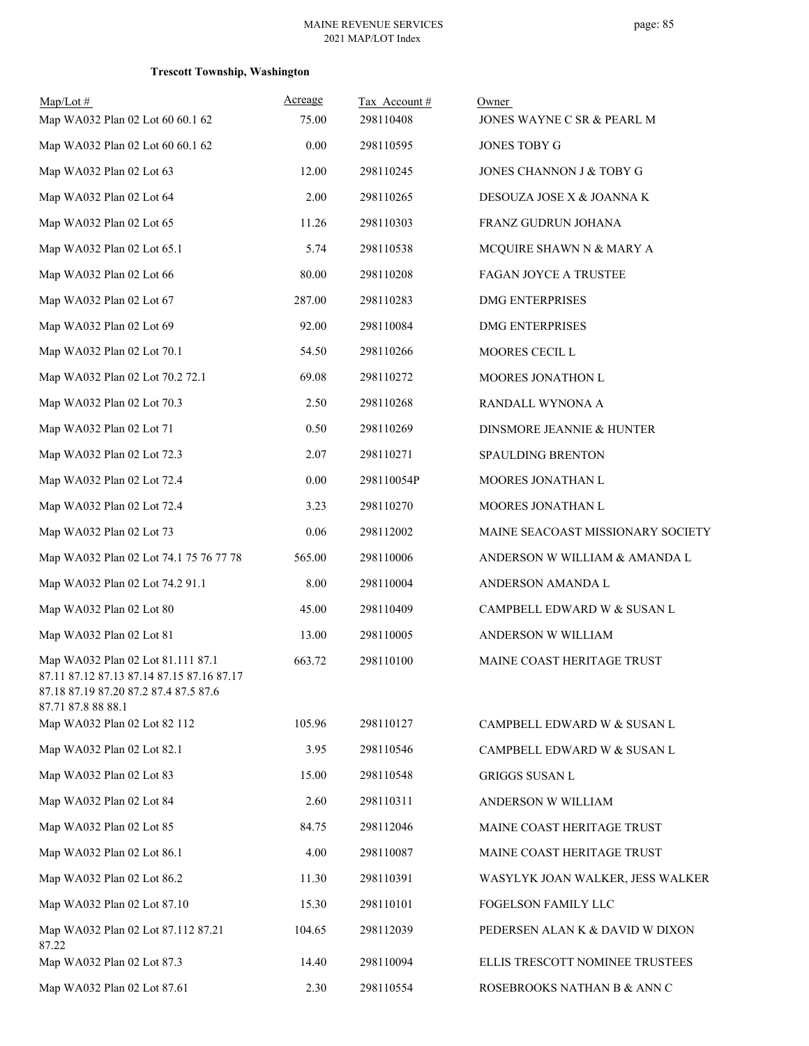| $Map/Lot$ #                                                                                                                                   | Acreage | Tax Account# | Owner                             |
|-----------------------------------------------------------------------------------------------------------------------------------------------|---------|--------------|-----------------------------------|
| Map WA032 Plan 02 Lot 60 60.1 62                                                                                                              | 75.00   | 298110408    | JONES WAYNE C SR & PEARL M        |
| Map WA032 Plan 02 Lot 60 60.1 62                                                                                                              | 0.00    | 298110595    | JONES TOBY G                      |
| Map WA032 Plan 02 Lot 63                                                                                                                      | 12.00   | 298110245    | JONES CHANNON J & TOBY G          |
| Map WA032 Plan 02 Lot 64                                                                                                                      | 2.00    | 298110265    | DESOUZA JOSE X & JOANNA K         |
| Map WA032 Plan 02 Lot 65                                                                                                                      | 11.26   | 298110303    | FRANZ GUDRUN JOHANA               |
| Map WA032 Plan 02 Lot 65.1                                                                                                                    | 5.74    | 298110538    | MCQUIRE SHAWN N & MARY A          |
| Map WA032 Plan 02 Lot 66                                                                                                                      | 80.00   | 298110208    | FAGAN JOYCE A TRUSTEE             |
| Map WA032 Plan 02 Lot 67                                                                                                                      | 287.00  | 298110283    | <b>DMG ENTERPRISES</b>            |
| Map WA032 Plan 02 Lot 69                                                                                                                      | 92.00   | 298110084    | <b>DMG ENTERPRISES</b>            |
| Map WA032 Plan 02 Lot 70.1                                                                                                                    | 54.50   | 298110266    | MOORES CECIL L                    |
| Map WA032 Plan 02 Lot 70.2 72.1                                                                                                               | 69.08   | 298110272    | MOORES JONATHON L                 |
| Map WA032 Plan 02 Lot 70.3                                                                                                                    | 2.50    | 298110268    | RANDALL WYNONA A                  |
| Map WA032 Plan 02 Lot 71                                                                                                                      | 0.50    | 298110269    | DINSMORE JEANNIE & HUNTER         |
| Map WA032 Plan 02 Lot 72.3                                                                                                                    | 2.07    | 298110271    | SPAULDING BRENTON                 |
| Map WA032 Plan 02 Lot 72.4                                                                                                                    | 0.00    | 298110054P   | MOORES JONATHAN L                 |
| Map WA032 Plan 02 Lot 72.4                                                                                                                    | 3.23    | 298110270    | MOORES JONATHAN L                 |
| Map WA032 Plan 02 Lot 73                                                                                                                      | 0.06    | 298112002    | MAINE SEACOAST MISSIONARY SOCIETY |
| Map WA032 Plan 02 Lot 74.1 75 76 77 78                                                                                                        | 565.00  | 298110006    | ANDERSON W WILLIAM & AMANDA L     |
| Map WA032 Plan 02 Lot 74.2 91.1                                                                                                               | 8.00    | 298110004    | ANDERSON AMANDA L                 |
| Map WA032 Plan 02 Lot 80                                                                                                                      | 45.00   | 298110409    | CAMPBELL EDWARD W & SUSAN L       |
| Map WA032 Plan 02 Lot 81                                                                                                                      | 13.00   | 298110005    | ANDERSON W WILLIAM                |
| Map WA032 Plan 02 Lot 81.111 87.1<br>87.11 87.12 87.13 87.14 87.15 87.16 87.17<br>87.18 87.19 87.20 87.2 87.4 87.5 87.6<br>87.71 87.8 88 88.1 | 663.72  | 298110100    | MAINE COAST HERITAGE TRUST        |
| Map WA032 Plan 02 Lot 82 112                                                                                                                  | 105.96  | 298110127    | CAMPBELL EDWARD W & SUSAN L       |
| Map WA032 Plan 02 Lot 82.1                                                                                                                    | 3.95    | 298110546    | CAMPBELL EDWARD W & SUSAN L       |
| Map WA032 Plan 02 Lot 83                                                                                                                      | 15.00   | 298110548    | <b>GRIGGS SUSAN L</b>             |
| Map WA032 Plan 02 Lot 84                                                                                                                      | 2.60    | 298110311    | ANDERSON W WILLIAM                |
| Map WA032 Plan 02 Lot 85                                                                                                                      | 84.75   | 298112046    | MAINE COAST HERITAGE TRUST        |
| Map WA032 Plan 02 Lot 86.1                                                                                                                    | 4.00    | 298110087    | MAINE COAST HERITAGE TRUST        |
| Map WA032 Plan 02 Lot 86.2                                                                                                                    | 11.30   | 298110391    | WASYLYK JOAN WALKER, JESS WALKER  |
| Map WA032 Plan 02 Lot 87.10                                                                                                                   | 15.30   | 298110101    | FOGELSON FAMILY LLC               |
| Map WA032 Plan 02 Lot 87.112 87.21<br>87.22                                                                                                   | 104.65  | 298112039    | PEDERSEN ALAN K & DAVID W DIXON   |
| Map WA032 Plan 02 Lot 87.3                                                                                                                    | 14.40   | 298110094    | ELLIS TRESCOTT NOMINEE TRUSTEES   |
| Map WA032 Plan 02 Lot 87.61                                                                                                                   | 2.30    | 298110554    | ROSEBROOKS NATHAN B & ANN C       |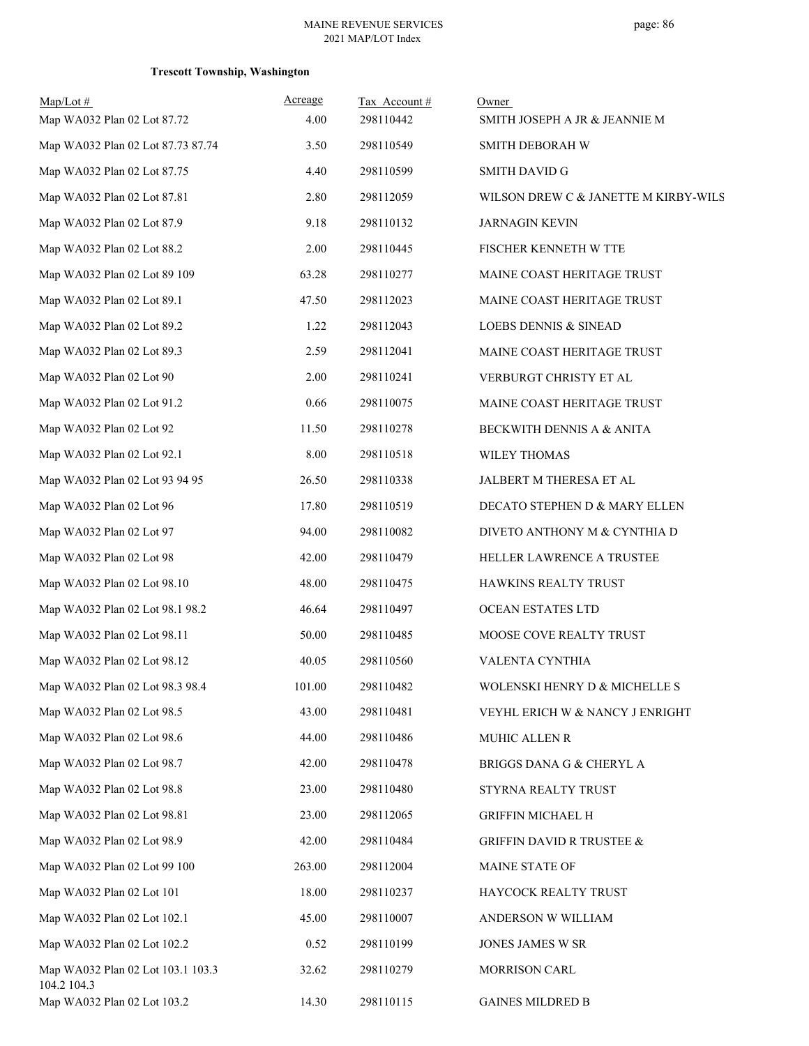| $Map/Lot \#$<br>Map WA032 Plan 02 Lot 87.72      | Acreage<br>4.00 | Tax Account#<br>298110442 | Owner<br>SMITH JOSEPH A JR & JEANNIE M |
|--------------------------------------------------|-----------------|---------------------------|----------------------------------------|
| Map WA032 Plan 02 Lot 87.73 87.74                | 3.50            | 298110549                 | SMITH DEBORAH W                        |
| Map WA032 Plan 02 Lot 87.75                      | 4.40            | 298110599                 | <b>SMITH DAVID G</b>                   |
| Map WA032 Plan 02 Lot 87.81                      | 2.80            | 298112059                 | WILSON DREW C & JANETTE M KIRBY-WILS   |
| Map WA032 Plan 02 Lot 87.9                       | 9.18            | 298110132                 | <b>JARNAGIN KEVIN</b>                  |
| Map WA032 Plan 02 Lot 88.2                       | 2.00            | 298110445                 | FISCHER KENNETH W TTE                  |
| Map WA032 Plan 02 Lot 89 109                     | 63.28           | 298110277                 | MAINE COAST HERITAGE TRUST             |
| Map WA032 Plan 02 Lot 89.1                       | 47.50           | 298112023                 | MAINE COAST HERITAGE TRUST             |
| Map WA032 Plan 02 Lot 89.2                       | 1.22            | 298112043                 | LOEBS DENNIS & SINEAD                  |
| Map WA032 Plan 02 Lot 89.3                       | 2.59            | 298112041                 | MAINE COAST HERITAGE TRUST             |
| Map WA032 Plan 02 Lot 90                         | 2.00            | 298110241                 | VERBURGT CHRISTY ET AL                 |
| Map WA032 Plan 02 Lot 91.2                       | 0.66            | 298110075                 | MAINE COAST HERITAGE TRUST             |
| Map WA032 Plan 02 Lot 92                         | 11.50           | 298110278                 | BECKWITH DENNIS A & ANITA              |
| Map WA032 Plan 02 Lot 92.1                       | 8.00            | 298110518                 | WILEY THOMAS                           |
| Map WA032 Plan 02 Lot 93 94 95                   | 26.50           | 298110338                 | JALBERT M THERESA ET AL                |
| Map WA032 Plan 02 Lot 96                         | 17.80           | 298110519                 | DECATO STEPHEN D & MARY ELLEN          |
| Map WA032 Plan 02 Lot 97                         | 94.00           | 298110082                 | DIVETO ANTHONY M & CYNTHIA D           |
| Map WA032 Plan 02 Lot 98                         | 42.00           | 298110479                 | HELLER LAWRENCE A TRUSTEE              |
| Map WA032 Plan 02 Lot 98.10                      | 48.00           | 298110475                 | HAWKINS REALTY TRUST                   |
| Map WA032 Plan 02 Lot 98.1 98.2                  | 46.64           | 298110497                 | OCEAN ESTATES LTD                      |
| Map WA032 Plan 02 Lot 98.11                      | 50.00           | 298110485                 | MOOSE COVE REALTY TRUST                |
| Map WA032 Plan 02 Lot 98.12                      | 40.05           | 298110560                 | VALENTA CYNTHIA                        |
| Map WA032 Plan 02 Lot 98.3 98.4                  | 101.00          | 298110482                 | WOLENSKI HENRY D & MICHELLE S          |
| Map WA032 Plan 02 Lot 98.5                       | 43.00           | 298110481                 | VEYHL ERICH W & NANCY J ENRIGHT        |
| Map WA032 Plan 02 Lot 98.6                       | 44.00           | 298110486                 | MUHIC ALLEN R                          |
| Map WA032 Plan 02 Lot 98.7                       | 42.00           | 298110478                 | BRIGGS DANA G & CHERYL A               |
| Map WA032 Plan 02 Lot 98.8                       | 23.00           | 298110480                 | STYRNA REALTY TRUST                    |
| Map WA032 Plan 02 Lot 98.81                      | 23.00           | 298112065                 | <b>GRIFFIN MICHAEL H</b>               |
| Map WA032 Plan 02 Lot 98.9                       | 42.00           | 298110484                 | <b>GRIFFIN DAVID R TRUSTEE &amp;</b>   |
| Map WA032 Plan 02 Lot 99 100                     | 263.00          | 298112004                 | MAINE STATE OF                         |
| Map WA032 Plan 02 Lot 101                        | 18.00           | 298110237                 | HAYCOCK REALTY TRUST                   |
| Map WA032 Plan 02 Lot 102.1                      | 45.00           | 298110007                 | ANDERSON W WILLIAM                     |
| Map WA032 Plan 02 Lot 102.2                      | 0.52            | 298110199                 | JONES JAMES W SR                       |
| Map WA032 Plan 02 Lot 103.1 103.3<br>104.2 104.3 | 32.62           | 298110279                 | MORRISON CARL                          |
| Map WA032 Plan 02 Lot 103.2                      | 14.30           | 298110115                 | <b>GAINES MILDRED B</b>                |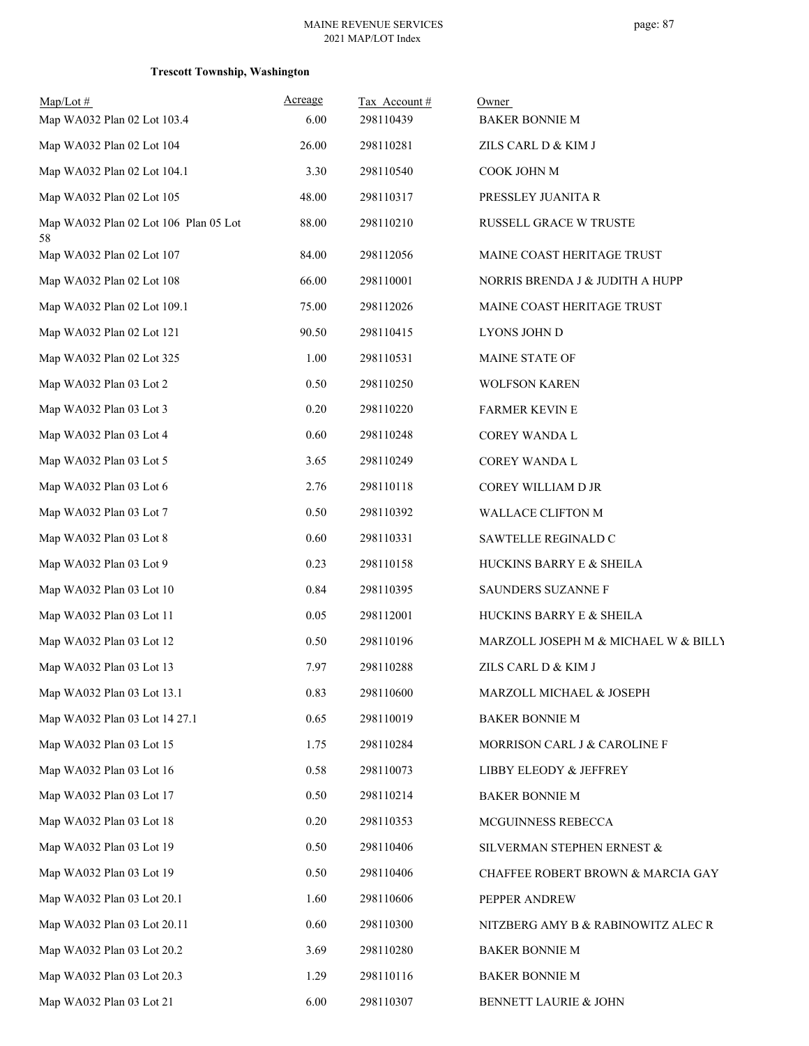| $Map/Lot$ #<br>Map WA032 Plan 02 Lot 103.4  | Acreage<br>6.00 | Tax Account#<br>298110439 | Owner<br><b>BAKER BONNIE M</b>       |
|---------------------------------------------|-----------------|---------------------------|--------------------------------------|
| Map WA032 Plan 02 Lot 104                   | 26.00           | 298110281                 | ZILS CARL D & KIM J                  |
| Map WA032 Plan 02 Lot 104.1                 | 3.30            | 298110540                 | COOK JOHN M                          |
| Map WA032 Plan 02 Lot 105                   | 48.00           | 298110317                 | PRESSLEY JUANITA R                   |
| Map WA032 Plan 02 Lot 106 Plan 05 Lot<br>58 | 88.00           | 298110210                 | RUSSELL GRACE W TRUSTE               |
| Map WA032 Plan 02 Lot 107                   | 84.00           | 298112056                 | MAINE COAST HERITAGE TRUST           |
| Map WA032 Plan 02 Lot 108                   | 66.00           | 298110001                 | NORRIS BRENDA J & JUDITH A HUPP      |
| Map WA032 Plan 02 Lot 109.1                 | 75.00           | 298112026                 | MAINE COAST HERITAGE TRUST           |
| Map WA032 Plan 02 Lot 121                   | 90.50           | 298110415                 | LYONS JOHN D                         |
| Map WA032 Plan 02 Lot 325                   | 1.00            | 298110531                 | MAINE STATE OF                       |
| Map WA032 Plan 03 Lot 2                     | 0.50            | 298110250                 | <b>WOLFSON KAREN</b>                 |
| Map WA032 Plan 03 Lot 3                     | 0.20            | 298110220                 | <b>FARMER KEVIN E</b>                |
| Map WA032 Plan 03 Lot 4                     | 0.60            | 298110248                 | <b>COREY WANDA L</b>                 |
| Map WA032 Plan 03 Lot 5                     | 3.65            | 298110249                 | COREY WANDA L                        |
| Map WA032 Plan 03 Lot 6                     | 2.76            | 298110118                 | COREY WILLIAM D JR                   |
| Map WA032 Plan 03 Lot 7                     | 0.50            | 298110392                 | WALLACE CLIFTON M                    |
| Map WA032 Plan 03 Lot 8                     | 0.60            | 298110331                 | SAWTELLE REGINALD C                  |
| Map WA032 Plan 03 Lot 9                     | 0.23            | 298110158                 | HUCKINS BARRY E & SHEILA             |
| Map WA032 Plan 03 Lot 10                    | 0.84            | 298110395                 | SAUNDERS SUZANNE F                   |
| Map WA032 Plan 03 Lot 11                    | 0.05            | 298112001                 | HUCKINS BARRY E & SHEILA             |
| Map WA032 Plan 03 Lot 12                    | 0.50            | 298110196                 | MARZOLL JOSEPH M & MICHAEL W & BILLY |
| Map WA032 Plan 03 Lot 13                    | 7.97            | 298110288                 | ZILS CARL D & KIM J                  |
| Map WA032 Plan 03 Lot 13.1                  | 0.83            | 298110600                 | MARZOLL MICHAEL & JOSEPH             |
| Map WA032 Plan 03 Lot 14 27.1               | 0.65            | 298110019                 | <b>BAKER BONNIE M</b>                |
| Map WA032 Plan 03 Lot 15                    | 1.75            | 298110284                 | MORRISON CARL J & CAROLINE F         |
| Map WA032 Plan 03 Lot 16                    | 0.58            | 298110073                 | LIBBY ELEODY & JEFFREY               |
| Map WA032 Plan 03 Lot 17                    | 0.50            | 298110214                 | <b>BAKER BONNIE M</b>                |
| Map WA032 Plan 03 Lot 18                    | 0.20            | 298110353                 | MCGUINNESS REBECCA                   |
| Map WA032 Plan 03 Lot 19                    | 0.50            | 298110406                 | SILVERMAN STEPHEN ERNEST &           |
| Map WA032 Plan 03 Lot 19                    | 0.50            | 298110406                 | CHAFFEE ROBERT BROWN & MARCIA GAY    |
| Map WA032 Plan 03 Lot 20.1                  | 1.60            | 298110606                 | PEPPER ANDREW                        |
| Map WA032 Plan 03 Lot 20.11                 | 0.60            | 298110300                 | NITZBERG AMY B & RABINOWITZ ALEC R   |
| Map WA032 Plan 03 Lot 20.2                  | 3.69            | 298110280                 | <b>BAKER BONNIE M</b>                |
| Map WA032 Plan 03 Lot 20.3                  | 1.29            | 298110116                 | <b>BAKER BONNIE M</b>                |
| Map WA032 Plan 03 Lot 21                    | 6.00            | 298110307                 | BENNETT LAURIE & JOHN                |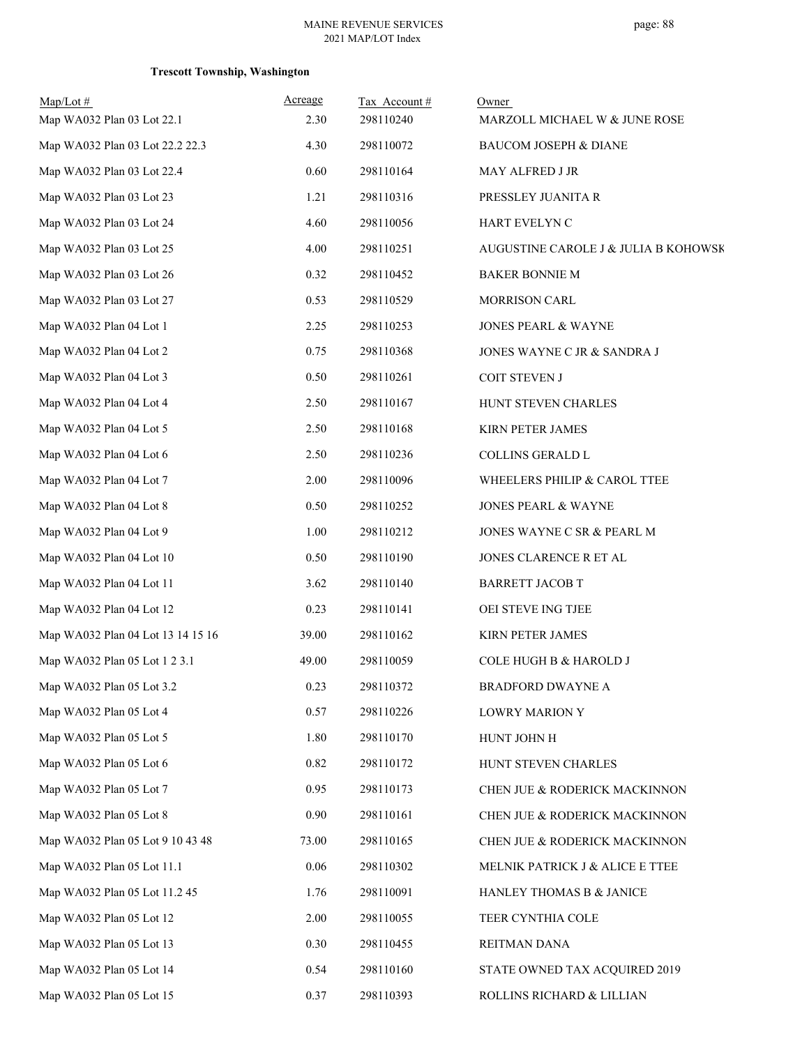| $Map/Lot \#$<br>Map WA032 Plan 03 Lot 22.1 | Acreage<br>2.30 | Tax Account#<br>298110240 | Owner<br>MARZOLL MICHAEL W & JUNE ROSE |
|--------------------------------------------|-----------------|---------------------------|----------------------------------------|
| Map WA032 Plan 03 Lot 22.2 22.3            | 4.30            | 298110072                 | BAUCOM JOSEPH & DIANE                  |
| Map WA032 Plan 03 Lot 22.4                 | 0.60            | 298110164                 | MAY ALFRED J JR                        |
| Map WA032 Plan 03 Lot 23                   | 1.21            | 298110316                 | PRESSLEY JUANITA R                     |
| Map WA032 Plan 03 Lot 24                   | 4.60            | 298110056                 | HART EVELYN C                          |
| Map WA032 Plan 03 Lot 25                   | 4.00            | 298110251                 | AUGUSTINE CAROLE J & JULIA B KOHOWSK   |
| Map WA032 Plan 03 Lot 26                   | 0.32            | 298110452                 | <b>BAKER BONNIE M</b>                  |
| Map WA032 Plan 03 Lot 27                   | 0.53            | 298110529                 | <b>MORRISON CARL</b>                   |
| Map WA032 Plan 04 Lot 1                    | 2.25            | 298110253                 | JONES PEARL & WAYNE                    |
| Map WA032 Plan 04 Lot 2                    | 0.75            | 298110368                 | JONES WAYNE C JR & SANDRA J            |
| Map WA032 Plan 04 Lot 3                    | 0.50            | 298110261                 | COIT STEVEN J                          |
| Map WA032 Plan 04 Lot 4                    | 2.50            | 298110167                 | HUNT STEVEN CHARLES                    |
| Map WA032 Plan 04 Lot 5                    | 2.50            | 298110168                 | KIRN PETER JAMES                       |
| Map WA032 Plan 04 Lot 6                    | 2.50            | 298110236                 | COLLINS GERALD L                       |
| Map WA032 Plan 04 Lot 7                    | 2.00            | 298110096                 | WHEELERS PHILIP & CAROL TTEE           |
| Map WA032 Plan 04 Lot 8                    | 0.50            | 298110252                 | <b>JONES PEARL &amp; WAYNE</b>         |
| Map WA032 Plan 04 Lot 9                    | 1.00            | 298110212                 | JONES WAYNE C SR & PEARL M             |
| Map WA032 Plan 04 Lot 10                   | 0.50            | 298110190                 | JONES CLARENCE R ET AL                 |
| Map WA032 Plan 04 Lot 11                   | 3.62            | 298110140                 | <b>BARRETT JACOB T</b>                 |
| Map WA032 Plan 04 Lot 12                   | 0.23            | 298110141                 | OEI STEVE ING TJEE                     |
| Map WA032 Plan 04 Lot 13 14 15 16          | 39.00           | 298110162                 | KIRN PETER JAMES                       |
| Map WA032 Plan 05 Lot 1 2 3.1              | 49.00           | 298110059                 | COLE HUGH B & HAROLD J                 |
| Map WA032 Plan 05 Lot 3.2                  | 0.23            | 298110372                 | <b>BRADFORD DWAYNE A</b>               |
| Map WA032 Plan 05 Lot 4                    | 0.57            | 298110226                 | LOWRY MARION Y                         |
| Map WA032 Plan 05 Lot 5                    | 1.80            | 298110170                 | HUNT JOHN H                            |
| Map WA032 Plan 05 Lot 6                    | 0.82            | 298110172                 | HUNT STEVEN CHARLES                    |
| Map WA032 Plan 05 Lot 7                    | 0.95            | 298110173                 | CHEN JUE & RODERICK MACKINNON          |
| Map WA032 Plan 05 Lot 8                    | 0.90            | 298110161                 | CHEN JUE & RODERICK MACKINNON          |
| Map WA032 Plan 05 Lot 9 10 43 48           | 73.00           | 298110165                 | CHEN JUE & RODERICK MACKINNON          |
| Map WA032 Plan 05 Lot 11.1                 | 0.06            | 298110302                 | MELNIK PATRICK J & ALICE E TTEE        |
| Map WA032 Plan 05 Lot 11.2 45              | 1.76            | 298110091                 | HANLEY THOMAS B & JANICE               |
| Map WA032 Plan 05 Lot 12                   | 2.00            | 298110055                 | TEER CYNTHIA COLE                      |
| Map WA032 Plan 05 Lot 13                   | 0.30            | 298110455                 | REITMAN DANA                           |
| Map WA032 Plan 05 Lot 14                   | 0.54            | 298110160                 | STATE OWNED TAX ACQUIRED 2019          |
| Map WA032 Plan 05 Lot 15                   | 0.37            | 298110393                 | ROLLINS RICHARD & LILLIAN              |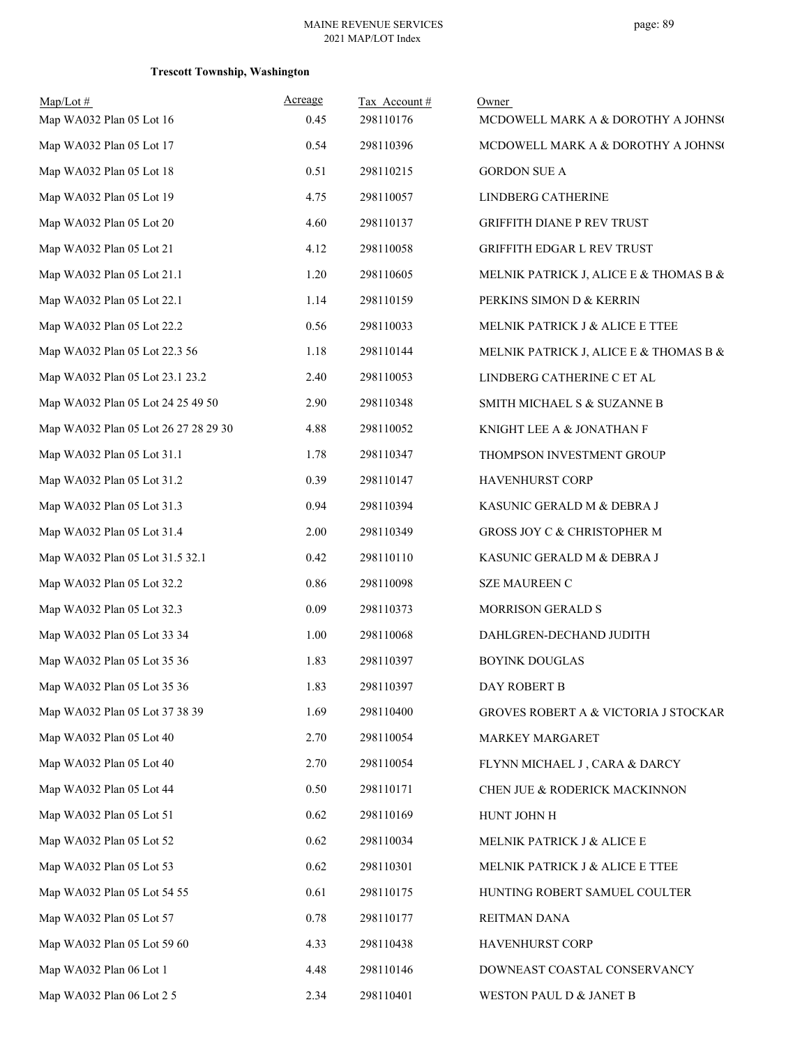| $Map/Lot$ #<br>Map WA032 Plan 05 Lot 16 | Acreage<br>0.45 | Tax Account#<br>298110176 | Owner<br>MCDOWELL MARK A & DOROTHY A JOHNSO |
|-----------------------------------------|-----------------|---------------------------|---------------------------------------------|
| Map WA032 Plan 05 Lot 17                | 0.54            | 298110396                 | MCDOWELL MARK A & DOROTHY A JOHNSO          |
| Map WA032 Plan 05 Lot 18                | 0.51            | 298110215                 | <b>GORDON SUE A</b>                         |
| Map WA032 Plan 05 Lot 19                | 4.75            | 298110057                 | LINDBERG CATHERINE                          |
| Map WA032 Plan 05 Lot 20                | 4.60            | 298110137                 | GRIFFITH DIANE P REV TRUST                  |
| Map WA032 Plan 05 Lot 21                | 4.12            | 298110058                 | GRIFFITH EDGAR L REV TRUST                  |
| Map WA032 Plan 05 Lot 21.1              | 1.20            | 298110605                 | MELNIK PATRICK J, ALICE E & THOMAS B &      |
| Map WA032 Plan 05 Lot 22.1              | 1.14            | 298110159                 | PERKINS SIMON D & KERRIN                    |
| Map WA032 Plan 05 Lot 22.2              | 0.56            | 298110033                 | MELNIK PATRICK J & ALICE E TTEE             |
| Map WA032 Plan 05 Lot 22.3 56           | 1.18            | 298110144                 | MELNIK PATRICK J, ALICE E & THOMAS B &      |
| Map WA032 Plan 05 Lot 23.1 23.2         | 2.40            | 298110053                 | LINDBERG CATHERINE C ET AL                  |
| Map WA032 Plan 05 Lot 24 25 49 50       | 2.90            | 298110348                 | SMITH MICHAEL S & SUZANNE B                 |
| Map WA032 Plan 05 Lot 26 27 28 29 30    | 4.88            | 298110052                 | KNIGHT LEE A & JONATHAN F                   |
| Map WA032 Plan 05 Lot 31.1              | 1.78            | 298110347                 | THOMPSON INVESTMENT GROUP                   |
| Map WA032 Plan 05 Lot 31.2              | 0.39            | 298110147                 | HAVENHURST CORP                             |
| Map WA032 Plan 05 Lot 31.3              | 0.94            | 298110394                 | KASUNIC GERALD M & DEBRA J                  |
| Map WA032 Plan 05 Lot 31.4              | 2.00            | 298110349                 | GROSS JOY C & CHRISTOPHER M                 |
| Map WA032 Plan 05 Lot 31.5 32.1         | 0.42            | 298110110                 | KASUNIC GERALD M & DEBRA J                  |
| Map WA032 Plan 05 Lot 32.2              | 0.86            | 298110098                 | <b>SZE MAUREEN C</b>                        |
| Map WA032 Plan 05 Lot 32.3              | 0.09            | 298110373                 | MORRISON GERALD S                           |
| Map WA032 Plan 05 Lot 33 34             | 1.00            | 298110068                 | DAHLGREN-DECHAND JUDITH                     |
| Map WA032 Plan 05 Lot 35 36             | 1.83            | 298110397                 | <b>BOYINK DOUGLAS</b>                       |
| Map WA032 Plan 05 Lot 35 36             | 1.83            | 298110397                 | DAY ROBERT B                                |
| Map WA032 Plan 05 Lot 37 38 39          | 1.69            | 298110400                 | GROVES ROBERT A & VICTORIA J STOCKAR        |
| Map WA032 Plan 05 Lot 40                | 2.70            | 298110054                 | <b>MARKEY MARGARET</b>                      |
| Map WA032 Plan 05 Lot 40                | 2.70            | 298110054                 | FLYNN MICHAEL J, CARA & DARCY               |
| Map WA032 Plan 05 Lot 44                | 0.50            | 298110171                 | CHEN JUE & RODERICK MACKINNON               |
| Map WA032 Plan 05 Lot 51                | 0.62            | 298110169                 | HUNT JOHN H                                 |
| Map WA032 Plan 05 Lot 52                | 0.62            | 298110034                 | MELNIK PATRICK J & ALICE E                  |
| Map WA032 Plan 05 Lot 53                | 0.62            | 298110301                 | MELNIK PATRICK J & ALICE E TTEE             |
| Map WA032 Plan 05 Lot 54 55             | 0.61            | 298110175                 | HUNTING ROBERT SAMUEL COULTER               |
| Map WA032 Plan 05 Lot 57                | 0.78            | 298110177                 | REITMAN DANA                                |
| Map WA032 Plan 05 Lot 59 60             | 4.33            | 298110438                 | HAVENHURST CORP                             |
| Map WA032 Plan 06 Lot 1                 | 4.48            | 298110146                 | DOWNEAST COASTAL CONSERVANCY                |
| Map WA032 Plan 06 Lot 2 5               | 2.34            | 298110401                 | WESTON PAUL D & JANET B                     |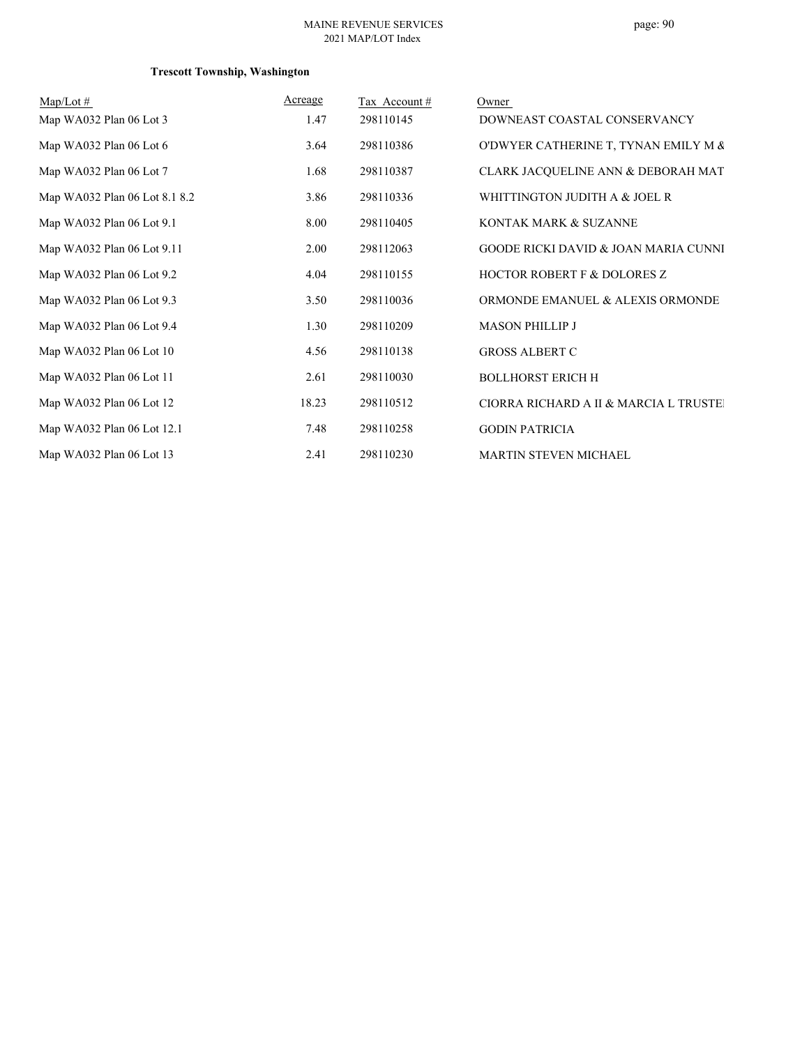| $Map/Lot \#$                  | Acreage | Tax Account# | Owner                                           |
|-------------------------------|---------|--------------|-------------------------------------------------|
| Map WA032 Plan 06 Lot 3       | 1.47    | 298110145    | DOWNEAST COASTAL CONSERVANCY                    |
| Map WA032 Plan 06 Lot 6       | 3.64    | 298110386    | O'DWYER CATHERINE T, TYNAN EMILY M &            |
| Map WA032 Plan 06 Lot 7       | 1.68    | 298110387    | CLARK JACQUELINE ANN & DEBORAH MAT              |
| Map WA032 Plan 06 Lot 8.1 8.2 | 3.86    | 298110336    | WHITTINGTON JUDITH A & JOEL R                   |
| Map WA032 Plan 06 Lot 9.1     | 8.00    | 298110405    | KONTAK MARK & SUZANNE                           |
| Map WA032 Plan 06 Lot 9.11    | 2.00    | 298112063    | <b>GOODE RICKI DAVID &amp; JOAN MARIA CUNNI</b> |
| Map WA032 Plan 06 Lot 9.2     | 4.04    | 298110155    | <b>HOCTOR ROBERT F &amp; DOLORES Z</b>          |
| Map WA032 Plan 06 Lot 9.3     | 3.50    | 298110036    | ORMONDE EMANUEL & ALEXIS ORMONDE                |
| Map WA032 Plan 06 Lot 9.4     | 1.30    | 298110209    | <b>MASON PHILLIP J</b>                          |
| Map WA032 Plan 06 Lot 10      | 4.56    | 298110138    | <b>GROSS ALBERT C</b>                           |
| Map WA032 Plan 06 Lot 11      | 2.61    | 298110030    | <b>BOLLHORST ERICH H</b>                        |
| Map WA032 Plan 06 Lot 12      | 18.23   | 298110512    | CIORRA RICHARD A II & MARCIA L TRUSTEI          |
| Map WA032 Plan 06 Lot 12.1    | 7.48    | 298110258    | <b>GODIN PATRICIA</b>                           |
| Map WA032 Plan 06 Lot 13      | 2.41    | 298110230    | MARTIN STEVEN MICHAEL                           |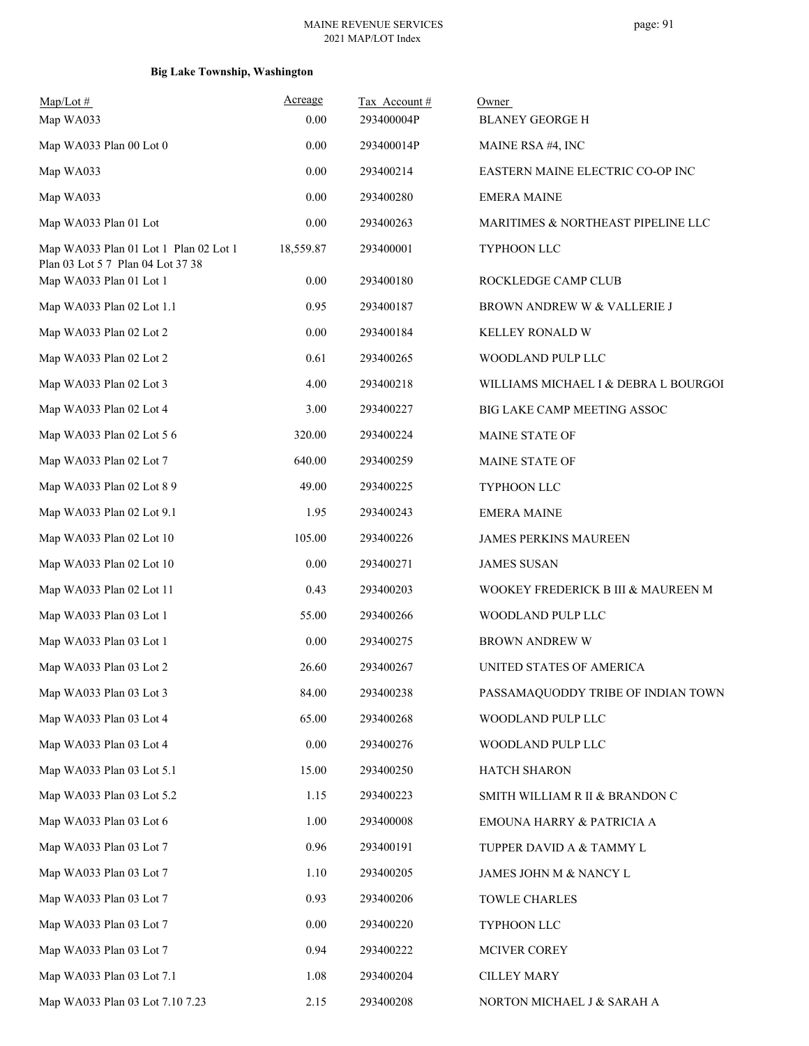| $Map/Lot \#$<br>Map WA033                                    | Acreage<br>0.00 | Tax Account#<br>293400004P | Owner<br><b>BLANEY GEORGE H</b>      |
|--------------------------------------------------------------|-----------------|----------------------------|--------------------------------------|
| Map WA033 Plan 00 Lot 0                                      | 0.00            | 293400014P                 | MAINE RSA #4, INC                    |
| Map WA033                                                    | 0.00            | 293400214                  | EASTERN MAINE ELECTRIC CO-OP INC     |
| Map WA033                                                    | 0.00            | 293400280                  | <b>EMERA MAINE</b>                   |
| Map WA033 Plan 01 Lot                                        | 0.00            | 293400263                  | MARITIMES & NORTHEAST PIPELINE LLC   |
| Map WA033 Plan 01 Lot 1 Plan 02 Lot 1                        | 18,559.87       | 293400001                  | TYPHOON LLC                          |
| Plan 03 Lot 5 7 Plan 04 Lot 37 38<br>Map WA033 Plan 01 Lot 1 | 0.00            | 293400180                  | ROCKLEDGE CAMP CLUB                  |
| Map WA033 Plan 02 Lot 1.1                                    | 0.95            | 293400187                  | BROWN ANDREW W & VALLERIE J          |
| Map WA033 Plan 02 Lot 2                                      | 0.00            | 293400184                  | KELLEY RONALD W                      |
| Map WA033 Plan 02 Lot 2                                      | 0.61            | 293400265                  | WOODLAND PULP LLC                    |
| Map WA033 Plan 02 Lot 3                                      | 4.00            | 293400218                  | WILLIAMS MICHAEL I & DEBRA L BOURGOI |
| Map WA033 Plan 02 Lot 4                                      | 3.00            | 293400227                  | BIG LAKE CAMP MEETING ASSOC          |
| Map WA033 Plan 02 Lot 5 6                                    | 320.00          | 293400224                  | <b>MAINE STATE OF</b>                |
| Map WA033 Plan 02 Lot 7                                      | 640.00          | 293400259                  | MAINE STATE OF                       |
| Map WA033 Plan 02 Lot 8 9                                    | 49.00           | 293400225                  | TYPHOON LLC                          |
| Map WA033 Plan 02 Lot 9.1                                    | 1.95            | 293400243                  | <b>EMERA MAINE</b>                   |
| Map WA033 Plan 02 Lot 10                                     | 105.00          | 293400226                  | <b>JAMES PERKINS MAUREEN</b>         |
| Map WA033 Plan 02 Lot 10                                     | 0.00            | 293400271                  | <b>JAMES SUSAN</b>                   |
| Map WA033 Plan 02 Lot 11                                     | 0.43            | 293400203                  | WOOKEY FREDERICK B III & MAUREEN M   |
| Map WA033 Plan 03 Lot 1                                      | 55.00           | 293400266                  | WOODLAND PULP LLC                    |
| Map WA033 Plan 03 Lot 1                                      | 0.00            | 293400275                  | <b>BROWN ANDREW W</b>                |
| Map WA033 Plan 03 Lot 2                                      | 26.60           | 293400267                  | UNITED STATES OF AMERICA             |
| Map WA033 Plan 03 Lot 3                                      | 84.00           | 293400238                  | PASSAMAQUODDY TRIBE OF INDIAN TOWN   |
| Map WA033 Plan 03 Lot 4                                      | 65.00           | 293400268                  | WOODLAND PULP LLC                    |
| Map WA033 Plan 03 Lot 4                                      | 0.00            | 293400276                  | WOODLAND PULP LLC                    |
| Map WA033 Plan 03 Lot 5.1                                    | 15.00           | 293400250                  | HATCH SHARON                         |
| Map WA033 Plan 03 Lot 5.2                                    | 1.15            | 293400223                  | SMITH WILLIAM R II & BRANDON C       |
| Map WA033 Plan 03 Lot 6                                      | 1.00            | 293400008                  | EMOUNA HARRY & PATRICIA A            |
| Map WA033 Plan 03 Lot 7                                      | 0.96            | 293400191                  | TUPPER DAVID A & TAMMY L             |
| Map WA033 Plan 03 Lot 7                                      | 1.10            | 293400205                  | JAMES JOHN M & NANCY L               |
| Map WA033 Plan 03 Lot 7                                      | 0.93            | 293400206                  | <b>TOWLE CHARLES</b>                 |
| Map WA033 Plan 03 Lot 7                                      | 0.00            | 293400220                  | TYPHOON LLC                          |
| Map WA033 Plan 03 Lot 7                                      | 0.94            | 293400222                  | MCIVER COREY                         |
| Map WA033 Plan 03 Lot 7.1                                    | 1.08            | 293400204                  | <b>CILLEY MARY</b>                   |
| Map WA033 Plan 03 Lot 7.10 7.23                              | 2.15            | 293400208                  | NORTON MICHAEL J & SARAH A           |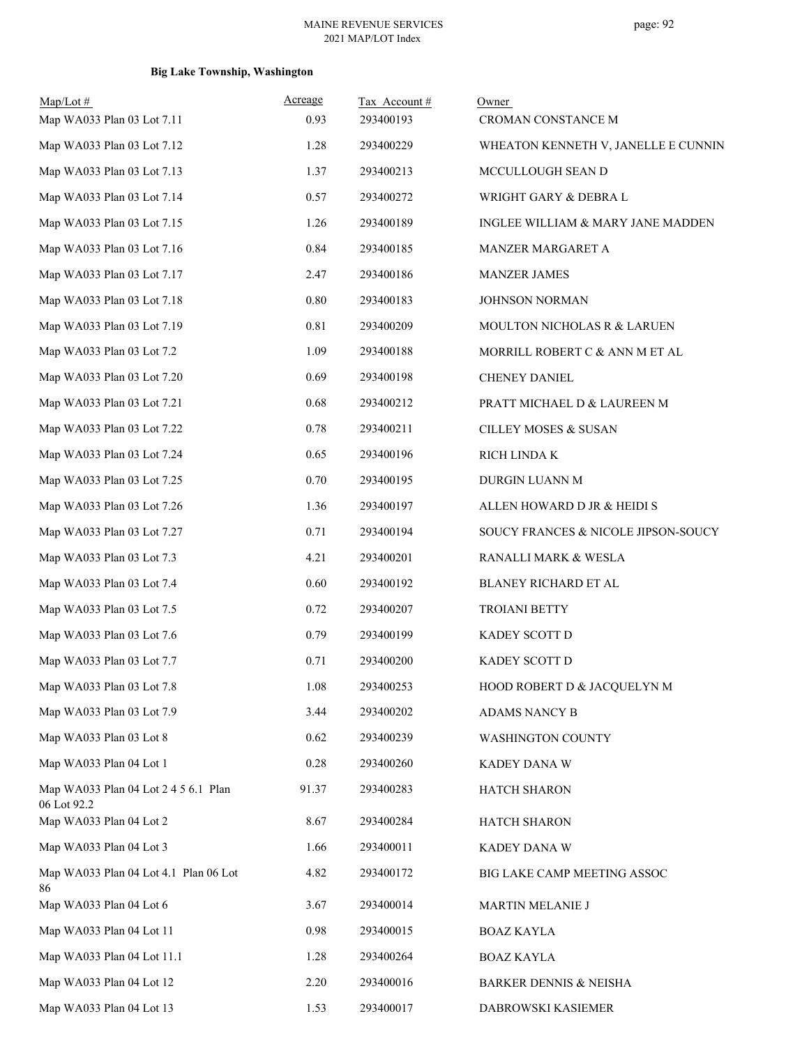| $Map/Lot \#$<br>Map WA033 Plan 03 Lot 7.11          | Acreage<br>0.93 | Tax Account#<br>293400193 | Owner<br>CROMAN CONSTANCE M         |
|-----------------------------------------------------|-----------------|---------------------------|-------------------------------------|
| Map WA033 Plan 03 Lot 7.12                          | 1.28            | 293400229                 | WHEATON KENNETH V, JANELLE E CUNNIN |
| Map WA033 Plan 03 Lot 7.13                          | 1.37            | 293400213                 | MCCULLOUGH SEAN D                   |
| Map WA033 Plan 03 Lot 7.14                          | 0.57            | 293400272                 | WRIGHT GARY & DEBRA L               |
| Map WA033 Plan 03 Lot 7.15                          | 1.26            | 293400189                 | INGLEE WILLIAM & MARY JANE MADDEN   |
| Map WA033 Plan 03 Lot 7.16                          | 0.84            | 293400185                 | MANZER MARGARET A                   |
| Map WA033 Plan 03 Lot 7.17                          | 2.47            | 293400186                 | <b>MANZER JAMES</b>                 |
| Map WA033 Plan 03 Lot 7.18                          | $0.80\,$        | 293400183                 | JOHNSON NORMAN                      |
| Map WA033 Plan 03 Lot 7.19                          | 0.81            | 293400209                 | MOULTON NICHOLAS R & LARUEN         |
| Map WA033 Plan 03 Lot 7.2                           | 1.09            | 293400188                 | MORRILL ROBERT C & ANN M ET AL      |
| Map WA033 Plan 03 Lot 7.20                          | 0.69            | 293400198                 | CHENEY DANIEL                       |
| Map WA033 Plan 03 Lot 7.21                          | 0.68            | 293400212                 | PRATT MICHAEL D & LAUREEN M         |
| Map WA033 Plan 03 Lot 7.22                          | 0.78            | 293400211                 | CILLEY MOSES & SUSAN                |
| Map WA033 Plan 03 Lot 7.24                          | 0.65            | 293400196                 | RICH LINDA K                        |
| Map WA033 Plan 03 Lot 7.25                          | 0.70            | 293400195                 | DURGIN LUANN M                      |
| Map WA033 Plan 03 Lot 7.26                          | 1.36            | 293400197                 | ALLEN HOWARD D JR & HEIDI S         |
| Map WA033 Plan 03 Lot 7.27                          | 0.71            | 293400194                 | SOUCY FRANCES & NICOLE JIPSON-SOUCY |
| Map WA033 Plan 03 Lot 7.3                           | 4.21            | 293400201                 | RANALLI MARK & WESLA                |
| Map WA033 Plan 03 Lot 7.4                           | 0.60            | 293400192                 | BLANEY RICHARD ET AL                |
| Map WA033 Plan 03 Lot 7.5                           | 0.72            | 293400207                 | <b>TROIANI BETTY</b>                |
| Map WA033 Plan 03 Lot 7.6                           | 0.79            | 293400199                 | KADEY SCOTT D                       |
| Map WA033 Plan 03 Lot 7.7                           | 0.71            | 293400200                 | KADEY SCOTT D                       |
| Map WA033 Plan 03 Lot 7.8                           | 1.08            | 293400253                 | HOOD ROBERT D & JACQUELYN M         |
| Map WA033 Plan 03 Lot 7.9                           | 3.44            | 293400202                 | ADAMS NANCY B                       |
| Map WA033 Plan 03 Lot 8                             | 0.62            | 293400239                 | WASHINGTON COUNTY                   |
| Map WA033 Plan 04 Lot 1                             | 0.28            | 293400260                 | KADEY DANA W                        |
| Map WA033 Plan 04 Lot 2 4 5 6.1 Plan<br>06 Lot 92.2 | 91.37           | 293400283                 | HATCH SHARON                        |
| Map WA033 Plan 04 Lot 2                             | 8.67            | 293400284                 | HATCH SHARON                        |
| Map WA033 Plan 04 Lot 3                             | 1.66            | 293400011                 | KADEY DANA W                        |
| Map WA033 Plan 04 Lot 4.1 Plan 06 Lot<br>86         | 4.82            | 293400172                 | BIG LAKE CAMP MEETING ASSOC         |
| Map WA033 Plan 04 Lot 6                             | 3.67            | 293400014                 | MARTIN MELANIE J                    |
| Map WA033 Plan 04 Lot 11                            | 0.98            | 293400015                 | <b>BOAZ KAYLA</b>                   |
| Map WA033 Plan 04 Lot 11.1                          | 1.28            | 293400264                 | <b>BOAZ KAYLA</b>                   |
| Map WA033 Plan 04 Lot 12                            | 2.20            | 293400016                 | <b>BARKER DENNIS &amp; NEISHA</b>   |
| Map WA033 Plan 04 Lot 13                            | 1.53            | 293400017                 | DABROWSKI KASIEMER                  |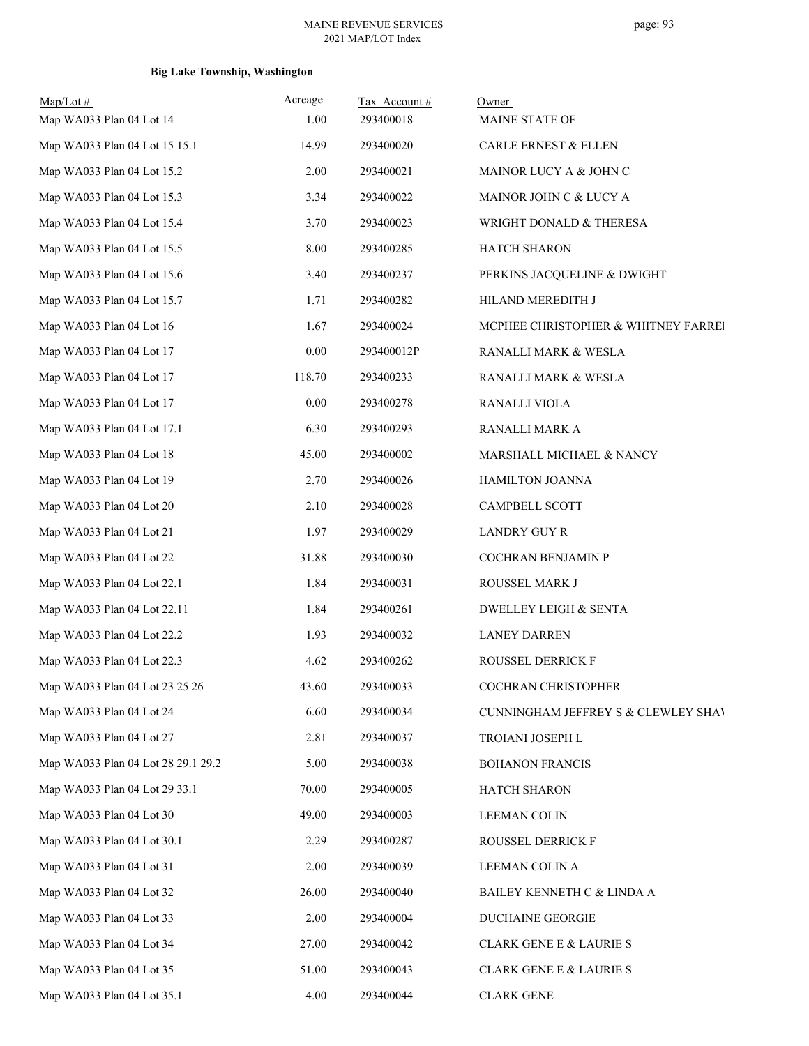| $Map/Lot \#$<br>Map WA033 Plan 04 Lot 14 | Acreage<br>1.00 | Tax Account#<br>293400018 | Owner<br>MAINE STATE OF             |
|------------------------------------------|-----------------|---------------------------|-------------------------------------|
| Map WA033 Plan 04 Lot 15 15.1            | 14.99           | 293400020                 | CARLE ERNEST & ELLEN                |
| Map WA033 Plan 04 Lot 15.2               | 2.00            | 293400021                 | MAINOR LUCY A & JOHN C              |
| Map WA033 Plan 04 Lot 15.3               | 3.34            | 293400022                 | MAINOR JOHN C & LUCY A              |
| Map WA033 Plan 04 Lot 15.4               | 3.70            | 293400023                 | WRIGHT DONALD & THERESA             |
| Map WA033 Plan 04 Lot 15.5               | 8.00            | 293400285                 | HATCH SHARON                        |
| Map WA033 Plan 04 Lot 15.6               | 3.40            | 293400237                 | PERKINS JACQUELINE & DWIGHT         |
| Map WA033 Plan 04 Lot 15.7               | 1.71            | 293400282                 | HILAND MEREDITH J                   |
| Map WA033 Plan 04 Lot 16                 | 1.67            | 293400024                 | MCPHEE CHRISTOPHER & WHITNEY FARREI |
| Map WA033 Plan 04 Lot 17                 | $0.00\,$        | 293400012P                | RANALLI MARK & WESLA                |
| Map WA033 Plan 04 Lot 17                 | 118.70          | 293400233                 | RANALLI MARK & WESLA                |
| Map WA033 Plan 04 Lot 17                 | 0.00            | 293400278                 | RANALLI VIOLA                       |
| Map WA033 Plan 04 Lot 17.1               | 6.30            | 293400293                 | RANALLI MARK A                      |
| Map WA033 Plan 04 Lot 18                 | 45.00           | 293400002                 | MARSHALL MICHAEL & NANCY            |
| Map WA033 Plan 04 Lot 19                 | 2.70            | 293400026                 | HAMILTON JOANNA                     |
| Map WA033 Plan 04 Lot 20                 | 2.10            | 293400028                 | CAMPBELL SCOTT                      |
| Map WA033 Plan 04 Lot 21                 | 1.97            | 293400029                 | <b>LANDRY GUY R</b>                 |
| Map WA033 Plan 04 Lot 22                 | 31.88           | 293400030                 | COCHRAN BENJAMIN P                  |
| Map WA033 Plan 04 Lot 22.1               | 1.84            | 293400031                 | ROUSSEL MARK J                      |
| Map WA033 Plan 04 Lot 22.11              | 1.84            | 293400261                 | <b>DWELLEY LEIGH &amp; SENTA</b>    |
| Map WA033 Plan 04 Lot 22.2               | 1.93            | 293400032                 | <b>LANEY DARREN</b>                 |
| Map WA033 Plan 04 Lot 22.3               | 4.62            | 293400262                 | ROUSSEL DERRICK F                   |
| Map WA033 Plan 04 Lot 23 25 26           | 43.60           | 293400033                 | COCHRAN CHRISTOPHER                 |
| Map WA033 Plan 04 Lot 24                 | 6.60            | 293400034                 | CUNNINGHAM JEFFREY S & CLEWLEY SHAV |
| Map WA033 Plan 04 Lot 27                 | 2.81            | 293400037                 | TROIANI JOSEPH L                    |
| Map WA033 Plan 04 Lot 28 29.1 29.2       | 5.00            | 293400038                 | <b>BOHANON FRANCIS</b>              |
| Map WA033 Plan 04 Lot 29 33.1            | 70.00           | 293400005                 | <b>HATCH SHARON</b>                 |
| Map WA033 Plan 04 Lot 30                 | 49.00           | 293400003                 | <b>LEEMAN COLIN</b>                 |
| Map WA033 Plan 04 Lot 30.1               | 2.29            | 293400287                 | ROUSSEL DERRICK F                   |
| Map WA033 Plan 04 Lot 31                 | 2.00            | 293400039                 | LEEMAN COLIN A                      |
| Map WA033 Plan 04 Lot 32                 | 26.00           | 293400040                 | BAILEY KENNETH C & LINDA A          |
| Map WA033 Plan 04 Lot 33                 | 2.00            | 293400004                 | DUCHAINE GEORGIE                    |
| Map WA033 Plan 04 Lot 34                 | 27.00           | 293400042                 | <b>CLARK GENE E &amp; LAURIE S</b>  |
| Map WA033 Plan 04 Lot 35                 | 51.00           | 293400043                 | <b>CLARK GENE E &amp; LAURIE S</b>  |
| Map WA033 Plan 04 Lot 35.1               | 4.00            | 293400044                 | <b>CLARK GENE</b>                   |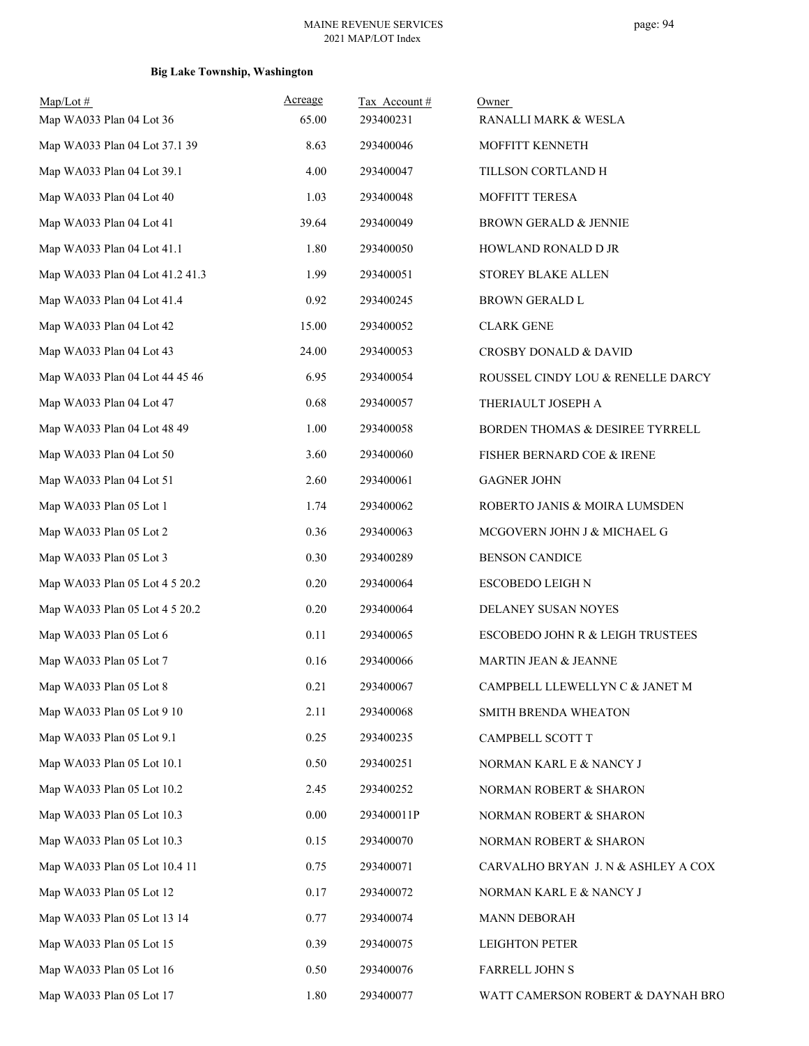| $Map/Lot \#$                    | Acreage | Tax Account# | Owner                              |
|---------------------------------|---------|--------------|------------------------------------|
| Map WA033 Plan 04 Lot 36        | 65.00   | 293400231    | RANALLI MARK & WESLA               |
| Map WA033 Plan 04 Lot 37.1 39   | 8.63    | 293400046    | MOFFITT KENNETH                    |
| Map WA033 Plan 04 Lot 39.1      | 4.00    | 293400047    | TILLSON CORTLAND H                 |
| Map WA033 Plan 04 Lot 40        | 1.03    | 293400048    | MOFFITT TERESA                     |
| Map WA033 Plan 04 Lot 41        | 39.64   | 293400049    | BROWN GERALD & JENNIE              |
| Map WA033 Plan 04 Lot 41.1      | 1.80    | 293400050    | HOWLAND RONALD D JR                |
| Map WA033 Plan 04 Lot 41.2 41.3 | 1.99    | 293400051    | STOREY BLAKE ALLEN                 |
| Map WA033 Plan 04 Lot 41.4      | 0.92    | 293400245    | BROWN GERALD L                     |
| Map WA033 Plan 04 Lot 42        | 15.00   | 293400052    | <b>CLARK GENE</b>                  |
| Map WA033 Plan 04 Lot 43        | 24.00   | 293400053    | CROSBY DONALD & DAVID              |
| Map WA033 Plan 04 Lot 44 45 46  | 6.95    | 293400054    | ROUSSEL CINDY LOU & RENELLE DARCY  |
| Map WA033 Plan 04 Lot 47        | 0.68    | 293400057    | THERIAULT JOSEPH A                 |
| Map WA033 Plan 04 Lot 48 49     | 1.00    | 293400058    | BORDEN THOMAS & DESIREE TYRRELL    |
| Map WA033 Plan 04 Lot 50        | 3.60    | 293400060    | FISHER BERNARD COE & IRENE         |
| Map WA033 Plan 04 Lot 51        | 2.60    | 293400061    | <b>GAGNER JOHN</b>                 |
| Map WA033 Plan 05 Lot 1         | 1.74    | 293400062    | ROBERTO JANIS & MOIRA LUMSDEN      |
| Map WA033 Plan 05 Lot 2         | 0.36    | 293400063    | MCGOVERN JOHN J & MICHAEL G        |
| Map WA033 Plan 05 Lot 3         | 0.30    | 293400289    | <b>BENSON CANDICE</b>              |
| Map WA033 Plan 05 Lot 4 5 20.2  | 0.20    | 293400064    | ESCOBEDO LEIGH N                   |
| Map WA033 Plan 05 Lot 4 5 20.2  | 0.20    | 293400064    | DELANEY SUSAN NOYES                |
| Map WA033 Plan 05 Lot 6         | 0.11    | 293400065    | ESCOBEDO JOHN R & LEIGH TRUSTEES   |
| Map WA033 Plan 05 Lot 7         | 0.16    | 293400066    | <b>MARTIN JEAN &amp; JEANNE</b>    |
| Map WA033 Plan 05 Lot 8         | 0.21    | 293400067    | CAMPBELL LLEWELLYN C & JANET M     |
| Map WA033 Plan 05 Lot 9 10      | 2.11    | 293400068    | SMITH BRENDA WHEATON               |
| Map WA033 Plan 05 Lot 9.1       | 0.25    | 293400235    | CAMPBELL SCOTT T                   |
| Map WA033 Plan 05 Lot 10.1      | 0.50    | 293400251    | NORMAN KARL E & NANCY J            |
| Map WA033 Plan 05 Lot 10.2      | 2.45    | 293400252    | NORMAN ROBERT & SHARON             |
| Map WA033 Plan 05 Lot 10.3      | 0.00    | 293400011P   | NORMAN ROBERT & SHARON             |
| Map WA033 Plan 05 Lot 10.3      | 0.15    | 293400070    | NORMAN ROBERT & SHARON             |
| Map WA033 Plan 05 Lot 10.4 11   | 0.75    | 293400071    | CARVALHO BRYAN J. N & ASHLEY A COX |
| Map WA033 Plan 05 Lot 12        | 0.17    | 293400072    | NORMAN KARL E & NANCY J            |
| Map WA033 Plan 05 Lot 13 14     | 0.77    | 293400074    | <b>MANN DEBORAH</b>                |
| Map WA033 Plan 05 Lot 15        | 0.39    | 293400075    | <b>LEIGHTON PETER</b>              |
| Map WA033 Plan 05 Lot 16        | 0.50    | 293400076    | <b>FARRELL JOHN S</b>              |
| Map WA033 Plan 05 Lot 17        | 1.80    | 293400077    | WATT CAMERSON ROBERT & DAYNAH BRO  |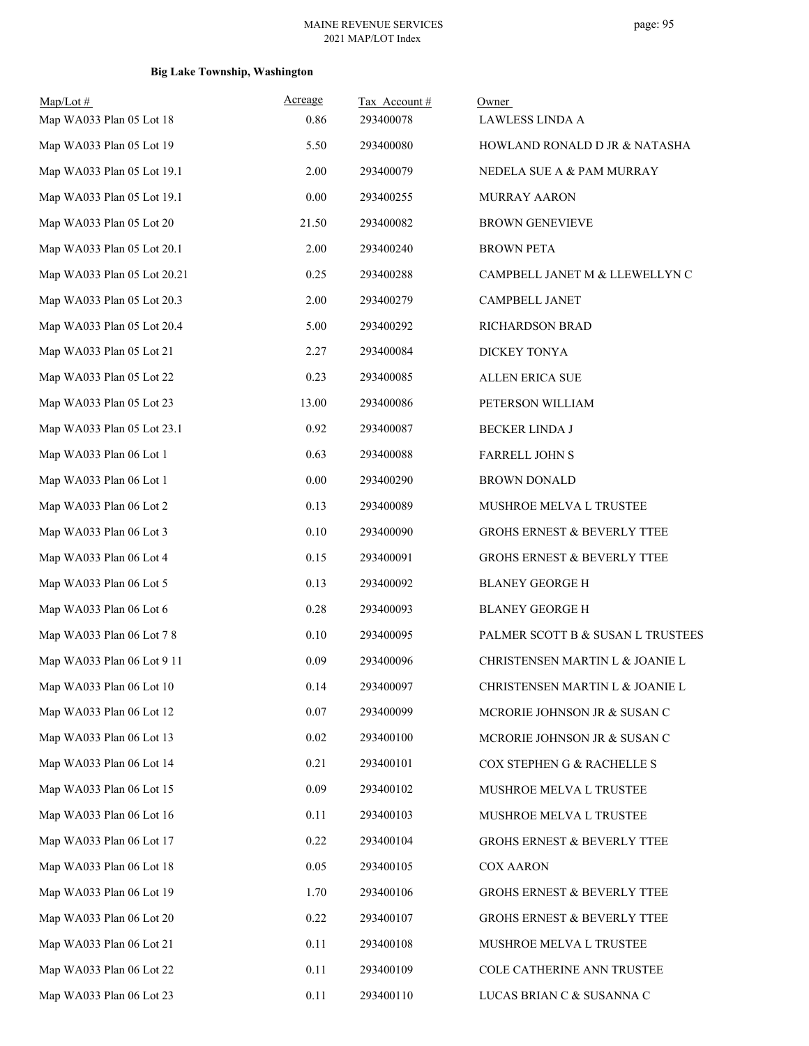| $Map/Lot \#$                | Acreage | Tax Account# | Owner                                  |
|-----------------------------|---------|--------------|----------------------------------------|
| Map WA033 Plan 05 Lot 18    | 0.86    | 293400078    | LAWLESS LINDA A                        |
| Map WA033 Plan 05 Lot 19    | 5.50    | 293400080    | HOWLAND RONALD D JR & NATASHA          |
| Map WA033 Plan 05 Lot 19.1  | 2.00    | 293400079    | NEDELA SUE A & PAM MURRAY              |
| Map WA033 Plan 05 Lot 19.1  | 0.00    | 293400255    | <b>MURRAY AARON</b>                    |
| Map WA033 Plan 05 Lot 20    | 21.50   | 293400082    | <b>BROWN GENEVIEVE</b>                 |
| Map WA033 Plan 05 Lot 20.1  | 2.00    | 293400240    | <b>BROWN PETA</b>                      |
| Map WA033 Plan 05 Lot 20.21 | 0.25    | 293400288    | CAMPBELL JANET M & LLEWELLYN C         |
| Map WA033 Plan 05 Lot 20.3  | 2.00    | 293400279    | <b>CAMPBELL JANET</b>                  |
| Map WA033 Plan 05 Lot 20.4  | 5.00    | 293400292    | RICHARDSON BRAD                        |
| Map WA033 Plan 05 Lot 21    | 2.27    | 293400084    | DICKEY TONYA                           |
| Map WA033 Plan 05 Lot 22    | 0.23    | 293400085    | ALLEN ERICA SUE                        |
| Map WA033 Plan 05 Lot 23    | 13.00   | 293400086    | PETERSON WILLIAM                       |
| Map WA033 Plan 05 Lot 23.1  | 0.92    | 293400087    | <b>BECKER LINDA J</b>                  |
| Map WA033 Plan 06 Lot 1     | 0.63    | 293400088    | <b>FARRELL JOHN S</b>                  |
| Map WA033 Plan 06 Lot 1     | 0.00    | 293400290    | <b>BROWN DONALD</b>                    |
| Map WA033 Plan 06 Lot 2     | 0.13    | 293400089    | MUSHROE MELVA L TRUSTEE                |
| Map WA033 Plan 06 Lot 3     | 0.10    | 293400090    | GROHS ERNEST & BEVERLY TTEE            |
| Map WA033 Plan 06 Lot 4     | 0.15    | 293400091    | GROHS ERNEST & BEVERLY TTEE            |
| Map WA033 Plan 06 Lot 5     | 0.13    | 293400092    | <b>BLANEY GEORGE H</b>                 |
| Map WA033 Plan 06 Lot 6     | 0.28    | 293400093    | <b>BLANEY GEORGE H</b>                 |
| Map WA033 Plan 06 Lot 7 8   | 0.10    | 293400095    | PALMER SCOTT B & SUSAN L TRUSTEES      |
| Map WA033 Plan 06 Lot 9 11  | 0.09    | 293400096    | CHRISTENSEN MARTIN L & JOANIE L        |
| Map WA033 Plan 06 Lot 10    | 0.14    | 293400097    | CHRISTENSEN MARTIN L & JOANIE L        |
| Map WA033 Plan 06 Lot 12    | 0.07    | 293400099    | MCRORIE JOHNSON JR & SUSAN C           |
| Map WA033 Plan 06 Lot 13    | 0.02    | 293400100    | MCRORIE JOHNSON JR & SUSAN C           |
| Map WA033 Plan 06 Lot 14    | 0.21    | 293400101    | COX STEPHEN G & RACHELLE S             |
| Map WA033 Plan 06 Lot 15    | 0.09    | 293400102    | MUSHROE MELVA L TRUSTEE                |
| Map WA033 Plan 06 Lot 16    | 0.11    | 293400103    | MUSHROE MELVA L TRUSTEE                |
| Map WA033 Plan 06 Lot 17    | 0.22    | 293400104    | <b>GROHS ERNEST &amp; BEVERLY TTEE</b> |
| Map WA033 Plan 06 Lot 18    | 0.05    | 293400105    | <b>COX AARON</b>                       |
| Map WA033 Plan 06 Lot 19    | 1.70    | 293400106    | GROHS ERNEST & BEVERLY TTEE            |
| Map WA033 Plan 06 Lot 20    | 0.22    | 293400107    | <b>GROHS ERNEST &amp; BEVERLY TTEE</b> |
| Map WA033 Plan 06 Lot 21    | 0.11    | 293400108    | MUSHROE MELVA L TRUSTEE                |
| Map WA033 Plan 06 Lot 22    | 0.11    | 293400109    | COLE CATHERINE ANN TRUSTEE             |
| Map WA033 Plan 06 Lot 23    | 0.11    | 293400110    | LUCAS BRIAN C & SUSANNA C              |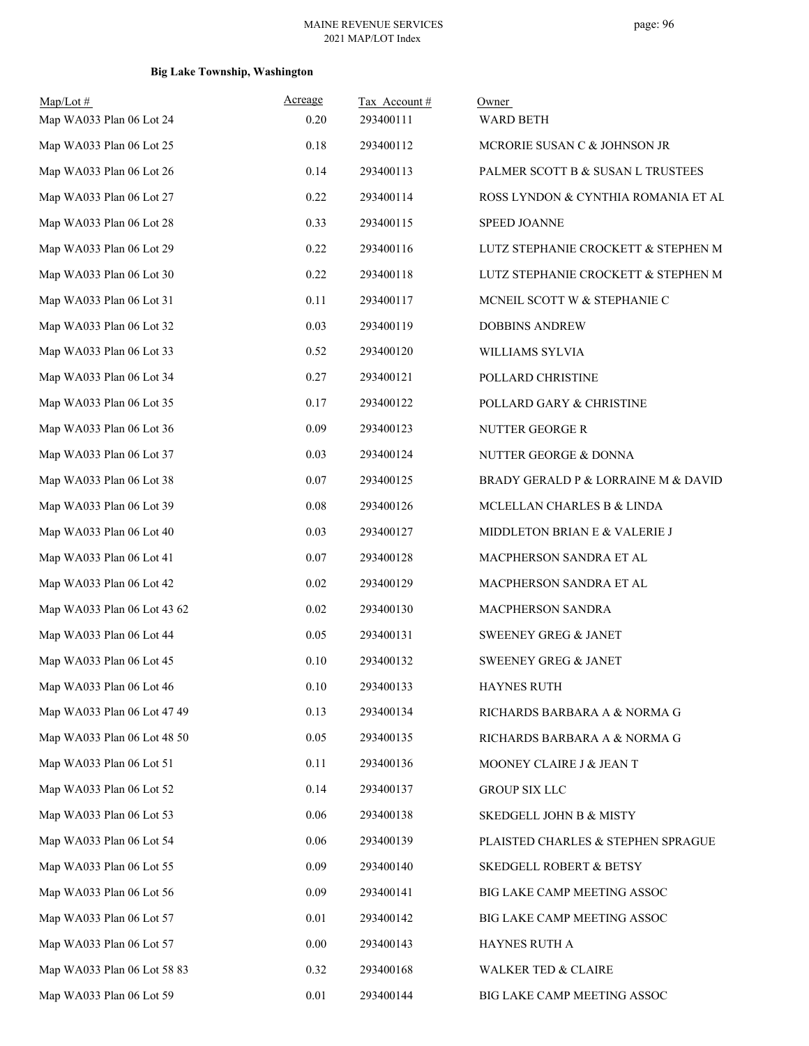| Map/Lot#<br>Map WA033 Plan 06 Lot 24 | Acreage<br>0.20 | Tax Account#<br>293400111 | Owner<br><b>WARD BETH</b>           |
|--------------------------------------|-----------------|---------------------------|-------------------------------------|
| Map WA033 Plan 06 Lot 25             | 0.18            | 293400112                 | MCRORIE SUSAN C & JOHNSON JR        |
| Map WA033 Plan 06 Lot 26             | 0.14            | 293400113                 | PALMER SCOTT B & SUSAN L TRUSTEES   |
| Map WA033 Plan 06 Lot 27             | 0.22            | 293400114                 | ROSS LYNDON & CYNTHIA ROMANIA ET AL |
| Map WA033 Plan 06 Lot 28             | 0.33            | 293400115                 | <b>SPEED JOANNE</b>                 |
| Map WA033 Plan 06 Lot 29             | 0.22            | 293400116                 | LUTZ STEPHANIE CROCKETT & STEPHEN M |
| Map WA033 Plan 06 Lot 30             | 0.22            | 293400118                 | LUTZ STEPHANIE CROCKETT & STEPHEN M |
| Map WA033 Plan 06 Lot 31             | 0.11            | 293400117                 | MCNEIL SCOTT W & STEPHANIE C        |
| Map WA033 Plan 06 Lot 32             | 0.03            | 293400119                 | <b>DOBBINS ANDREW</b>               |
| Map WA033 Plan 06 Lot 33             | 0.52            | 293400120                 | WILLIAMS SYLVIA                     |
| Map WA033 Plan 06 Lot 34             | 0.27            | 293400121                 | POLLARD CHRISTINE                   |
| Map WA033 Plan 06 Lot 35             | 0.17            | 293400122                 | POLLARD GARY & CHRISTINE            |
| Map WA033 Plan 06 Lot 36             | 0.09            | 293400123                 | NUTTER GEORGE R                     |
| Map WA033 Plan 06 Lot 37             | 0.03            | 293400124                 | NUTTER GEORGE & DONNA               |
| Map WA033 Plan 06 Lot 38             | 0.07            | 293400125                 | BRADY GERALD P & LORRAINE M & DAVID |
| Map WA033 Plan 06 Lot 39             | 0.08            | 293400126                 | MCLELLAN CHARLES B & LINDA          |
| Map WA033 Plan 06 Lot 40             | 0.03            | 293400127                 | MIDDLETON BRIAN E & VALERIE J       |
| Map WA033 Plan 06 Lot 41             | 0.07            | 293400128                 | MACPHERSON SANDRA ET AL             |
| Map WA033 Plan 06 Lot 42             | 0.02            | 293400129                 | MACPHERSON SANDRA ET AL             |
| Map WA033 Plan 06 Lot 43 62          | 0.02            | 293400130                 | MACPHERSON SANDRA                   |
| Map WA033 Plan 06 Lot 44             | 0.05            | 293400131                 | SWEENEY GREG & JANET                |
| Map WA033 Plan 06 Lot 45             | 0.10            | 293400132                 | <b>SWEENEY GREG &amp; JANET</b>     |
| Map WA033 Plan 06 Lot 46             | 0.10            | 293400133                 | HAYNES RUTH                         |
| Map WA033 Plan 06 Lot 47 49          | 0.13            | 293400134                 | RICHARDS BARBARA A & NORMA G        |
| Map WA033 Plan 06 Lot 48 50          | 0.05            | 293400135                 | RICHARDS BARBARA A & NORMA G        |
| Map WA033 Plan 06 Lot 51             | 0.11            | 293400136                 | MOONEY CLAIRE J & JEAN T            |
| Map WA033 Plan 06 Lot 52             | 0.14            | 293400137                 | <b>GROUP SIX LLC</b>                |
| Map WA033 Plan 06 Lot 53             | 0.06            | 293400138                 | <b>SKEDGELL JOHN B &amp; MISTY</b>  |
| Map WA033 Plan 06 Lot 54             | 0.06            | 293400139                 | PLAISTED CHARLES & STEPHEN SPRAGUE  |
| Map WA033 Plan 06 Lot 55             | 0.09            | 293400140                 | SKEDGELL ROBERT & BETSY             |
| Map WA033 Plan 06 Lot 56             | 0.09            | 293400141                 | BIG LAKE CAMP MEETING ASSOC         |
| Map WA033 Plan 06 Lot 57             | 0.01            | 293400142                 | BIG LAKE CAMP MEETING ASSOC         |
| Map WA033 Plan 06 Lot 57             | 0.00            | 293400143                 | HAYNES RUTH A                       |
| Map WA033 Plan 06 Lot 58 83          | 0.32            | 293400168                 | <b>WALKER TED &amp; CLAIRE</b>      |
| Map WA033 Plan 06 Lot 59             | $0.01\,$        | 293400144                 | BIG LAKE CAMP MEETING ASSOC         |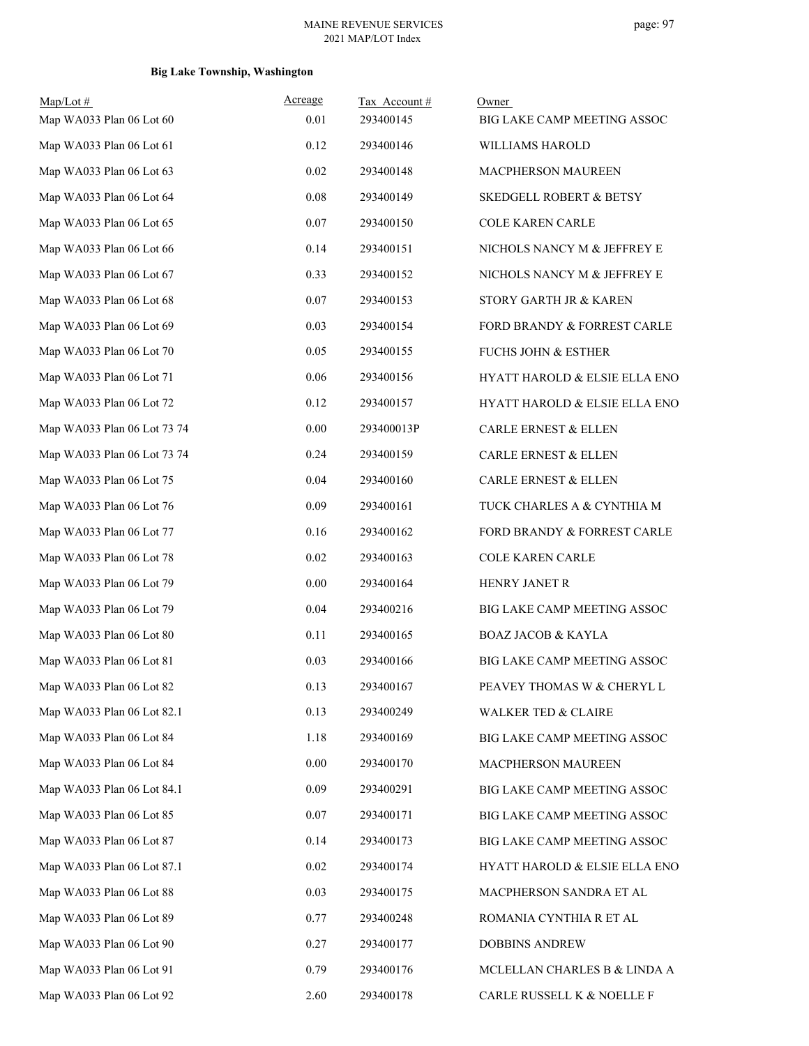| $Map/Lot$ #<br>Map WA033 Plan 06 Lot 60 | Acreage<br>0.01 | Tax Account#<br>293400145 | Owner<br>BIG LAKE CAMP MEETING ASSOC     |
|-----------------------------------------|-----------------|---------------------------|------------------------------------------|
| Map WA033 Plan 06 Lot 61                | 0.12            | 293400146                 | WILLIAMS HAROLD                          |
| Map WA033 Plan 06 Lot 63                | 0.02            | 293400148                 | MACPHERSON MAUREEN                       |
| Map WA033 Plan 06 Lot 64                | 0.08            | 293400149                 | <b>SKEDGELL ROBERT &amp; BETSY</b>       |
| Map WA033 Plan 06 Lot 65                | 0.07            | 293400150                 | <b>COLE KAREN CARLE</b>                  |
| Map WA033 Plan 06 Lot 66                | 0.14            | 293400151                 | NICHOLS NANCY M & JEFFREY E              |
| Map WA033 Plan 06 Lot 67                | 0.33            | 293400152                 | NICHOLS NANCY M & JEFFREY E              |
| Map WA033 Plan 06 Lot 68                | 0.07            | 293400153                 | STORY GARTH JR & KAREN                   |
| Map WA033 Plan 06 Lot 69                | 0.03            | 293400154                 | FORD BRANDY & FORREST CARLE              |
| Map WA033 Plan 06 Lot 70                | 0.05            | 293400155                 | <b>FUCHS JOHN &amp; ESTHER</b>           |
| Map WA033 Plan 06 Lot 71                | 0.06            | 293400156                 | <b>HYATT HAROLD &amp; ELSIE ELLA ENO</b> |
| Map WA033 Plan 06 Lot 72                | 0.12            | 293400157                 | HYATT HAROLD & ELSIE ELLA ENO            |
| Map WA033 Plan 06 Lot 73 74             | 0.00            | 293400013P                | <b>CARLE ERNEST &amp; ELLEN</b>          |
| Map WA033 Plan 06 Lot 73 74             | 0.24            | 293400159                 | <b>CARLE ERNEST &amp; ELLEN</b>          |
| Map WA033 Plan 06 Lot 75                | 0.04            | 293400160                 | <b>CARLE ERNEST &amp; ELLEN</b>          |
| Map WA033 Plan 06 Lot 76                | 0.09            | 293400161                 | TUCK CHARLES A & CYNTHIA M               |
| Map WA033 Plan 06 Lot 77                | 0.16            | 293400162                 | FORD BRANDY & FORREST CARLE              |
| Map WA033 Plan 06 Lot 78                | 0.02            | 293400163                 | <b>COLE KAREN CARLE</b>                  |
| Map WA033 Plan 06 Lot 79                | 0.00            | 293400164                 | HENRY JANET R                            |
| Map WA033 Plan 06 Lot 79                | 0.04            | 293400216                 | BIG LAKE CAMP MEETING ASSOC              |
| Map WA033 Plan 06 Lot 80                | 0.11            | 293400165                 | <b>BOAZ JACOB &amp; KAYLA</b>            |
| Map WA033 Plan 06 Lot 81                | 0.03            | 293400166                 | BIG LAKE CAMP MEETING ASSOC              |
| Map WA033 Plan 06 Lot 82                | 0.13            | 293400167                 | PEAVEY THOMAS W & CHERYL L               |
| Map WA033 Plan 06 Lot 82.1              | 0.13            | 293400249                 | <b>WALKER TED &amp; CLAIRE</b>           |
| Map WA033 Plan 06 Lot 84                | 1.18            | 293400169                 | BIG LAKE CAMP MEETING ASSOC              |
| Map WA033 Plan 06 Lot 84                | 0.00            | 293400170                 | MACPHERSON MAUREEN                       |
| Map WA033 Plan 06 Lot 84.1              | 0.09            | 293400291                 | BIG LAKE CAMP MEETING ASSOC              |
| Map WA033 Plan 06 Lot 85                | 0.07            | 293400171                 | BIG LAKE CAMP MEETING ASSOC              |
| Map WA033 Plan 06 Lot 87                | 0.14            | 293400173                 | BIG LAKE CAMP MEETING ASSOC              |
| Map WA033 Plan 06 Lot 87.1              | 0.02            | 293400174                 | HYATT HAROLD & ELSIE ELLA ENO            |
| Map WA033 Plan 06 Lot 88                | 0.03            | 293400175                 | MACPHERSON SANDRA ET AL                  |
| Map WA033 Plan 06 Lot 89                | 0.77            | 293400248                 | ROMANIA CYNTHIA R ET AL                  |
| Map WA033 Plan 06 Lot 90                | 0.27            | 293400177                 | <b>DOBBINS ANDREW</b>                    |
| Map WA033 Plan 06 Lot 91                | 0.79            | 293400176                 | MCLELLAN CHARLES B & LINDA A             |
| Map WA033 Plan 06 Lot 92                | 2.60            | 293400178                 | CARLE RUSSELL K & NOELLE F               |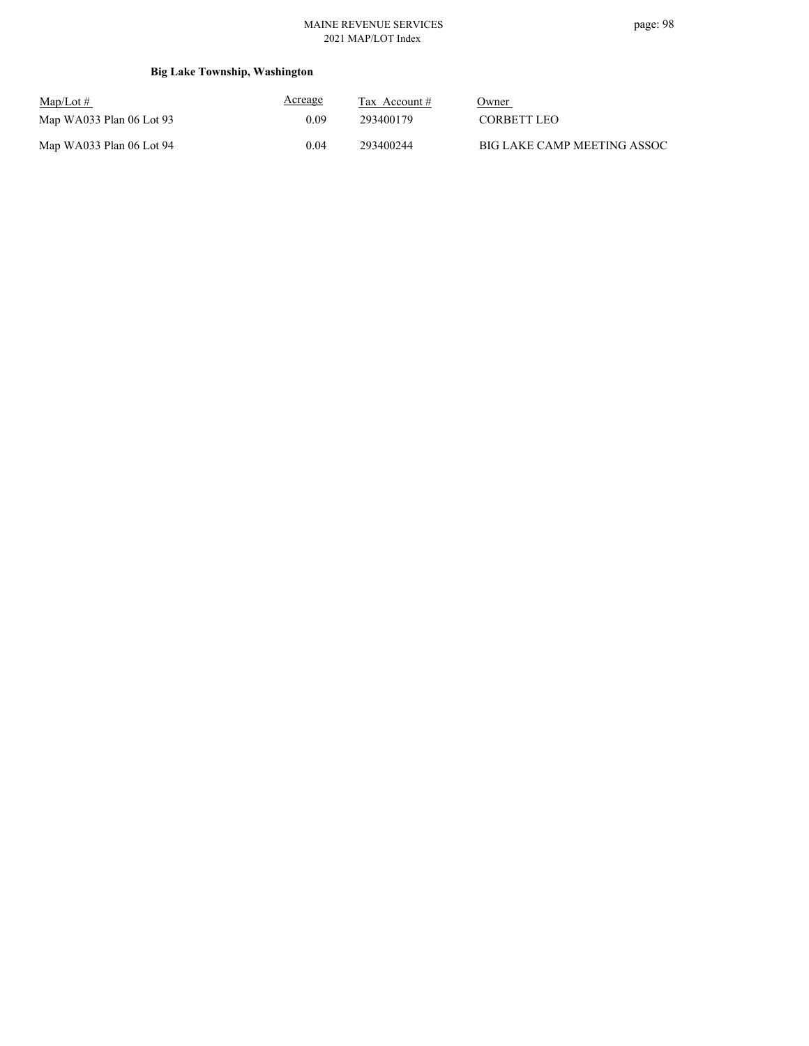### MAINE REVENUE SERVICES 2021 MAP/LOT Index

| $\text{Map/Lot} \#$        | <b>Acreage</b> | Tax Account # | Owner                       |
|----------------------------|----------------|---------------|-----------------------------|
| Map WA033 Plan $06$ Lot 93 | 0.09           | 293400179     | CORBETT LEO                 |
| Map WA033 Plan 06 Lot 94   | 0.04           | 293400244     | BIG LAKE CAMP MEETING ASSOC |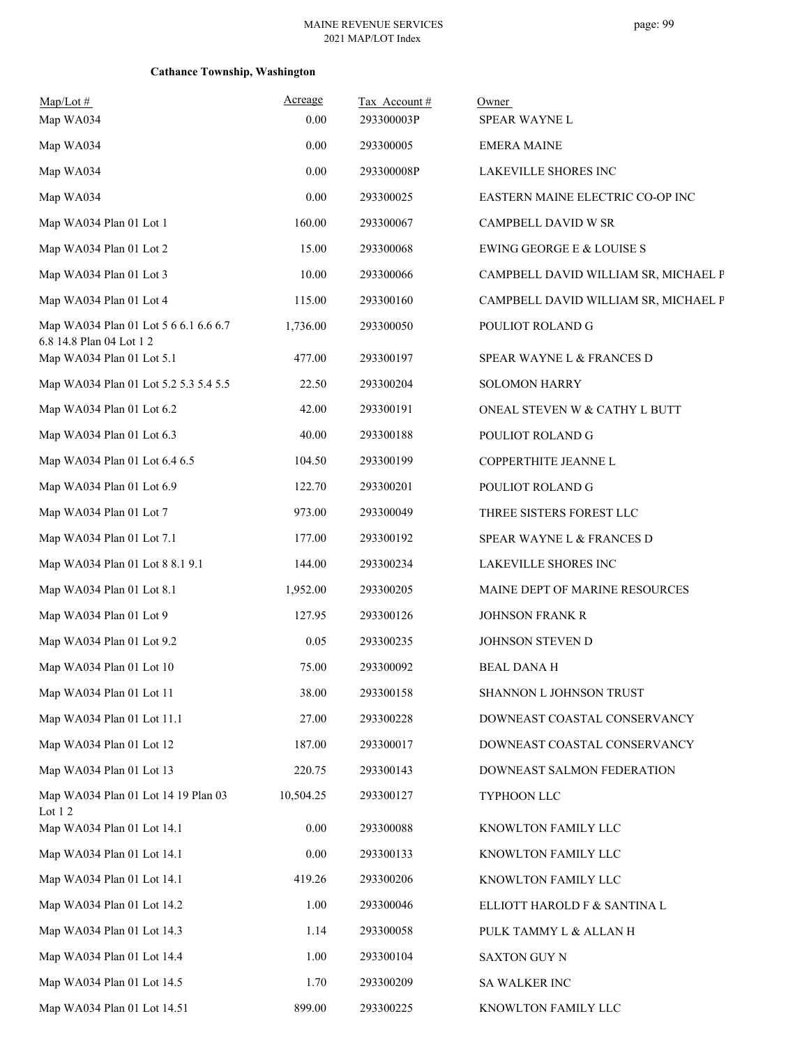| $Map/Lot \#$<br>Map WA034                                         | Acreage<br>0.00 | Tax Account#<br>293300003P | Owner<br>SPEAR WAYNE L               |
|-------------------------------------------------------------------|-----------------|----------------------------|--------------------------------------|
| Map WA034                                                         | 0.00            | 293300005                  | <b>EMERA MAINE</b>                   |
| Map WA034                                                         | 0.00            | 293300008P                 | LAKEVILLE SHORES INC                 |
| Map WA034                                                         | 0.00            | 293300025                  | EASTERN MAINE ELECTRIC CO-OP INC     |
| Map WA034 Plan 01 Lot 1                                           | 160.00          | 293300067                  | CAMPBELL DAVID W SR                  |
| Map WA034 Plan 01 Lot 2                                           | 15.00           | 293300068                  | EWING GEORGE E & LOUISE S            |
| Map WA034 Plan 01 Lot 3                                           | 10.00           | 293300066                  | CAMPBELL DAVID WILLIAM SR, MICHAEL P |
| Map WA034 Plan 01 Lot 4                                           | 115.00          | 293300160                  | CAMPBELL DAVID WILLIAM SR, MICHAEL P |
| Map WA034 Plan 01 Lot 5 6 6.1 6.6 6.7<br>6.8 14.8 Plan 04 Lot 1 2 | 1,736.00        | 293300050                  | POULIOT ROLAND G                     |
| Map WA034 Plan 01 Lot 5.1                                         | 477.00          | 293300197                  | SPEAR WAYNE L & FRANCES D            |
| Map WA034 Plan 01 Lot 5.2 5.3 5.4 5.5                             | 22.50           | 293300204                  | <b>SOLOMON HARRY</b>                 |
| Map WA034 Plan 01 Lot 6.2                                         | 42.00           | 293300191                  | ONEAL STEVEN W & CATHY L BUTT        |
| Map WA034 Plan 01 Lot 6.3                                         | 40.00           | 293300188                  | POULIOT ROLAND G                     |
| Map WA034 Plan 01 Lot 6.4 6.5                                     | 104.50          | 293300199                  | COPPERTHITE JEANNE L                 |
| Map WA034 Plan 01 Lot 6.9                                         | 122.70          | 293300201                  | POULIOT ROLAND G                     |
| Map WA034 Plan 01 Lot 7                                           | 973.00          | 293300049                  | THREE SISTERS FOREST LLC             |
| Map WA034 Plan 01 Lot 7.1                                         | 177.00          | 293300192                  | SPEAR WAYNE L & FRANCES D            |
| Map WA034 Plan 01 Lot 8 8.1 9.1                                   | 144.00          | 293300234                  | LAKEVILLE SHORES INC                 |
| Map WA034 Plan 01 Lot 8.1                                         | 1,952.00        | 293300205                  | MAINE DEPT OF MARINE RESOURCES       |
| Map WA034 Plan 01 Lot 9                                           | 127.95          | 293300126                  | <b>JOHNSON FRANK R</b>               |
| Map WA034 Plan 01 Lot 9.2                                         | 0.05            | 293300235                  | JOHNSON STEVEN D                     |
| Map WA034 Plan 01 Lot 10                                          | 75.00           | 293300092                  | <b>BEAL DANA H</b>                   |
| Map WA034 Plan 01 Lot 11                                          | 38.00           | 293300158                  | SHANNON L JOHNSON TRUST              |
| Map WA034 Plan 01 Lot 11.1                                        | 27.00           | 293300228                  | DOWNEAST COASTAL CONSERVANCY         |
| Map WA034 Plan 01 Lot 12                                          | 187.00          | 293300017                  | DOWNEAST COASTAL CONSERVANCY         |
| Map WA034 Plan 01 Lot 13                                          | 220.75          | 293300143                  | DOWNEAST SALMON FEDERATION           |
| Map WA034 Plan 01 Lot 14 19 Plan 03<br>Lot $12$                   | 10,504.25       | 293300127                  | TYPHOON LLC                          |
| Map WA034 Plan 01 Lot 14.1                                        | 0.00            | 293300088                  | KNOWLTON FAMILY LLC                  |
| Map WA034 Plan 01 Lot 14.1                                        | 0.00            | 293300133                  | KNOWLTON FAMILY LLC                  |
| Map WA034 Plan 01 Lot 14.1                                        | 419.26          | 293300206                  | KNOWLTON FAMILY LLC                  |
| Map WA034 Plan 01 Lot 14.2                                        | 1.00            | 293300046                  | ELLIOTT HAROLD F & SANTINA L         |
| Map WA034 Plan 01 Lot 14.3                                        | 1.14            | 293300058                  | PULK TAMMY L & ALLAN H               |
| Map WA034 Plan 01 Lot 14.4                                        | 1.00            | 293300104                  | <b>SAXTON GUY N</b>                  |
| Map WA034 Plan 01 Lot 14.5                                        | 1.70            | 293300209                  | SA WALKER INC                        |
| Map WA034 Plan 01 Lot 14.51                                       | 899.00          | 293300225                  | KNOWLTON FAMILY LLC                  |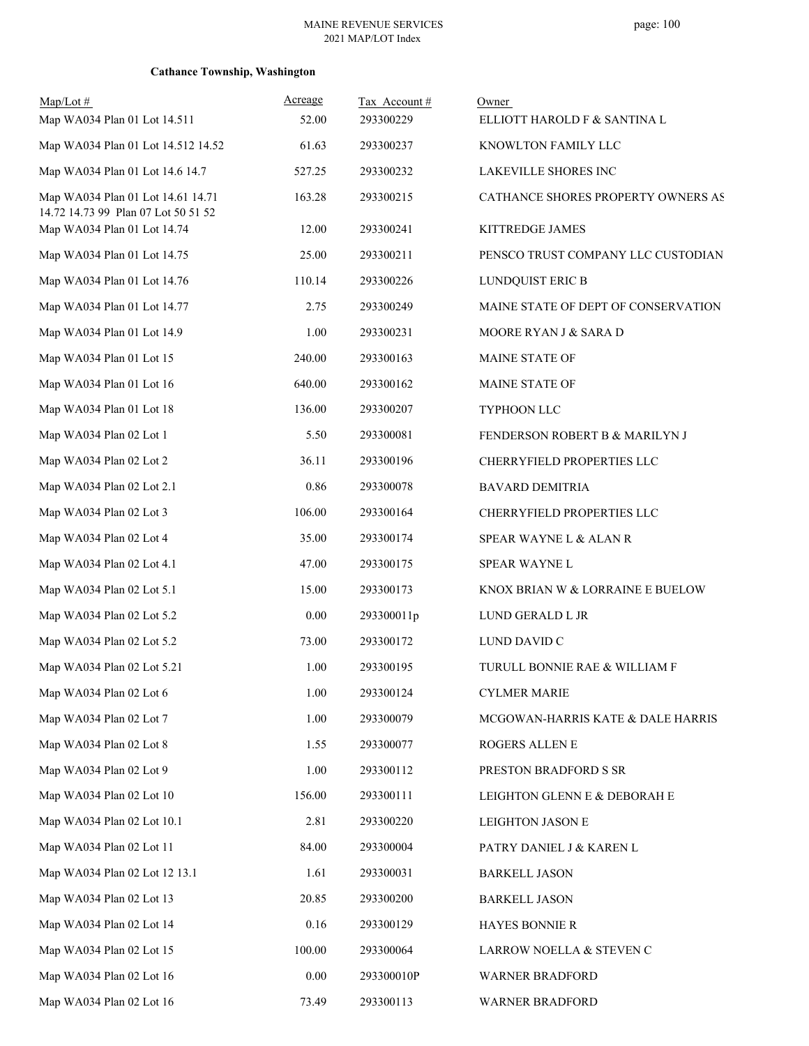| $Map/Lot \#$                                                             | Acreage  | Tax Account # | Owner                               |
|--------------------------------------------------------------------------|----------|---------------|-------------------------------------|
| Map WA034 Plan 01 Lot 14.511                                             | 52.00    | 293300229     | ELLIOTT HAROLD F & SANTINA L        |
| Map WA034 Plan 01 Lot 14.512 14.52                                       | 61.63    | 293300237     | KNOWLTON FAMILY LLC                 |
| Map WA034 Plan 01 Lot 14.6 14.7                                          | 527.25   | 293300232     | LAKEVILLE SHORES INC                |
| Map WA034 Plan 01 Lot 14.61 14.71<br>14.72 14.73 99 Plan 07 Lot 50 51 52 | 163.28   | 293300215     | CATHANCE SHORES PROPERTY OWNERS AS  |
| Map WA034 Plan 01 Lot 14.74                                              | 12.00    | 293300241     | KITTREDGE JAMES                     |
| Map WA034 Plan 01 Lot 14.75                                              | 25.00    | 293300211     | PENSCO TRUST COMPANY LLC CUSTODIAN  |
| Map WA034 Plan 01 Lot 14.76                                              | 110.14   | 293300226     | LUNDQUIST ERIC B                    |
| Map WA034 Plan 01 Lot 14.77                                              | 2.75     | 293300249     | MAINE STATE OF DEPT OF CONSERVATION |
| Map WA034 Plan 01 Lot 14.9                                               | 1.00     | 293300231     | MOORE RYAN J & SARA D               |
| Map WA034 Plan 01 Lot 15                                                 | 240.00   | 293300163     | MAINE STATE OF                      |
| Map WA034 Plan 01 Lot 16                                                 | 640.00   | 293300162     | MAINE STATE OF                      |
| Map WA034 Plan 01 Lot 18                                                 | 136.00   | 293300207     | TYPHOON LLC                         |
| Map WA034 Plan 02 Lot 1                                                  | 5.50     | 293300081     | FENDERSON ROBERT B & MARILYN J      |
| Map WA034 Plan 02 Lot 2                                                  | 36.11    | 293300196     | CHERRYFIELD PROPERTIES LLC          |
| Map WA034 Plan 02 Lot 2.1                                                | 0.86     | 293300078     | <b>BAVARD DEMITRIA</b>              |
| Map WA034 Plan 02 Lot 3                                                  | 106.00   | 293300164     | CHERRYFIELD PROPERTIES LLC          |
| Map WA034 Plan 02 Lot 4                                                  | 35.00    | 293300174     | SPEAR WAYNE L & ALAN R              |
| Map WA034 Plan 02 Lot 4.1                                                | 47.00    | 293300175     | SPEAR WAYNE L                       |
| Map WA034 Plan 02 Lot 5.1                                                | 15.00    | 293300173     | KNOX BRIAN W & LORRAINE E BUELOW    |
| Map WA034 Plan 02 Lot 5.2                                                | $0.00\,$ | 293300011p    | LUND GERALD L JR                    |
| Map WA034 Plan 02 Lot 5.2                                                | 73.00    | 293300172     | LUND DAVID C                        |
| Map WA034 Plan 02 Lot 5.21                                               | 1.00     | 293300195     | TURULL BONNIE RAE & WILLIAM F       |
| Map WA034 Plan 02 Lot 6                                                  | 1.00     | 293300124     | <b>CYLMER MARIE</b>                 |
| Map WA034 Plan 02 Lot 7                                                  | 1.00     | 293300079     | MCGOWAN-HARRIS KATE & DALE HARRIS   |
| Map WA034 Plan 02 Lot 8                                                  | 1.55     | 293300077     | ROGERS ALLEN E                      |
| Map WA034 Plan 02 Lot 9                                                  | 1.00     | 293300112     | PRESTON BRADFORD S SR               |
| Map WA034 Plan 02 Lot 10                                                 | 156.00   | 293300111     | LEIGHTON GLENN E & DEBORAH E        |
| Map WA034 Plan 02 Lot 10.1                                               | 2.81     | 293300220     | LEIGHTON JASON E                    |
| Map WA034 Plan 02 Lot 11                                                 | 84.00    | 293300004     | PATRY DANIEL J & KAREN L            |
| Map WA034 Plan 02 Lot 12 13.1                                            | 1.61     | 293300031     | <b>BARKELL JASON</b>                |
| Map WA034 Plan 02 Lot 13                                                 | 20.85    | 293300200     | <b>BARKELL JASON</b>                |
| Map WA034 Plan 02 Lot 14                                                 | 0.16     | 293300129     | HAYES BONNIE R                      |
| Map WA034 Plan 02 Lot 15                                                 | 100.00   | 293300064     | LARROW NOELLA & STEVEN C            |
| Map WA034 Plan 02 Lot 16                                                 | $0.00\,$ | 293300010P    | WARNER BRADFORD                     |
| Map WA034 Plan 02 Lot 16                                                 | 73.49    | 293300113     | WARNER BRADFORD                     |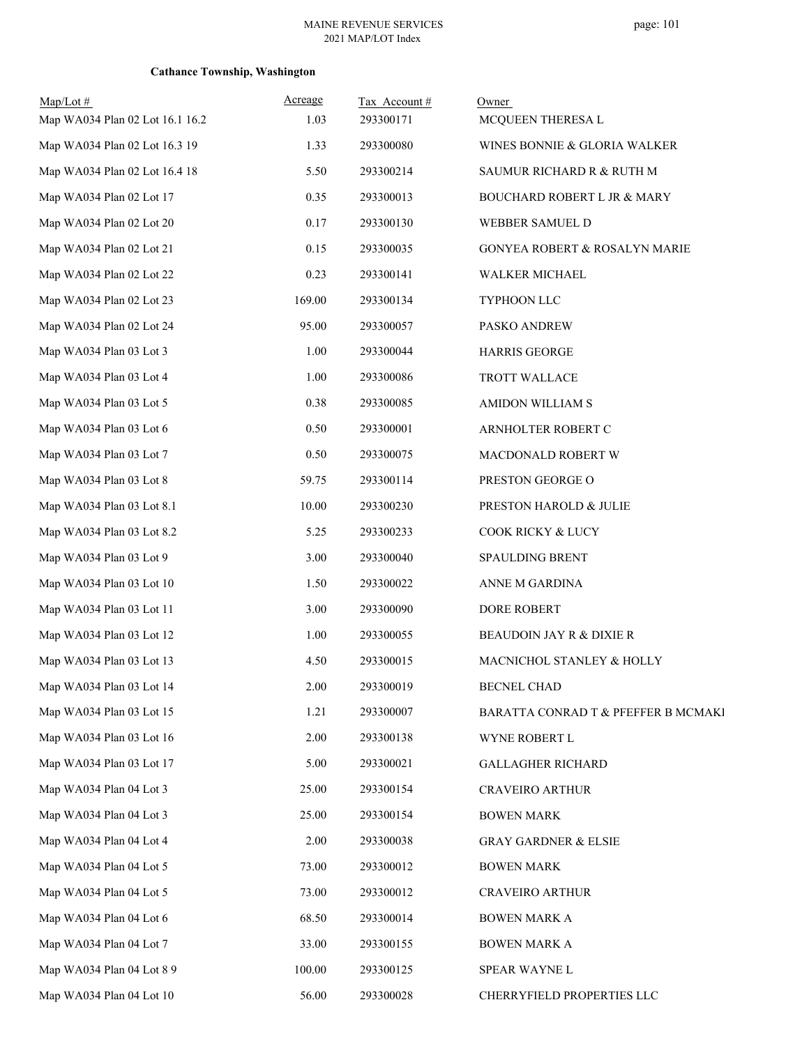| $Map/Lot \#$<br>Map WA034 Plan 02 Lot 16.1 16.2 | Acreage<br>1.03 | Tax Account#<br>293300171 | Owner<br>MCQUEEN THERESA L             |
|-------------------------------------------------|-----------------|---------------------------|----------------------------------------|
| Map WA034 Plan 02 Lot 16.3 19                   | 1.33            | 293300080                 | WINES BONNIE & GLORIA WALKER           |
| Map WA034 Plan 02 Lot 16.4 18                   | 5.50            | 293300214                 | SAUMUR RICHARD R & RUTH M              |
| Map WA034 Plan 02 Lot 17                        | 0.35            | 293300013                 | <b>BOUCHARD ROBERT L JR &amp; MARY</b> |
| Map WA034 Plan 02 Lot 20                        | 0.17            | 293300130                 | WEBBER SAMUEL D                        |
| Map WA034 Plan 02 Lot 21                        | 0.15            | 293300035                 | GONYEA ROBERT & ROSALYN MARIE          |
| Map WA034 Plan 02 Lot 22                        | 0.23            | 293300141                 | WALKER MICHAEL                         |
| Map WA034 Plan 02 Lot 23                        | 169.00          | 293300134                 | TYPHOON LLC                            |
| Map WA034 Plan 02 Lot 24                        | 95.00           | 293300057                 | PASKO ANDREW                           |
| Map WA034 Plan 03 Lot 3                         | 1.00            | 293300044                 | <b>HARRIS GEORGE</b>                   |
| Map WA034 Plan 03 Lot 4                         | 1.00            | 293300086                 | TROTT WALLACE                          |
| Map WA034 Plan 03 Lot 5                         | 0.38            | 293300085                 | AMIDON WILLIAM S                       |
| Map WA034 Plan 03 Lot 6                         | 0.50            | 293300001                 | ARNHOLTER ROBERT C                     |
| Map WA034 Plan 03 Lot 7                         | 0.50            | 293300075                 | MACDONALD ROBERT W                     |
| Map WA034 Plan 03 Lot 8                         | 59.75           | 293300114                 | PRESTON GEORGE O                       |
| Map WA034 Plan 03 Lot 8.1                       | 10.00           | 293300230                 | PRESTON HAROLD & JULIE                 |
| Map WA034 Plan 03 Lot 8.2                       | 5.25            | 293300233                 | COOK RICKY & LUCY                      |
| Map WA034 Plan 03 Lot 9                         | 3.00            | 293300040                 | <b>SPAULDING BRENT</b>                 |
| Map WA034 Plan 03 Lot 10                        | 1.50            | 293300022                 | ANNE M GARDINA                         |
| Map WA034 Plan 03 Lot 11                        | 3.00            | 293300090                 | DORE ROBERT                            |
| Map WA034 Plan 03 Lot 12                        | 1.00            | 293300055                 | BEAUDOIN JAY R & DIXIE R               |
| Map WA034 Plan 03 Lot 13                        | 4.50            | 293300015                 | MACNICHOL STANLEY & HOLLY              |
| Map WA034 Plan 03 Lot 14                        | 2.00            | 293300019                 | <b>BECNEL CHAD</b>                     |
| Map WA034 Plan 03 Lot 15                        | 1.21            | 293300007                 | BARATTA CONRAD T & PFEFFER B MCMAKI    |
| Map WA034 Plan 03 Lot 16                        | 2.00            | 293300138                 | WYNE ROBERT L                          |
| Map WA034 Plan 03 Lot 17                        | 5.00            | 293300021                 | <b>GALLAGHER RICHARD</b>               |
| Map WA034 Plan 04 Lot 3                         | 25.00           | 293300154                 | <b>CRAVEIRO ARTHUR</b>                 |
| Map WA034 Plan 04 Lot 3                         | 25.00           | 293300154                 | <b>BOWEN MARK</b>                      |
| Map WA034 Plan 04 Lot 4                         | 2.00            | 293300038                 | <b>GRAY GARDNER &amp; ELSIE</b>        |
| Map WA034 Plan 04 Lot 5                         | 73.00           | 293300012                 | <b>BOWEN MARK</b>                      |
| Map WA034 Plan 04 Lot 5                         | 73.00           | 293300012                 | <b>CRAVEIRO ARTHUR</b>                 |
| Map WA034 Plan 04 Lot 6                         | 68.50           | 293300014                 | <b>BOWEN MARK A</b>                    |
| Map WA034 Plan 04 Lot 7                         | 33.00           | 293300155                 | <b>BOWEN MARK A</b>                    |
| Map WA034 Plan 04 Lot 8 9                       | 100.00          | 293300125                 | SPEAR WAYNE L                          |
| Map WA034 Plan 04 Lot 10                        | 56.00           | 293300028                 | CHERRYFIELD PROPERTIES LLC             |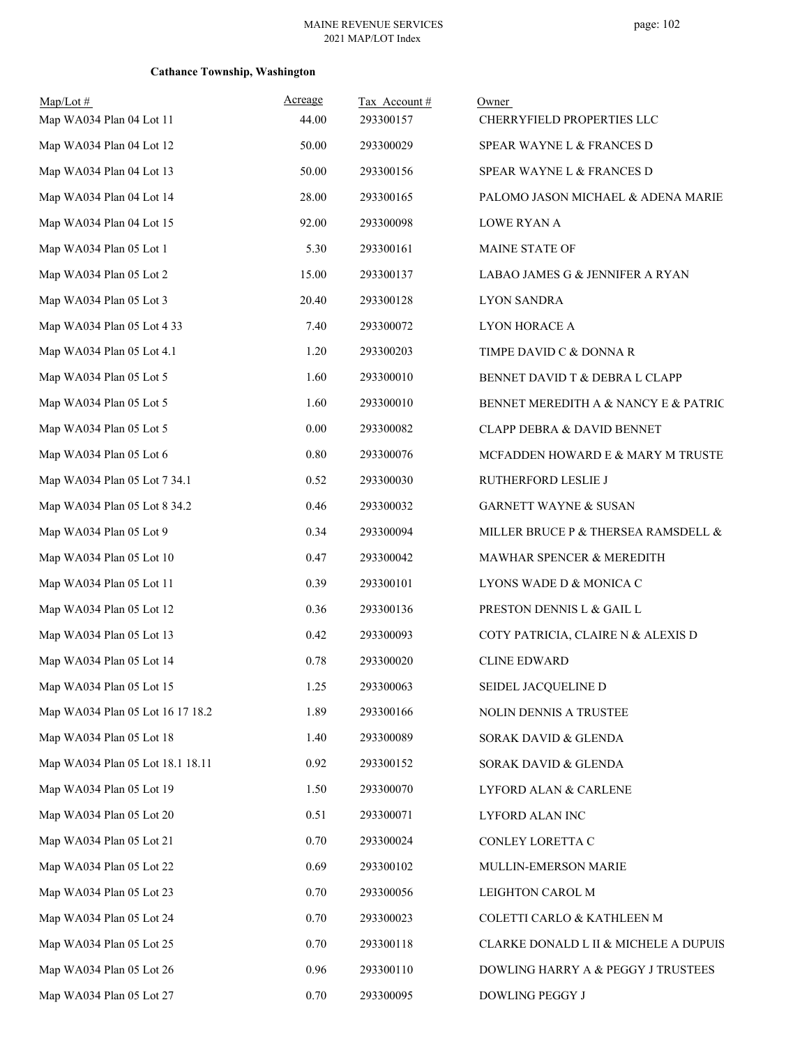| $Map/Lot$ #                      | Acreage | Tax Account# | Owner                                 |
|----------------------------------|---------|--------------|---------------------------------------|
| Map WA034 Plan 04 Lot 11         | 44.00   | 293300157    | CHERRYFIELD PROPERTIES LLC            |
| Map WA034 Plan 04 Lot 12         | 50.00   | 293300029    | SPEAR WAYNE L & FRANCES D             |
| Map WA034 Plan 04 Lot 13         | 50.00   | 293300156    | SPEAR WAYNE L & FRANCES D             |
| Map WA034 Plan 04 Lot 14         | 28.00   | 293300165    | PALOMO JASON MICHAEL & ADENA MARIE    |
| Map WA034 Plan 04 Lot 15         | 92.00   | 293300098    | <b>LOWE RYAN A</b>                    |
| Map WA034 Plan 05 Lot 1          | 5.30    | 293300161    | MAINE STATE OF                        |
| Map WA034 Plan 05 Lot 2          | 15.00   | 293300137    | LABAO JAMES G & JENNIFER A RYAN       |
| Map WA034 Plan 05 Lot 3          | 20.40   | 293300128    | <b>LYON SANDRA</b>                    |
| Map WA034 Plan 05 Lot 4 33       | 7.40    | 293300072    | LYON HORACE A                         |
| Map WA034 Plan 05 Lot 4.1        | 1.20    | 293300203    | TIMPE DAVID C & DONNA R               |
| Map WA034 Plan 05 Lot 5          | 1.60    | 293300010    | BENNET DAVID T & DEBRA L CLAPP        |
| Map WA034 Plan 05 Lot 5          | 1.60    | 293300010    | BENNET MEREDITH A & NANCY E & PATRIC  |
| Map WA034 Plan 05 Lot 5          | 0.00    | 293300082    | CLAPP DEBRA & DAVID BENNET            |
| Map WA034 Plan 05 Lot 6          | 0.80    | 293300076    | MCFADDEN HOWARD E & MARY M TRUSTE     |
| Map WA034 Plan 05 Lot 7 34.1     | 0.52    | 293300030    | RUTHERFORD LESLIE J                   |
| Map WA034 Plan 05 Lot 8 34.2     | 0.46    | 293300032    | <b>GARNETT WAYNE &amp; SUSAN</b>      |
| Map WA034 Plan 05 Lot 9          | 0.34    | 293300094    | MILLER BRUCE P & THERSEA RAMSDELL &   |
| Map WA034 Plan 05 Lot 10         | 0.47    | 293300042    | MAWHAR SPENCER & MEREDITH             |
| Map WA034 Plan 05 Lot 11         | 0.39    | 293300101    | LYONS WADE D & MONICA C               |
| Map WA034 Plan 05 Lot 12         | 0.36    | 293300136    | PRESTON DENNIS L & GAIL L             |
| Map WA034 Plan 05 Lot 13         | 0.42    | 293300093    | COTY PATRICIA, CLAIRE N & ALEXIS D    |
| Map WA034 Plan 05 Lot 14         | 0.78    | 293300020    | <b>CLINE EDWARD</b>                   |
| Map WA034 Plan 05 Lot 15         | 1.25    | 293300063    | SEIDEL JACQUELINE D                   |
| Map WA034 Plan 05 Lot 16 17 18.2 | 1.89    | 293300166    | NOLIN DENNIS A TRUSTEE                |
| Map WA034 Plan 05 Lot 18         | 1.40    | 293300089    | SORAK DAVID & GLENDA                  |
| Map WA034 Plan 05 Lot 18.1 18.11 | 0.92    | 293300152    | SORAK DAVID & GLENDA                  |
| Map WA034 Plan 05 Lot 19         | 1.50    | 293300070    | LYFORD ALAN & CARLENE                 |
| Map WA034 Plan 05 Lot 20         | 0.51    | 293300071    | LYFORD ALAN INC                       |
| Map WA034 Plan 05 Lot 21         | 0.70    | 293300024    | CONLEY LORETTA C                      |
| Map WA034 Plan 05 Lot 22         | 0.69    | 293300102    | MULLIN-EMERSON MARIE                  |
| Map WA034 Plan 05 Lot 23         | 0.70    | 293300056    | LEIGHTON CAROL M                      |
| Map WA034 Plan 05 Lot 24         | 0.70    | 293300023    | COLETTI CARLO & KATHLEEN M            |
| Map WA034 Plan 05 Lot 25         | 0.70    | 293300118    | CLARKE DONALD L II & MICHELE A DUPUIS |
| Map WA034 Plan 05 Lot 26         | 0.96    | 293300110    | DOWLING HARRY A & PEGGY J TRUSTEES    |
| Map WA034 Plan 05 Lot 27         | 0.70    | 293300095    | DOWLING PEGGY J                       |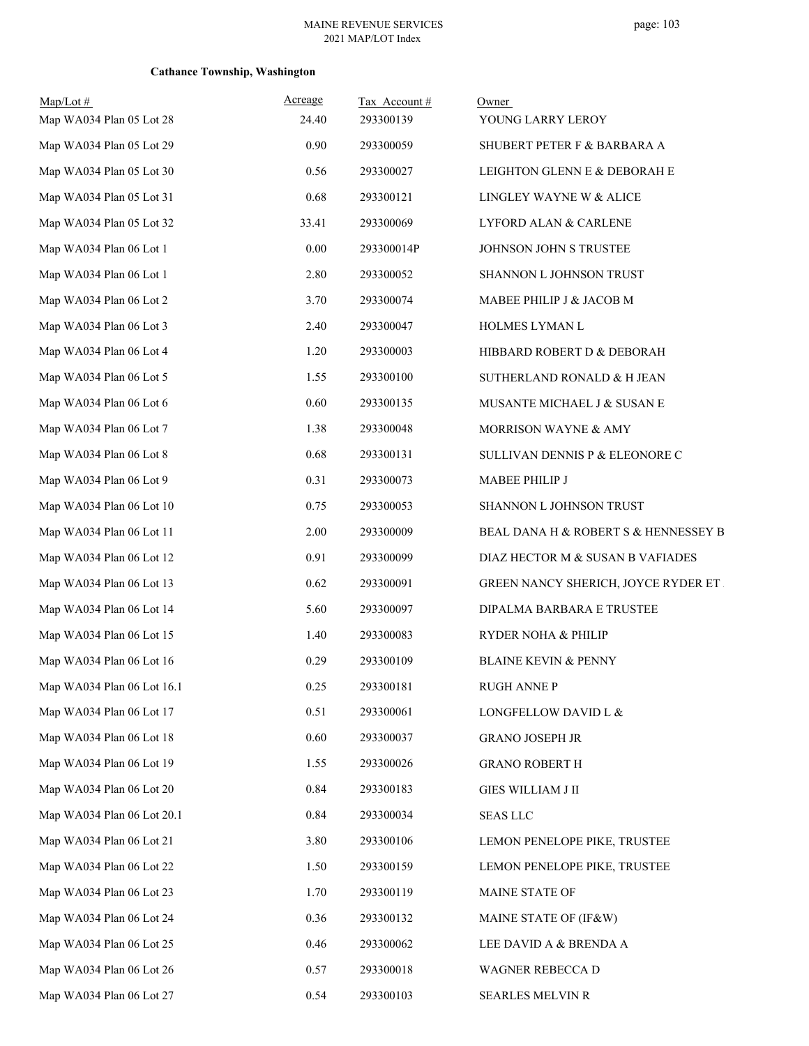| Map/Lot#<br>Map WA034 Plan 05 Lot 28 | <u>Acreage</u><br>24.40 | Tax Account#<br>293300139 | Owner<br>YOUNG LARRY LEROY           |
|--------------------------------------|-------------------------|---------------------------|--------------------------------------|
| Map WA034 Plan 05 Lot 29             | 0.90                    | 293300059                 | SHUBERT PETER F & BARBARA A          |
| Map WA034 Plan 05 Lot 30             | 0.56                    | 293300027                 | LEIGHTON GLENN E & DEBORAH E         |
| Map WA034 Plan 05 Lot 31             | 0.68                    | 293300121                 | LINGLEY WAYNE W & ALICE              |
| Map WA034 Plan 05 Lot 32             | 33.41                   | 293300069                 | LYFORD ALAN & CARLENE                |
| Map WA034 Plan 06 Lot 1              | 0.00                    | 293300014P                | JOHNSON JOHN S TRUSTEE               |
| Map WA034 Plan 06 Lot 1              | 2.80                    | 293300052                 | SHANNON L JOHNSON TRUST              |
| Map WA034 Plan 06 Lot 2              | 3.70                    | 293300074                 | MABEE PHILIP J & JACOB M             |
| Map WA034 Plan 06 Lot 3              | 2.40                    | 293300047                 | HOLMES LYMAN L                       |
| Map WA034 Plan 06 Lot 4              | 1.20                    | 293300003                 | HIBBARD ROBERT D & DEBORAH           |
| Map WA034 Plan 06 Lot 5              | 1.55                    | 293300100                 | SUTHERLAND RONALD & H JEAN           |
| Map WA034 Plan 06 Lot 6              | 0.60                    | 293300135                 | MUSANTE MICHAEL J & SUSAN E          |
| Map WA034 Plan 06 Lot 7              | 1.38                    | 293300048                 | MORRISON WAYNE & AMY                 |
| Map WA034 Plan 06 Lot 8              | 0.68                    | 293300131                 | SULLIVAN DENNIS P & ELEONORE C       |
| Map WA034 Plan 06 Lot 9              | 0.31                    | 293300073                 | MABEE PHILIP J                       |
| Map WA034 Plan 06 Lot 10             | 0.75                    | 293300053                 | SHANNON L JOHNSON TRUST              |
| Map WA034 Plan 06 Lot 11             | 2.00                    | 293300009                 | BEAL DANA H & ROBERT S & HENNESSEY B |
| Map WA034 Plan 06 Lot 12             | 0.91                    | 293300099                 | DIAZ HECTOR M & SUSAN B VAFIADES     |
| Map WA034 Plan 06 Lot 13             | 0.62                    | 293300091                 | GREEN NANCY SHERICH, JOYCE RYDER ET. |
| Map WA034 Plan 06 Lot 14             | 5.60                    | 293300097                 | DIPALMA BARBARA E TRUSTEE            |
| Map WA034 Plan 06 Lot 15             | 1.40                    | 293300083                 | RYDER NOHA & PHILIP                  |
| Map WA034 Plan 06 Lot 16             | 0.29                    | 293300109                 | <b>BLAINE KEVIN &amp; PENNY</b>      |
| Map WA034 Plan 06 Lot 16.1           | 0.25                    | 293300181                 | <b>RUGH ANNE P</b>                   |
| Map WA034 Plan 06 Lot 17             | 0.51                    | 293300061                 | LONGFELLOW DAVID L &                 |
| Map WA034 Plan 06 Lot 18             | 0.60                    | 293300037                 | <b>GRANO JOSEPH JR</b>               |
| Map WA034 Plan 06 Lot 19             | 1.55                    | 293300026                 | <b>GRANO ROBERT H</b>                |
| Map WA034 Plan 06 Lot 20             | 0.84                    | 293300183                 | <b>GIES WILLIAM J II</b>             |
| Map WA034 Plan 06 Lot 20.1           | 0.84                    | 293300034                 | <b>SEAS LLC</b>                      |
| Map WA034 Plan 06 Lot 21             | 3.80                    | 293300106                 | LEMON PENELOPE PIKE, TRUSTEE         |
| Map WA034 Plan 06 Lot 22             | 1.50                    | 293300159                 | LEMON PENELOPE PIKE, TRUSTEE         |
| Map WA034 Plan 06 Lot 23             | 1.70                    | 293300119                 | MAINE STATE OF                       |
| Map WA034 Plan 06 Lot 24             | 0.36                    | 293300132                 | MAINE STATE OF (IF&W)                |
| Map WA034 Plan 06 Lot 25             | 0.46                    | 293300062                 | LEE DAVID A & BRENDA A               |
| Map WA034 Plan 06 Lot 26             | 0.57                    | 293300018                 | WAGNER REBECCA D                     |
| Map WA034 Plan 06 Lot 27             | 0.54                    | 293300103                 | SEARLES MELVIN R                     |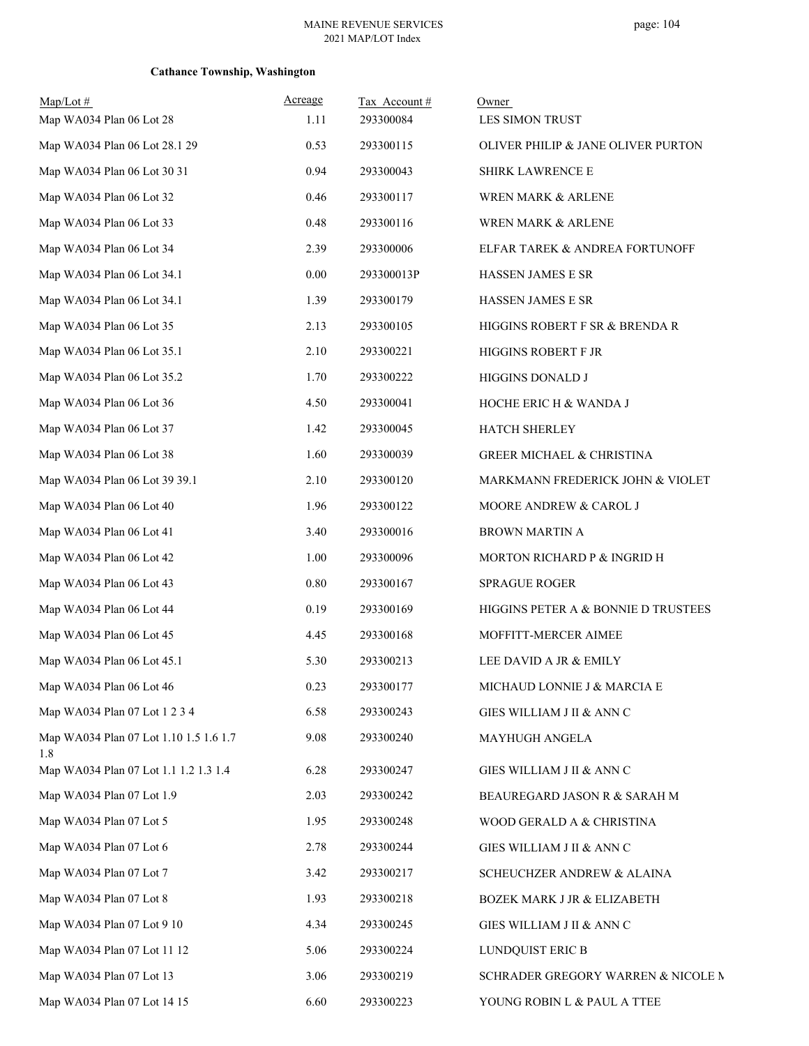| $Map/Lot \#$<br>Map WA034 Plan 06 Lot 28      | Acreage<br>1.11 | Tax Account#<br>293300084 | Owner<br>LES SIMON TRUST             |
|-----------------------------------------------|-----------------|---------------------------|--------------------------------------|
| Map WA034 Plan 06 Lot 28.1 29                 | 0.53            | 293300115                 | OLIVER PHILIP & JANE OLIVER PURTON   |
| Map WA034 Plan 06 Lot 30 31                   | 0.94            | 293300043                 | SHIRK LAWRENCE E                     |
| Map WA034 Plan 06 Lot 32                      | 0.46            | 293300117                 | WREN MARK & ARLENE                   |
| Map WA034 Plan 06 Lot 33                      | 0.48            | 293300116                 | WREN MARK & ARLENE                   |
| Map WA034 Plan 06 Lot 34                      | 2.39            | 293300006                 | ELFAR TAREK & ANDREA FORTUNOFF       |
| Map WA034 Plan 06 Lot 34.1                    | 0.00            | 293300013P                | <b>HASSEN JAMES E SR</b>             |
| Map WA034 Plan 06 Lot 34.1                    | 1.39            | 293300179                 | HASSEN JAMES E SR                    |
| Map WA034 Plan 06 Lot 35                      | 2.13            | 293300105                 | HIGGINS ROBERT F SR & BRENDA R       |
| Map WA034 Plan 06 Lot 35.1                    | 2.10            | 293300221                 | HIGGINS ROBERT F JR                  |
| Map WA034 Plan 06 Lot 35.2                    | 1.70            | 293300222                 | HIGGINS DONALD J                     |
| Map WA034 Plan 06 Lot 36                      | 4.50            | 293300041                 | HOCHE ERIC H & WANDA J               |
| Map WA034 Plan 06 Lot 37                      | 1.42            | 293300045                 | HATCH SHERLEY                        |
| Map WA034 Plan 06 Lot 38                      | 1.60            | 293300039                 | <b>GREER MICHAEL &amp; CHRISTINA</b> |
| Map WA034 Plan 06 Lot 39 39.1                 | 2.10            | 293300120                 | MARKMANN FREDERICK JOHN & VIOLET     |
| Map WA034 Plan 06 Lot 40                      | 1.96            | 293300122                 | MOORE ANDREW & CAROL J               |
| Map WA034 Plan 06 Lot 41                      | 3.40            | 293300016                 | <b>BROWN MARTIN A</b>                |
| Map WA034 Plan 06 Lot 42                      | 1.00            | 293300096                 | MORTON RICHARD P & INGRID H          |
| Map WA034 Plan 06 Lot 43                      | $0.80\,$        | 293300167                 | <b>SPRAGUE ROGER</b>                 |
| Map WA034 Plan 06 Lot 44                      | 0.19            | 293300169                 | HIGGINS PETER A & BONNIE D TRUSTEES  |
| Map WA034 Plan 06 Lot 45                      | 4.45            | 293300168                 | MOFFITT-MERCER AIMEE                 |
| Map WA034 Plan 06 Lot 45.1                    | 5.30            | 293300213                 | LEE DAVID A JR & EMILY               |
| Map WA034 Plan 06 Lot 46                      | 0.23            | 293300177                 | MICHAUD LONNIE J & MARCIA E          |
| Map WA034 Plan 07 Lot 1 2 3 4                 | 6.58            | 293300243                 | GIES WILLIAM J II & ANN C            |
| Map WA034 Plan 07 Lot 1.10 1.5 1.6 1.7<br>1.8 | 9.08            | 293300240                 | MAYHUGH ANGELA                       |
| Map WA034 Plan 07 Lot 1.1 1.2 1.3 1.4         | 6.28            | 293300247                 | GIES WILLIAM J II & ANN C            |
| Map WA034 Plan 07 Lot 1.9                     | 2.03            | 293300242                 | BEAUREGARD JASON R & SARAH M         |
| Map WA034 Plan 07 Lot 5                       | 1.95            | 293300248                 | WOOD GERALD A & CHRISTINA            |
| Map WA034 Plan 07 Lot 6                       | 2.78            | 293300244                 | GIES WILLIAM J II & ANN C            |
| Map WA034 Plan 07 Lot 7                       | 3.42            | 293300217                 | SCHEUCHZER ANDREW & ALAINA           |
| Map WA034 Plan 07 Lot 8                       | 1.93            | 293300218                 | BOZEK MARK J JR & ELIZABETH          |
| Map WA034 Plan 07 Lot 9 10                    | 4.34            | 293300245                 | GIES WILLIAM J II & ANN C            |
| Map WA034 Plan 07 Lot 11 12                   | 5.06            | 293300224                 | LUNDQUIST ERIC B                     |
| Map WA034 Plan 07 Lot 13                      | 3.06            | 293300219                 | SCHRADER GREGORY WARREN & NICOLE M   |
| Map WA034 Plan 07 Lot 14 15                   | 6.60            | 293300223                 | YOUNG ROBIN L & PAUL A TTEE          |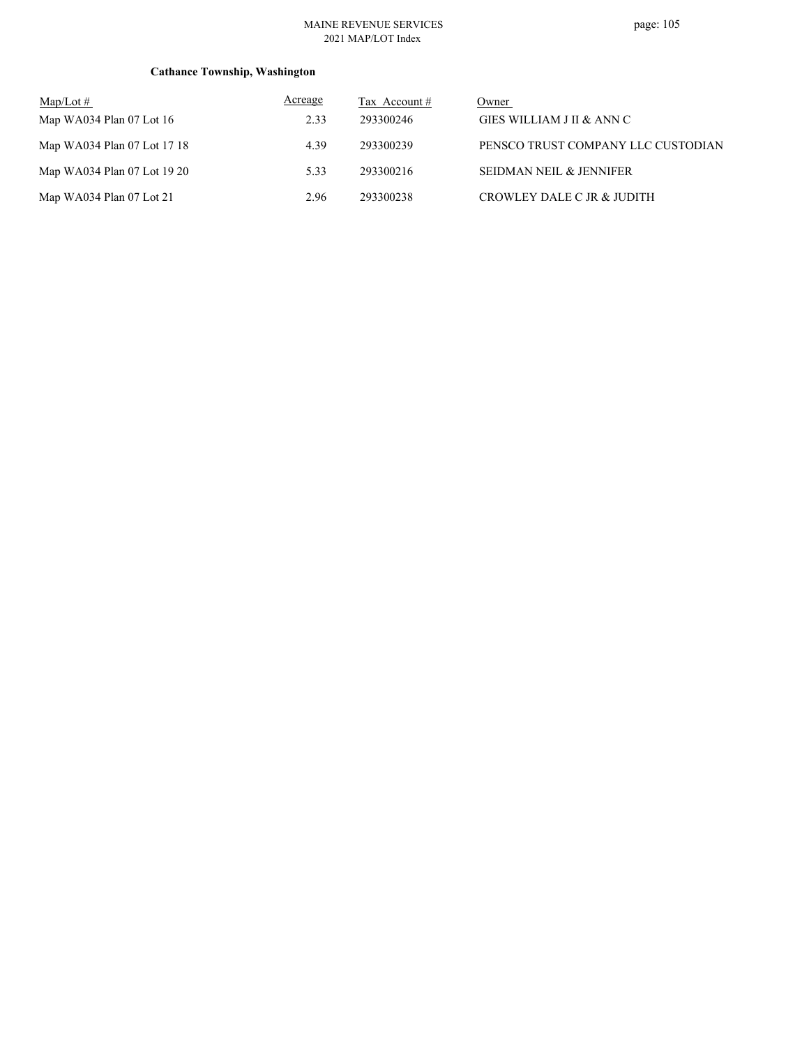### MAINE REVENUE SERVICES 2021 MAP/LOT Index

| $\text{Map/Lot} \#$          | Acreage | Tax Account # | Owner                              |
|------------------------------|---------|---------------|------------------------------------|
| Map WA034 Plan $07$ Lot $16$ | 2.33    | 293300246     | GIES WILLIAM J II & ANN C          |
| Map WA034 Plan 07 Lot 17 18  | 4.39    | 293300239     | PENSCO TRUST COMPANY LLC CUSTODIAN |
| Map WA034 Plan 07 Lot 19 20  | 5.33    | 293300216     | SEIDMAN NEIL & JENNIFER            |
| Map WA034 Plan $07$ Lot $21$ | 2.96    | 293300238     | CROWLEY DALE C JR & JUDITH         |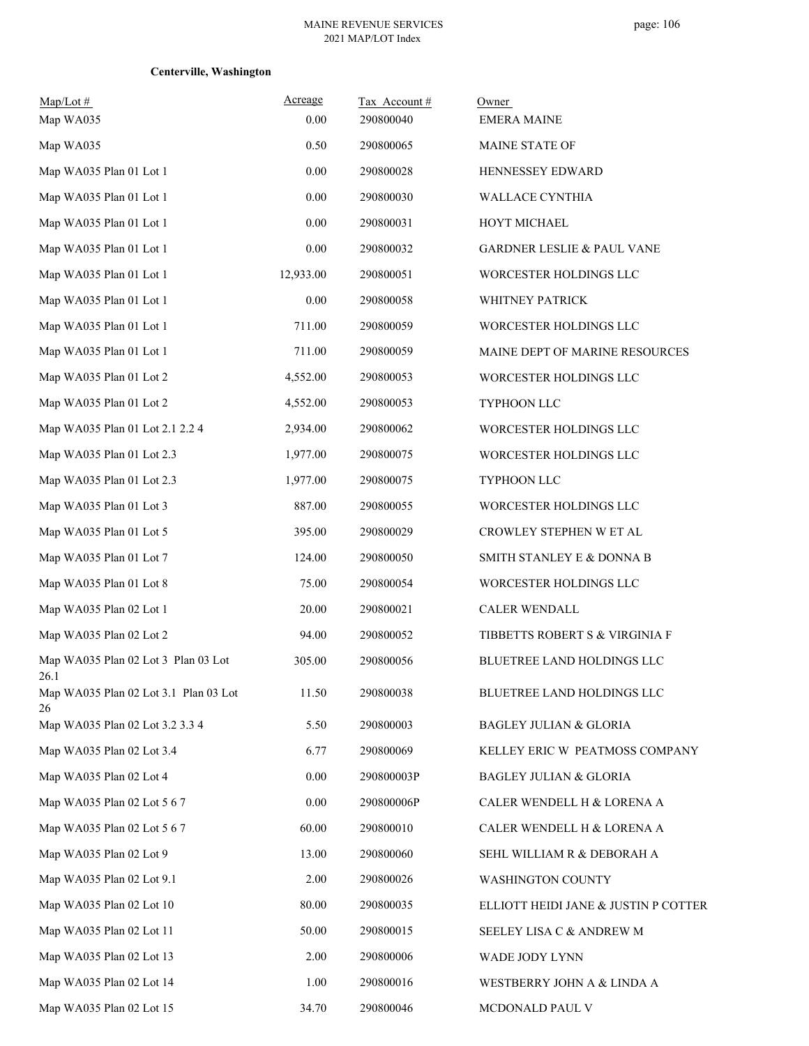# **Centerville, Washington**

| $Map/Lot \#$                                | Acreage   | Tax Account # | Owner                                 |
|---------------------------------------------|-----------|---------------|---------------------------------------|
| Map WA035                                   | 0.00      | 290800040     | <b>EMERA MAINE</b>                    |
| Map WA035                                   | 0.50      | 290800065     | MAINE STATE OF                        |
| Map WA035 Plan 01 Lot 1                     | $0.00\,$  | 290800028     | HENNESSEY EDWARD                      |
| Map WA035 Plan 01 Lot 1                     | 0.00      | 290800030     | WALLACE CYNTHIA                       |
| Map WA035 Plan 01 Lot 1                     | 0.00      | 290800031     | HOYT MICHAEL                          |
| Map WA035 Plan 01 Lot 1                     | 0.00      | 290800032     | <b>GARDNER LESLIE &amp; PAUL VANE</b> |
| Map WA035 Plan 01 Lot 1                     | 12,933.00 | 290800051     | WORCESTER HOLDINGS LLC                |
| Map WA035 Plan 01 Lot 1                     | 0.00      | 290800058     | WHITNEY PATRICK                       |
| Map WA035 Plan 01 Lot 1                     | 711.00    | 290800059     | WORCESTER HOLDINGS LLC                |
| Map WA035 Plan 01 Lot 1                     | 711.00    | 290800059     | MAINE DEPT OF MARINE RESOURCES        |
| Map WA035 Plan 01 Lot 2                     | 4,552.00  | 290800053     | WORCESTER HOLDINGS LLC                |
| Map WA035 Plan 01 Lot 2                     | 4,552.00  | 290800053     | TYPHOON LLC                           |
| Map WA035 Plan 01 Lot 2.1 2.2 4             | 2,934.00  | 290800062     | WORCESTER HOLDINGS LLC                |
| Map WA035 Plan 01 Lot 2.3                   | 1,977.00  | 290800075     | WORCESTER HOLDINGS LLC                |
| Map WA035 Plan 01 Lot 2.3                   | 1,977.00  | 290800075     | TYPHOON LLC                           |
| Map WA035 Plan 01 Lot 3                     | 887.00    | 290800055     | WORCESTER HOLDINGS LLC                |
| Map WA035 Plan 01 Lot 5                     | 395.00    | 290800029     | CROWLEY STEPHEN W ET AL               |
| Map WA035 Plan 01 Lot 7                     | 124.00    | 290800050     | SMITH STANLEY E & DONNA B             |
| Map WA035 Plan 01 Lot 8                     | 75.00     | 290800054     | WORCESTER HOLDINGS LLC                |
| Map WA035 Plan 02 Lot 1                     | 20.00     | 290800021     | <b>CALER WENDALL</b>                  |
| Map WA035 Plan 02 Lot 2                     | 94.00     | 290800052     | TIBBETTS ROBERT S & VIRGINIA F        |
| Map WA035 Plan 02 Lot 3 Plan 03 Lot<br>26.1 | 305.00    | 290800056     | <b>BLUETREE LAND HOLDINGS LLC</b>     |
| Map WA035 Plan 02 Lot 3.1 Plan 03 Lot<br>26 | 11.50     | 290800038     | BLUETREE LAND HOLDINGS LLC            |
| Map WA035 Plan 02 Lot 3.2 3.3 4             | 5.50      | 290800003     | <b>BAGLEY JULIAN &amp; GLORIA</b>     |
| Map WA035 Plan 02 Lot 3.4                   | 6.77      | 290800069     | KELLEY ERIC W PEATMOSS COMPANY        |
| Map WA035 Plan 02 Lot 4                     | 0.00      | 290800003P    | <b>BAGLEY JULIAN &amp; GLORIA</b>     |
| Map WA035 Plan 02 Lot 5 6 7                 | 0.00      | 290800006P    | CALER WENDELL H & LORENA A            |
| Map WA035 Plan 02 Lot 5 6 7                 | 60.00     | 290800010     | CALER WENDELL H & LORENA A            |
| Map WA035 Plan 02 Lot 9                     | 13.00     | 290800060     | SEHL WILLIAM R & DEBORAH A            |
| Map WA035 Plan 02 Lot 9.1                   | 2.00      | 290800026     | <b>WASHINGTON COUNTY</b>              |
| Map WA035 Plan 02 Lot 10                    | 80.00     | 290800035     | ELLIOTT HEIDI JANE & JUSTIN P COTTER  |
| Map WA035 Plan 02 Lot 11                    | 50.00     | 290800015     | SEELEY LISA C & ANDREW M              |
| Map WA035 Plan 02 Lot 13                    | 2.00      | 290800006     | WADE JODY LYNN                        |
| Map WA035 Plan 02 Lot 14                    | 1.00      | 290800016     | WESTBERRY JOHN A & LINDA A            |
| Map WA035 Plan 02 Lot 15                    | 34.70     | 290800046     | MCDONALD PAUL V                       |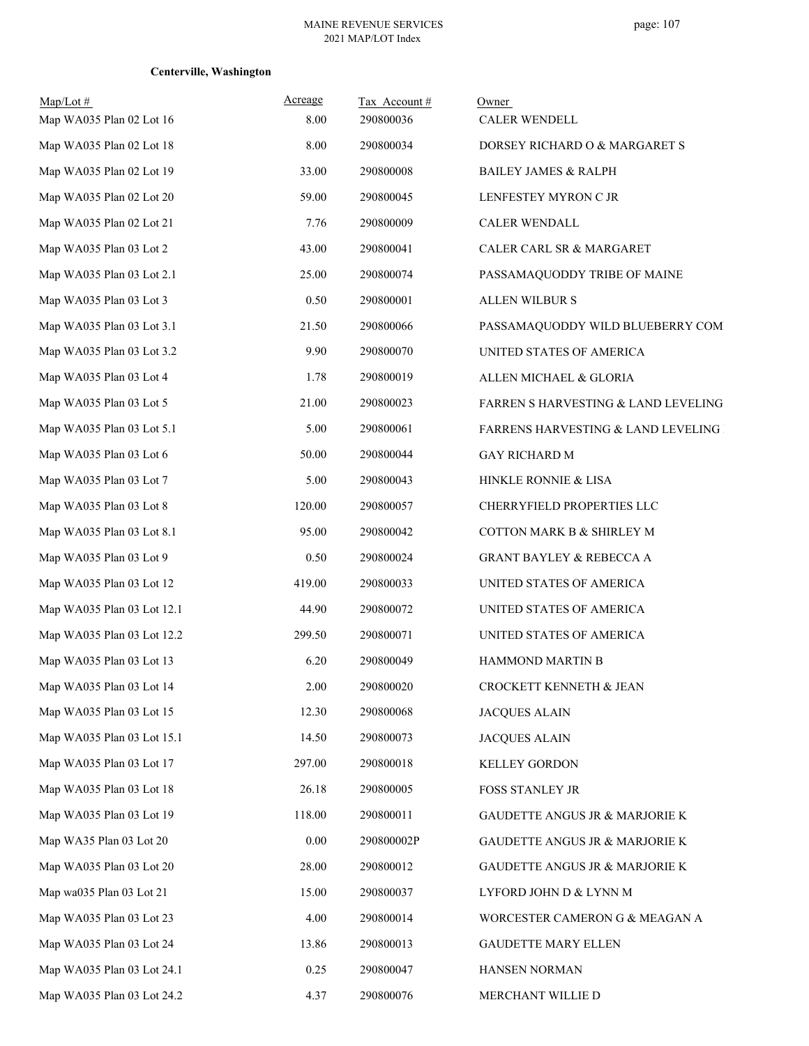# **Centerville, Washington**

| $Map/Lot \#$               | Acreage  | Tax Account# | Owner                                           |
|----------------------------|----------|--------------|-------------------------------------------------|
| Map WA035 Plan 02 Lot 16   | 8.00     | 290800036    | CALER WENDELL                                   |
| Map WA035 Plan 02 Lot 18   | 8.00     | 290800034    | DORSEY RICHARD O & MARGARET S                   |
| Map WA035 Plan 02 Lot 19   | 33.00    | 290800008    | <b>BAILEY JAMES &amp; RALPH</b>                 |
| Map WA035 Plan 02 Lot 20   | 59.00    | 290800045    | LENFESTEY MYRON C JR                            |
| Map WA035 Plan 02 Lot 21   | 7.76     | 290800009    | CALER WENDALL                                   |
| Map WA035 Plan 03 Lot 2    | 43.00    | 290800041    | CALER CARL SR & MARGARET                        |
| Map WA035 Plan 03 Lot 2.1  | 25.00    | 290800074    | PASSAMAQUODDY TRIBE OF MAINE                    |
| Map WA035 Plan 03 Lot 3    | 0.50     | 290800001    | ALLEN WILBUR S                                  |
| Map WA035 Plan 03 Lot 3.1  | 21.50    | 290800066    | PASSAMAQUODDY WILD BLUEBERRY COM                |
| Map WA035 Plan 03 Lot 3.2  | 9.90     | 290800070    | UNITED STATES OF AMERICA                        |
| Map WA035 Plan 03 Lot 4    | 1.78     | 290800019    | ALLEN MICHAEL & GLORIA                          |
| Map WA035 Plan 03 Lot 5    | 21.00    | 290800023    | FARREN S HARVESTING & LAND LEVELING             |
| Map WA035 Plan 03 Lot 5.1  | 5.00     | 290800061    | <b>FARRENS HARVESTING &amp; LAND LEVELING :</b> |
| Map WA035 Plan 03 Lot 6    | 50.00    | 290800044    | <b>GAY RICHARD M</b>                            |
| Map WA035 Plan 03 Lot 7    | 5.00     | 290800043    | HINKLE RONNIE & LISA                            |
| Map WA035 Plan 03 Lot 8    | 120.00   | 290800057    | CHERRYFIELD PROPERTIES LLC                      |
| Map WA035 Plan 03 Lot 8.1  | 95.00    | 290800042    | COTTON MARK B & SHIRLEY M                       |
| Map WA035 Plan 03 Lot 9    | 0.50     | 290800024    | <b>GRANT BAYLEY &amp; REBECCA A</b>             |
| Map WA035 Plan 03 Lot 12   | 419.00   | 290800033    | UNITED STATES OF AMERICA                        |
| Map WA035 Plan 03 Lot 12.1 | 44.90    | 290800072    | UNITED STATES OF AMERICA                        |
| Map WA035 Plan 03 Lot 12.2 | 299.50   | 290800071    | UNITED STATES OF AMERICA                        |
| Map WA035 Plan 03 Lot 13   | 6.20     | 290800049    | <b>HAMMOND MARTIN B</b>                         |
| Map WA035 Plan 03 Lot 14   | 2.00     | 290800020    | CROCKETT KENNETH & JEAN                         |
| Map WA035 Plan 03 Lot 15   | 12.30    | 290800068    | <b>JACQUES ALAIN</b>                            |
| Map WA035 Plan 03 Lot 15.1 | 14.50    | 290800073    | <b>JACQUES ALAIN</b>                            |
| Map WA035 Plan 03 Lot 17   | 297.00   | 290800018    | KELLEY GORDON                                   |
| Map WA035 Plan 03 Lot 18   | 26.18    | 290800005    | FOSS STANLEY JR                                 |
| Map WA035 Plan 03 Lot 19   | 118.00   | 290800011    | GAUDETTE ANGUS JR & MARJORIE K                  |
| Map WA35 Plan 03 Lot 20    | $0.00\,$ | 290800002P   | <b>GAUDETTE ANGUS JR &amp; MARJORIE K</b>       |
| Map WA035 Plan 03 Lot 20   | 28.00    | 290800012    | GAUDETTE ANGUS JR & MARJORIE K                  |
| Map wa035 Plan 03 Lot 21   | 15.00    | 290800037    | LYFORD JOHN D & LYNN M                          |
| Map WA035 Plan 03 Lot 23   | 4.00     | 290800014    | WORCESTER CAMERON G & MEAGAN A                  |
| Map WA035 Plan 03 Lot 24   | 13.86    | 290800013    | <b>GAUDETTE MARY ELLEN</b>                      |
| Map WA035 Plan 03 Lot 24.1 | 0.25     | 290800047    | HANSEN NORMAN                                   |
| Map WA035 Plan 03 Lot 24.2 | 4.37     | 290800076    | MERCHANT WILLIE D                               |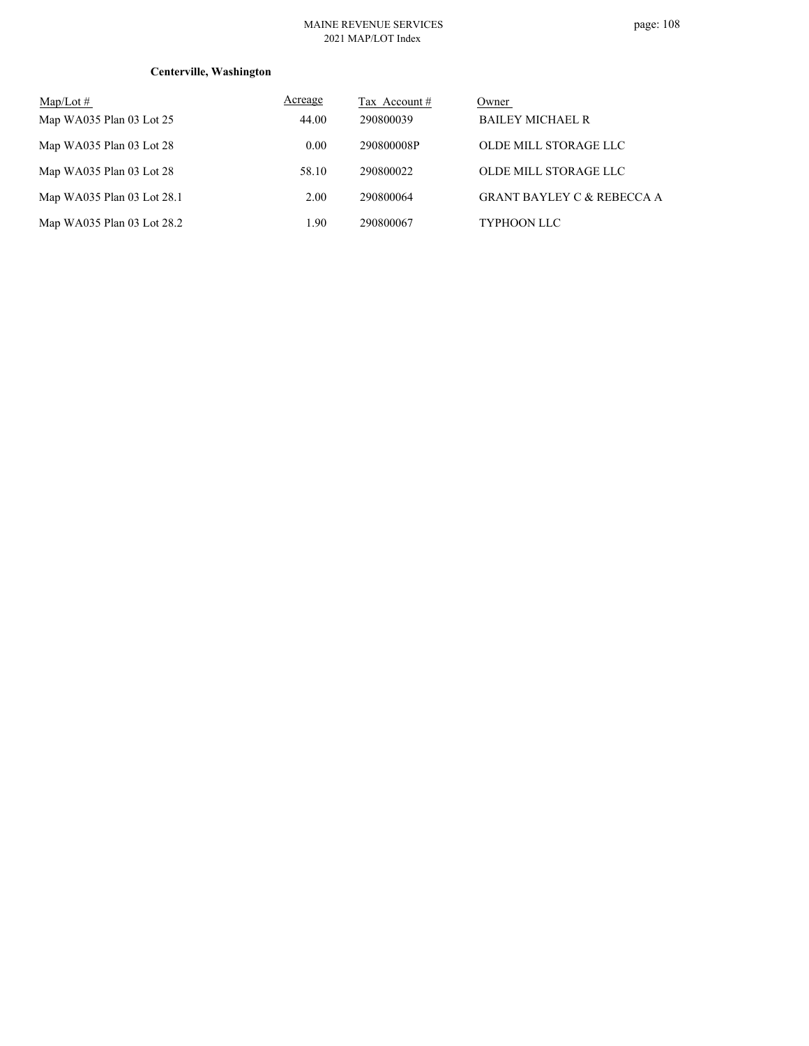## **Centerville, Washington**

| $Map/Lot \#$               | Acreage | Tax Account # | Owner                                 |
|----------------------------|---------|---------------|---------------------------------------|
| Map WA035 Plan 03 Lot $25$ | 44.00   | 290800039     | <b>BAILEY MICHAEL R</b>               |
| Map WA035 Plan 03 Lot 28   | 0.00    | 290800008P    | OLDE MILL STORAGE LLC                 |
| Map WA035 Plan 03 Lot 28   | 58.10   | 290800022     | OLDE MILL STORAGE LLC                 |
| Map WA035 Plan 03 Lot 28.1 | 2.00    | 290800064     | <b>GRANT BAYLEY C &amp; REBECCA A</b> |
| Map WA035 Plan 03 Lot 28.2 | 1.90    | 290800067     | <b>TYPHOON LLC</b>                    |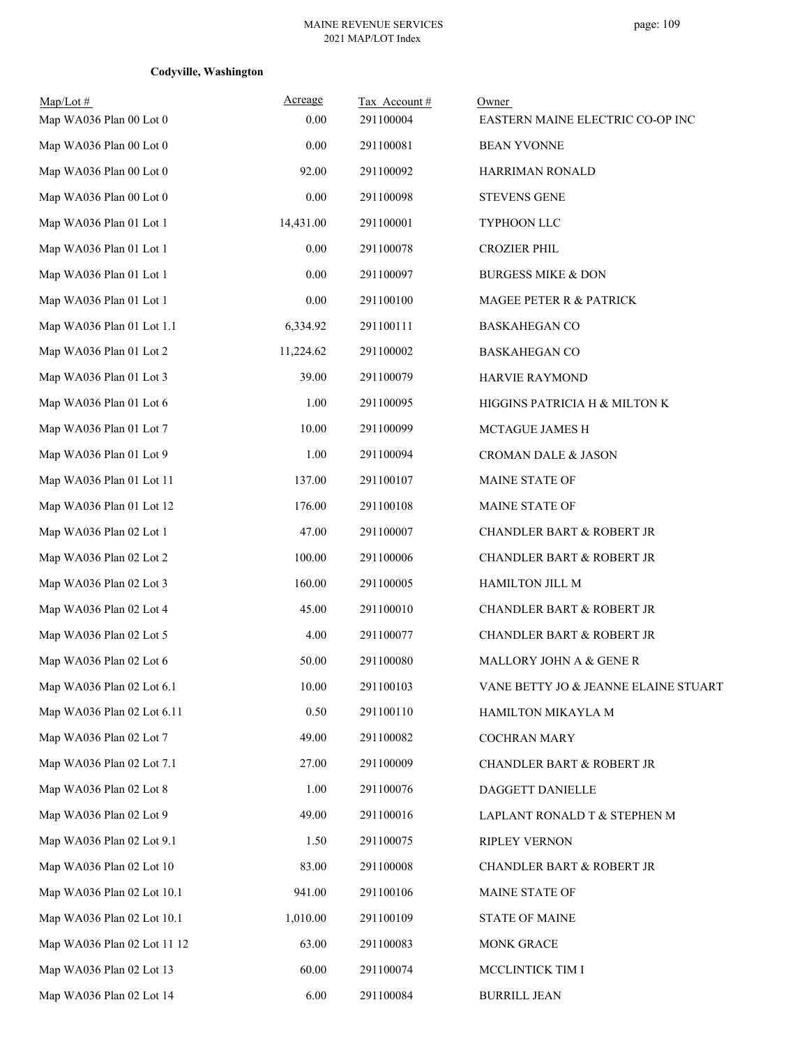## **Codyville, Washington**

| $Map/Lot \#$<br>Map WA036 Plan 00 Lot 0 | Acreage<br>0.00 | Tax Account#<br>291100004 | Owner<br>EASTERN MAINE ELECTRIC CO-OP INC |
|-----------------------------------------|-----------------|---------------------------|-------------------------------------------|
| Map WA036 Plan 00 Lot 0                 | 0.00            | 291100081                 | <b>BEAN YVONNE</b>                        |
| Map WA036 Plan 00 Lot 0                 | 92.00           | 291100092                 | HARRIMAN RONALD                           |
| Map WA036 Plan 00 Lot 0                 | 0.00            | 291100098                 | <b>STEVENS GENE</b>                       |
| Map WA036 Plan 01 Lot 1                 | 14,431.00       | 291100001                 | TYPHOON LLC                               |
| Map WA036 Plan 01 Lot 1                 | 0.00            | 291100078                 | <b>CROZIER PHIL</b>                       |
| Map WA036 Plan 01 Lot 1                 | 0.00            | 291100097                 | <b>BURGESS MIKE &amp; DON</b>             |
| Map WA036 Plan 01 Lot 1                 | 0.00            | 291100100                 | MAGEE PETER R & PATRICK                   |
| Map WA036 Plan 01 Lot 1.1               | 6,334.92        | 291100111                 | <b>BASKAHEGAN CO</b>                      |
| Map WA036 Plan 01 Lot 2                 | 11,224.62       | 291100002                 | <b>BASKAHEGAN CO</b>                      |
| Map WA036 Plan 01 Lot 3                 | 39.00           | 291100079                 | HARVIE RAYMOND                            |
| Map WA036 Plan 01 Lot 6                 | 1.00            | 291100095                 | HIGGINS PATRICIA H & MILTON K             |
| Map WA036 Plan 01 Lot 7                 | 10.00           | 291100099                 | MCTAGUE JAMES H                           |
| Map WA036 Plan 01 Lot 9                 | 1.00            | 291100094                 | <b>CROMAN DALE &amp; JASON</b>            |
| Map WA036 Plan 01 Lot 11                | 137.00          | 291100107                 | MAINE STATE OF                            |
| Map WA036 Plan 01 Lot 12                | 176.00          | 291100108                 | MAINE STATE OF                            |
| Map WA036 Plan 02 Lot 1                 | 47.00           | 291100007                 | <b>CHANDLER BART &amp; ROBERT JR</b>      |
| Map WA036 Plan 02 Lot 2                 | 100.00          | 291100006                 | <b>CHANDLER BART &amp; ROBERT JR</b>      |
| Map WA036 Plan 02 Lot 3                 | 160.00          | 291100005                 | HAMILTON JILL M                           |
| Map WA036 Plan 02 Lot 4                 | 45.00           | 291100010                 | <b>CHANDLER BART &amp; ROBERT JR</b>      |
| Map WA036 Plan 02 Lot 5                 | 4.00            | 291100077                 | <b>CHANDLER BART &amp; ROBERT JR</b>      |
| Map WA036 Plan 02 Lot 6                 | 50.00           | 291100080                 | MALLORY JOHN A & GENE R                   |
| Map WA036 Plan 02 Lot 6.1               | 10.00           | 291100103                 | VANE BETTY JO & JEANNE ELAINE STUART      |
| Map WA036 Plan 02 Lot 6.11              | 0.50            | 291100110                 | HAMILTON MIKAYLA M                        |
| Map WA036 Plan 02 Lot 7                 | 49.00           | 291100082                 | <b>COCHRAN MARY</b>                       |
| Map WA036 Plan 02 Lot 7.1               | 27.00           | 291100009                 | <b>CHANDLER BART &amp; ROBERT JR</b>      |
| Map WA036 Plan 02 Lot 8                 | 1.00            | 291100076                 | DAGGETT DANIELLE                          |
| Map WA036 Plan 02 Lot 9                 | 49.00           | 291100016                 | LAPLANT RONALD T & STEPHEN M              |
| Map WA036 Plan 02 Lot 9.1               | 1.50            | 291100075                 | RIPLEY VERNON                             |
| Map WA036 Plan 02 Lot 10                | 83.00           | 291100008                 | <b>CHANDLER BART &amp; ROBERT JR</b>      |
| Map WA036 Plan 02 Lot 10.1              | 941.00          | 291100106                 | MAINE STATE OF                            |
| Map WA036 Plan 02 Lot 10.1              | 1,010.00        | 291100109                 | <b>STATE OF MAINE</b>                     |
| Map WA036 Plan 02 Lot 11 12             | 63.00           | 291100083                 | MONK GRACE                                |
| Map WA036 Plan 02 Lot 13                | 60.00           | 291100074                 | MCCLINTICK TIM I                          |
| Map WA036 Plan 02 Lot 14                | 6.00            | 291100084                 | <b>BURRILL JEAN</b>                       |